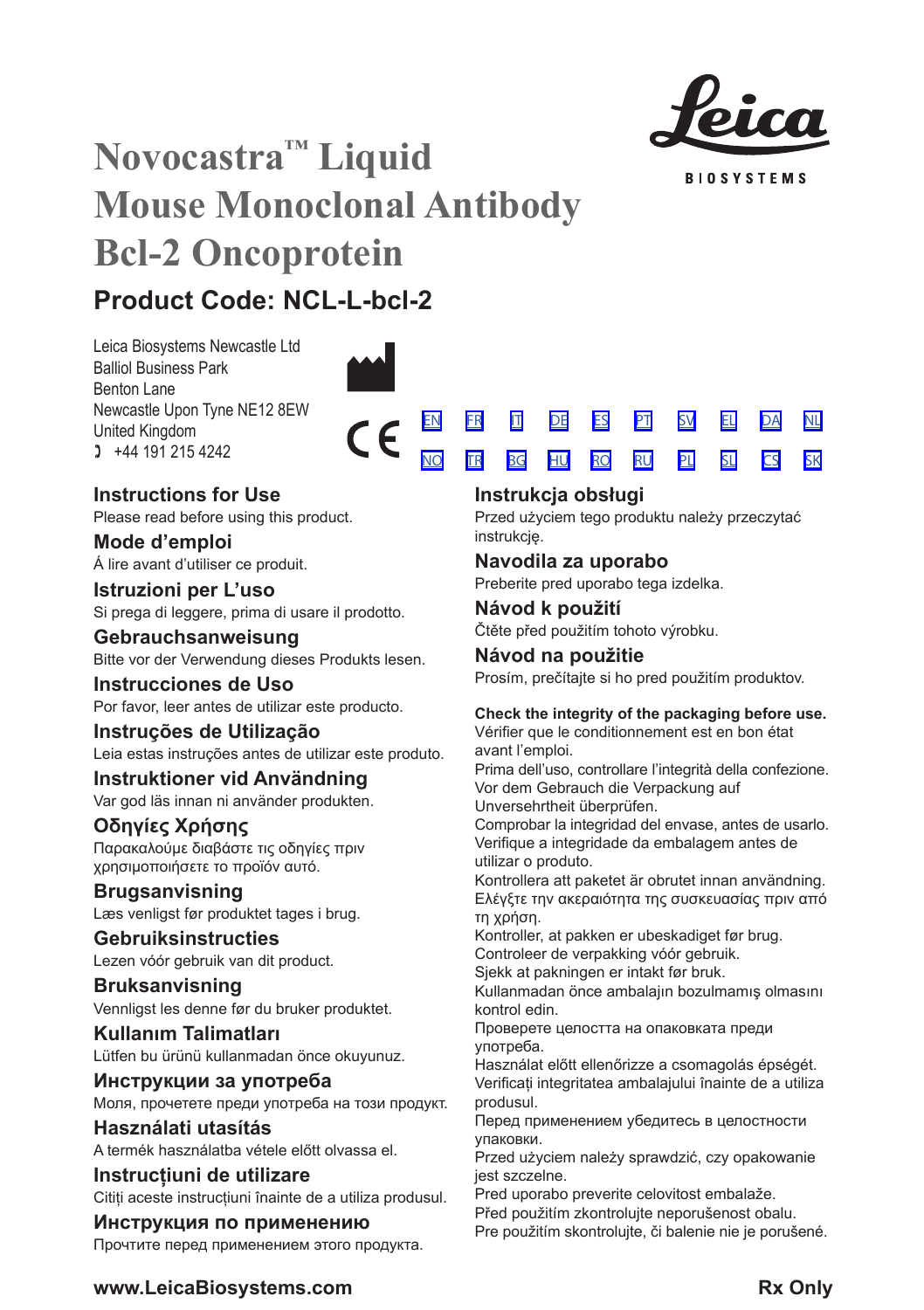

**BIOSYSTEMS** 

# **Novocastra™ Liquid Mouse Monoclonal Antibody Bcl-2 Oncoprotein**

# **Product Code: NCL-L-bcl-2**

Leica Biosystems Newcastle Ltd Balliol Business Park Benton Lane Newcastle Upon Tyne NE12 8EW United Kingdom  $1 +44 191 215 4242$ 



 $\epsilon$ 



Please read before using this product.

**Mode d'emploi** Á lire avant d'utiliser ce produit.

**Istruzioni per L'uso** Si prega di leggere, prima di usare il prodotto.

## **Gebrauchsanweisung** Bitte vor der Verwendung dieses Produkts lesen.

**Instrucciones de Uso** Por favor, leer antes de utilizar este producto.

## **Instruções de Utilização** Leia estas instruções antes de utilizar este produto.

**Instruktioner vid Användning** Var god läs innan ni använder produkten.

## **Οδηγίες Χρήσης** Παρακαλούμε διαβάστε τις οδηγίες πριν χρησιμοποιήσετε το προϊόν αυτό.

**Brugsanvisning** Læs venligst før produktet tages i brug.

## **Gebruiksinstructies** Lezen vóór gebruik van dit product.

**Bruksanvisning** Vennligst les denne før du bruker produktet.

**Kullanım Talimatları** Lütfen bu ürünü kullanmadan önce okuyunuz.

**Инструкции за употреба** Моля, прочетете преди употреба на този продукт.

**Használati utasítás** A termék használatba vétele előtt olvassa el.

## **Instrucțiuni de utilizare** Citiți aceste instrucțiuni înainte de a utiliza produsul.

## **Инструкция по применению**

Прочтите перед применением этого продукта.

|  |  | EN FR IT DE ES PT SV EL DA NL           |  |  |
|--|--|-----------------------------------------|--|--|
|  |  | <u>NO TRI BG HU RO RU PLI SLI CS SK</u> |  |  |

## **Instrukcja obsługi**

Przed użyciem tego produktu należy przeczytać instrukcję.

## **Navodila za uporabo**

Preberite pred uporabo tega izdelka.

**Návod k použití** Čtěte před použitím tohoto výrobku.

# **Návod na použitie**

Prosím, prečítajte si ho pred použitím produktov.

## **Check the integrity of the packaging before use.**

Vérifier que le conditionnement est en bon état avant l'emploi.

Prima dell'uso, controllare l'integrità della confezione. Vor dem Gebrauch die Verpackung auf Unversehrtheit überprüfen.

Comprobar la integridad del envase, antes de usarlo. Verifique a integridade da embalagem antes de utilizar o produto.

Kontrollera att paketet är obrutet innan användning. Ελέγξτε την ακεραιότητα της συσκευασίας πριν από τη χρήση.

Kontroller, at pakken er ubeskadiget før brug.

Controleer de verpakking vóór gebruik.

Sjekk at pakningen er intakt før bruk. Kullanmadan önce ambalajın bozulmamış olmasını

kontrol edin.

Проверете целостта на опаковката преди употреба.

Használat előtt ellenőrizze a csomagolás épségét. Verificați integritatea ambalajului înainte de a utiliza produsul.

Перед применением убедитесь в целостности упаковки.

Przed użyciem należy sprawdzić, czy opakowanie jest szczelne.

Pred uporabo preverite celovitost embalaže.

Před použitím zkontroluite neporušenost obalu.

Pre použitím skontrolujte, či balenie nie je porušené.

## **www.LeicaBiosystems.com Rx Only**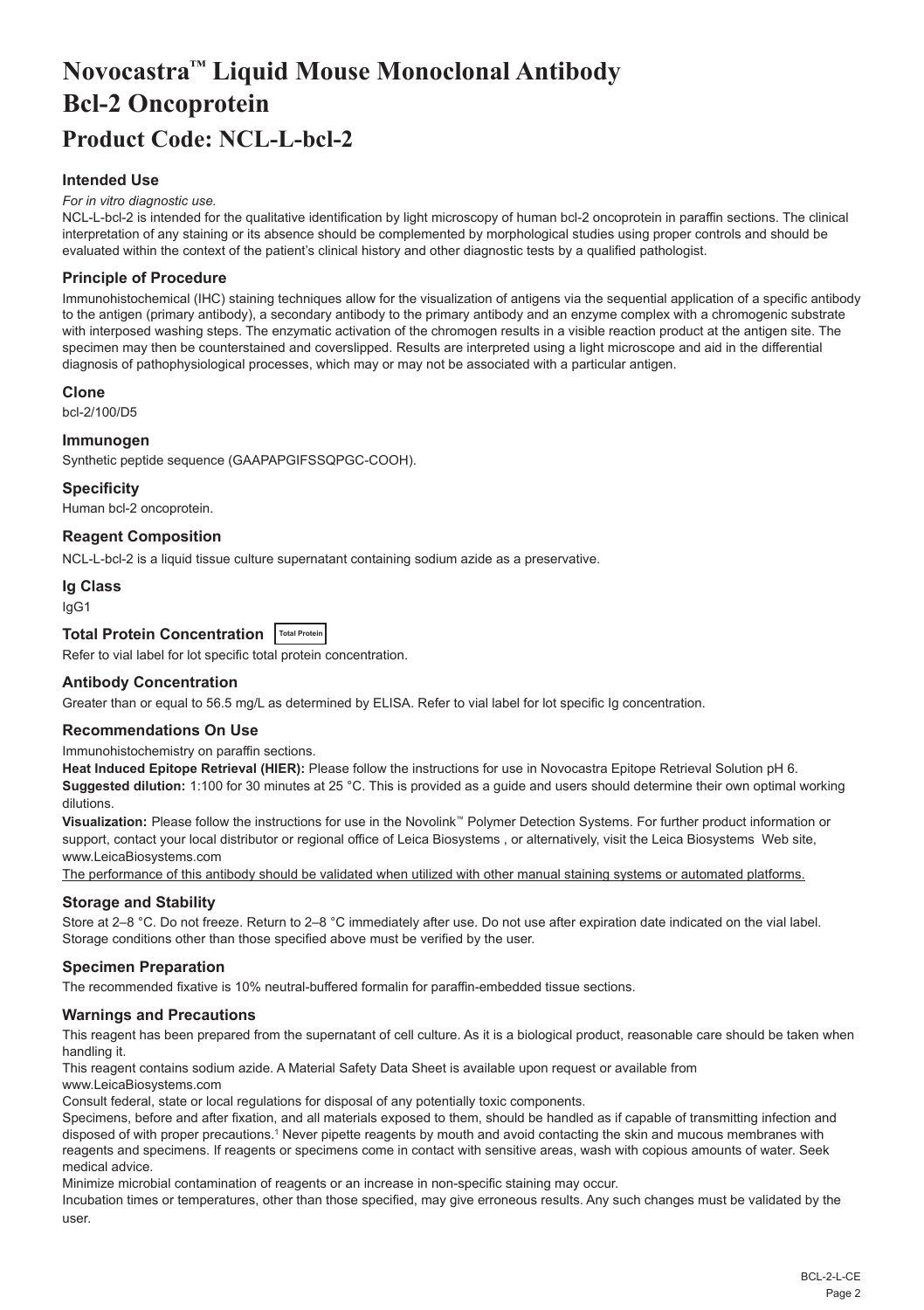# <span id="page-2-0"></span>**Novocastra™ Liquid Mouse Monoclonal Antibody Bcl-2 Oncoprotein Product Code: NCL-L-bcl-2**

## **Intended Use**

#### *For in vitro diagnostic use.*

NCL-L-bcl-2 is intended for the qualitative identification by light microscopy of human bcl-2 oncoprotein in paraffin sections. The clinical interpretation of any staining or its absence should be complemented by morphological studies using proper controls and should be evaluated within the context of the patient's clinical history and other diagnostic tests by a qualified pathologist.

#### **Principle of Procedure**

Immunohistochemical (IHC) staining techniques allow for the visualization of antigens via the sequential application of a specific antibody to the antigen (primary antibody), a secondary antibody to the primary antibody and an enzyme complex with a chromogenic substrate with interposed washing steps. The enzymatic activation of the chromogen results in a visible reaction product at the antigen site. The specimen may then be counterstained and coverslipped. Results are interpreted using a light microscope and aid in the differential diagnosis of pathophysiological processes, which may or may not be associated with a particular antigen.

#### **Clone**

bcl-2/100/D5

#### **Immunogen**

Synthetic peptide sequence (GAAPAPGIFSSQPGC-COOH).

#### **Specificity**

Human bcl-2 oncoprotein.

## **Reagent Composition**

NCL-L-bcl-2 is a liquid tissue culture supernatant containing sodium azide as a preservative.

#### **Ig Class**

IgG1

## **Total Protein Concentration Total Protein**

Refer to vial label for lot specific total protein concentration.

#### **Antibody Concentration**

Greater than or equal to 56.5 mg/L as determined by ELISA. Refer to vial label for lot specific Ig concentration.

## **Recommendations On Use**

Immunohistochemistry on paraffin sections.

**Heat Induced Epitope Retrieval (HIER):** Please follow the instructions for use in Novocastra Epitope Retrieval Solution pH 6. **Suggested dilution:** 1:100 for 30 minutes at 25 °C. This is provided as a guide and users should determine their own optimal working dilutions.

**Visualization:** Please follow the instructions for use in the Novolink™ Polymer Detection Systems. For further product information or support, contact your local distributor or regional office of Leica Biosystems , or alternatively, visit the Leica Biosystems Web site, www.LeicaBiosystems.com

The performance of this antibody should be validated when utilized with other manual staining systems or automated platforms.

## **Storage and Stability**

Store at 2–8 °C. Do not freeze. Return to 2–8 °C immediately after use. Do not use after expiration date indicated on the vial label. Storage conditions other than those specified above must be verified by the user.

#### **Specimen Preparation**

The recommended fixative is 10% neutral-buffered formalin for paraffin-embedded tissue sections.

#### **Warnings and Precautions**

This reagent has been prepared from the supernatant of cell culture. As it is a biological product, reasonable care should be taken when handling it.

This reagent contains sodium azide. A Material Safety Data Sheet is available upon request or available from

www.LeicaBiosystems.com

Consult federal, state or local regulations for disposal of any potentially toxic components.

Specimens, before and after fixation, and all materials exposed to them, should be handled as if capable of transmitting infection and disposed of with proper precautions.1 Never pipette reagents by mouth and avoid contacting the skin and mucous membranes with reagents and specimens. If reagents or specimens come in contact with sensitive areas, wash with copious amounts of water. Seek medical advice.

Minimize microbial contamination of reagents or an increase in non-specific staining may occur.

Incubation times or temperatures, other than those specified, may give erroneous results. Any such changes must be validated by the user.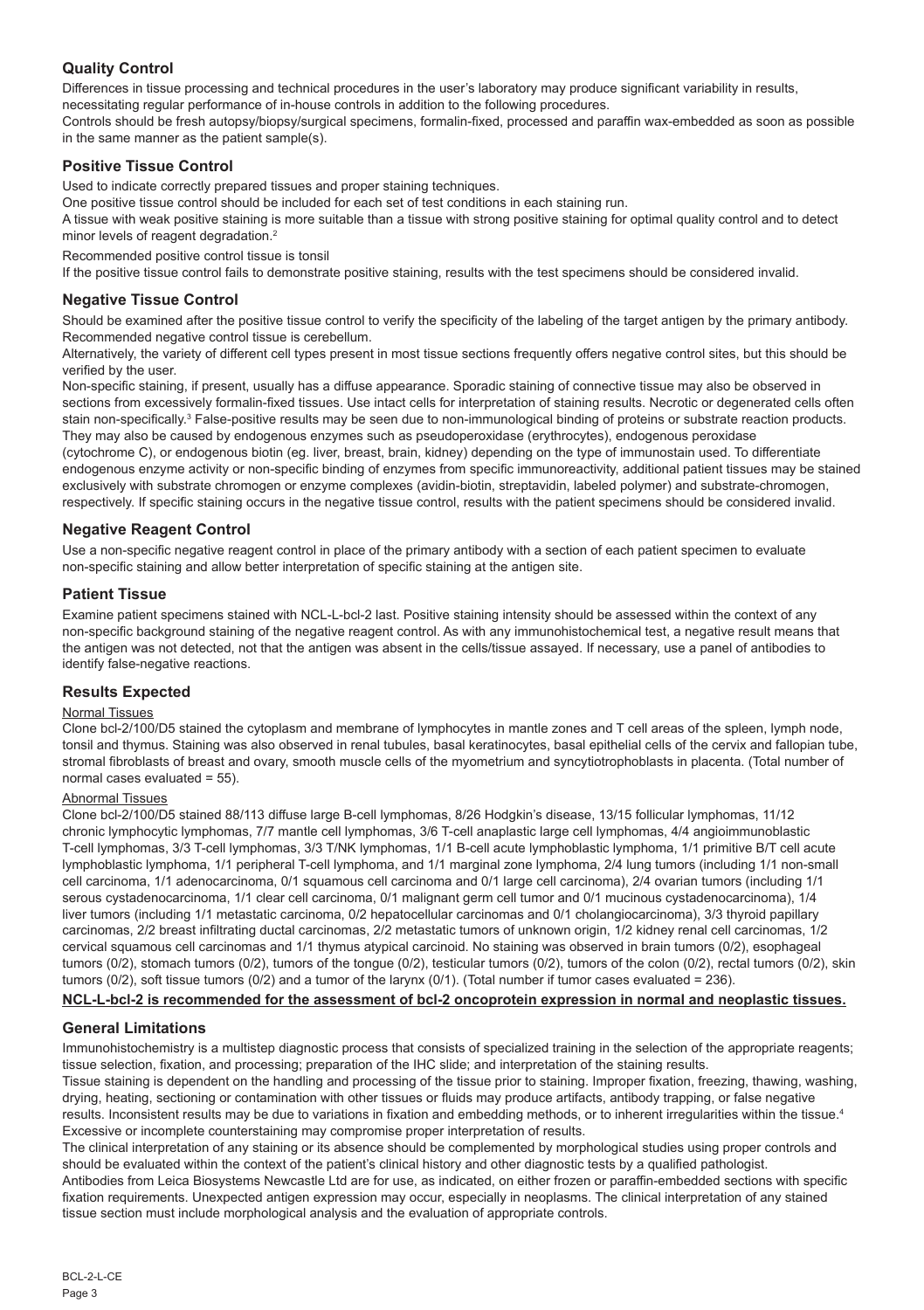## **Quality Control**

Differences in tissue processing and technical procedures in the user's laboratory may produce significant variability in results, necessitating regular performance of in-house controls in addition to the following procedures.

Controls should be fresh autopsy/biopsy/surgical specimens, formalin-fixed, processed and paraffin wax-embedded as soon as possible in the same manner as the patient sample(s).

## **Positive Tissue Control**

Used to indicate correctly prepared tissues and proper staining techniques.

One positive tissue control should be included for each set of test conditions in each staining run.

A tissue with weak positive staining is more suitable than a tissue with strong positive staining for optimal quality control and to detect minor levels of reagent degradation.<sup>2</sup>

Recommended positive control tissue is tonsil

If the positive tissue control fails to demonstrate positive staining, results with the test specimens should be considered invalid.

## **Negative Tissue Control**

Should be examined after the positive tissue control to verify the specificity of the labeling of the target antigen by the primary antibody. Recommended negative control tissue is cerebellum.

Alternatively, the variety of different cell types present in most tissue sections frequently offers negative control sites, but this should be verified by the user.

Non-specific staining, if present, usually has a diffuse appearance. Sporadic staining of connective tissue may also be observed in sections from excessively formalin-fixed tissues. Use intact cells for interpretation of staining results. Necrotic or degenerated cells often stain non-specifically.<sup>3</sup> False-positive results may be seen due to non-immunological binding of proteins or substrate reaction products. They may also be caused by endogenous enzymes such as pseudoperoxidase (erythrocytes), endogenous peroxidase

(cytochrome C), or endogenous biotin (eg. liver, breast, brain, kidney) depending on the type of immunostain used. To differentiate endogenous enzyme activity or non-specific binding of enzymes from specific immunoreactivity, additional patient tissues may be stained exclusively with substrate chromogen or enzyme complexes (avidin-biotin, streptavidin, labeled polymer) and substrate-chromogen, respectively. If specific staining occurs in the negative tissue control, results with the patient specimens should be considered invalid.

## **Negative Reagent Control**

Use a non-specific negative reagent control in place of the primary antibody with a section of each patient specimen to evaluate non-specific staining and allow better interpretation of specific staining at the antigen site.

## **Patient Tissue**

Examine patient specimens stained with NCL-L-bcl-2 last. Positive staining intensity should be assessed within the context of any non-specific background staining of the negative reagent control. As with any immunohistochemical test, a negative result means that the antigen was not detected, not that the antigen was absent in the cells/tissue assayed. If necessary, use a panel of antibodies to identify false-negative reactions.

## **Results Expected**

## Normal Tissues

Clone bcl-2/100/D5 stained the cytoplasm and membrane of lymphocytes in mantle zones and T cell areas of the spleen, lymph node, tonsil and thymus. Staining was also observed in renal tubules, basal keratinocytes, basal epithelial cells of the cervix and fallopian tube, stromal fibroblasts of breast and ovary, smooth muscle cells of the myometrium and syncytiotrophoblasts in placenta. (Total number of normal cases evaluated = 55).

#### Abnormal Tissues

Clone bcl-2/100/D5 stained 88/113 diffuse large B-cell lymphomas, 8/26 Hodgkin's disease, 13/15 follicular lymphomas, 11/12 chronic lymphocytic lymphomas, 7/7 mantle cell lymphomas, 3/6 T-cell anaplastic large cell lymphomas, 4/4 angioimmunoblastic T-cell lymphomas, 3/3 T-cell lymphomas, 3/3 T/NK lymphomas, 1/1 B-cell acute lymphoblastic lymphoma, 1/1 primitive B/T cell acute lymphoblastic lymphoma, 1/1 peripheral T-cell lymphoma, and 1/1 marginal zone lymphoma, 2/4 lung tumors (including 1/1 non-small cell carcinoma, 1/1 adenocarcinoma, 0/1 squamous cell carcinoma and 0/1 large cell carcinoma), 2/4 ovarian tumors (including 1/1 serous cystadenocarcinoma, 1/1 clear cell carcinoma, 0/1 malignant germ cell tumor and 0/1 mucinous cystadenocarcinoma), 1/4 liver tumors (including 1/1 metastatic carcinoma, 0/2 hepatocellular carcinomas and 0/1 cholangiocarcinoma), 3/3 thyroid papillary carcinomas, 2/2 breast infiltrating ductal carcinomas, 2/2 metastatic tumors of unknown origin, 1/2 kidney renal cell carcinomas, 1/2 cervical squamous cell carcinomas and 1/1 thymus atypical carcinoid. No staining was observed in brain tumors (0/2), esophageal tumors (0/2), stomach tumors (0/2), tumors of the tongue (0/2), testicular tumors (0/2), tumors of the colon (0/2), rectal tumors (0/2), skin tumors (0/2), soft tissue tumors (0/2) and a tumor of the larynx (0/1). (Total number if tumor cases evaluated = 236).

## **NCL-L-bcl-2 is recommended for the assessment of bcl-2 oncoprotein expression in normal and neoplastic tissues.**

## **General Limitations**

Immunohistochemistry is a multistep diagnostic process that consists of specialized training in the selection of the appropriate reagents; tissue selection, fixation, and processing; preparation of the IHC slide; and interpretation of the staining results.

Tissue staining is dependent on the handling and processing of the tissue prior to staining. Improper fixation, freezing, thawing, washing, drying, heating, sectioning or contamination with other tissues or fluids may produce artifacts, antibody trapping, or false negative results. Inconsistent results may be due to variations in fixation and embedding methods, or to inherent irregularities within the tissue.4 Excessive or incomplete counterstaining may compromise proper interpretation of results.

The clinical interpretation of any staining or its absence should be complemented by morphological studies using proper controls and should be evaluated within the context of the patient's clinical history and other diagnostic tests by a qualified pathologist. Antibodies from Leica Biosystems Newcastle Ltd are for use, as indicated, on either frozen or paraffin-embedded sections with specific

fixation requirements. Unexpected antigen expression may occur, especially in neoplasms. The clinical interpretation of any stained tissue section must include morphological analysis and the evaluation of appropriate controls.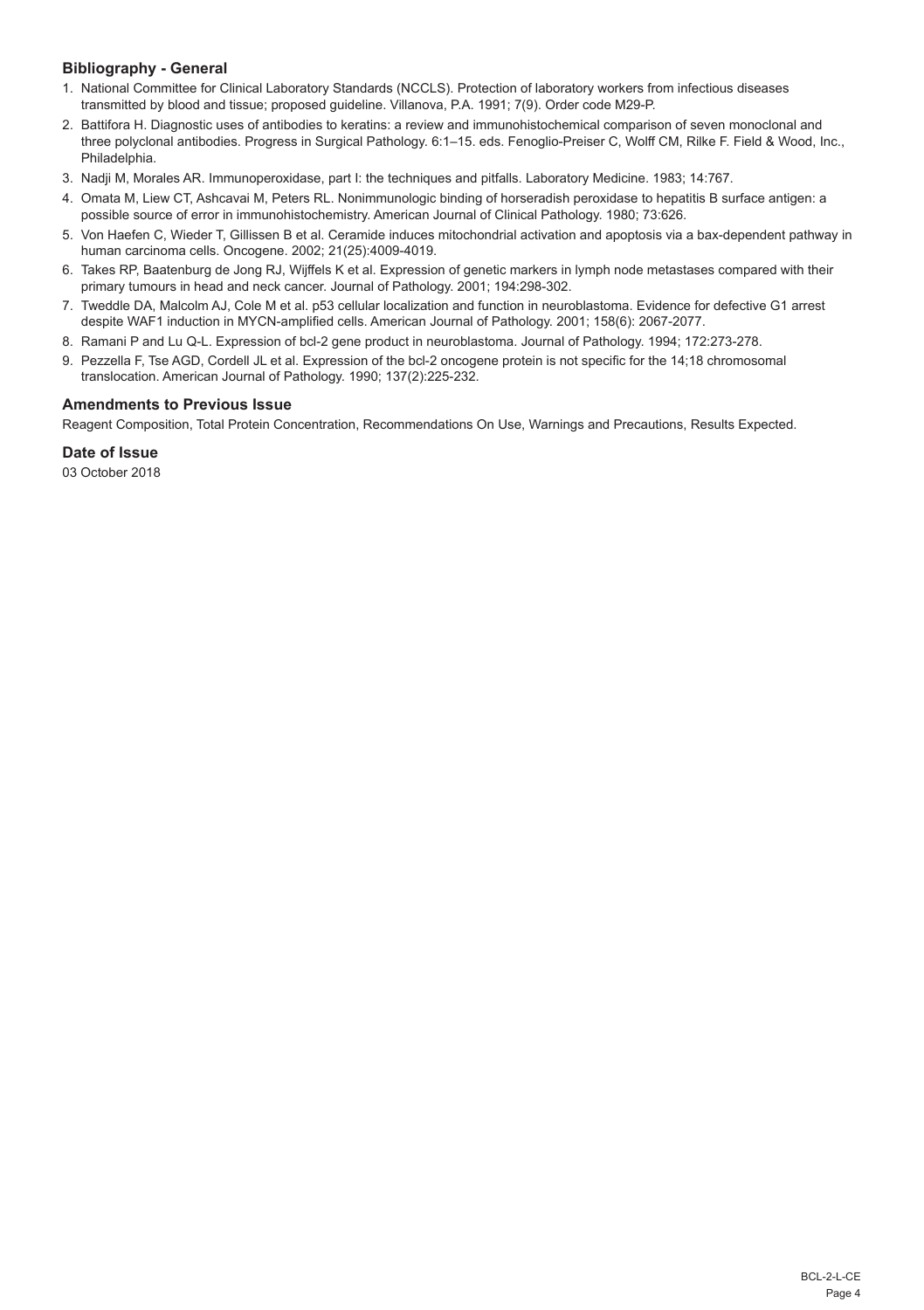## **Bibliography - General**

- 1. National Committee for Clinical Laboratory Standards (NCCLS). Protection of laboratory workers from infectious diseases transmitted by blood and tissue; proposed guideline. Villanova, P.A. 1991; 7(9). Order code M29-P.
- 2. Battifora H. Diagnostic uses of antibodies to keratins: a review and immunohistochemical comparison of seven monoclonal and three polyclonal antibodies. Progress in Surgical Pathology. 6:1–15. eds. Fenoglio-Preiser C, Wolff CM, Rilke F. Field & Wood, Inc., Philadelphia.
- 3. Nadji M, Morales AR. Immunoperoxidase, part I: the techniques and pitfalls. Laboratory Medicine. 1983; 14:767.
- 4. Omata M, Liew CT, Ashcavai M, Peters RL. Nonimmunologic binding of horseradish peroxidase to hepatitis B surface antigen: a possible source of error in immunohistochemistry. American Journal of Clinical Pathology. 1980; 73:626.
- 5. Von Haefen C, Wieder T, Gillissen B et al. Ceramide induces mitochondrial activation and apoptosis via a bax-dependent pathway in human carcinoma cells. Oncogene. 2002; 21(25):4009-4019.
- 6. Takes RP, Baatenburg de Jong RJ, Wijffels K et al. Expression of genetic markers in lymph node metastases compared with their primary tumours in head and neck cancer. Journal of Pathology. 2001; 194:298-302.
- 7. Tweddle DA, Malcolm AJ, Cole M et al. p53 cellular localization and function in neuroblastoma. Evidence for defective G1 arrest despite WAF1 induction in MYCN-amplified cells. American Journal of Pathology. 2001; 158(6): 2067-2077.
- 8. Ramani P and Lu Q-L. Expression of bcl-2 gene product in neuroblastoma. Journal of Pathology. 1994; 172:273-278.
- 9. Pezzella F, Tse AGD, Cordell JL et al. Expression of the bcl-2 oncogene protein is not specific for the 14;18 chromosomal translocation. American Journal of Pathology. 1990; 137(2):225-232.

## **Amendments to Previous Issue**

Reagent Composition, Total Protein Concentration, Recommendations On Use, Warnings and Precautions, Results Expected.

#### **Date of Issue**

03 October 2018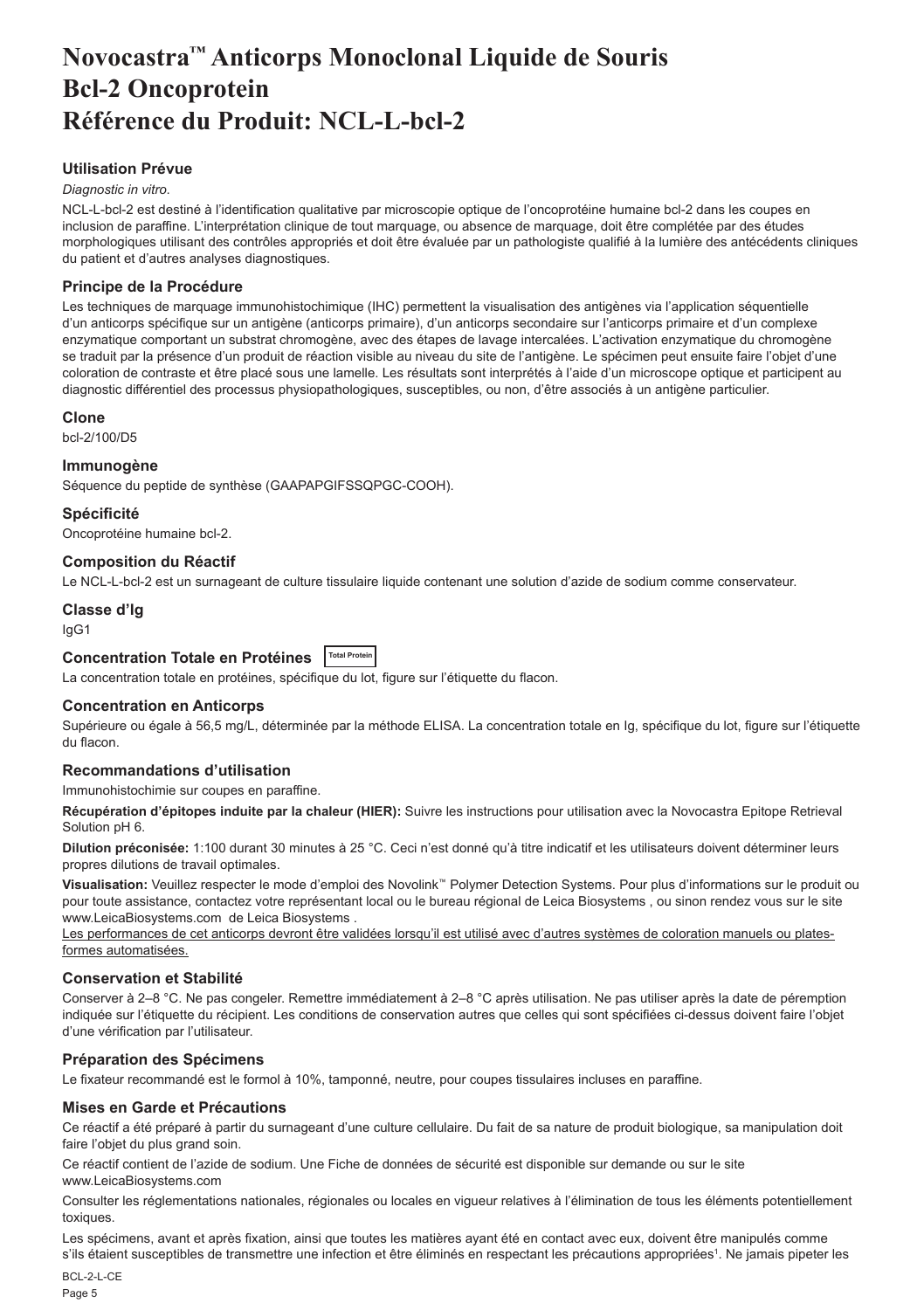## <span id="page-5-0"></span>**Novocastra™ Anticorps Monoclonal Liquide de Souris Bcl-2 Oncoprotein Référence du Produit: NCL-L-bcl-2**

## **Utilisation Prévue**

#### *Diagnostic in vitro*.

NCL-L-bcl-2 est destiné à l'identification qualitative par microscopie optique de l'oncoprotéine humaine bcl-2 dans les coupes en inclusion de paraffine. L'interprétation clinique de tout marquage, ou absence de marquage, doit être complétée par des études morphologiques utilisant des contrôles appropriés et doit être évaluée par un pathologiste qualifié à la lumière des antécédents cliniques du patient et d'autres analyses diagnostiques.

#### **Principe de la Procédure**

Les techniques de marquage immunohistochimique (IHC) permettent la visualisation des antigènes via l'application séquentielle d'un anticorps spécifique sur un antigène (anticorps primaire), d'un anticorps secondaire sur l'anticorps primaire et d'un complexe enzymatique comportant un substrat chromogène, avec des étapes de lavage intercalées. L'activation enzymatique du chromogène se traduit par la présence d'un produit de réaction visible au niveau du site de l'antigène. Le spécimen peut ensuite faire l'objet d'une coloration de contraste et être placé sous une lamelle. Les résultats sont interprétés à l'aide d'un microscope optique et participent au diagnostic différentiel des processus physiopathologiques, susceptibles, ou non, d'être associés à un antigène particulier.

#### **Clone**

bcl-2/100/D5

#### **Immunogène**

Séquence du peptide de synthèse (GAAPAPGIFSSQPGC-COOH).

#### **Spécificité**

Oncoprotéine humaine bcl-2.

#### **Composition du Réactif**

Le NCL-L-bcl-2 est un surnageant de culture tissulaire liquide contenant une solution d'azide de sodium comme conservateur.

#### **Classe d'Ig**

IgG1

**Concentration Totale en Protéines Total Protein**

La concentration totale en protéines, spécifique du lot, figure sur l'étiquette du flacon.

#### **Concentration en Anticorps**

Supérieure ou égale à 56,5 mg/L, déterminée par la méthode ELISA. La concentration totale en Ig, spécifique du lot, figure sur l'étiquette du flacon.

#### **Recommandations d'utilisation**

Immunohistochimie sur coupes en paraffine.

**Récupération d'épitopes induite par la chaleur (HIER):** Suivre les instructions pour utilisation avec la Novocastra Epitope Retrieval Solution pH 6.

**Dilution préconisée:** 1:100 durant 30 minutes à 25 °C. Ceci n'est donné qu'à titre indicatif et les utilisateurs doivent déterminer leurs propres dilutions de travail optimales.

**Visualisation:** Veuillez respecter le mode d'emploi des Novolink™ Polymer Detection Systems. Pour plus d'informations sur le produit ou pour toute assistance, contactez votre représentant local ou le bureau régional de Leica Biosystems , ou sinon rendez vous sur le site www.LeicaBiosystems.com de Leica Biosystems .

Les performances de cet anticorps devront être validées lorsqu'il est utilisé avec d'autres systèmes de coloration manuels ou platesformes automatisées.

#### **Conservation et Stabilité**

Conserver à 2–8 °C. Ne pas congeler. Remettre immédiatement à 2–8 °C après utilisation. Ne pas utiliser après la date de péremption indiquée sur l'étiquette du récipient. Les conditions de conservation autres que celles qui sont spécifiées ci-dessus doivent faire l'objet d'une vérification par l'utilisateur.

#### **Préparation des Spécimens**

Le fixateur recommandé est le formol à 10%, tamponné, neutre, pour coupes tissulaires incluses en paraffine.

#### **Mises en Garde et Précautions**

Ce réactif a été préparé à partir du surnageant d'une culture cellulaire. Du fait de sa nature de produit biologique, sa manipulation doit faire l'obiet du plus grand soin.

Ce réactif contient de l'azide de sodium. Une Fiche de données de sécurité est disponible sur demande ou sur le site www.LeicaBiosystems.com

Consulter les réglementations nationales, régionales ou locales en vigueur relatives à l'élimination de tous les éléments potentiellement toxiques.

Les spécimens, avant et après fixation, ainsi que toutes les matières ayant été en contact avec eux, doivent être manipulés comme s'ils étaient susceptibles de transmettre une infection et être éliminés en respectant les précautions appropriées<sup>1</sup>. Ne jamais pipeter les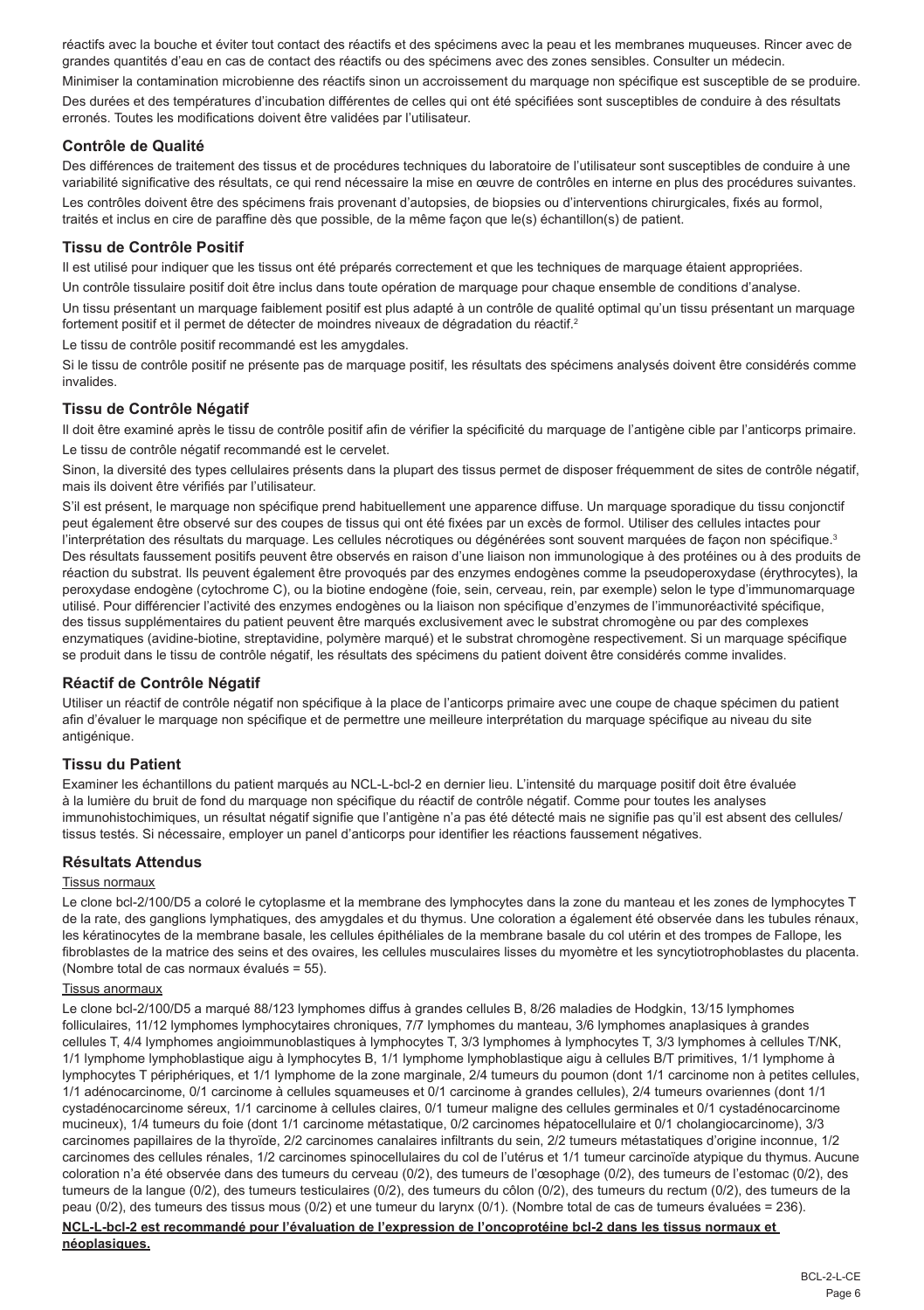réactifs avec la bouche et éviter tout contact des réactifs et des spécimens avec la peau et les membranes muqueuses. Rincer avec de grandes quantités d'eau en cas de contact des réactifs ou des spécimens avec des zones sensibles. Consulter un médecin.

Minimiser la contamination microbienne des réactifs sinon un accroissement du marquage non spécifique est susceptible de se produire. Des durées et des températures d'incubation différentes de celles qui ont été spécifiées sont susceptibles de conduire à des résultats erronés. Toutes les modifications doivent être validées par l'utilisateur.

## **Contrôle de Qualité**

Des différences de traitement des tissus et de procédures techniques du laboratoire de l'utilisateur sont susceptibles de conduire à une variabilité significative des résultats, ce qui rend nécessaire la mise en œuvre de contrôles en interne en plus des procédures suivantes. Les contrôles doivent être des spécimens frais provenant d'autopsies, de biopsies ou d'interventions chirurgicales, fixés au formol, traités et inclus en cire de paraffine dès que possible, de la même façon que le(s) échantillon(s) de patient.

## **Tissu de Contrôle Positif**

Il est utilisé pour indiquer que les tissus ont été préparés correctement et que les techniques de marquage étaient appropriées.

Un contrôle tissulaire positif doit être inclus dans toute opération de marquage pour chaque ensemble de conditions d'analyse.

Un tissu présentant un marquage faiblement positif est plus adapté à un contrôle de qualité optimal qu'un tissu présentant un marquage fortement positif et il permet de détecter de moindres niveaux de dégradation du réactif.<sup>2</sup>

Le tissu de contrôle positif recommandé est les amygdales.

Si le tissu de contrôle positif ne présente pas de marquage positif, les résultats des spécimens analysés doivent être considérés comme invalides.

#### **Tissu de Contrôle Négatif**

Il doit être examiné après le tissu de contrôle positif afin de vérifier la spécificité du marquage de l'antigène cible par l'anticorps primaire. Le tissu de contrôle négatif recommandé est le cervelet.

Sinon, la diversité des types cellulaires présents dans la plupart des tissus permet de disposer fréquemment de sites de contrôle négatif, mais ils doivent être vérifiés par l'utilisateur.

S'il est présent, le marquage non spécifique prend habituellement une apparence diffuse. Un marquage sporadique du tissu conjonctif peut également être observé sur des coupes de tissus qui ont été fixées par un excès de formol. Utiliser des cellules intactes pour l'interprétation des résultats du marquage. Les cellules nécrotiques ou dégénérées sont souvent marquées de façon non spécifique.<sup>3</sup> Des résultats faussement positifs peuvent être observés en raison d'une liaison non immunologique à des protéines ou à des produits de réaction du substrat. Ils peuvent également être provoqués par des enzymes endogènes comme la pseudoperoxydase (érythrocytes), la peroxydase endogène (cytochrome C), ou la biotine endogène (foie, sein, cerveau, rein, par exemple) selon le type d'immunomarquage utilisé. Pour différencier l'activité des enzymes endogènes ou la liaison non spécifique d'enzymes de l'immunoréactivité spécifique, des tissus supplémentaires du patient peuvent être marqués exclusivement avec le substrat chromogène ou par des complexes enzymatiques (avidine-biotine, streptavidine, polymère marqué) et le substrat chromogène respectivement. Si un marquage spécifique se produit dans le tissu de contrôle négatif, les résultats des spécimens du patient doivent être considérés comme invalides.

#### **Réactif de Contrôle Négatif**

Utiliser un réactif de contrôle négatif non spécifique à la place de l'anticorps primaire avec une coupe de chaque spécimen du patient afin d'évaluer le marquage non spécifique et de permettre une meilleure interprétation du marquage spécifique au niveau du site antigénique.

#### **Tissu du Patient**

Examiner les échantillons du patient marqués au NCL-L-bcl-2 en dernier lieu. L'intensité du marquage positif doit être évaluée à la lumière du bruit de fond du marquage non spécifique du réactif de contrôle négatif. Comme pour toutes les analyses immunohistochimiques, un résultat négatif signifie que l'antigène n'a pas été détecté mais ne signifie pas qu'il est absent des cellules/ tissus testés. Si nécessaire, employer un panel d'anticorps pour identifier les réactions faussement négatives.

## **Résultats Attendus**

#### Tissus normaux

Le clone bcl-2/100/D5 a coloré le cytoplasme et la membrane des lymphocytes dans la zone du manteau et les zones de lymphocytes T de la rate, des ganglions lymphatiques, des amygdales et du thymus. Une coloration a également été observée dans les tubules rénaux, les kératinocytes de la membrane basale, les cellules épithéliales de la membrane basale du col utérin et des trompes de Fallope, les fibroblastes de la matrice des seins et des ovaires, les cellules musculaires lisses du myomètre et les syncytiotrophoblastes du placenta. (Nombre total de cas normaux évalués = 55).

#### Tissus anormaux

Le clone bcl-2/100/D5 a marqué 88/123 lymphomes diffus à grandes cellules B, 8/26 maladies de Hodgkin, 13/15 lymphomes folliculaires, 11/12 lymphomes lymphocytaires chroniques, 7/7 lymphomes du manteau, 3/6 lymphomes anaplasiques à grandes cellules T, 4/4 lymphomes angioimmunoblastiques à lymphocytes T, 3/3 lymphomes à lymphocytes T, 3/3 lymphomes à cellules T/NK, 1/1 lymphome lymphoblastique aigu à lymphocytes B, 1/1 lymphome lymphoblastique aigu à cellules B/T primitives, 1/1 lymphome à lymphocytes T périphériques, et 1/1 lymphome de la zone marginale, 2/4 tumeurs du poumon (dont 1/1 carcinome non à petites cellules, 1/1 adénocarcinome, 0/1 carcinome à cellules squameuses et 0/1 carcinome à grandes cellules), 2/4 tumeurs ovariennes (dont 1/1 cystadénocarcinome séreux, 1/1 carcinome à cellules claires, 0/1 tumeur maligne des cellules germinales et 0/1 cystadénocarcinome mucineux), 1/4 tumeurs du foie (dont 1/1 carcinome métastatique, 0/2 carcinomes hépatocellulaire et 0/1 cholangiocarcinome), 3/3 carcinomes papillaires de la thyroïde, 2/2 carcinomes canalaires infiltrants du sein, 2/2 tumeurs métastatiques d'origine inconnue, 1/2 carcinomes des cellules rénales, 1/2 carcinomes spinocellulaires du col de l'utérus et 1/1 tumeur carcinoïde atypique du thymus. Aucune coloration n'a été observée dans des tumeurs du cerveau (0/2), des tumeurs de l'œsophage (0/2), des tumeurs de l'estomac (0/2), des tumeurs de la langue (0/2), des tumeurs testiculaires (0/2), des tumeurs du côlon (0/2), des tumeurs du rectum (0/2), des tumeurs de la peau (0/2), des tumeurs des tissus mous (0/2) et une tumeur du larynx (0/1). (Nombre total de cas de tumeurs évaluées = 236).

**NCL-L-bcl-2 est recommandé pour l'évaluation de l'expression de l'oncoprotéine bcl-2 dans les tissus normaux et néoplasiques.**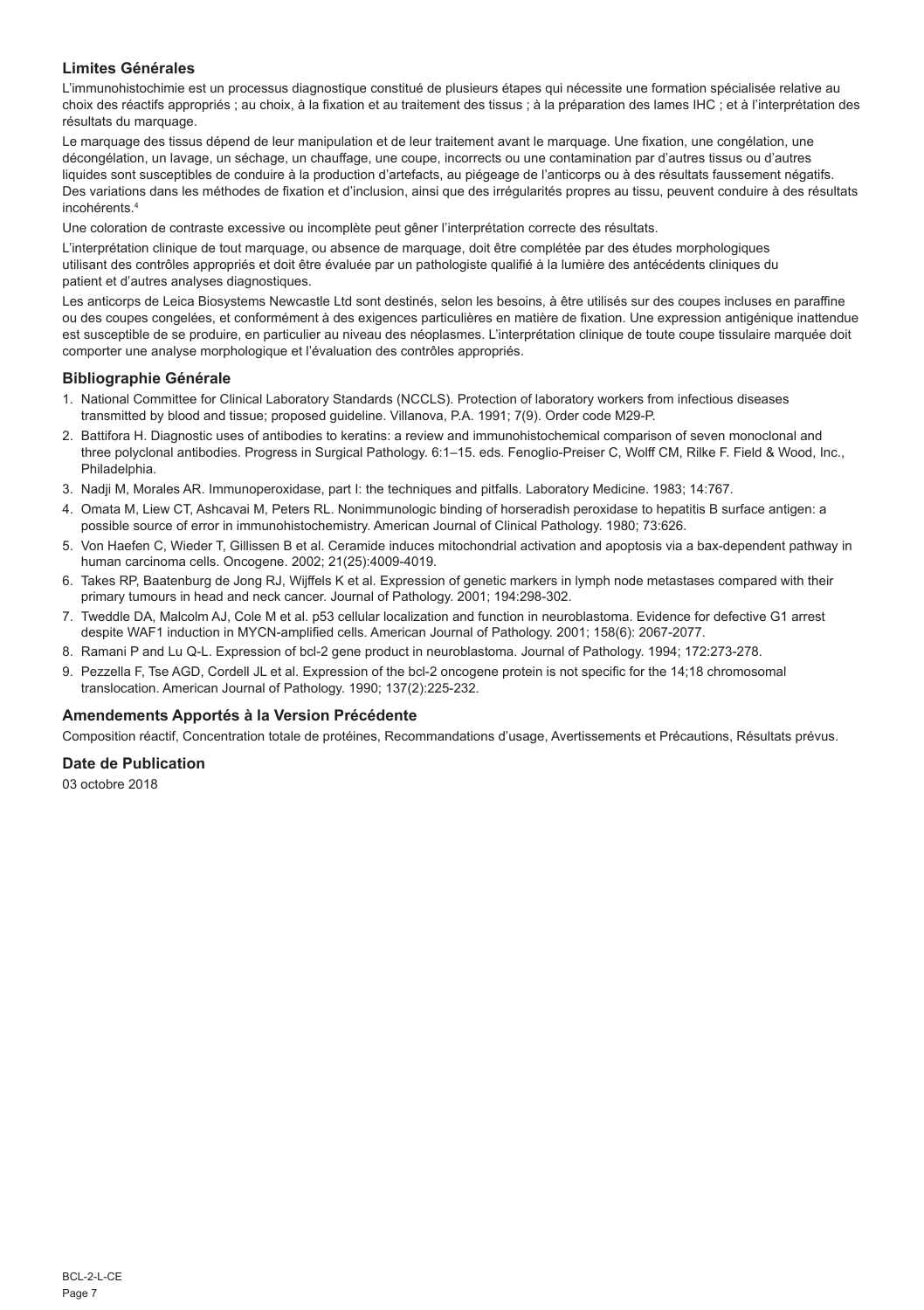## **Limites Générales**

L'immunohistochimie est un processus diagnostique constitué de plusieurs étapes qui nécessite une formation spécialisée relative au choix des réactifs appropriés ; au choix, à la fixation et au traitement des tissus ; à la préparation des lames IHC ; et à l'interprétation des résultats du marquage.

Le marquage des tissus dépend de leur manipulation et de leur traitement avant le marquage. Une fixation, une congélation, une décongélation, un lavage, un séchage, un chauffage, une coupe, incorrects ou une contamination par d'autres tissus ou d'autres liquides sont susceptibles de conduire à la production d'artefacts, au piégeage de l'anticorps ou à des résultats faussement négatifs. Des variations dans les méthodes de fixation et d'inclusion, ainsi que des irrégularités propres au tissu, peuvent conduire à des résultats incohérents.4

Une coloration de contraste excessive ou incomplète peut gêner l'interprétation correcte des résultats.

L'interprétation clinique de tout marquage, ou absence de marquage, doit être complétée par des études morphologiques utilisant des contrôles appropriés et doit être évaluée par un pathologiste qualifié à la lumière des antécédents cliniques du patient et d'autres analyses diagnostiques.

Les anticorps de Leica Biosystems Newcastle Ltd sont destinés, selon les besoins, à être utilisés sur des coupes incluses en paraffine ou des coupes congelées, et conformément à des exigences particulières en matière de fixation. Une expression antigénique inattendue est susceptible de se produire, en particulier au niveau des néoplasmes. L'interprétation clinique de toute coupe tissulaire marquée doit comporter une analyse morphologique et l'évaluation des contrôles appropriés.

#### **Bibliographie Générale**

- 1. National Committee for Clinical Laboratory Standards (NCCLS). Protection of laboratory workers from infectious diseases transmitted by blood and tissue; proposed guideline. Villanova, P.A. 1991; 7(9). Order code M29-P.
- 2. Battifora H. Diagnostic uses of antibodies to keratins: a review and immunohistochemical comparison of seven monoclonal and three polyclonal antibodies. Progress in Surgical Pathology. 6:1–15. eds. Fenoglio-Preiser C, Wolff CM, Rilke F. Field & Wood, Inc., Philadelphia.
- 3. Nadji M, Morales AR. Immunoperoxidase, part I: the techniques and pitfalls. Laboratory Medicine. 1983; 14:767.
- 4. Omata M, Liew CT, Ashcavai M, Peters RL. Nonimmunologic binding of horseradish peroxidase to hepatitis B surface antigen: a possible source of error in immunohistochemistry. American Journal of Clinical Pathology. 1980; 73:626.
- 5. Von Haefen C, Wieder T, Gillissen B et al. Ceramide induces mitochondrial activation and apoptosis via a bax-dependent pathway in human carcinoma cells. Oncogene. 2002; 21(25):4009-4019.
- 6. Takes RP, Baatenburg de Jong RJ, Wijffels K et al. Expression of genetic markers in lymph node metastases compared with their primary tumours in head and neck cancer. Journal of Pathology. 2001; 194:298-302.
- 7. Tweddle DA, Malcolm AJ, Cole M et al. p53 cellular localization and function in neuroblastoma. Evidence for defective G1 arrest despite WAF1 induction in MYCN-amplified cells. American Journal of Pathology. 2001; 158(6): 2067-2077.
- 8. Ramani P and Lu Q-L. Expression of bcl-2 gene product in neuroblastoma. Journal of Pathology. 1994; 172:273-278.
- 9. Pezzella F, Tse AGD, Cordell JL et al. Expression of the bcl-2 oncogene protein is not specific for the 14;18 chromosomal translocation. American Journal of Pathology. 1990; 137(2):225-232.

## **Amendements Apportés à la Version Précédente**

Composition réactif, Concentration totale de protéines, Recommandations d'usage, Avertissements et Précautions, Résultats prévus.

#### **Date de Publication**

03 octobre 2018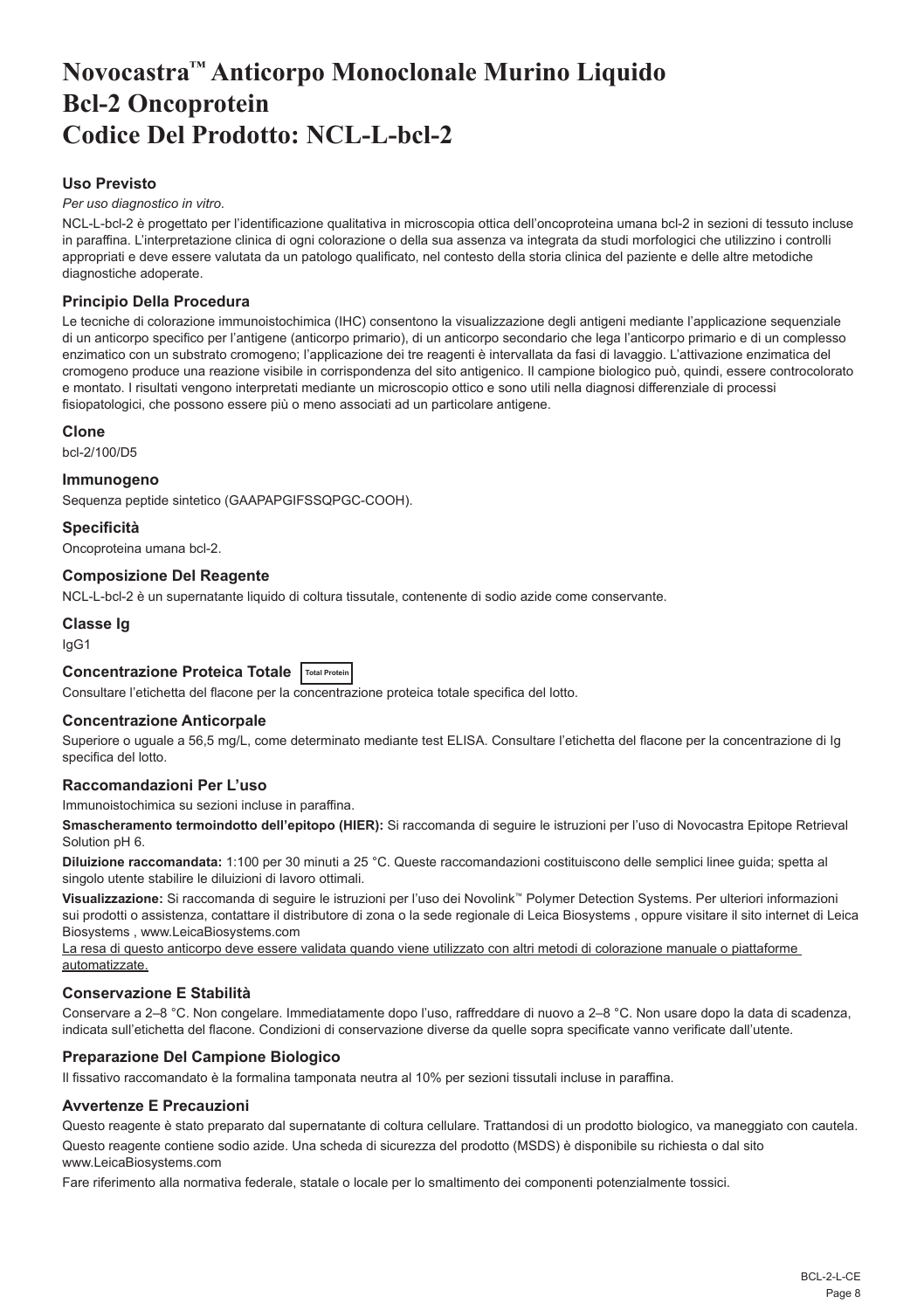# <span id="page-8-0"></span>**Novocastra™ Anticorpo Monoclonale Murino Liquido Bcl-2 Oncoprotein Codice Del Prodotto: NCL-L-bcl-2**

## **Uso Previsto**

#### *Per uso diagnostico in vitro*.

NCL-L-bcl-2 è progettato per l'identificazione qualitativa in microscopia ottica dell'oncoproteina umana bcl-2 in sezioni di tessuto incluse in paraffina. L'interpretazione clinica di ogni colorazione o della sua assenza va integrata da studi morfologici che utilizzino i controlli appropriati e deve essere valutata da un patologo qualificato, nel contesto della storia clinica del paziente e delle altre metodiche diagnostiche adoperate.

## **Principio Della Procedura**

Le tecniche di colorazione immunoistochimica (IHC) consentono la visualizzazione degli antigeni mediante l'applicazione sequenziale di un anticorpo specifico per l'antigene (anticorpo primario), di un anticorpo secondario che lega l'anticorpo primario e di un complesso enzimatico con un substrato cromogeno; l'applicazione dei tre reagenti è intervallata da fasi di lavaggio. L'attivazione enzimatica del cromogeno produce una reazione visibile in corrispondenza del sito antigenico. Il campione biologico può, quindi, essere controcolorato e montato. I risultati vengono interpretati mediante un microscopio ottico e sono utili nella diagnosi differenziale di processi fisiopatologici, che possono essere più o meno associati ad un particolare antigene.

#### **Clone**

bcl-2/100/D5

#### **Immunogeno**

Sequenza peptide sintetico (GAAPAPGIFSSQPGC-COOH).

#### **Specificità**

Oncoproteina umana bcl-2.

#### **Composizione Del Reagente**

NCL-L-bcl-2 è un supernatante liquido di coltura tissutale, contenente di sodio azide come conservante.

## **Classe Ig**

IgG1

## **Concentrazione Proteica Totale Total Protein**

Consultare l'etichetta del flacone per la concentrazione proteica totale specifica del lotto.

## **Concentrazione Anticorpale**

Superiore o uguale a 56,5 mg/L, come determinato mediante test ELISA. Consultare l'etichetta del flacone per la concentrazione di Ig specifica del lotto.

## **Raccomandazioni Per L'uso**

Immunoistochimica su sezioni incluse in paraffina.

**Smascheramento termoindotto dell'epitopo (HIER):** Si raccomanda di seguire le istruzioni per l'uso di Novocastra Epitope Retrieval Solution pH 6.

**Diluizione raccomandata:** 1:100 per 30 minuti a 25 °C. Queste raccomandazioni costituiscono delle semplici linee guida; spetta al singolo utente stabilire le diluizioni di lavoro ottimali.

**Visualizzazione:** Si raccomanda di seguire le istruzioni per l'uso dei Novolink™ Polymer Detection Systems. Per ulteriori informazioni sui prodotti o assistenza, contattare il distributore di zona o la sede regionale di Leica Biosystems , oppure visitare il sito internet di Leica Biosystems , www.LeicaBiosystems.com

La resa di questo anticorpo deve essere validata quando viene utilizzato con altri metodi di colorazione manuale o piattaforme automatizzate.

## **Conservazione E Stabilità**

Conservare a 2–8 °C. Non congelare. Immediatamente dopo l'uso, raffreddare di nuovo a 2–8 °C. Non usare dopo la data di scadenza, indicata sull'etichetta del flacone. Condizioni di conservazione diverse da quelle sopra specificate vanno verificate dall'utente.

## **Preparazione Del Campione Biologico**

Il fissativo raccomandato è la formalina tamponata neutra al 10% per sezioni tissutali incluse in paraffina.

#### **Avvertenze E Precauzioni**

Questo reagente è stato preparato dal supernatante di coltura cellulare. Trattandosi di un prodotto biologico, va maneggiato con cautela.

Questo reagente contiene sodio azide. Una scheda di sicurezza del prodotto (MSDS) è disponibile su richiesta o dal sito www.LeicaBiosystems.com

Fare riferimento alla normativa federale, statale o locale per lo smaltimento dei componenti potenzialmente tossici.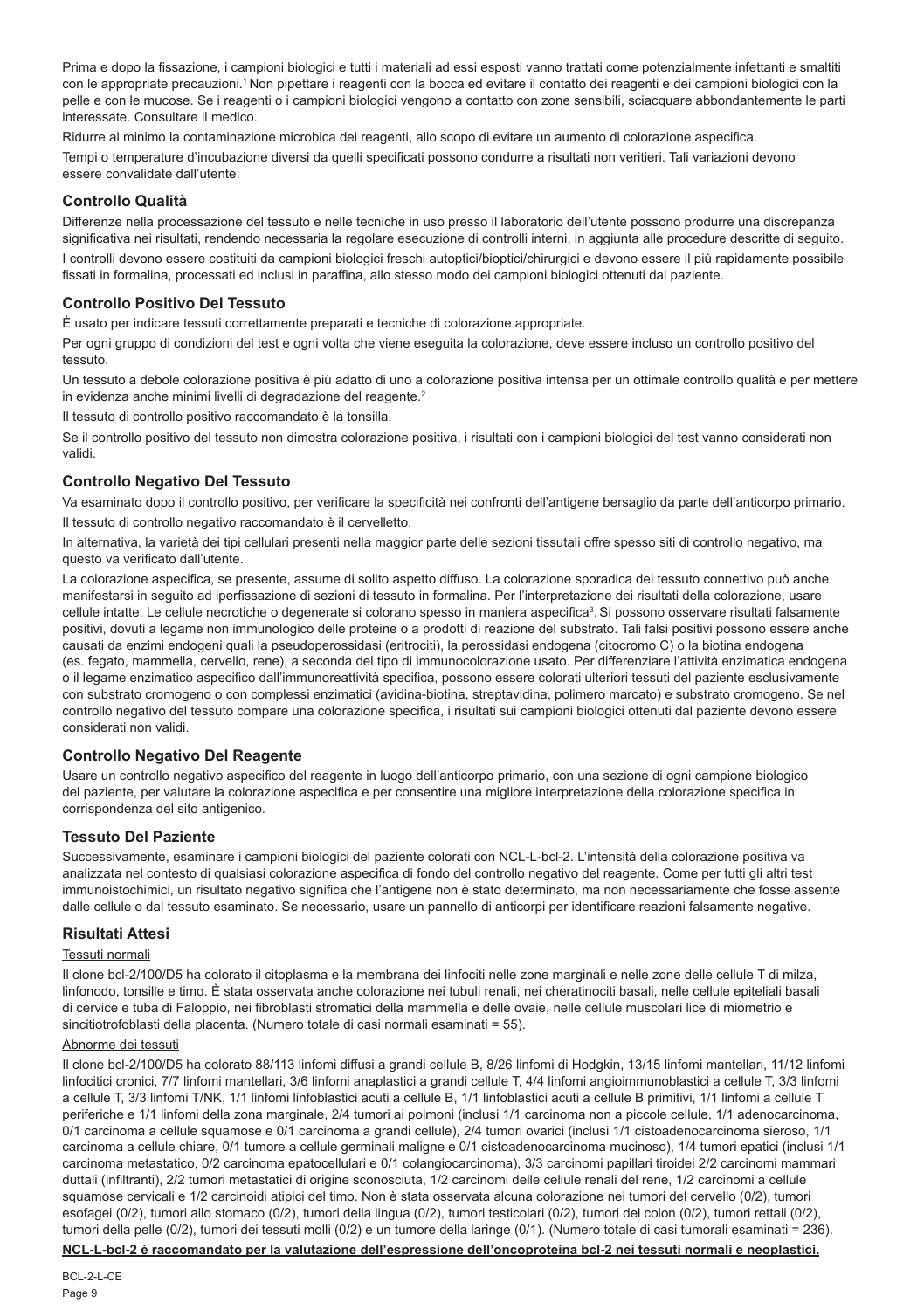Prima e dopo la fissazione, i campioni biologici e tutti i materiali ad essi esposti vanno trattati come potenzialmente infettanti e smaltiti con le appropriate precauzioni.<sup>1</sup> Non pipettare i reagenti con la bocca ed evitare il contatto dei reagenti e dei campioni biologici con la pelle e con le mucose. Se i reagenti o i campioni biologici vengono a contatto con zone sensibili, sciacquare abbondantemente le parti interessate. Consultare il medico.

Ridurre al minimo la contaminazione microbica dei reagenti, allo scopo di evitare un aumento di colorazione aspecifica. Tempi o temperature d'incubazione diversi da quelli specificati possono condurre a risultati non veritieri. Tali variazioni devono essere convalidate dall'utente.

## **Controllo Qualità**

Differenze nella processazione del tessuto e nelle tecniche in uso presso il laboratorio dell'utente possono produrre una discrepanza significativa nei risultati, rendendo necessaria la regolare esecuzione di controlli interni, in aggiunta alle procedure descritte di seguito.

I controlli devono essere costituiti da campioni biologici freschi autoptici/bioptici/chirurgici e devono essere il più rapidamente possibile fissati in formalina, processati ed inclusi in paraffina, allo stesso modo dei campioni biologici ottenuti dal paziente.

## **Controllo Positivo Del Tessuto**

È usato per indicare tessuti correttamente preparati e tecniche di colorazione appropriate.

Per ogni gruppo di condizioni del test e ogni volta che viene eseguita la colorazione, deve essere incluso un controllo positivo del tessuto.

Un tessuto a debole colorazione positiva è più adatto di uno a colorazione positiva intensa per un ottimale controllo qualità e per mettere in evidenza anche minimi livelli di degradazione del reagente.<sup>2</sup>

Il tessuto di controllo positivo raccomandato è la tonsilla.

Se il controllo positivo del tessuto non dimostra colorazione positiva, i risultati con i campioni biologici del test vanno considerati non validi.

## **Controllo Negativo Del Tessuto**

Va esaminato dopo il controllo positivo, per verificare la specificità nei confronti dell'antigene bersaglio da parte dell'anticorpo primario. Il tessuto di controllo negativo raccomandato è il cervelletto.

In alternativa, la varietà dei tipi cellulari presenti nella maggior parte delle sezioni tissutali offre spesso siti di controllo negativo, ma questo va verificato dall'utente.

La colorazione aspecifica, se presente, assume di solito aspetto diffuso. La colorazione sporadica del tessuto connettivo può anche manifestarsi in seguito ad iperfissazione di sezioni di tessuto in formalina. Per l'interpretazione dei risultati della colorazione, usare cellule intatte. Le cellule necrotiche o degenerate si colorano spesso in maniera aspecifica<sup>3</sup>. Si possono osservare risultati falsamente positivi, dovuti a legame non immunologico delle proteine o a prodotti di reazione del substrato. Tali falsi positivi possono essere anche causati da enzimi endogeni quali la pseudoperossidasi (eritrociti), la perossidasi endogena (citocromo C) o la biotina endogena (es. fegato, mammella, cervello, rene), a seconda del tipo di immunocolorazione usato. Per differenziare l'attività enzimatica endogena o il legame enzimatico aspecifico dall'immunoreattività specifica, possono essere colorati ulteriori tessuti del paziente esclusivamente con substrato cromogeno o con complessi enzimatici (avidina-biotina, streptavidina, polimero marcato) e substrato cromogeno. Se nel controllo negativo del tessuto compare una colorazione specifica, i risultati sui campioni biologici ottenuti dal paziente devono essere considerati non validi.

## **Controllo Negativo Del Reagente**

Usare un controllo negativo aspecifico del reagente in luogo dell'anticorpo primario, con una sezione di ogni campione biologico del paziente, per valutare la colorazione aspecifica e per consentire una migliore interpretazione della colorazione specifica in corrispondenza del sito antigenico.

## **Tessuto Del Paziente**

Successivamente, esaminare i campioni biologici del paziente colorati con NCL-L-bcl-2. L'intensità della colorazione positiva va analizzata nel contesto di qualsiasi colorazione aspecifica di fondo del controllo negativo del reagente. Come per tutti gli altri test immunoistochimici, un risultato negativo significa che l'antigene non è stato determinato, ma non necessariamente che fosse assente dalle cellule o dal tessuto esaminato. Se necessario, usare un pannello di anticorpi per identificare reazioni falsamente negative.

## **Risultati Attesi**

#### Tessuti normali

Il clone bcl-2/100/D5 ha colorato il citoplasma e la membrana dei linfociti nelle zone marginali e nelle zone delle cellule T di milza, linfonodo, tonsille e timo. È stata osservata anche colorazione nei tubuli renali, nei cheratinociti basali, nelle cellule epiteliali basali di cervice e tuba di Faloppio, nei fibroblasti stromatici della mammella e delle ovaie, nelle cellule muscolari lice di miometrio e sincitiotrofoblasti della placenta. (Numero totale di casi normali esaminati = 55).

#### Abnorme dei tessuti

Il clone bcl-2/100/D5 ha colorato 88/113 linfomi diffusi a grandi cellule B, 8/26 linfomi di Hodgkin, 13/15 linfomi mantellari, 11/12 linfomi linfocitici cronici, 7/7 linfomi mantellari, 3/6 linfomi anaplastici a grandi cellule T, 4/4 linfomi angioimmunoblastici a cellule T, 3/3 linfomi a cellule T, 3/3 linfomi T/NK, 1/1 linfomi linfoblastici acuti a cellule B, 1/1 linfoblastici acuti a cellule B primitivi, 1/1 linfomi a cellule T periferiche e 1/1 linfomi della zona marginale, 2/4 tumori ai polmoni (inclusi 1/1 carcinoma non a piccole cellule, 1/1 adenocarcinoma, 0/1 carcinoma a cellule squamose e 0/1 carcinoma a grandi cellule), 2/4 tumori ovarici (inclusi 1/1 cistoadenocarcinoma sieroso, 1/1 carcinoma a cellule chiare, 0/1 tumore a cellule germinali maligne e 0/1 cistoadenocarcinoma mucinoso), 1/4 tumori epatici (inclusi 1/1 carcinoma metastatico, 0/2 carcinoma epatocellulari e 0/1 colangiocarcinoma), 3/3 carcinomi papillari tiroidei 2/2 carcinomi mammari duttali (infiltranti), 2/2 tumori metastatici di origine sconosciuta, 1/2 carcinomi delle cellule renali del rene, 1/2 carcinomi a cellule squamose cervicali e 1/2 carcinoidi atipici del timo. Non è stata osservata alcuna colorazione nei tumori del cervello (0/2), tumori esofagei (0/2), tumori allo stomaco (0/2), tumori della lingua (0/2), tumori testicolari (0/2), tumori del colon (0/2), tumori rettali (0/2), tumori della pelle (0/2), tumori dei tessuti molli (0/2) e un tumore della laringe (0/1). (Numero totale di casi tumorali esaminati = 236).

**NCL-L-bcl-2 è raccomandato per la valutazione dell'espressione dell'oncoproteina bcl-2 nei tessuti normali e neoplastici.**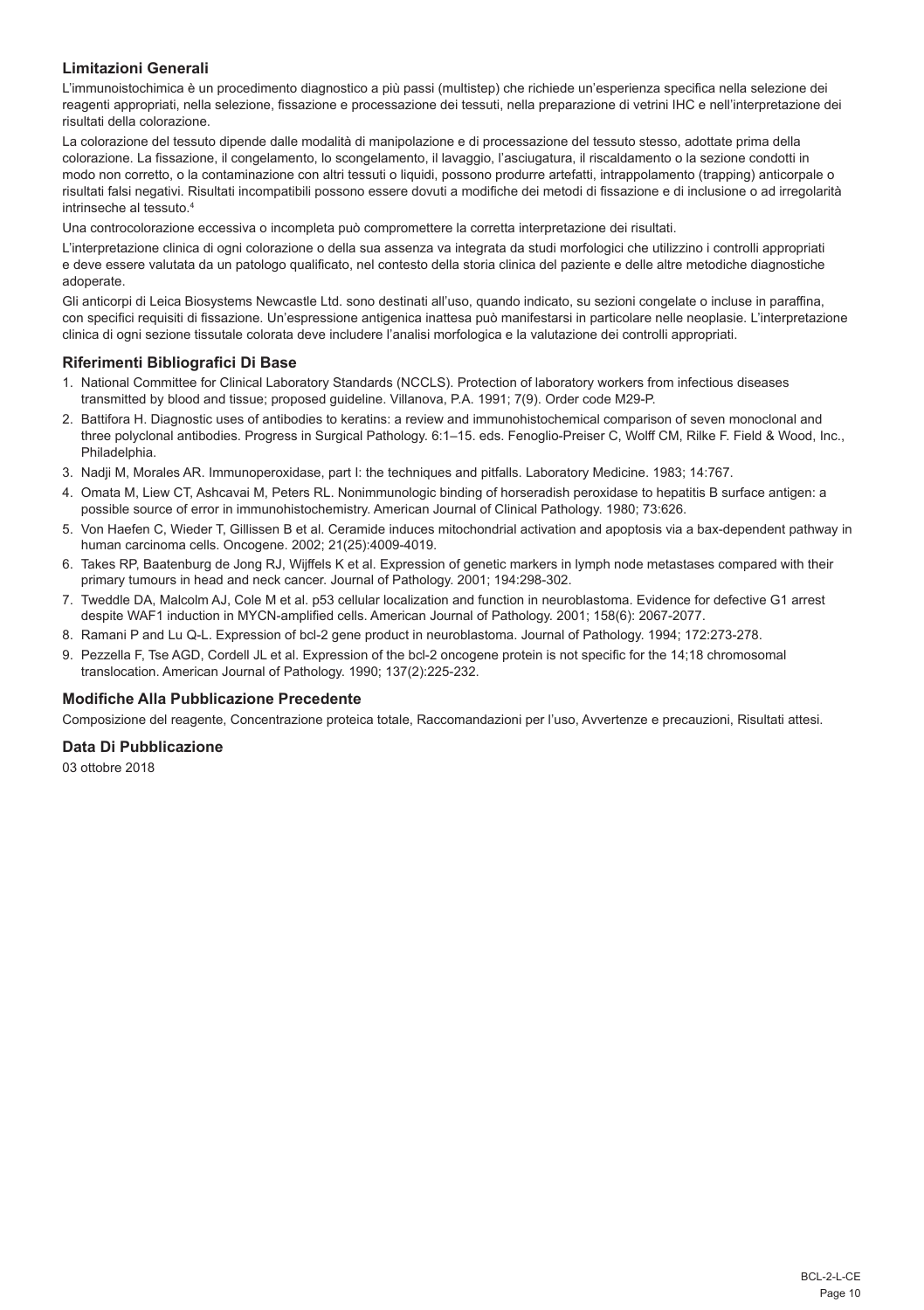## **Limitazioni Generali**

L'immunoistochimica è un procedimento diagnostico a più passi (multistep) che richiede un'esperienza specifica nella selezione dei reagenti appropriati, nella selezione, fissazione e processazione dei tessuti, nella preparazione di vetrini IHC e nell'interpretazione dei risultati della colorazione.

La colorazione del tessuto dipende dalle modalità di manipolazione e di processazione del tessuto stesso, adottate prima della colorazione. La fissazione, il congelamento, lo scongelamento, il lavaggio, l'asciugatura, il riscaldamento o la sezione condotti in modo non corretto, o la contaminazione con altri tessuti o liquidi, possono produrre artefatti, intrappolamento (trapping) anticorpale o risultati falsi negativi. Risultati incompatibili possono essere dovuti a modifiche dei metodi di fissazione e di inclusione o ad irregolarità intrinseche al tessuto.4

Una controcolorazione eccessiva o incompleta può compromettere la corretta interpretazione dei risultati.

L'interpretazione clinica di ogni colorazione o della sua assenza va integrata da studi morfologici che utilizzino i controlli appropriati e deve essere valutata da un patologo qualificato, nel contesto della storia clinica del paziente e delle altre metodiche diagnostiche adoperate.

Gli anticorpi di Leica Biosystems Newcastle Ltd. sono destinati all'uso, quando indicato, su sezioni congelate o incluse in paraffina, con specifici requisiti di fissazione. Un'espressione antigenica inattesa può manifestarsi in particolare nelle neoplasie. L'interpretazione clinica di ogni sezione tissutale colorata deve includere l'analisi morfologica e la valutazione dei controlli appropriati.

## **Riferimenti Bibliografici Di Base**

- 1. National Committee for Clinical Laboratory Standards (NCCLS). Protection of laboratory workers from infectious diseases transmitted by blood and tissue; proposed guideline. Villanova, P.A. 1991; 7(9). Order code M29-P.
- 2. Battifora H. Diagnostic uses of antibodies to keratins: a review and immunohistochemical comparison of seven monoclonal and three polyclonal antibodies. Progress in Surgical Pathology. 6:1–15. eds. Fenoglio-Preiser C, Wolff CM, Rilke F. Field & Wood, Inc., Philadelphia.
- 3. Nadji M, Morales AR. Immunoperoxidase, part I: the techniques and pitfalls. Laboratory Medicine. 1983; 14:767.
- 4. Omata M, Liew CT, Ashcavai M, Peters RL. Nonimmunologic binding of horseradish peroxidase to hepatitis B surface antigen: a possible source of error in immunohistochemistry. American Journal of Clinical Pathology. 1980; 73:626.
- 5. Von Haefen C, Wieder T, Gillissen B et al. Ceramide induces mitochondrial activation and apoptosis via a bax-dependent pathway in human carcinoma cells. Oncogene. 2002; 21(25):4009-4019.
- 6. Takes RP, Baatenburg de Jong RJ, Wijffels K et al. Expression of genetic markers in lymph node metastases compared with their primary tumours in head and neck cancer. Journal of Pathology. 2001; 194:298-302.
- 7. Tweddle DA, Malcolm AJ, Cole M et al. p53 cellular localization and function in neuroblastoma. Evidence for defective G1 arrest despite WAF1 induction in MYCN-amplified cells. American Journal of Pathology. 2001; 158(6): 2067-2077.
- 8. Ramani P and Lu Q-L. Expression of bcl-2 gene product in neuroblastoma. Journal of Pathology. 1994; 172:273-278.
- 9. Pezzella F, Tse AGD, Cordell JL et al. Expression of the bcl-2 oncogene protein is not specific for the 14;18 chromosomal translocation. American Journal of Pathology. 1990; 137(2):225-232.

#### **Modifiche Alla Pubblicazione Precedente**

Composizione del reagente, Concentrazione proteica totale, Raccomandazioni per l'uso, Avvertenze e precauzioni, Risultati attesi.

## **Data Di Pubblicazione**

03 ottobre 2018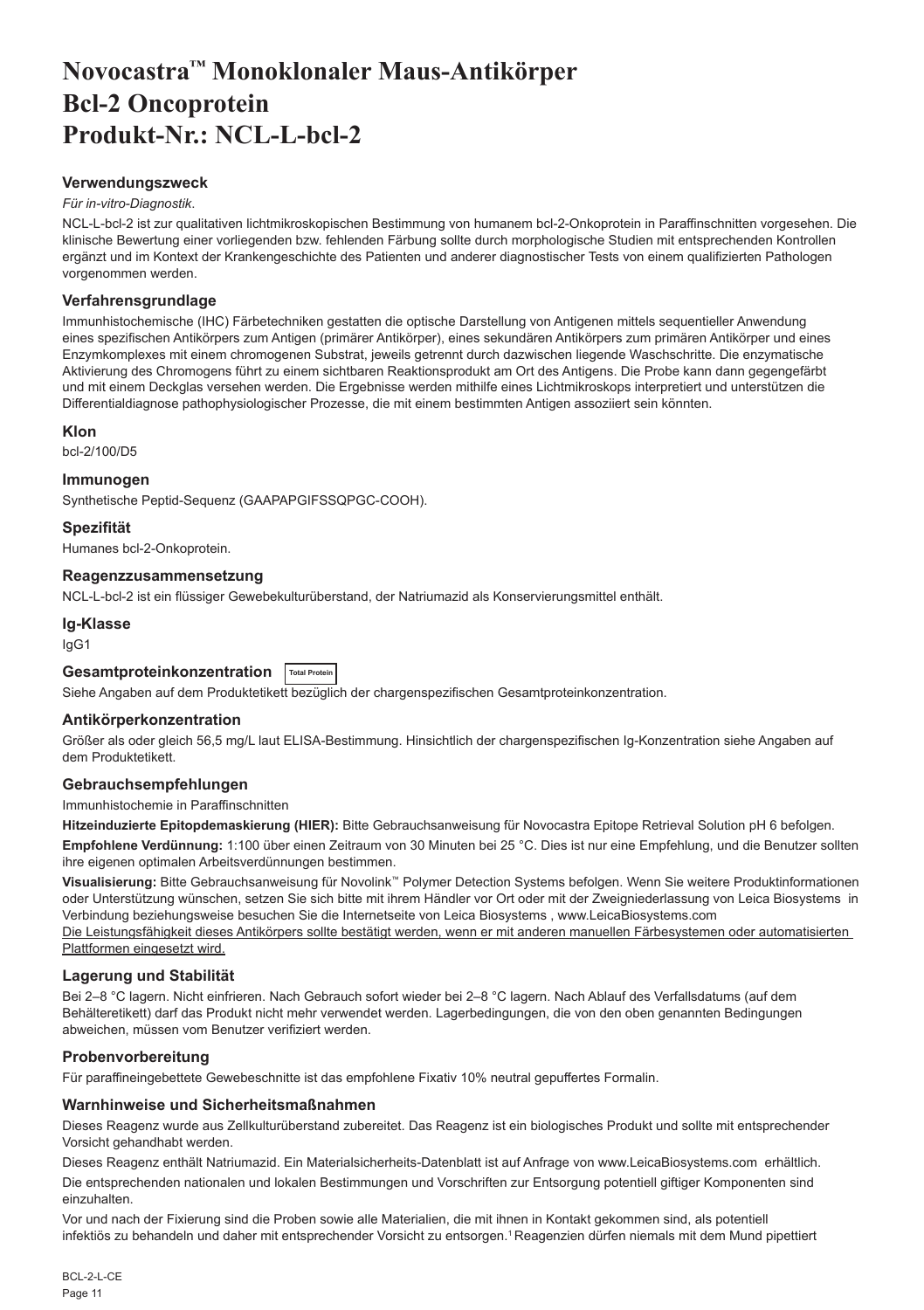# <span id="page-11-0"></span>**Novocastra™ Monoklonaler Maus-Antikörper Bcl-2 Oncoprotein Produkt-Nr.: NCL-L-bcl-2**

## **Verwendungszweck**

#### *Für in-vitro-Diagnostik*.

NCL-L-bcl-2 ist zur qualitativen lichtmikroskopischen Bestimmung von humanem bcl-2-Onkoprotein in Paraffinschnitten vorgesehen. Die klinische Bewertung einer vorliegenden bzw. fehlenden Färbung sollte durch morphologische Studien mit entsprechenden Kontrollen ergänzt und im Kontext der Krankengeschichte des Patienten und anderer diagnostischer Tests von einem qualifizierten Pathologen vorgenommen werden.

#### **Verfahrensgrundlage**

Immunhistochemische (IHC) Färbetechniken gestatten die optische Darstellung von Antigenen mittels sequentieller Anwendung eines spezifischen Antikörpers zum Antigen (primärer Antikörper), eines sekundären Antikörpers zum primären Antikörper und eines Enzymkomplexes mit einem chromogenen Substrat, jeweils getrennt durch dazwischen liegende Waschschritte. Die enzymatische Aktivierung des Chromogens führt zu einem sichtbaren Reaktionsprodukt am Ort des Antigens. Die Probe kann dann gegengefärbt und mit einem Deckglas versehen werden. Die Ergebnisse werden mithilfe eines Lichtmikroskops interpretiert und unterstützen die Differentialdiagnose pathophysiologischer Prozesse, die mit einem bestimmten Antigen assoziiert sein könnten.

#### **Klon**

bcl-2/100/D5

#### **Immunogen**

Synthetische Peptid-Sequenz (GAAPAPGIFSSQPGC-COOH).

**Spezifität**

Humanes bcl-2-Onkoprotein.

#### **Reagenzzusammensetzung**

NCL-L-bcl-2 ist ein flüssiger Gewebekulturüberstand, der Natriumazid als Konservierungsmittel enthält.

**Ig-Klasse** IgG1

## **Gesamtproteinkonzentration Total Protein**

Siehe Angaben auf dem Produktetikett bezüglich der chargenspezifischen Gesamtproteinkonzentration.

## **Antikörperkonzentration**

Größer als oder gleich 56,5 mg/L laut ELISA-Bestimmung. Hinsichtlich der chargenspezifischen Ig-Konzentration siehe Angaben auf dem Produktetikett.

## **Gebrauchsempfehlungen**

Immunhistochemie in Paraffinschnitten

**Hitzeinduzierte Epitopdemaskierung (HIER):** Bitte Gebrauchsanweisung für Novocastra Epitope Retrieval Solution pH 6 befolgen.

**Empfohlene Verdünnung:** 1:100 über einen Zeitraum von 30 Minuten bei 25 °C. Dies ist nur eine Empfehlung, und die Benutzer sollten ihre eigenen optimalen Arbeitsverdünnungen bestimmen.

**Visualisierung:** Bitte Gebrauchsanweisung für Novolink™ Polymer Detection Systems befolgen. Wenn Sie weitere Produktinformationen oder Unterstützung wünschen, setzen Sie sich bitte mit ihrem Händler vor Ort oder mit der Zweigniederlassung von Leica Biosystems in Verbindung beziehungsweise besuchen Sie die Internetseite von Leica Biosystems , www.LeicaBiosystems.com Die Leistungsfähigkeit dieses Antikörpers sollte bestätigt werden, wenn er mit anderen manuellen Färbesystemen oder automatisierten Plattformen eingesetzt wird.

## **Lagerung und Stabilität**

Bei 2–8 °C lagern. Nicht einfrieren. Nach Gebrauch sofort wieder bei 2–8 °C lagern. Nach Ablauf des Verfallsdatums (auf dem Behälteretikett) darf das Produkt nicht mehr verwendet werden. Lagerbedingungen, die von den oben genannten Bedingungen abweichen, müssen vom Benutzer verifiziert werden.

## **Probenvorbereitung**

Für paraffineingebettete Gewebeschnitte ist das empfohlene Fixativ 10% neutral gepuffertes Formalin.

#### **Warnhinweise und Sicherheitsmaßnahmen**

Dieses Reagenz wurde aus Zellkulturüberstand zubereitet. Das Reagenz ist ein biologisches Produkt und sollte mit entsprechender Vorsicht gehandhabt werden.

Dieses Reagenz enthält Natriumazid. Ein Materialsicherheits-Datenblatt ist auf Anfrage von www.LeicaBiosystems.com erhältlich.

Die entsprechenden nationalen und lokalen Bestimmungen und Vorschriften zur Entsorgung potentiell giftiger Komponenten sind einzuhalten.

Vor und nach der Fixierung sind die Proben sowie alle Materialien, die mit ihnen in Kontakt gekommen sind, als potentiell infektiös zu behandeln und daher mit entsprechender Vorsicht zu entsorgen.<sup>1</sup> Reagenzien dürfen niemals mit dem Mund pipettiert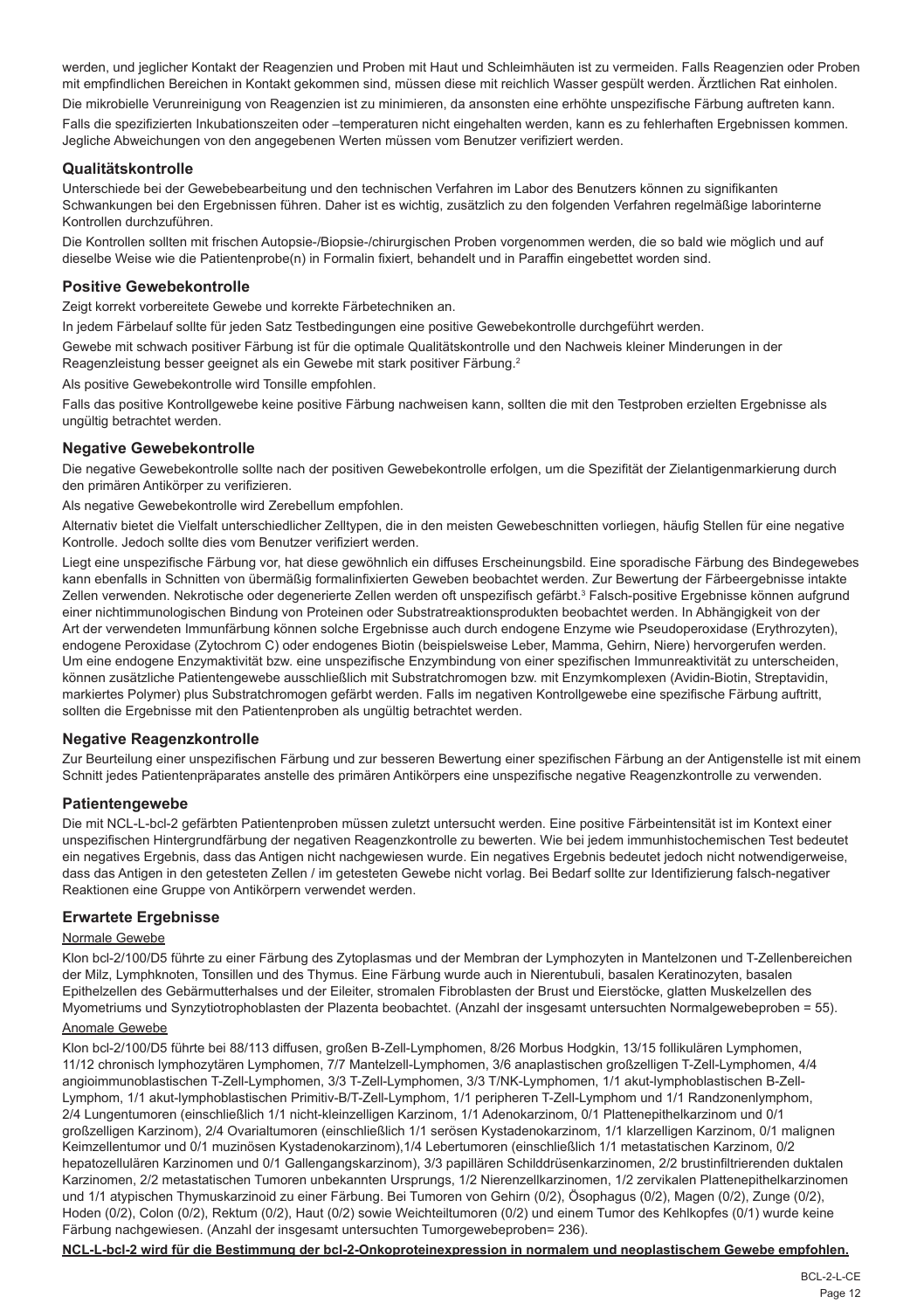werden, und jeglicher Kontakt der Reagenzien und Proben mit Haut und Schleimhäuten ist zu vermeiden. Falls Reagenzien oder Proben mit empfindlichen Bereichen in Kontakt gekommen sind, müssen diese mit reichlich Wasser gespült werden. Ärztlichen Rat einholen.

Die mikrobielle Verunreinigung von Reagenzien ist zu minimieren, da ansonsten eine erhöhte unspezifische Färbung auftreten kann. Falls die spezifizierten Inkubationszeiten oder –temperaturen nicht eingehalten werden, kann es zu fehlerhaften Ergebnissen kommen. Jegliche Abweichungen von den angegebenen Werten müssen vom Benutzer verifiziert werden.

#### **Qualitätskontrolle**

Unterschiede bei der Gewebebearbeitung und den technischen Verfahren im Labor des Benutzers können zu signifikanten Schwankungen bei den Ergebnissen führen. Daher ist es wichtig, zusätzlich zu den folgenden Verfahren regelmäßige laborinterne Kontrollen durchzuführen.

Die Kontrollen sollten mit frischen Autopsie-/Biopsie-/chirurgischen Proben vorgenommen werden, die so bald wie möglich und auf dieselbe Weise wie die Patientenprobe(n) in Formalin fixiert, behandelt und in Paraffin eingebettet worden sind.

#### **Positive Gewebekontrolle**

Zeigt korrekt vorbereitete Gewebe und korrekte Färbetechniken an.

In jedem Färbelauf sollte für jeden Satz Testbedingungen eine positive Gewebekontrolle durchgeführt werden.

Gewebe mit schwach positiver Färbung ist für die optimale Qualitätskontrolle und den Nachweis kleiner Minderungen in der Reagenzleistung besser geeignet als ein Gewebe mit stark positiver Färbung.<sup>2</sup>

Als positive Gewebekontrolle wird Tonsille empfohlen.

Falls das positive Kontrollgewebe keine positive Färbung nachweisen kann, sollten die mit den Testproben erzielten Ergebnisse als ungültig betrachtet werden.

## **Negative Gewebekontrolle**

Die negative Gewebekontrolle sollte nach der positiven Gewebekontrolle erfolgen, um die Spezifität der Zielantigenmarkierung durch den primären Antikörper zu verifizieren.

Als negative Gewebekontrolle wird Zerebellum empfohlen.

Alternativ bietet die Vielfalt unterschiedlicher Zelltypen, die in den meisten Gewebeschnitten vorliegen, häufig Stellen für eine negative Kontrolle. Jedoch sollte dies vom Benutzer verifiziert werden.

Liegt eine unspezifische Färbung vor, hat diese gewöhnlich ein diffuses Erscheinungsbild. Eine sporadische Färbung des Bindegewebes kann ebenfalls in Schnitten von übermäßig formalinfixierten Geweben beobachtet werden. Zur Bewertung der Färbeergebnisse intakte Zellen verwenden. Nekrotische oder degenerierte Zellen werden oft unspezifisch gefärbt.<sup>3</sup> Falsch-positive Ergebnisse können aufgrund einer nichtimmunologischen Bindung von Proteinen oder Substratreaktionsprodukten beobachtet werden. In Abhängigkeit von der Art der verwendeten Immunfärbung können solche Ergebnisse auch durch endogene Enzyme wie Pseudoperoxidase (Erythrozyten), endogene Peroxidase (Zytochrom C) oder endogenes Biotin (beispielsweise Leber, Mamma, Gehirn, Niere) hervorgerufen werden. Um eine endogene Enzymaktivität bzw. eine unspezifische Enzymbindung von einer spezifischen Immunreaktivität zu unterscheiden, können zusätzliche Patientengewebe ausschließlich mit Substratchromogen bzw. mit Enzymkomplexen (Avidin-Biotin, Streptavidin, markiertes Polymer) plus Substratchromogen gefärbt werden. Falls im negativen Kontrollgewebe eine spezifische Färbung auftritt, sollten die Ergebnisse mit den Patientenproben als ungültig betrachtet werden.

## **Negative Reagenzkontrolle**

Zur Beurteilung einer unspezifischen Färbung und zur besseren Bewertung einer spezifischen Färbung an der Antigenstelle ist mit einem Schnitt jedes Patientenpräparates anstelle des primären Antikörpers eine unspezifische negative Reagenzkontrolle zu verwenden.

#### **Patientengewebe**

Die mit NCL-L-bcl-2 gefärbten Patientenproben müssen zuletzt untersucht werden. Eine positive Färbeintensität ist im Kontext einer unspezifischen Hintergrundfärbung der negativen Reagenzkontrolle zu bewerten. Wie bei jedem immunhistochemischen Test bedeutet ein negatives Ergebnis, dass das Antigen nicht nachgewiesen wurde. Ein negatives Ergebnis bedeutet jedoch nicht notwendigerweise, dass das Antigen in den getesteten Zellen / im getesteten Gewebe nicht vorlag. Bei Bedarf sollte zur Identifizierung falsch-negativer Reaktionen eine Gruppe von Antikörpern verwendet werden.

## **Erwartete Ergebnisse**

#### Normale Gewebe

Klon bcl-2/100/D5 führte zu einer Färbung des Zytoplasmas und der Membran der Lymphozyten in Mantelzonen und T-Zellenbereichen der Milz, Lymphknoten, Tonsillen und des Thymus. Eine Färbung wurde auch in Nierentubuli, basalen Keratinozyten, basalen Epithelzellen des Gebärmutterhalses und der Eileiter, stromalen Fibroblasten der Brust und Eierstöcke, glatten Muskelzellen des Myometriums und Synzytiotrophoblasten der Plazenta beobachtet. (Anzahl der insgesamt untersuchten Normalgewebeproben = 55).

## Anomale Gewebe

Klon bcl-2/100/D5 führte bei 88/113 diffusen, großen B-Zell-Lymphomen, 8/26 Morbus Hodgkin, 13/15 follikulären Lymphomen, 11/12 chronisch lymphozytären Lymphomen, 7/7 Mantelzell-Lymphomen, 3/6 anaplastischen großzelligen T-Zell-Lymphomen, 4/4 angioimmunoblastischen T-Zell-Lymphomen, 3/3 T-Zell-Lymphomen, 3/3 T/NK-Lymphomen, 1/1 akut-lymphoblastischen B-Zell-Lymphom, 1/1 akut-lymphoblastischen Primitiv-B/T-Zell-Lymphom, 1/1 peripheren T-Zell-Lymphom und 1/1 Randzonenlymphom, 2/4 Lungentumoren (einschließlich 1/1 nicht-kleinzelligen Karzinom, 1/1 Adenokarzinom, 0/1 Plattenepithelkarzinom und 0/1 großzelligen Karzinom), 2/4 Ovarialtumoren (einschließlich 1/1 serösen Kystadenokarzinom, 1/1 klarzelligen Karzinom, 0/1 malignen Keimzellentumor und 0/1 muzinösen Kystadenokarzinom),1/4 Lebertumoren (einschließlich 1/1 metastatischen Karzinom, 0/2 hepatozellulären Karzinomen und 0/1 Gallengangskarzinom), 3/3 papillären Schilddrüsenkarzinomen, 2/2 brustinfiltrierenden duktalen Karzinomen, 2/2 metastatischen Tumoren unbekannten Ursprungs, 1/2 Nierenzellkarzinomen, 1/2 zervikalen Plattenepithelkarzinomen und 1/1 atypischen Thymuskarzinoid zu einer Färbung. Bei Tumoren von Gehirn (0/2), Ösophagus (0/2), Magen (0/2), Zunge (0/2), Hoden (0/2), Colon (0/2), Rektum (0/2), Haut (0/2) sowie Weichteiltumoren (0/2) und einem Tumor des Kehlkopfes (0/1) wurde keine Färbung nachgewiesen. (Anzahl der insgesamt untersuchten Tumorgewebeproben= 236).

**NCL-L-bcl-2 wird für die Bestimmung der bcl-2-Onkoproteinexpression in normalem und neoplastischem Gewebe empfohlen.**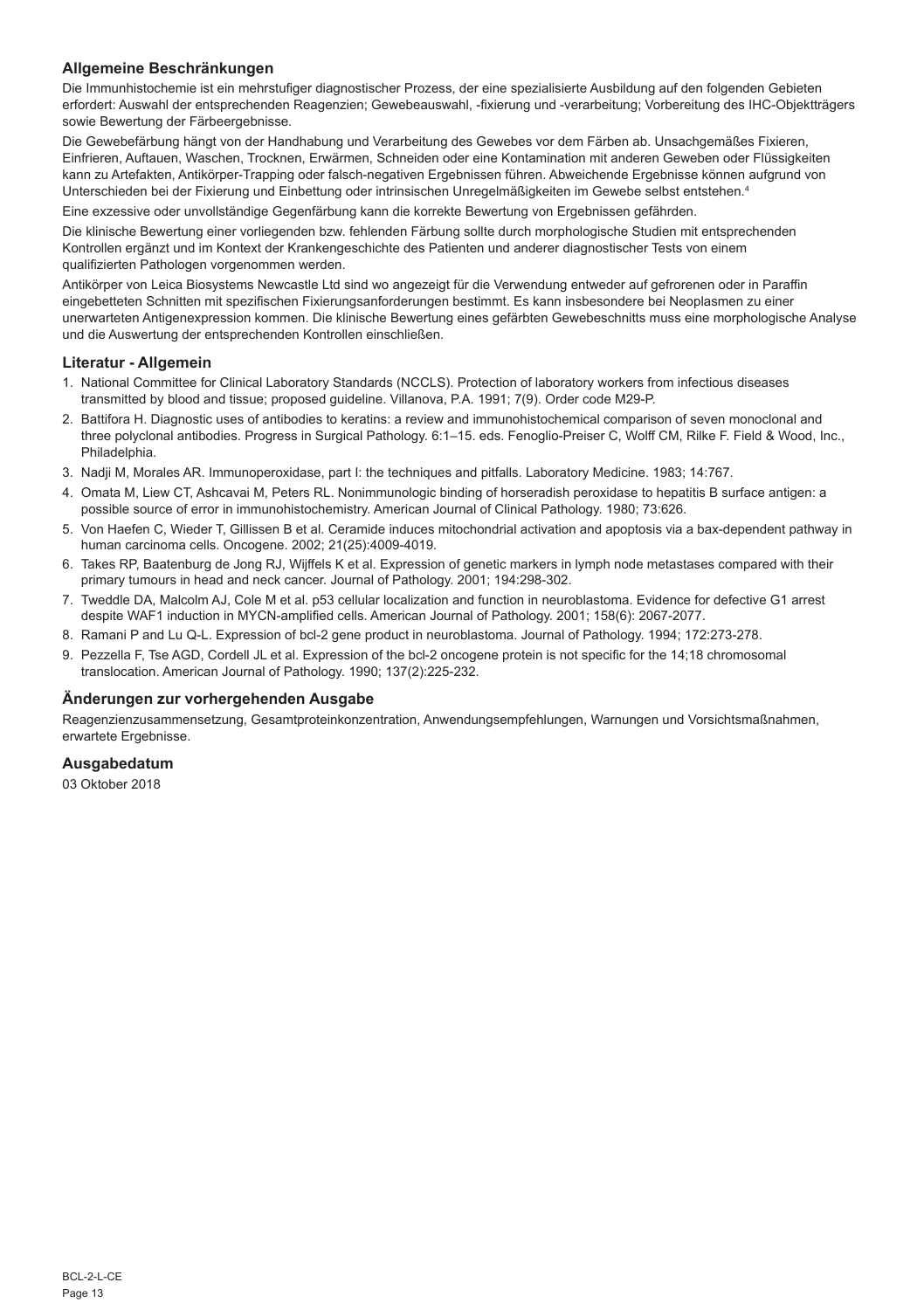## **Allgemeine Beschränkungen**

Die Immunhistochemie ist ein mehrstufiger diagnostischer Prozess, der eine spezialisierte Ausbildung auf den folgenden Gebieten erfordert: Auswahl der entsprechenden Reagenzien; Gewebeauswahl, -fixierung und -verarbeitung; Vorbereitung des IHC-Objektträgers sowie Bewertung der Färbeergebnisse.

Die Gewebefärbung hängt von der Handhabung und Verarbeitung des Gewebes vor dem Färben ab. Unsachgemäßes Fixieren, Einfrieren, Auftauen, Waschen, Trocknen, Erwärmen, Schneiden oder eine Kontamination mit anderen Geweben oder Flüssigkeiten kann zu Artefakten, Antikörper-Trapping oder falsch-negativen Ergebnissen führen. Abweichende Ergebnisse können aufgrund von Unterschieden bei der Fixierung und Einbettung oder intrinsischen Unregelmäßigkeiten im Gewebe selbst entstehen.4

Eine exzessive oder unvollständige Gegenfärbung kann die korrekte Bewertung von Ergebnissen gefährden.

Die klinische Bewertung einer vorliegenden bzw. fehlenden Färbung sollte durch morphologische Studien mit entsprechenden Kontrollen ergänzt und im Kontext der Krankengeschichte des Patienten und anderer diagnostischer Tests von einem qualifizierten Pathologen vorgenommen werden.

Antikörper von Leica Biosystems Newcastle Ltd sind wo angezeigt für die Verwendung entweder auf gefrorenen oder in Paraffin eingebetteten Schnitten mit spezifischen Fixierungsanforderungen bestimmt. Es kann insbesondere bei Neoplasmen zu einer unerwarteten Antigenexpression kommen. Die klinische Bewertung eines gefärbten Gewebeschnitts muss eine morphologische Analyse und die Auswertung der entsprechenden Kontrollen einschließen.

#### **Literatur - Allgemein**

- 1. National Committee for Clinical Laboratory Standards (NCCLS). Protection of laboratory workers from infectious diseases transmitted by blood and tissue; proposed guideline. Villanova, P.A. 1991; 7(9). Order code M29-P.
- 2. Battifora H. Diagnostic uses of antibodies to keratins: a review and immunohistochemical comparison of seven monoclonal and three polyclonal antibodies. Progress in Surgical Pathology. 6:1–15. eds. Fenoglio-Preiser C, Wolff CM, Rilke F. Field & Wood, Inc., Philadelphia.
- 3. Nadji M, Morales AR. Immunoperoxidase, part I: the techniques and pitfalls. Laboratory Medicine. 1983; 14:767.
- 4. Omata M, Liew CT, Ashcavai M, Peters RL. Nonimmunologic binding of horseradish peroxidase to hepatitis B surface antigen: a possible source of error in immunohistochemistry. American Journal of Clinical Pathology. 1980; 73:626.
- 5. Von Haefen C, Wieder T, Gillissen B et al. Ceramide induces mitochondrial activation and apoptosis via a bax-dependent pathway in human carcinoma cells. Oncogene. 2002; 21(25):4009-4019.
- 6. Takes RP, Baatenburg de Jong RJ, Wijffels K et al. Expression of genetic markers in lymph node metastases compared with their primary tumours in head and neck cancer. Journal of Pathology. 2001; 194:298-302.
- 7. Tweddle DA, Malcolm AJ, Cole M et al. p53 cellular localization and function in neuroblastoma. Evidence for defective G1 arrest despite WAF1 induction in MYCN-amplified cells. American Journal of Pathology. 2001; 158(6): 2067-2077.
- 8. Ramani P and Lu Q-L. Expression of bcl-2 gene product in neuroblastoma. Journal of Pathology. 1994; 172:273-278.
- 9. Pezzella F, Tse AGD, Cordell JL et al. Expression of the bcl-2 oncogene protein is not specific for the 14;18 chromosomal translocation. American Journal of Pathology. 1990; 137(2):225-232.

#### **Änderungen zur vorhergehenden Ausgabe**

Reagenzienzusammensetzung, Gesamtproteinkonzentration, Anwendungsempfehlungen, Warnungen und Vorsichtsmaßnahmen, erwartete Ergebnisse.

#### **Ausgabedatum**

03 Oktober 2018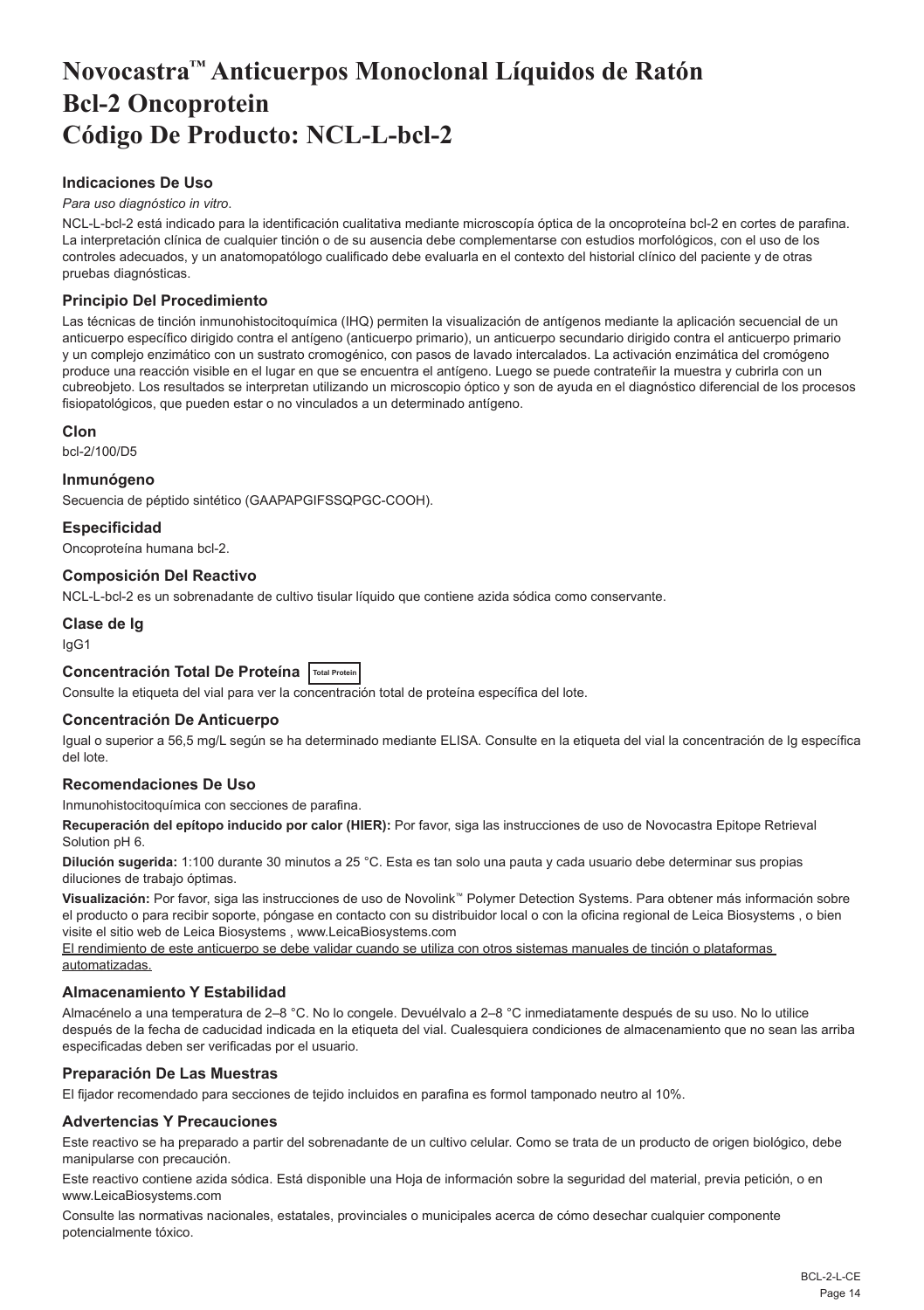# <span id="page-14-0"></span>**Novocastra™ Anticuerpos Monoclonal Líquidos de Ratón Bcl-2 Oncoprotein Código De Producto: NCL-L-bcl-2**

## **Indicaciones De Uso**

#### *Para uso diagnóstico in vitro*.

NCL-L-bcl-2 está indicado para la identificación cualitativa mediante microscopía óptica de la oncoproteína bcl-2 en cortes de parafina. La interpretación clínica de cualquier tinción o de su ausencia debe complementarse con estudios morfológicos, con el uso de los controles adecuados, y un anatomopatólogo cualificado debe evaluarla en el contexto del historial clínico del paciente y de otras pruebas diagnósticas.

## **Principio Del Procedimiento**

Las técnicas de tinción inmunohistocitoquímica (IHQ) permiten la visualización de antígenos mediante la aplicación secuencial de un anticuerpo específico dirigido contra el antígeno (anticuerpo primario), un anticuerpo secundario dirigido contra el anticuerpo primario y un complejo enzimático con un sustrato cromogénico, con pasos de lavado intercalados. La activación enzimática del cromógeno produce una reacción visible en el lugar en que se encuentra el antígeno. Luego se puede contrateñir la muestra y cubrirla con un cubreobjeto. Los resultados se interpretan utilizando un microscopio óptico y son de ayuda en el diagnóstico diferencial de los procesos fisiopatológicos, que pueden estar o no vinculados a un determinado antígeno.

## **Clon**

bcl-2/100/D5

#### **Inmunógeno**

Secuencia de péptido sintético (GAAPAPGIFSSQPGC-COOH).

## **Especificidad**

Oncoproteína humana bcl-2.

## **Composición Del Reactivo**

NCL-L-bcl-2 es un sobrenadante de cultivo tisular líquido que contiene azida sódica como conservante.

**Clase de Ig**

## IgG1

## **Concentración Total De Proteína Total Protein**

Consulte la etiqueta del vial para ver la concentración total de proteína específica del lote.

## **Concentración De Anticuerpo**

Igual o superior a 56,5 mg/L según se ha determinado mediante ELISA. Consulte en la etiqueta del vial la concentración de Ig específica del lote.

## **Recomendaciones De Uso**

Inmunohistocitoquímica con secciones de parafina.

**Recuperación del epítopo inducido por calor (HIER):** Por favor, siga las instrucciones de uso de Novocastra Epitope Retrieval Solution pH 6.

**Dilución sugerida:** 1:100 durante 30 minutos a 25 °C. Esta es tan solo una pauta y cada usuario debe determinar sus propias diluciones de trabajo óptimas.

**Visualización:** Por favor, siga las instrucciones de uso de Novolink™ Polymer Detection Systems. Para obtener más información sobre el producto o para recibir soporte, póngase en contacto con su distribuidor local o con la oficina regional de Leica Biosystems , o bien visite el sitio web de Leica Biosystems , www.LeicaBiosystems.com

El rendimiento de este anticuerpo se debe validar cuando se utiliza con otros sistemas manuales de tinción o plataformas automatizadas.

## **Almacenamiento Y Estabilidad**

Almacénelo a una temperatura de 2–8 °C. No lo congele. Devuélvalo a 2–8 °C inmediatamente después de su uso. No lo utilice después de la fecha de caducidad indicada en la etiqueta del vial. Cualesquiera condiciones de almacenamiento que no sean las arriba especificadas deben ser verificadas por el usuario.

## **Preparación De Las Muestras**

El fijador recomendado para secciones de tejido incluidos en parafina es formol tamponado neutro al 10%.

## **Advertencias Y Precauciones**

Este reactivo se ha preparado a partir del sobrenadante de un cultivo celular. Como se trata de un producto de origen biológico, debe manipularse con precaución.

Este reactivo contiene azida sódica. Está disponible una Hoja de información sobre la seguridad del material, previa petición, o en www.LeicaBiosystems.com

Consulte las normativas nacionales, estatales, provinciales o municipales acerca de cómo desechar cualquier componente potencialmente tóxico.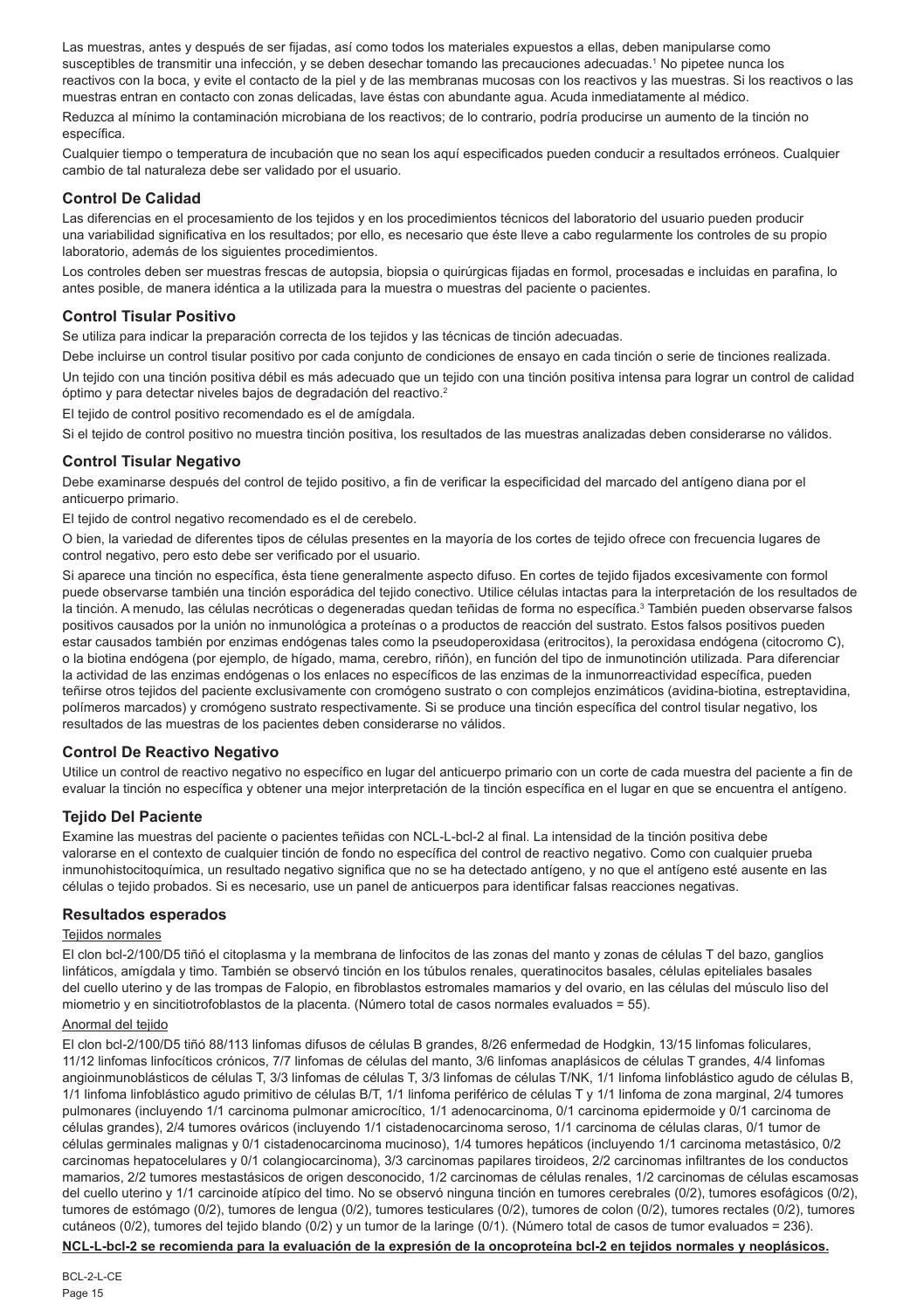Las muestras, antes y después de ser fijadas, así como todos los materiales expuestos a ellas, deben manipularse como susceptibles de transmitir una infección, y se deben desechar tomando las precauciones adecuadas.<sup>1</sup> No pipetee nunca los reactivos con la boca, y evite el contacto de la piel y de las membranas mucosas con los reactivos y las muestras. Si los reactivos o las muestras entran en contacto con zonas delicadas, lave éstas con abundante agua. Acuda inmediatamente al médico.

Reduzca al mínimo la contaminación microbiana de los reactivos; de lo contrario, podría producirse un aumento de la tinción no específica.

Cualquier tiempo o temperatura de incubación que no sean los aquí especificados pueden conducir a resultados erróneos. Cualquier cambio de tal naturaleza debe ser validado por el usuario.

#### **Control De Calidad**

Las diferencias en el procesamiento de los tejidos y en los procedimientos técnicos del laboratorio del usuario pueden producir una variabilidad significativa en los resultados; por ello, es necesario que éste lleve a cabo regularmente los controles de su propio laboratorio, además de los siguientes procedimientos.

Los controles deben ser muestras frescas de autopsia, biopsia o quirúrgicas fijadas en formol, procesadas e incluidas en parafina, lo antes posible, de manera idéntica a la utilizada para la muestra o muestras del paciente o pacientes.

## **Control Tisular Positivo**

Se utiliza para indicar la preparación correcta de los tejidos y las técnicas de tinción adecuadas.

Debe incluirse un control tisular positivo por cada conjunto de condiciones de ensayo en cada tinción o serie de tinciones realizada. Un tejido con una tinción positiva débil es más adecuado que un tejido con una tinción positiva intensa para lograr un control de calidad óptimo y para detectar niveles bajos de degradación del reactivo.<sup>2</sup>

El tejido de control positivo recomendado es el de amígdala.

Si el tejido de control positivo no muestra tinción positiva, los resultados de las muestras analizadas deben considerarse no válidos.

#### **Control Tisular Negativo**

Debe examinarse después del control de tejido positivo, a fin de verificar la especificidad del marcado del antígeno diana por el anticuerpo primario.

El tejido de control negativo recomendado es el de cerebelo.

O bien, la variedad de diferentes tipos de células presentes en la mayoría de los cortes de tejido ofrece con frecuencia lugares de control negativo, pero esto debe ser verificado por el usuario.

Si aparece una tinción no específica, ésta tiene generalmente aspecto difuso. En cortes de tejido fijados excesivamente con formol puede observarse también una tinción esporádica del tejido conectivo. Utilice células intactas para la interpretación de los resultados de la tinción. A menudo, las células necróticas o degeneradas quedan teñidas de forma no específica.<sup>3</sup> También pueden observarse falsos positivos causados por la unión no inmunológica a proteínas o a productos de reacción del sustrato. Estos falsos positivos pueden estar causados también por enzimas endógenas tales como la pseudoperoxidasa (eritrocitos), la peroxidasa endógena (citocromo C), o la biotina endógena (por ejemplo, de hígado, mama, cerebro, riñón), en función del tipo de inmunotinción utilizada. Para diferenciar la actividad de las enzimas endógenas o los enlaces no específicos de las enzimas de la inmunorreactividad específica, pueden teñirse otros tejidos del paciente exclusivamente con cromógeno sustrato o con complejos enzimáticos (avidina-biotina, estreptavidina, polímeros marcados) y cromógeno sustrato respectivamente. Si se produce una tinción específica del control tisular negativo, los resultados de las muestras de los pacientes deben considerarse no válidos.

## **Control De Reactivo Negativo**

Utilice un control de reactivo negativo no específico en lugar del anticuerpo primario con un corte de cada muestra del paciente a fin de evaluar la tinción no específica y obtener una mejor interpretación de la tinción específica en el lugar en que se encuentra el antígeno.

#### **Tejido Del Paciente**

Examine las muestras del paciente o pacientes teñidas con NCL-L-bcl-2 al final. La intensidad de la tinción positiva debe valorarse en el contexto de cualquier tinción de fondo no específica del control de reactivo negativo. Como con cualquier prueba inmunohistocitoquímica, un resultado negativo significa que no se ha detectado antígeno, y no que el antígeno esté ausente en las células o tejido probados. Si es necesario, use un panel de anticuerpos para identificar falsas reacciones negativas.

## **Resultados esperados**

#### Tejidos normales

El clon bcl-2/100/D5 tiñó el citoplasma y la membrana de linfocitos de las zonas del manto y zonas de células T del bazo, ganglios linfáticos, amígdala y timo. También se observó tinción en los túbulos renales, queratinocitos basales, células epiteliales basales del cuello uterino y de las trompas de Falopio, en fibroblastos estromales mamarios y del ovario, en las células del músculo liso del miometrio y en sincitiotrofoblastos de la placenta. (Número total de casos normales evaluados = 55).

#### Anormal del tejido

El clon bcl-2/100/D5 tiñó 88/113 linfomas difusos de células B grandes, 8/26 enfermedad de Hodgkin, 13/15 linfomas foliculares, 11/12 linfomas linfocíticos crónicos, 7/7 linfomas de células del manto, 3/6 linfomas anaplásicos de células T grandes, 4/4 linfomas angioinmunoblásticos de células T, 3/3 linfomas de células T, 3/3 linfomas de células T/NK, 1/1 linfoma linfoblástico agudo de células B, 1/1 linfoma linfoblástico agudo primitivo de células B/T, 1/1 linfoma periférico de células T y 1/1 linfoma de zona marginal, 2/4 tumores pulmonares (incluyendo 1/1 carcinoma pulmonar amicrocítico, 1/1 adenocarcinoma, 0/1 carcinoma epidermoide y 0/1 carcinoma de células grandes), 2/4 tumores ováricos (incluyendo 1/1 cistadenocarcinoma seroso, 1/1 carcinoma de células claras, 0/1 tumor de células germinales malignas y 0/1 cistadenocarcinoma mucinoso), 1/4 tumores hepáticos (incluyendo 1/1 carcinoma metastásico, 0/2 carcinomas hepatocelulares y 0/1 colangiocarcinoma), 3/3 carcinomas papilares tiroideos, 2/2 carcinomas infiltrantes de los conductos mamarios, 2/2 tumores mestastásicos de origen desconocido, 1/2 carcinomas de células renales, 1/2 carcinomas de células escamosas del cuello uterino y 1/1 carcinoide atípico del timo. No se observó ninguna tinción en tumores cerebrales (0/2), tumores esofágicos (0/2), tumores de estómago (0/2), tumores de lengua (0/2), tumores testiculares (0/2), tumores de colon (0/2), tumores rectales (0/2), tumores cutáneos (0/2), tumores del tejido blando (0/2) y un tumor de la laringe (0/1). (Número total de casos de tumor evaluados = 236).

**NCL-L-bcl-2 se recomienda para la evaluación de la expresión de la oncoproteína bcl-2 en tejidos normales y neoplásicos.**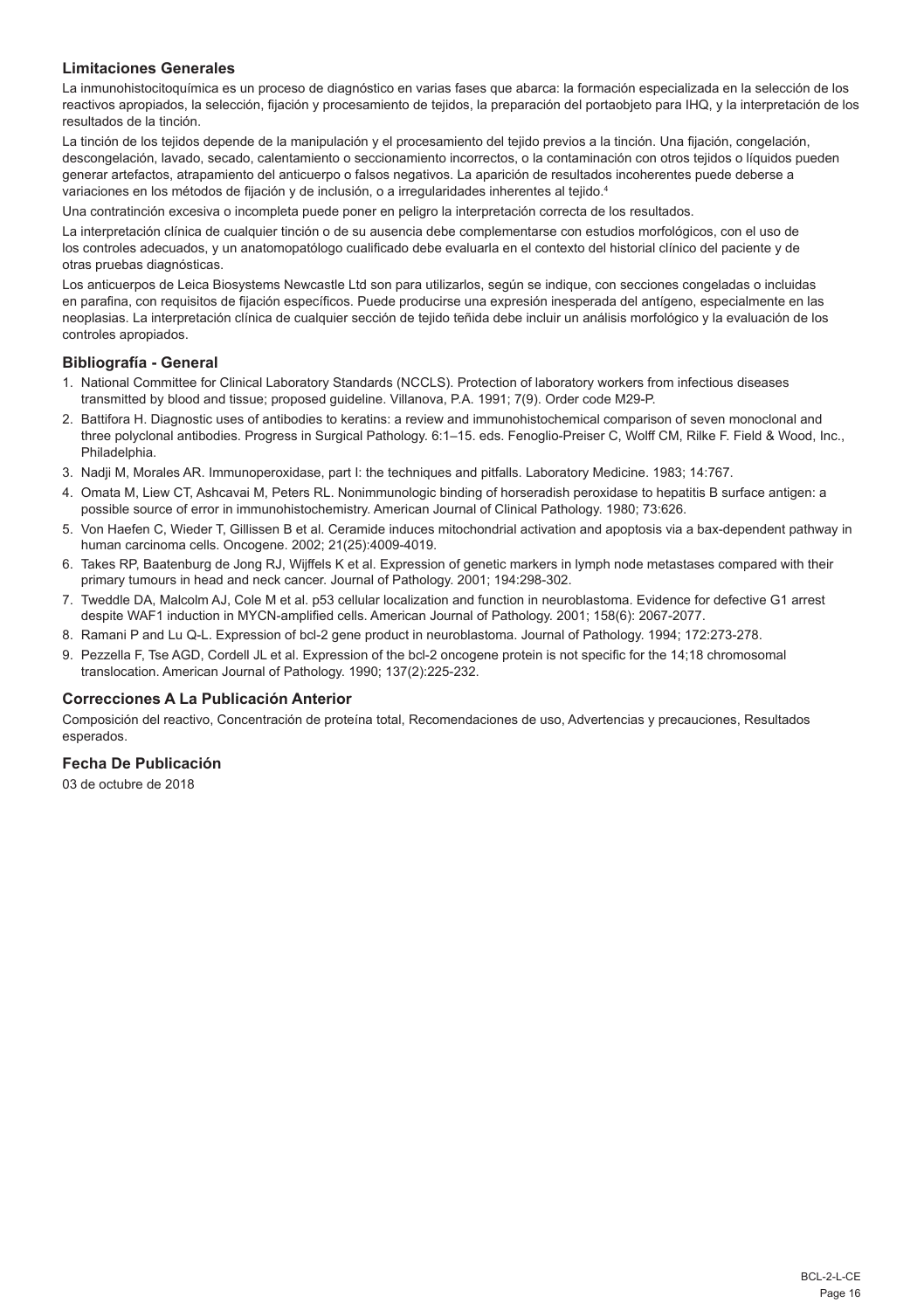## **Limitaciones Generales**

La inmunohistocitoquímica es un proceso de diagnóstico en varias fases que abarca: la formación especializada en la selección de los reactivos apropiados, la selección, fijación y procesamiento de tejidos, la preparación del portaobjeto para IHQ, y la interpretación de los resultados de la tinción.

La tinción de los tejidos depende de la manipulación y el procesamiento del tejido previos a la tinción. Una fijación, congelación, descongelación, lavado, secado, calentamiento o seccionamiento incorrectos, o la contaminación con otros tejidos o líquidos pueden generar artefactos, atrapamiento del anticuerpo o falsos negativos. La aparición de resultados incoherentes puede deberse a variaciones en los métodos de fijación y de inclusión, o a irregularidades inherentes al tejido.<sup>4</sup>

Una contratinción excesiva o incompleta puede poner en peligro la interpretación correcta de los resultados.

La interpretación clínica de cualquier tinción o de su ausencia debe complementarse con estudios morfológicos, con el uso de los controles adecuados, y un anatomopatólogo cualificado debe evaluarla en el contexto del historial clínico del paciente y de otras pruebas diagnósticas.

Los anticuerpos de Leica Biosystems Newcastle Ltd son para utilizarlos, según se indique, con secciones congeladas o incluidas en parafina, con requisitos de fijación específicos. Puede producirse una expresión inesperada del antígeno, especialmente en las neoplasias. La interpretación clínica de cualquier sección de tejido teñida debe incluir un análisis morfológico y la evaluación de los controles apropiados.

#### **Bibliografía - General**

- 1. National Committee for Clinical Laboratory Standards (NCCLS). Protection of laboratory workers from infectious diseases transmitted by blood and tissue; proposed guideline. Villanova, P.A. 1991; 7(9). Order code M29-P.
- 2. Battifora H. Diagnostic uses of antibodies to keratins: a review and immunohistochemical comparison of seven monoclonal and three polyclonal antibodies. Progress in Surgical Pathology. 6:1–15. eds. Fenoglio-Preiser C, Wolff CM, Rilke F. Field & Wood, Inc., Philadelphia.
- 3. Nadji M, Morales AR. Immunoperoxidase, part I: the techniques and pitfalls. Laboratory Medicine. 1983; 14:767.
- 4. Omata M, Liew CT, Ashcavai M, Peters RL. Nonimmunologic binding of horseradish peroxidase to hepatitis B surface antigen: a possible source of error in immunohistochemistry. American Journal of Clinical Pathology. 1980; 73:626.
- 5. Von Haefen C, Wieder T, Gillissen B et al. Ceramide induces mitochondrial activation and apoptosis via a bax-dependent pathway in human carcinoma cells. Oncogene. 2002; 21(25):4009-4019.
- 6. Takes RP, Baatenburg de Jong RJ, Wijffels K et al. Expression of genetic markers in lymph node metastases compared with their primary tumours in head and neck cancer. Journal of Pathology. 2001; 194:298-302.
- 7. Tweddle DA, Malcolm AJ, Cole M et al. p53 cellular localization and function in neuroblastoma. Evidence for defective G1 arrest despite WAF1 induction in MYCN-amplified cells. American Journal of Pathology. 2001; 158(6): 2067-2077.
- 8. Ramani P and Lu Q-L. Expression of bcl-2 gene product in neuroblastoma. Journal of Pathology. 1994; 172:273-278.
- 9. Pezzella F, Tse AGD, Cordell JL et al. Expression of the bcl-2 oncogene protein is not specific for the 14;18 chromosomal translocation. American Journal of Pathology. 1990; 137(2):225-232.

#### **Correcciones A La Publicación Anterior**

Composición del reactivo, Concentración de proteína total, Recomendaciones de uso, Advertencias y precauciones, Resultados esperados.

## **Fecha De Publicación**

03 de octubre de 2018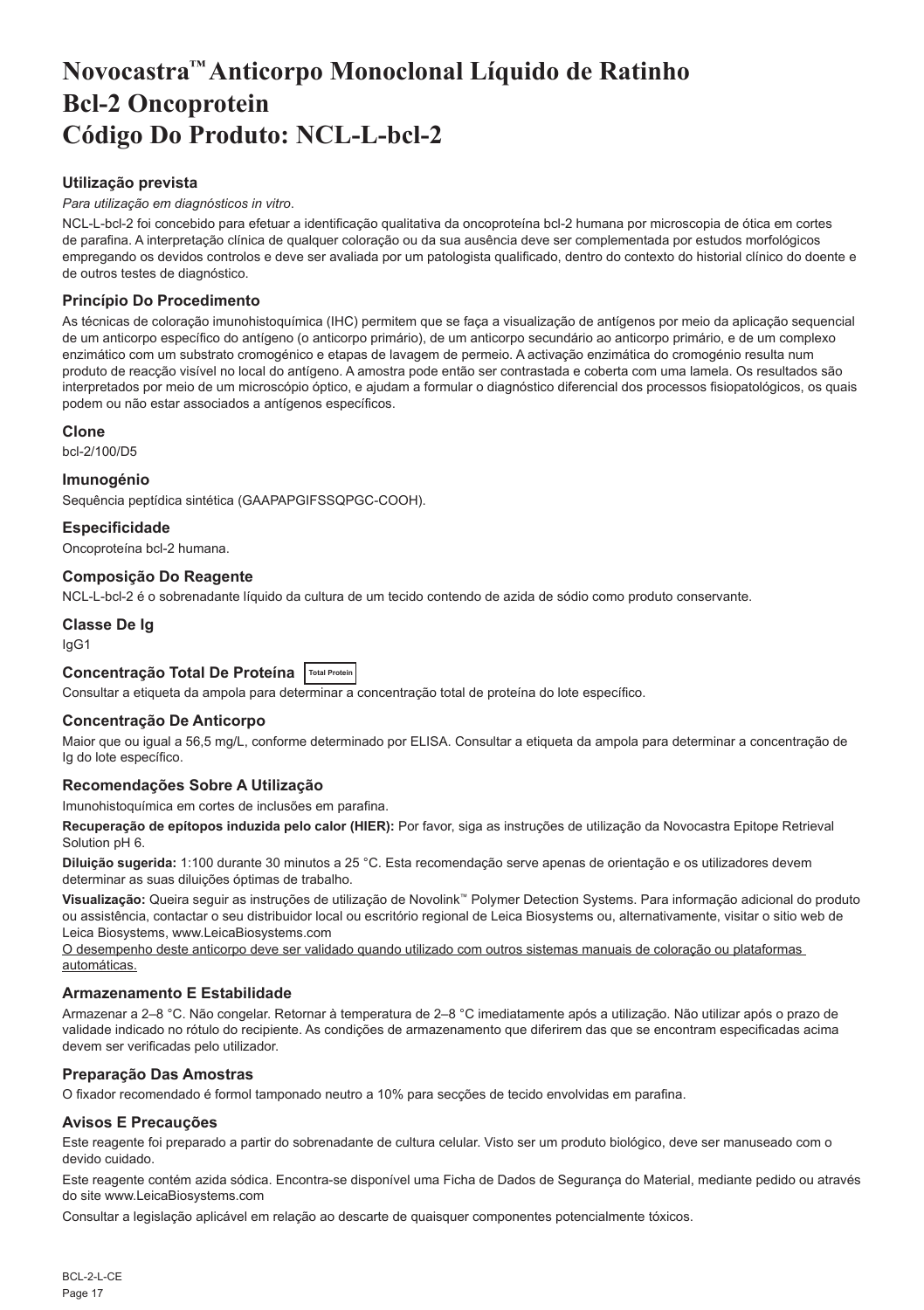# <span id="page-17-0"></span>**Novocastra™ Anticorpo Monoclonal Líquido de Ratinho Bcl-2 Oncoprotein Código Do Produto: NCL-L-bcl-2**

## **Utilização prevista**

#### *Para utilização em diagnósticos in vitro*.

NCL-L-bcl-2 foi concebido para efetuar a identificação qualitativa da oncoproteína bcl-2 humana por microscopia de ótica em cortes de parafina. A interpretação clínica de qualquer coloração ou da sua ausência deve ser complementada por estudos morfológicos empregando os devidos controlos e deve ser avaliada por um patologista qualificado, dentro do contexto do historial clínico do doente e de outros testes de diagnóstico.

## **Princípio Do Procedimento**

As técnicas de coloração imunohistoquímica (IHC) permitem que se faça a visualização de antígenos por meio da aplicação sequencial de um anticorpo específico do antígeno (o anticorpo primário), de um anticorpo secundário ao anticorpo primário, e de um complexo enzimático com um substrato cromogénico e etapas de lavagem de permeio. A activação enzimática do cromogénio resulta num produto de reacção visível no local do antígeno. A amostra pode então ser contrastada e coberta com uma lamela. Os resultados são interpretados por meio de um microscópio óptico, e ajudam a formular o diagnóstico diferencial dos processos fisiopatológicos, os quais podem ou não estar associados a antígenos específicos.

#### **Clone**

bcl-2/100/D5

#### **Imunogénio**

Sequência peptídica sintética (GAAPAPGIFSSQPGC-COOH).

## **Especificidade**

Oncoproteína bcl-2 humana.

## **Composição Do Reagente**

NCL-L-bcl-2 é o sobrenadante líquido da cultura de um tecido contendo de azida de sódio como produto conservante.

## **Classe De Ig**

IgG1

## **Concentração Total De Proteína Total Protein**

Consultar a etiqueta da ampola para determinar a concentração total de proteína do lote específico.

## **Concentração De Anticorpo**

Maior que ou igual a 56,5 mg/L, conforme determinado por ELISA. Consultar a etiqueta da ampola para determinar a concentração de Ig do lote específico.

## **Recomendações Sobre A Utilização**

Imunohistoquímica em cortes de inclusões em parafina.

**Recuperação de epítopos induzida pelo calor (HIER):** Por favor, siga as instruções de utilização da Novocastra Epitope Retrieval Solution pH 6.

**Diluição sugerida:** 1:100 durante 30 minutos a 25 °C. Esta recomendação serve apenas de orientação e os utilizadores devem determinar as suas diluições óptimas de trabalho.

**Visualização:** Queira seguir as instruções de utilização de Novolink™ Polymer Detection Systems. Para informação adicional do produto ou assistência, contactar o seu distribuidor local ou escritório regional de Leica Biosystems ou, alternativamente, visitar o sitio web de Leica Biosystems, www.LeicaBiosystems.com

O desempenho deste anticorpo deve ser validado quando utilizado com outros sistemas manuais de coloração ou plataformas automáticas.

## **Armazenamento E Estabilidade**

Armazenar a 2–8 °C. Não congelar. Retornar à temperatura de 2–8 °C imediatamente após a utilização. Não utilizar após o prazo de validade indicado no rótulo do recipiente. As condições de armazenamento que diferirem das que se encontram especificadas acima devem ser verificadas pelo utilizador.

## **Preparação Das Amostras**

O fixador recomendado é formol tamponado neutro a 10% para secções de tecido envolvidas em parafina.

## **Avisos E Precauções**

Este reagente foi preparado a partir do sobrenadante de cultura celular. Visto ser um produto biológico, deve ser manuseado com o devido cuidado.

Este reagente contém azida sódica. Encontra-se disponível uma Ficha de Dados de Segurança do Material, mediante pedido ou através do site www.LeicaBiosystems.com

Consultar a legislação aplicável em relação ao descarte de quaisquer componentes potencialmente tóxicos.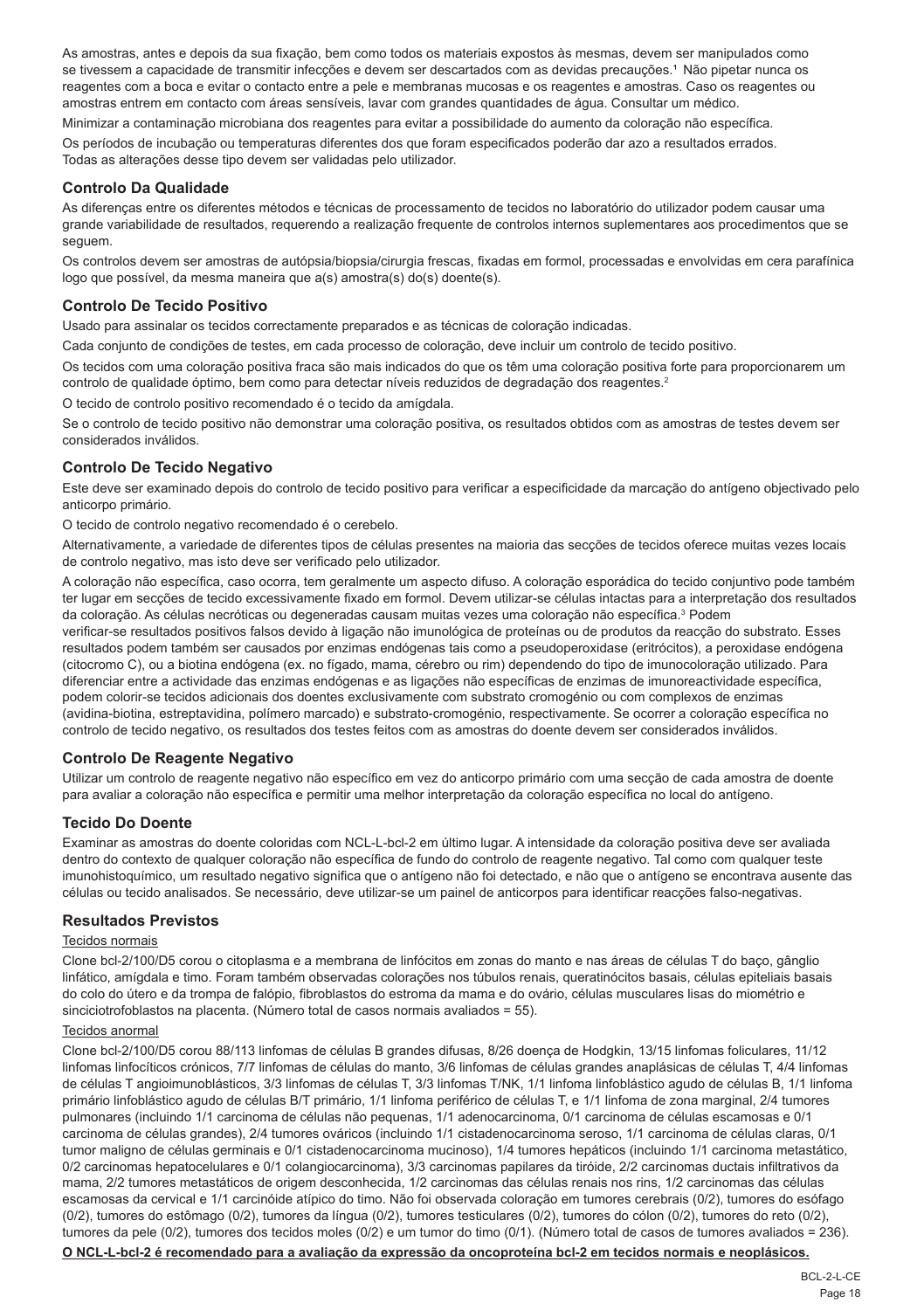As amostras, antes e depois da sua fixação, bem como todos os materiais expostos às mesmas, devem ser manipulados como se tivessem a capacidade de transmitir infecções e devem ser descartados com as devidas precauções.<sup>1</sup> Não pipetar nunca os reagentes com a boca e evitar o contacto entre a pele e membranas mucosas e os reagentes e amostras. Caso os reagentes ou amostras entrem em contacto com áreas sensíveis, lavar com grandes quantidades de água. Consultar um médico.

Minimizar a contaminação microbiana dos reagentes para evitar a possibilidade do aumento da coloração não específica. Os períodos de incubação ou temperaturas diferentes dos que foram especificados poderão dar azo a resultados errados. Todas as alterações desse tipo devem ser validadas pelo utilizador.

#### **Controlo Da Qualidade**

As diferenças entre os diferentes métodos e técnicas de processamento de tecidos no laboratório do utilizador podem causar uma grande variabilidade de resultados, requerendo a realização frequente de controlos internos suplementares aos procedimentos que se sequem.

Os controlos devem ser amostras de autópsia/biopsia/cirurgia frescas, fixadas em formol, processadas e envolvidas em cera parafínica logo que possível, da mesma maneira que a(s) amostra(s) do(s) doente(s).

## **Controlo De Tecido Positivo**

Usado para assinalar os tecidos correctamente preparados e as técnicas de coloração indicadas.

Cada conjunto de condições de testes, em cada processo de coloração, deve incluir um controlo de tecido positivo.

Os tecidos com uma coloração positiva fraca são mais indicados do que os têm uma coloração positiva forte para proporcionarem um controlo de qualidade óptimo, bem como para detectar níveis reduzidos de degradação dos reagentes.<sup>2</sup>

O tecido de controlo positivo recomendado é o tecido da amígdala.

Se o controlo de tecido positivo não demonstrar uma coloração positiva, os resultados obtidos com as amostras de testes devem ser considerados inválidos.

## **Controlo De Tecido Negativo**

Este deve ser examinado depois do controlo de tecido positivo para verificar a especificidade da marcação do antígeno objectivado pelo anticorpo primário.

O tecido de controlo negativo recomendado é o cerebelo.

Alternativamente, a variedade de diferentes tipos de células presentes na maioria das secções de tecidos oferece muitas vezes locais de controlo negativo, mas isto deve ser verificado pelo utilizador.

A coloração não específica, caso ocorra, tem geralmente um aspecto difuso. A coloração esporádica do tecido conjuntivo pode também ter lugar em secções de tecido excessivamente fixado em formol. Devem utilizar-se células intactas para a interpretação dos resultados da coloração. As células necróticas ou degeneradas causam muitas vezes uma coloração não específica.<sup>3</sup> Podem verificar-se resultados positivos falsos devido à ligação não imunológica de proteínas ou de produtos da reacção do substrato. Esses resultados podem também ser causados por enzimas endógenas tais como a pseudoperoxidase (eritrócitos), a peroxidase endógena (citocromo C), ou a biotina endógena (ex. no fígado, mama, cérebro ou rim) dependendo do tipo de imunocoloração utilizado. Para diferenciar entre a actividade das enzimas endógenas e as ligações não específicas de enzimas de imunoreactividade específica, podem colorir-se tecidos adicionais dos doentes exclusivamente com substrato cromogénio ou com complexos de enzimas (avidina-biotina, estreptavidina, polímero marcado) e substrato-cromogénio, respectivamente. Se ocorrer a coloração específica no controlo de tecido negativo, os resultados dos testes feitos com as amostras do doente devem ser considerados inválidos.

#### **Controlo De Reagente Negativo**

Utilizar um controlo de reagente negativo não específico em vez do anticorpo primário com uma secção de cada amostra de doente para avaliar a coloração não específica e permitir uma melhor interpretação da coloração específica no local do antígeno.

#### **Tecido Do Doente**

Examinar as amostras do doente coloridas com NCL-L-bcl-2 em último lugar. A intensidade da coloração positiva deve ser avaliada dentro do contexto de qualquer coloração não específica de fundo do controlo de reagente negativo. Tal como com qualquer teste imunohistoquímico, um resultado negativo significa que o antígeno não foi detectado, e não que o antígeno se encontrava ausente das células ou tecido analisados. Se necessário, deve utilizar-se um painel de anticorpos para identificar reacções falso-negativas.

#### **Resultados Previstos**

#### Tecidos normais

Clone bcl-2/100/D5 corou o citoplasma e a membrana de linfócitos em zonas do manto e nas áreas de células T do baço, gânglio linfático, amígdala e timo. Foram também observadas colorações nos túbulos renais, queratinócitos basais, células epiteliais basais do colo do útero e da trompa de falópio, fibroblastos do estroma da mama e do ovário, células musculares lisas do miométrio e sinciciotrofoblastos na placenta. (Número total de casos normais avaliados = 55).

#### Tecidos anormal

Clone bcl-2/100/D5 corou 88/113 linfomas de células B grandes difusas, 8/26 doença de Hodgkin, 13/15 linfomas foliculares, 11/12 linfomas linfocíticos crónicos, 7/7 linfomas de células do manto, 3/6 linfomas de células grandes anaplásicas de células T, 4/4 linfomas de células T angioimunoblásticos, 3/3 linfomas de células T, 3/3 linfomas T/NK, 1/1 linfoma linfoblástico agudo de células B, 1/1 linfoma primário linfoblástico agudo de células B/T primário, 1/1 linfoma periférico de células T, e 1/1 linfoma de zona marginal, 2/4 tumores pulmonares (incluindo 1/1 carcinoma de células não pequenas, 1/1 adenocarcinoma, 0/1 carcinoma de células escamosas e 0/1 carcinoma de células grandes), 2/4 tumores ováricos (incluindo 1/1 cistadenocarcinoma seroso, 1/1 carcinoma de células claras, 0/1 tumor maligno de células germinais e 0/1 cistadenocarcinoma mucinoso), 1/4 tumores hepáticos (incluindo 1/1 carcinoma metastático, 0/2 carcinomas hepatocelulares e 0/1 colangiocarcinoma), 3/3 carcinomas papilares da tiróide, 2/2 carcinomas ductais infiltrativos da mama, 2/2 tumores metastáticos de origem desconhecida, 1/2 carcinomas das células renais nos rins, 1/2 carcinomas das células escamosas da cervical e 1/1 carcinóide atípico do timo. Não foi observada coloração em tumores cerebrais (0/2), tumores do esófago (0/2), tumores do estômago (0/2), tumores da língua (0/2), tumores testiculares (0/2), tumores do cólon (0/2), tumores do reto (0/2), tumores da pele (0/2), tumores dos tecidos moles (0/2) e um tumor do timo (0/1). (Número total de casos de tumores avaliados = 236).

#### **O NCL-L-bcl-2 é recomendado para a avaliação da expressão da oncoproteína bcl-2 em tecidos normais e neoplásicos.**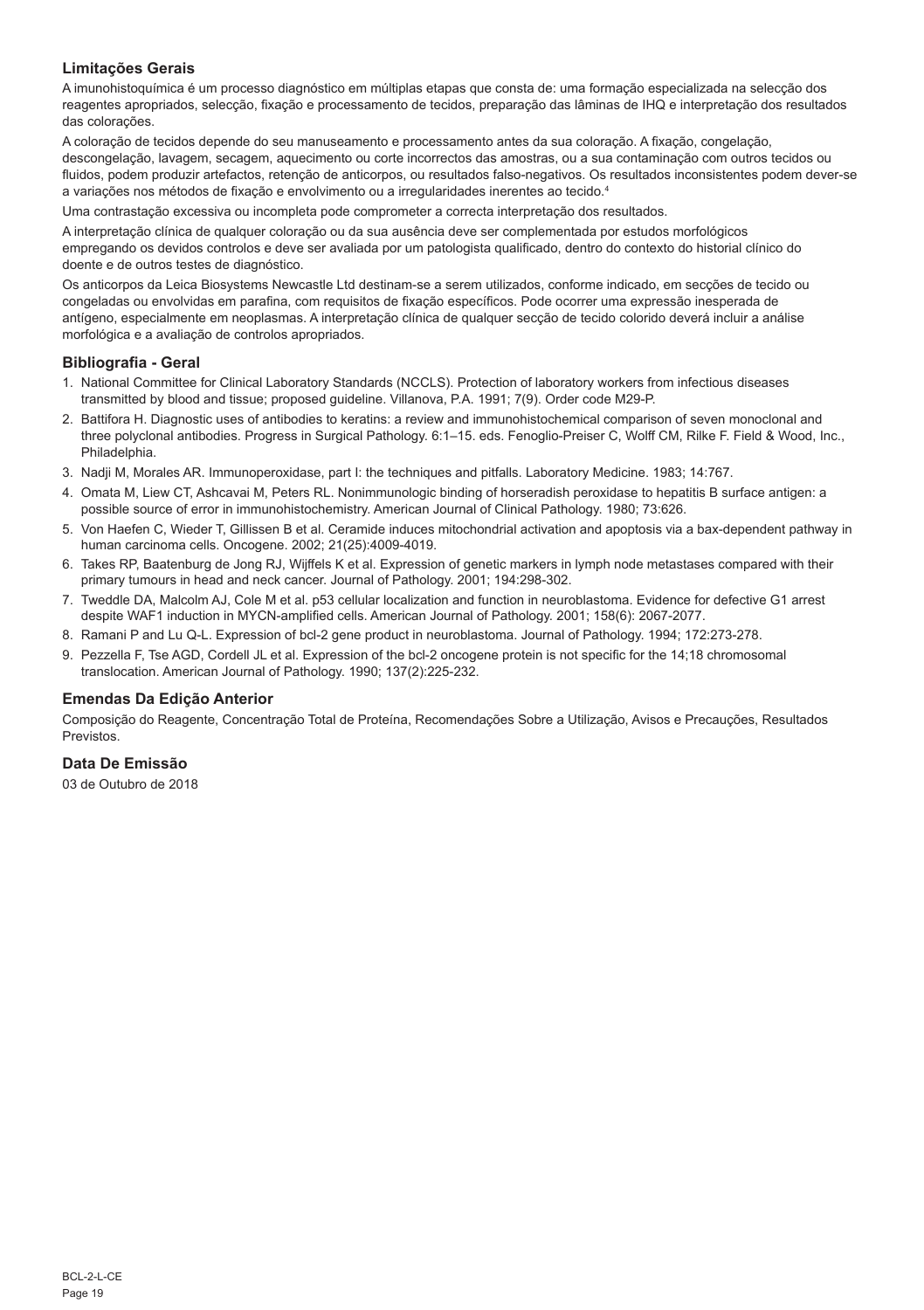## **Limitações Gerais**

A imunohistoquímica é um processo diagnóstico em múltiplas etapas que consta de: uma formação especializada na selecção dos reagentes apropriados, selecção, fixação e processamento de tecidos, preparação das lâminas de IHQ e interpretação dos resultados das colorações.

A coloração de tecidos depende do seu manuseamento e processamento antes da sua coloração. A fixação, congelação, descongelação, lavagem, secagem, aquecimento ou corte incorrectos das amostras, ou a sua contaminação com outros tecidos ou fluidos, podem produzir artefactos, retenção de anticorpos, ou resultados falso-negativos. Os resultados inconsistentes podem dever-se a variações nos métodos de fixação e envolvimento ou a irregularidades inerentes ao tecido.4

Uma contrastação excessiva ou incompleta pode comprometer a correcta interpretação dos resultados.

A interpretação clínica de qualquer coloração ou da sua ausência deve ser complementada por estudos morfológicos empregando os devidos controlos e deve ser avaliada por um patologista qualificado, dentro do contexto do historial clínico do doente e de outros testes de diagnóstico.

Os anticorpos da Leica Biosystems Newcastle Ltd destinam-se a serem utilizados, conforme indicado, em secções de tecido ou congeladas ou envolvidas em parafina, com requisitos de fixação específicos. Pode ocorrer uma expressão inesperada de antígeno, especialmente em neoplasmas. A interpretação clínica de qualquer secção de tecido colorido deverá incluir a análise morfológica e a avaliação de controlos apropriados.

#### **Bibliografia - Geral**

- 1. National Committee for Clinical Laboratory Standards (NCCLS). Protection of laboratory workers from infectious diseases transmitted by blood and tissue; proposed guideline. Villanova, P.A. 1991; 7(9). Order code M29-P.
- 2. Battifora H. Diagnostic uses of antibodies to keratins: a review and immunohistochemical comparison of seven monoclonal and three polyclonal antibodies. Progress in Surgical Pathology. 6:1–15. eds. Fenoglio-Preiser C, Wolff CM, Rilke F. Field & Wood, Inc., Philadelphia.
- 3. Nadji M, Morales AR. Immunoperoxidase, part I: the techniques and pitfalls. Laboratory Medicine. 1983; 14:767.
- 4. Omata M, Liew CT, Ashcavai M, Peters RL. Nonimmunologic binding of horseradish peroxidase to hepatitis B surface antigen: a possible source of error in immunohistochemistry. American Journal of Clinical Pathology. 1980; 73:626.
- 5. Von Haefen C, Wieder T, Gillissen B et al. Ceramide induces mitochondrial activation and apoptosis via a bax-dependent pathway in human carcinoma cells. Oncogene. 2002; 21(25):4009-4019.
- 6. Takes RP, Baatenburg de Jong RJ, Wijffels K et al. Expression of genetic markers in lymph node metastases compared with their primary tumours in head and neck cancer. Journal of Pathology. 2001; 194:298-302.
- 7. Tweddle DA, Malcolm AJ, Cole M et al. p53 cellular localization and function in neuroblastoma. Evidence for defective G1 arrest despite WAF1 induction in MYCN-amplified cells. American Journal of Pathology. 2001; 158(6): 2067-2077.
- 8. Ramani P and Lu Q-L. Expression of bcl-2 gene product in neuroblastoma. Journal of Pathology. 1994; 172:273-278.
- 9. Pezzella F, Tse AGD, Cordell JL et al. Expression of the bcl-2 oncogene protein is not specific for the 14;18 chromosomal translocation. American Journal of Pathology. 1990; 137(2):225-232.

## **Emendas Da Edição Anterior**

Composição do Reagente, Concentração Total de Proteína, Recomendações Sobre a Utilização, Avisos e Precauções, Resultados **Previstos** 

## **Data De Emissão**

03 de Outubro de 2018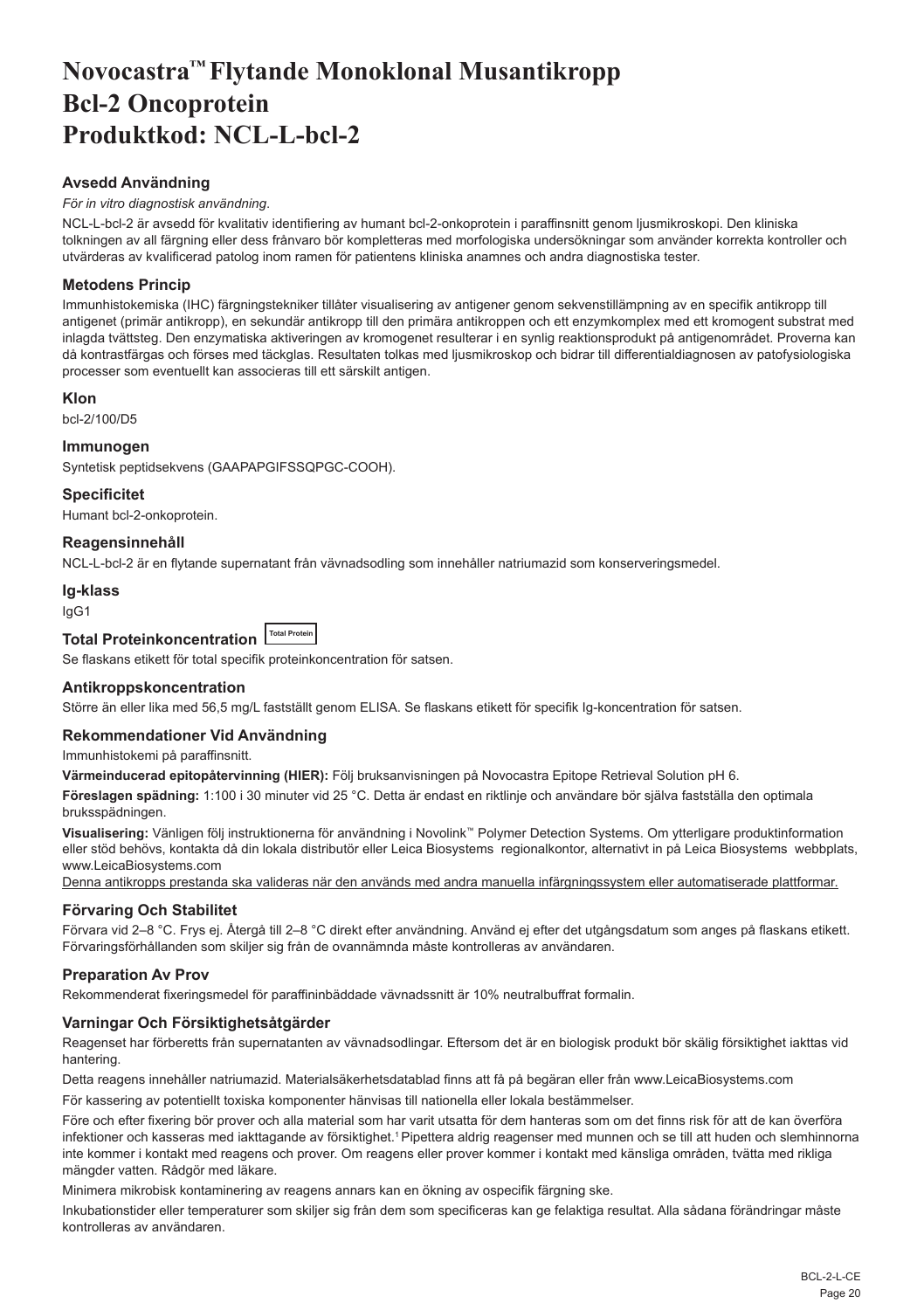# <span id="page-20-0"></span>**Novocastra™ Flytande Monoklonal Musantikropp Bcl-2 Oncoprotein Produktkod: NCL-L-bcl-2**

## **Avsedd Användning**

#### *För in vitro diagnostisk användning*.

NCL-L-bcl-2 är avsedd för kvalitativ identifiering av humant bcl-2-onkoprotein i paraffinsnitt genom ljusmikroskopi. Den kliniska tolkningen av all färgning eller dess frånvaro bör kompletteras med morfologiska undersökningar som använder korrekta kontroller och utvärderas av kvalificerad patolog inom ramen för patientens kliniska anamnes och andra diagnostiska tester.

## **Metodens Princip**

Immunhistokemiska (IHC) färgningstekniker tillåter visualisering av antigener genom sekvenstillämpning av en specifik antikropp till antigenet (primär antikropp), en sekundär antikropp till den primära antikroppen och ett enzymkomplex med ett kromogent substrat med inlagda tvättsteg. Den enzymatiska aktiveringen av kromogenet resulterar i en synlig reaktionsprodukt på antigenområdet. Proverna kan då kontrastfärgas och förses med täckglas. Resultaten tolkas med ljusmikroskop och bidrar till differentialdiagnosen av patofysiologiska processer som eventuellt kan associeras till ett särskilt antigen.

## **Klon**

bcl-2/100/D5

## **Immunogen**

Syntetisk peptidsekvens (GAAPAPGIFSSQPGC-COOH).

## **Specificitet**

Humant bcl-2-onkoprotein.

## **Reagensinnehåll**

NCL-L-bcl-2 är en flytande supernatant från vävnadsodling som innehåller natriumazid som konserveringsmedel.

#### **Ig-klass**

IgG1

#### **Total Proteinkoncentration Total Protein**

Se flaskans etikett för total specifik proteinkoncentration för satsen.

## **Antikroppskoncentration**

Större än eller lika med 56,5 mg/L fastställt genom ELISA. Se flaskans etikett för specifik Ig-koncentration för satsen.

#### **Rekommendationer Vid Användning**

Immunhistokemi på paraffinsnitt.

**Värmeinducerad epitopåtervinning (HIER):** Följ bruksanvisningen på Novocastra Epitope Retrieval Solution pH 6.

**Föreslagen spädning:** 1:100 i 30 minuter vid 25 °C. Detta är endast en riktlinje och användare bör själva fastställa den optimala bruksspädningen.

**Visualisering:** Vänligen följ instruktionerna för användning i Novolink™ Polymer Detection Systems. Om ytterligare produktinformation eller stöd behövs, kontakta då din lokala distributör eller Leica Biosystems regionalkontor, alternativt in på Leica Biosystems webbplats, www.LeicaBiosystems.com

Denna antikropps prestanda ska valideras när den används med andra manuella infärgningssystem eller automatiserade plattformar.

## **Förvaring Och Stabilitet**

Förvara vid 2–8 °C. Frys ej. Återgå till 2–8 °C direkt efter användning. Använd ej efter det utgångsdatum som anges på flaskans etikett. Förvaringsförhållanden som skiljer sig från de ovannämnda måste kontrolleras av användaren.

## **Preparation Av Prov**

Rekommenderat fixeringsmedel för paraffininbäddade vävnadssnitt är 10% neutralbuffrat formalin.

## **Varningar Och Försiktighetsåtgärder**

Reagenset har förberetts från supernatanten av vävnadsodlingar. Eftersom det är en biologisk produkt bör skälig försiktighet iakttas vid hantering.

Detta reagens innehåller natriumazid. Materialsäkerhetsdatablad finns att få på begäran eller från www.LeicaBiosystems.com

För kassering av potentiellt toxiska komponenter hänvisas till nationella eller lokala bestämmelser.

Före och efter fixering bör prover och alla material som har varit utsatta för dem hanteras som om det finns risk för att de kan överföra infektioner och kasseras med iakttagande av försiktighet.<sup>1</sup> Pipettera aldrig reagenser med munnen och se till att huden och slemhinnorna inte kommer i kontakt med reagens och prover. Om reagens eller prover kommer i kontakt med känsliga områden, tvätta med rikliga mängder vatten. Rådgör med läkare.

Minimera mikrobisk kontaminering av reagens annars kan en ökning av ospecifik färgning ske.

Inkubationstider eller temperaturer som skiljer sig från dem som specificeras kan ge felaktiga resultat. Alla sådana förändringar måste kontrolleras av användaren.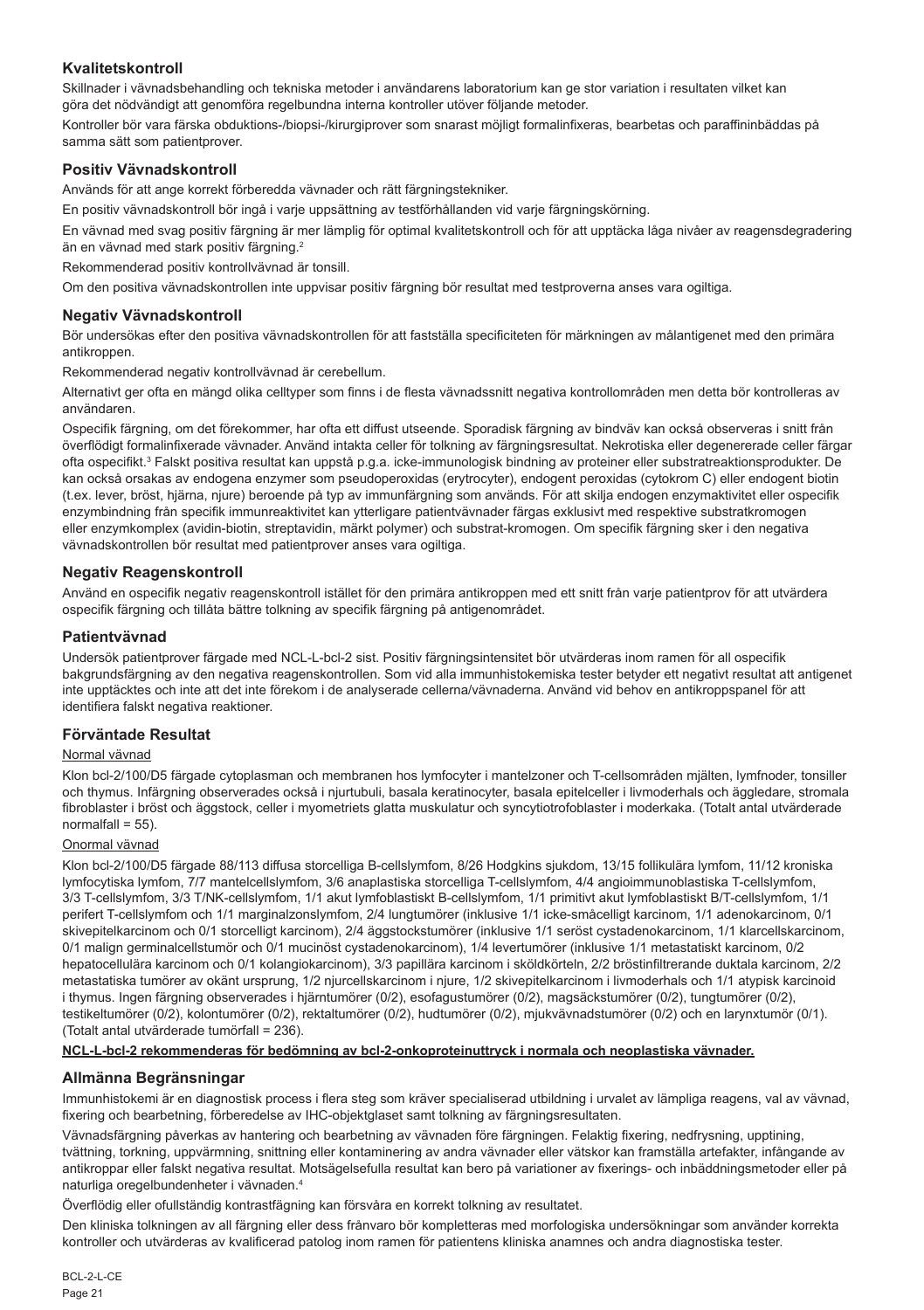## **Kvalitetskontroll**

Skillnader i vävnadsbehandling och tekniska metoder i användarens laboratorium kan ge stor variation i resultaten vilket kan göra det nödvändigt att genomföra regelbundna interna kontroller utöver följande metoder.

Kontroller bör vara färska obduktions-/biopsi-/kirurgiprover som snarast möjligt formalinfixeras, bearbetas och paraffininbäddas på samma sätt som patientprover.

## **Positiv Vävnadskontroll**

Används för att ange korrekt förberedda vävnader och rätt färgningstekniker.

En positiv vävnadskontroll bör ingå i varje uppsättning av testförhållanden vid varje färgningskörning.

En vävnad med svag positiv färgning är mer lämplig för optimal kvalitetskontroll och för att upptäcka låga nivåer av reagensdegradering än en vävnad med stark positiv färgning.<sup>2</sup>

Rekommenderad positiv kontrollvävnad är tonsill.

Om den positiva vävnadskontrollen inte uppvisar positiv färgning bör resultat med testproverna anses vara ogiltiga.

## **Negativ Vävnadskontroll**

Bör undersökas efter den positiva vävnadskontrollen för att fastställa specificiteten för märkningen av målantigenet med den primära antikroppen.

Rekommenderad negativ kontrollvävnad är cerebellum.

Alternativt ger ofta en mängd olika celltyper som finns i de flesta vävnadssnitt negativa kontrollområden men detta bör kontrolleras av användaren.

Ospecifik färgning, om det förekommer, har ofta ett diffust utseende. Sporadisk färgning av bindväv kan också observeras i snitt från överflödigt formalinfixerade vävnader. Använd intakta celler för tolkning av färgningsresultat. Nekrotiska eller degenererade celler färgar ofta ospecifikt.<sup>3</sup> Falskt positiva resultat kan uppstå p.g.a. icke-immunologisk bindning av proteiner eller substratreaktionsprodukter. De kan också orsakas av endogena enzymer som pseudoperoxidas (erytrocyter), endogent peroxidas (cytokrom C) eller endogent biotin (t.ex. lever, bröst, hjärna, njure) beroende på typ av immunfärgning som används. För att skilja endogen enzymaktivitet eller ospecifik enzymbindning från specifik immunreaktivitet kan ytterligare patientvävnader färgas exklusivt med respektive substratkromogen eller enzymkomplex (avidin-biotin, streptavidin, märkt polymer) och substrat-kromogen. Om specifik färgning sker i den negativa vävnadskontrollen bör resultat med patientprover anses vara ogiltiga.

## **Negativ Reagenskontroll**

Använd en ospecifik negativ reagenskontroll istället för den primära antikroppen med ett snitt från varje patientprov för att utvärdera ospecifik färgning och tillåta bättre tolkning av specifik färgning på antigenområdet.

## **Patientvävnad**

Undersök patientprover färgade med NCL-L-bcl-2 sist. Positiv färgningsintensitet bör utvärderas inom ramen för all ospecifik bakgrundsfärgning av den negativa reagenskontrollen. Som vid alla immunhistokemiska tester betyder ett negativt resultat att antigenet inte upptäcktes och inte att det inte förekom i de analyserade cellerna/vävnaderna. Använd vid behov en antikroppspanel för att identifiera falskt negativa reaktioner.

## **Förväntade Resultat**

## Normal vävnad

Klon bcl-2/100/D5 färgade cytoplasman och membranen hos lymfocyter i mantelzoner och T-cellsområden mjälten, lymfnoder, tonsiller och thymus. Infärgning observerades också i njurtubuli, basala keratinocyter, basala epitelceller i livmoderhals och äggledare, stromala fibroblaster i bröst och äggstock, celler i myometriets glatta muskulatur och syncytiotrofoblaster i moderkaka. (Totalt antal utvärderade  $normalfall = 55$ )

## Onormal vävnad

Klon bcl-2/100/D5 färgade 88/113 diffusa storcelliga B-cellslymfom, 8/26 Hodgkins sjukdom, 13/15 follikulära lymfom, 11/12 kroniska lymfocytiska lymfom, 7/7 mantelcellslymfom, 3/6 anaplastiska storcelliga T-cellslymfom, 4/4 angioimmunoblastiska T-cellslymfom, 3/3 T-cellslymfom, 3/3 T/NK-cellslymfom, 1/1 akut lymfoblastiskt B-cellslymfom, 1/1 primitivt akut lymfoblastiskt B/T-cellslymfom, 1/1 perifert T-cellslymfom och 1/1 marginalzonslymfom, 2/4 lungtumörer (inklusive 1/1 icke-småcelligt karcinom, 1/1 adenokarcinom, 0/1 skivepitelkarcinom och 0/1 storcelligt karcinom), 2/4 äggstockstumörer (inklusive 1/1 seröst cystadenokarcinom, 1/1 klarcellskarcinom, 0/1 malign germinalcellstumör och 0/1 mucinöst cystadenokarcinom), 1/4 levertumörer (inklusive 1/1 metastatiskt karcinom, 0/2 hepatocellulära karcinom och 0/1 kolangiokarcinom), 3/3 papillära karcinom i sköldkörteln, 2/2 bröstinfiltrerande duktala karcinom, 2/2 metastatiska tumörer av okänt ursprung, 1/2 njurcellskarcinom i njure, 1/2 skivepitelkarcinom i livmoderhals och 1/1 atypisk karcinoid i thymus. Ingen färgning observerades i hjärntumörer (0/2), esofagustumörer (0/2), magsäckstumörer (0/2), tungtumörer (0/2), testikeltumörer (0/2), kolontumörer (0/2), rektaltumörer (0/2), hudtumörer (0/2), mjukvävnadstumörer (0/2) och en larynxtumör (0/1). (Totalt antal utvärderade tumörfall = 236).

#### **NCL-L-bcl-2 rekommenderas för bedömning av bcl-2-onkoproteinuttryck i normala och neoplastiska vävnader.**

## **Allmänna Begränsningar**

Immunhistokemi är en diagnostisk process i flera steg som kräver specialiserad utbildning i urvalet av lämpliga reagens, val av vävnad, fixering och bearbetning, förberedelse av IHC-objektglaset samt tolkning av färgningsresultaten.

Vävnadsfärgning påverkas av hantering och bearbetning av vävnaden före färgningen. Felaktig fixering, nedfrysning, upptining, tvättning, torkning, uppvärmning, snittning eller kontaminering av andra vävnader eller vätskor kan framställa artefakter, infångande av antikroppar eller falskt negativa resultat. Motsägelsefulla resultat kan bero på variationer av fixerings- och inbäddningsmetoder eller på naturliga oregelbundenheter i vävnaden.4

Överflödig eller ofullständig kontrastfägning kan försvåra en korrekt tolkning av resultatet.

Den kliniska tolkningen av all färgning eller dess frånvaro bör kompletteras med morfologiska undersökningar som använder korrekta kontroller och utvärderas av kvalificerad patolog inom ramen för patientens kliniska anamnes och andra diagnostiska tester.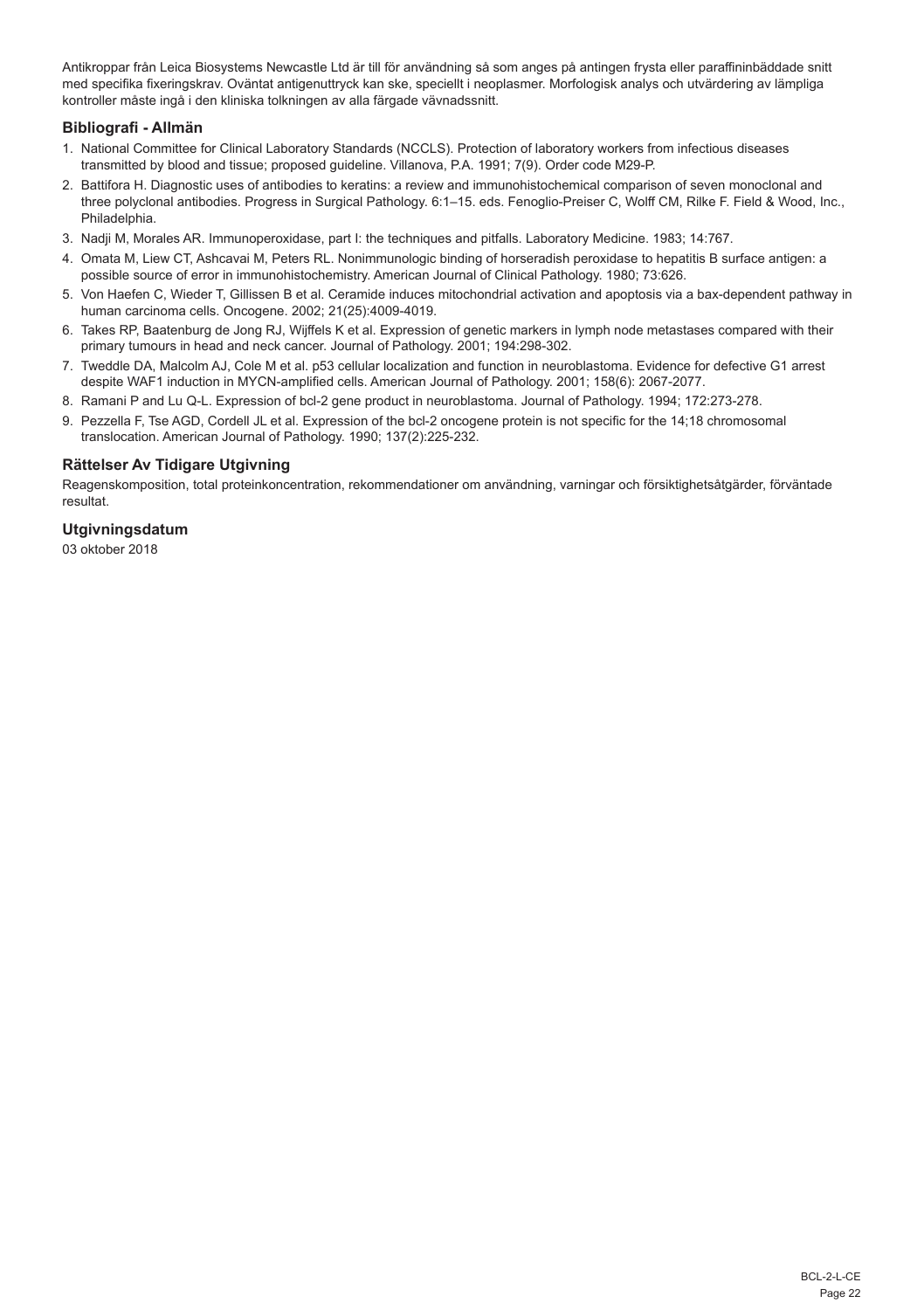Antikroppar från Leica Biosystems Newcastle Ltd är till för användning så som anges på antingen frysta eller paraffininbäddade snitt med specifika fixeringskrav. Oväntat antigenuttryck kan ske, speciellt i neoplasmer. Morfologisk analys och utvärdering av lämpliga kontroller måste ingå i den kliniska tolkningen av alla färgade vävnadssnitt.

## **Bibliografi - Allmän**

- 1. National Committee for Clinical Laboratory Standards (NCCLS). Protection of laboratory workers from infectious diseases transmitted by blood and tissue; proposed guideline. Villanova, P.A. 1991; 7(9). Order code M29-P.
- 2. Battifora H. Diagnostic uses of antibodies to keratins: a review and immunohistochemical comparison of seven monoclonal and three polyclonal antibodies. Progress in Surgical Pathology. 6:1–15. eds. Fenoglio-Preiser C, Wolff CM, Rilke F. Field & Wood, Inc., Philadelphia.
- 3. Nadji M, Morales AR. Immunoperoxidase, part I: the techniques and pitfalls. Laboratory Medicine. 1983; 14:767.
- 4. Omata M, Liew CT, Ashcavai M, Peters RL. Nonimmunologic binding of horseradish peroxidase to hepatitis B surface antigen: a possible source of error in immunohistochemistry. American Journal of Clinical Pathology. 1980; 73:626.
- 5. Von Haefen C, Wieder T, Gillissen B et al. Ceramide induces mitochondrial activation and apoptosis via a bax-dependent pathway in human carcinoma cells. Oncogene. 2002; 21(25):4009-4019.
- 6. Takes RP, Baatenburg de Jong RJ, Wijffels K et al. Expression of genetic markers in lymph node metastases compared with their primary tumours in head and neck cancer. Journal of Pathology. 2001; 194:298-302.
- 7. Tweddle DA, Malcolm AJ, Cole M et al. p53 cellular localization and function in neuroblastoma. Evidence for defective G1 arrest despite WAF1 induction in MYCN-amplified cells. American Journal of Pathology. 2001; 158(6): 2067-2077.
- 8. Ramani P and Lu Q-L. Expression of bcl-2 gene product in neuroblastoma. Journal of Pathology. 1994; 172:273-278.
- 9. Pezzella F, Tse AGD, Cordell JL et al. Expression of the bcl-2 oncogene protein is not specific for the 14;18 chromosomal translocation. American Journal of Pathology. 1990; 137(2):225-232.

## **Rättelser Av Tidigare Utgivning**

Reagenskomposition, total proteinkoncentration, rekommendationer om användning, varningar och försiktighetsåtgärder, förväntade resultat.

## **Utgivningsdatum**

03 oktober 2018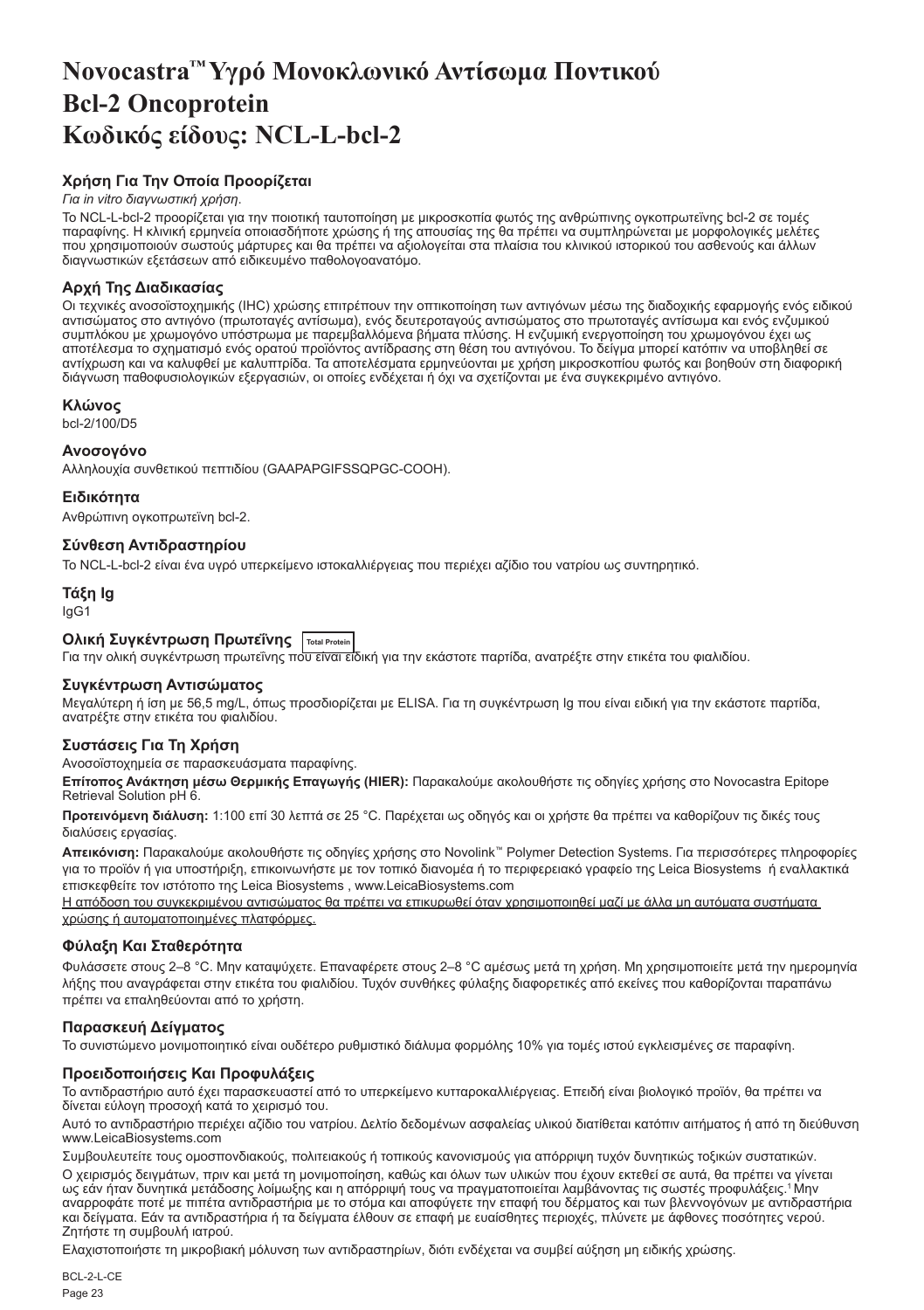# <span id="page-23-0"></span>**Novocastra™ Υγρό Μονοκλωνικό Αντίσωμα Ποντικού Bcl-2 Oncoprotein Κωδικός είδους: NCL-L-bcl-2**

## **Χρήση Για Την Οποία Προορίζεται**

#### *Για in vitro διαγνωστική χρήση*.

Το NCL-L-bcl-2 προορίζεται για την ποιοτική ταυτοποίηση με μικροσκοπία φωτός της ανθρώπινης ογκοπρωτεϊνης bcl-2 σε τομές παραφίνης. Η κλινική ερμηνεία οποιασδήποτε χρώσης ή της απουσίας της θα πρέπει να συμπληρώνεται με μορφολογικές μελέτες που χρησιμοποιούν σωστούς μάρτυρες και θα πρέπει να αξιολογείται στα πλαίσια του κλινικού ιστορικού του ασθενούς και άλλων διαγνωστικών εξετάσεων από ειδικευμένο παθολογοανατόμο.

## **Αρχή Της Διαδικασίας**

Οι τεχνικές ανοσοϊστοχημικής (IHC) χρώσης επιτρέπουν την οπτικοποίηση των αντιγόνων μέσω της διαδοχικής εφαρμογής ενός ειδικού αντισώματος στο αντιγόνο (πρωτοταγές αντίσωμα), ενός δευτεροταγούς αντισώματος στο πρωτοταγές αντίσωμα και ενός ενζυμικού συμπλόκου με χρωμογόνο υπόστρωμα με παρεμβαλλόμενα βήματα πλύσης. Η ενζυμική ενεργοποίηση του χρωμογόνου έχει ως αποτέλεσμα το σχηματισμό ενός ορατού προϊόντος αντίδρασης στη θέση του αντιγόνου. Το δείγμα μπορεί κατόπιν να υποβληθεί σε αντίχρωση και να καλυφθεί με καλυπτρίδα. Τα αποτελέσματα ερμηνεύονται με χρήση μικροσκοπίου φωτός και βοηθούν στη διαφορική διάγνωση παθοφυσιολογικών εξεργασιών, οι οποίες ενδέχεται ή όχι να σχετίζονται με ένα συγκεκριμένο αντιγόνο.

#### **Κλώνος**

bcl-2/100/D5

## **Ανοσογόνο**

Αλληλουχία συνθετικού πεπτιδίου (GAAPAPGIFSSQPGC-COOH).

#### **Ειδικότητα**

Ανθρώπινη ογκοπρωτεϊνη bcl-2.

## **Σύνθεση Αντιδραστηρίου**

Το NCL-L-bcl-2 είναι ένα υγρό υπερκείμενο ιστοκαλλιέργειας που περιέχει αζίδιο του νατρίου ως συντηρητικό.

**Τάξη Ig** IgG1

## **Ολική Συγκέντρωση Πρωτεΐνης Total Protein**

Για την ολική συγκέντρωση πρωτεΐνης που είναι ειδική για την εκάστοτε παρτίδα, ανατρέξτε στην ετικέτα του φιαλιδίου.

## **Συγκέντρωση Αντισώματος**

Μεγαλύτερη ή ίση με 56,5 mg/L, όπως προσδιορίζεται με ELISA. Για τη συγκέντρωση Ig που είναι ειδική για την εκάστοτε παρτίδα, ανατρέξτε στην ετικέτα του φιαλιδίου.

## **Συστάσεις Για Τη Χρήση**

#### Ανοσοϊστοχημεία σε παρασκευάσματα παραφίνης.

**Επίτοπος Ανάκτηση μέσω Θερμικής Επαγωγής (HIER):** Παρακαλούμε ακολουθήστε τις οδηγίες χρήσης στο Novocastra Epitope Retrieval Solution pH 6.

**Προτεινόμενη διάλυση:** 1:100 επί 30 λεπτά σε 25 °C. Παρέχεται ως οδηγός και οι χρήστε θα πρέπει να καθορίζουν τις δικές τους διαλύσεις εργασίας.

**Απεικόνιση:** Παρακαλούμε ακολουθήστε τις οδηγίες χρήσης στο Novolink™ Polymer Detection Systems. Για περισσότερες πληροφορίες για το προϊόν ή για υποστήριξη, επικοινωνήστε με τον τοπικό διανομέα ή το περιφερειακό γραφείο της Leica Biosystems ή εναλλακτικά επισκεφθείτε τον ιστότοπο της Leica Biosystems , www.LeicaBiosystems.com

Η απόδοση του συγκεκριμένου αντισώματος θα πρέπει να επικυρωθεί όταν χρησιμοποιηθεί μαζί με άλλα μη αυτόματα συστήματα χρώσης ή αυτοματοποιημένες πλατφόρμες.

#### **Φύλαξη Και Σταθερότητα**

Φυλάσσετε στους 2–8 °C. Μην καταψύχετε. Επαναφέρετε στους 2–8 °C αμέσως μετά τη χρήση. Μη χρησιμοποιείτε μετά την ημερομηνία λήξης που αναγράφεται στην ετικέτα του φιαλιδίου. Τυχόν συνθήκες φύλαξης διαφορετικές από εκείνες που καθορίζονται παραπάνω πρέπει να επαληθεύονται από το χρήστη.

## **Παρασκευή Δείγματος**

Το συνιστώμενο μονιμοποιητικό είναι ουδέτερο ρυθμιστικό διάλυμα φορμόλης 10% για τομές ιστού εγκλεισμένες σε παραφίνη.

## **Προειδοποιήσεις Και Προφυλάξεις**

Το αντιδραστήριο αυτό έχει παρασκευαστεί από το υπερκείμενο κυτταροκαλλιέργειας. Επειδή είναι βιολογικό προϊόν, θα πρέπει να δίνεται εύλογη προσοχή κατά το χειρισμό του.

Αυτό το αντιδραστήριο περιέχει αζίδιο του νατρίου. Δελτίο δεδομένων ασφαλείας υλικού διατίθεται κατόπιν αιτήματος ή από τη διεύθυνση www.LeicaBiosystems.com

Συμβουλευτείτε τους ομοσπονδιακούς, πολιτειακούς ή τοπικούς κανονισμούς για απόρριψη τυχόν δυνητικώς τοξικών συστατικών. Ο χειρισμός δειγμάτων, πριν και μετά τη μονιμοποίηση, καθώς και όλων των υλικών που έχουν εκτεθεί σε αυτά, θα πρέπει να γίνεται ως εάν ήταν δυνητικά μετάδοσης λοίμωξης και η απόρριψή τους να πραγματοποιείται λαμβάνοντας τις σωστές προφυλάξεις.<sup>1</sup>Μην αναρροφάτε ποτέ με πιπέτα αντιδραστήρια με το στόμα και αποφύγετε την επαφή του δέρματος και των βλεννογόνων με αντιδραστήρια και δείγματα. Εάν τα αντιδραστήρια ή τα δείγματα έλθουν σε επαφή με ευαίσθητες περιοχές, πλύνετε με άφθονες ποσότητες νερού. Ζητήστε τη συμβουλή ιατρού.

Ελαχιστοποιήστε τη μικροβιακή μόλυνση των αντιδραστηρίων, διότι ενδέχεται να συμβεί αύξηση μη ειδικής χρώσης.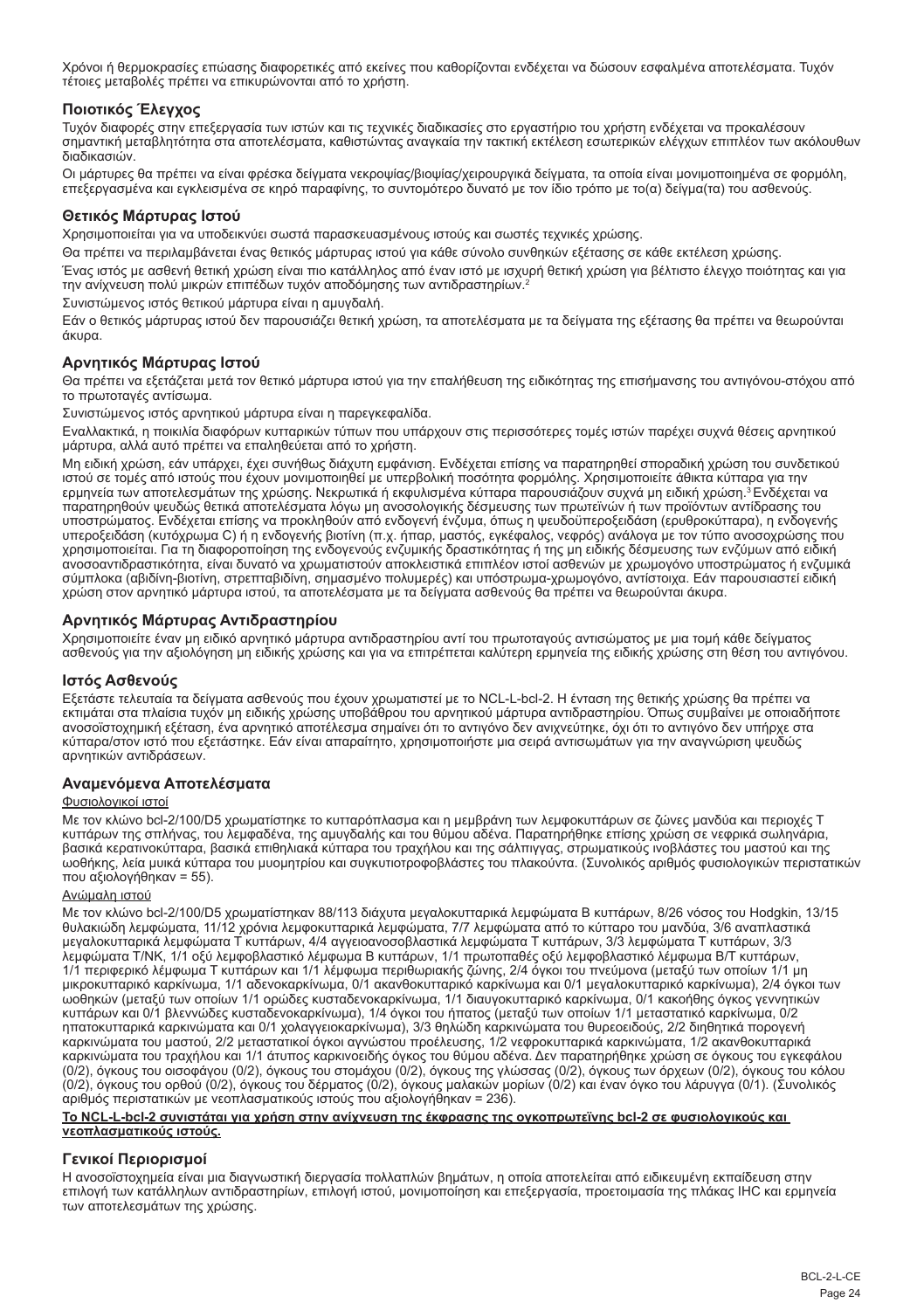Χρόνοι ή θερμοκρασίες επώασης διαφορετικές από εκείνες που καθορίζονται ενδέχεται να δώσουν εσφαλμένα αποτελέσματα. Τυχόν τέτοιες μεταβολές πρέπει να επικυρώνονται από το χρήστη.

## **Ποιοτικός Έλεγχος**

Τυχόν διαφορές στην επεξεργασία των ιστών και τις τεχνικές διαδικασίες στο εργαστήριο του χρήστη ενδέχεται να προκαλέσουν σημαντική μεταβλητότητα στα αποτελέσματα, καθιστώντας αναγκαία την τακτική εκτέλεση εσωτερικών ελέγχων επιπλέον των ακόλουθων διαδικασιών.

Οι μάρτυρες θα πρέπει να είναι φρέσκα δείγματα νεκροψίας/βιοψίας/χειρουργικά δείγματα, τα οποία είναι μονιμοποιημένα σε φορμόλη, επεξεργασμένα και εγκλεισμένα σε κηρό παραφίνης, το συντομότερο δυνατό με τον ίδιο τρόπο με το(α) δείγμα(τα) του ασθενούς.

#### **Θετικός Μάρτυρας Ιστού**

Χρησιμοποιείται για να υποδεικνύει σωστά παρασκευασμένους ιστούς και σωστές τεχνικές χρώσης.

Θα πρέπει να περιλαμβάνεται ένας θετικός μάρτυρας ιστού για κάθε σύνολο συνθηκών εξέτασης σε κάθε εκτέλεση χρώσης.

Ένας ιστός με ασθενή θετική χρώση είναι πιο κατάλληλος από έναν ιστό με ισχυρή θετική χρώση για βέλτιστο έλεγχο ποιότητας και για την ανίχνευση πολύ μικρών επιπέδων τυχόν αποδόμησης των αντιδραστηρίων.<sup>2</sup>

Συνιστώμενος ιστός θετικού μάρτυρα είναι η αμυγδαλή.

Εάν ο θετικός μάρτυρας ιστού δεν παρουσιάζει θετική χρώση, τα αποτελέσματα με τα δείγματα της εξέτασης θα πρέπει να θεωρούνται άκυρα.

## **Αρνητικός Μάρτυρας Ιστού**

Θα πρέπει να εξετάζεται μετά τον θετικό μάρτυρα ιστού για την επαλήθευση της ειδικότητας της επισήμανσης του αντιγόνου-στόχου από το πρωτοταγές αντίσωμα.

Συνιστώμενος ιστός αρνητικού μάρτυρα είναι η παρεγκεφαλίδα.

Εναλλακτικά, η ποικιλία διαφόρων κυτταρικών τύπων που υπάρχουν στις περισσότερες τομές ιστών παρέχει συχνά θέσεις αρνητικού μάρτυρα, αλλά αυτό πρέπει να επαληθεύεται από το χρήστη.

Μη ειδική χρώση, εάν υπάρχει, έχει συνήθως διάχυτη εμφάνιση. Ενδέχεται επίσης να παρατηρηθεί σποραδική χρώση του συνδετικού ιστού σε τομές από ιστούς που έχουν μονιμοποιηθεί με υπερβολική ποσότητα φορμόλης. Χρησιμοποιείτε άθικτα κύτταρα για την<br>ερμηνεία των αποτελεσμάτων της χρώσης. Νεκρωτικά ή εκφυλισμένα κύτταρα παρουσιάζουν συχνά μη ειδική παρατηρηθούν ψευδώς θετικά αποτελέσματα λόγω μη ανοσολογικής δέσμευσης των πρωτεϊνών ή των προϊόντων αντίδρασης του υποστρώματος. Ενδέχεται επίσης να προκληθούν από ενδογενή ένζυμα, όπως η ψευδοϋπεροξειδάση (ερυθροκύτταρα), η ενδογενής<br>υπεροξειδάση (κυτόχρωμα C) ή η ενδογενής βιοτίνη (π.χ. ήπαρ, μαστός, εγκέφαλος, νεφρός) ανάλογα με το χρησιμοποιείται. Για τη διαφοροποίηση της ενδογενούς ενζυμικής δραστικότητας ή της μη ειδικής δέσμευσης των ενζύμων από ειδική ανοσοαντιδραστικότητα, είναι δυνατό να χρωματιστούν αποκλειστικά επιπλέον ιστοί ασθενών με χρωμογόνο υποστρώματος ή ενζυμικά σύμπλοκα (αβιδίνη-βιοτίνη, στρεπταβιδίνη, σημασμένο πολυμερές) και υπόστρωμα-χρωμογόνο, αντίστοιχα. Εάν παρουσιαστεί ειδική χρώση στον αρνητικό μάρτυρα ιστού, τα αποτελέσματα με τα δείγματα ασθενούς θα πρέπει να θεωρούνται άκυρα.

## **Αρνητικός Μάρτυρας Αντιδραστηρίου**

Χρησιμοποιείτε έναν μη ειδικό αρνητικό μάρτυρα αντιδραστηρίου αντί του πρωτοταγούς αντισώματος με μια τομή κάθε δείγματος ασθενούς για την αξιολόγηση μη ειδικής χρώσης και για να επιτρέπεται καλύτερη ερμηνεία της ειδικής χρώσης στη θέση του αντιγόνου.

## **Ιστός Ασθενούς**

Εξετάστε τελευταία τα δείγματα ασθενούς που έχουν χρωματιστεί με το NCL-L-bcl-2. Η ένταση της θετικής χρώσης θα πρέπει να εκτιμάται στα πλαίσια τυχόν μη ειδικής χρώσης υποβάθρου του αρνητικού μάρτυρα αντιδραστηρίου. Όπως συμβαίνει με οποιαδήποτε ανοσοϊστοχημική εξέταση, ένα αρνητικό αποτέλεσμα σημαίνει ότι το αντιγόνο δεν ανιχνεύτηκε, όχι ότι το αντιγόνο δεν υπήρχε στα κύτταρα/στον ιστό που εξετάστηκε. Εάν είναι απαραίτητο, χρησιμοποιήστε μια σειρά αντισωμάτων για την αναγνώριση ψευδώς αρνητικών αντιδράσεων.

## **Αναμενόμενα Αποτελέσματα**

#### Φυσιολογικοί ιστοί

Με τον κλώνο bcl-2/100/D5 χρωματίστηκε το κυτταρόπλασμα και η μεμβράνη των λεμφοκυττάρων σε ζώνες μανδύα και περιοχές Τ κυττάρων της σπλήνας, του λεμφαδένα, της αμυγδαλής και του θύμου αδένα. Παρατηρήθηκε επίσης χρώση σε νεφρικά σωληνάρια, βασικά κερατινοκύτταρα, βασικά επιθηλιακά κύτταρα του τραχήλου και της σάλπιγγας, στρωματικούς ινοβλάστες του μαστού και της ωοθήκης, λεία μυικά κύτταρα του μυομητρίου και συγκυτιοτροφοβλάστες του πλακούντα. (Συνολικός αριθμός φυσιολογικών περιστατικών που αξιολογήθηκαν = 55).

#### Ανώμαλη ιστού

Με τον κλώνο bcl-2/100/D5 χρωματίστηκαν 88/113 διάχυτα μεγαλοκυτταρικά λεμφώματα Β κυττάρων, 8/26 νόσος του Hodgkin, 13/15 θυλακιώδη λεμφώματα, 11/12 χρόνια λεμφοκυτταρικά λεμφώματα, 7/7 λεμφώματα από το κύτταρο του μανδύα, 3/6 αναπλαστικά μεγαλοκυτταρικά λεμφώματα Τ κυττάρων, 4/4 αγγειοανοσοβλαστικά λεμφώματα Τ κυττάρων, 3/3 λεμφώματα Τ κυττάρων, 3/3 λεμφώματα T/NK, 1/1 οξύ λεμφοβλαστικό λέμφωμα Β κυττάρων, 1/1 πρωτοπαθές οξύ λεμφοβλαστικό λέμφωμα B/T κυττάρων, 1/1 περιφερικό λέμφωμα Τ κυττάρων και 1/1 λέμφωμα περιθωριακής ζώνης, 2/4 όγκοι του πνεύμονα (μεταξύ των οποίων 1/1 μη μικροκυτταρικό καρκίνωμα, 1/1 αδενοκαρκίνωμα, 0/1 ακανθοκυτταρικό καρκίνωμα και 0/1 μεγαλοκυτταρικό καρκίνωμα), 2/4 όγκοι των ωοθηκών (μεταξύ των οποίων 1/1 ορώδες κυσταδενοκαρκίνωμα, 1/1 διαυγοκυτταρικό καρκίνωμα, 0/1 κακοήθης όγκος γεννητικών κυττάρων και 0/1 βλεννώδες κυσταδενοκαρκίνωμα), 1/4 όγκοι του ήπατος (μεταξύ των οποίων 1/1 μεταστατικό καρκίνωμα, 0/2 ηπατοκυτταρικά καρκινώματα και 0/1 χολαγγειοκαρκίνωμα), 3/3 θηλώδη καρκινώματα του θυρεοειδούς, 2/2 διηθητικά πορογενή καρκινώματα του μαστού, 2/2 μεταστατικοί όγκοι αγνώστου προέλευσης, 1/2 νεφροκυτταρικά καρκινώματα, 1/2 ακανθοκυτταρικά καρκινώματα του τραχήλου και 1/1 άτυπος καρκινοειδής όγκος του θύμου αδένα. Δεν παρατηρήθηκε χρώση σε όγκους του εγκεφάλου (0/2), όγκους του οισοφάγου (0/2), όγκους του στομάχου (0/2), όγκους της γλώσσας (0/2), όγκους των όρχεων (0/2), όγκους του κόλου<br>(0/2), όγκους του ορθού (0/2), όγκους του δέρματος (0/2), όγκους μαλακών μορίων (0/2) και έ αριθμός περιστατικών με νεοπλασματικούς ιστούς που αξιολογήθηκαν = 236).

#### **Το NCL-L-bcl-2 συνιστάται για χρήση στην ανίχνευση της έκφρασης της ογκοπρωτεϊνης bcl-2 σε φυσιολογικούς και νεοπλασματικούς ιστούς.**

## **Γενικοί Περιορισμοί**

Η ανοσοϊστοχημεία είναι μια διαγνωστική διεργασία πολλαπλών βημάτων, η οποία αποτελείται από ειδικευμένη εκπαίδευση στην επιλογή των κατάλληλων αντιδραστηρίων, επιλογή ιστού, μονιμοποίηση και επεξεργασία, προετοιμασία της πλάκας IHC και ερμηνεία των αποτελεσμάτων της χρώσης.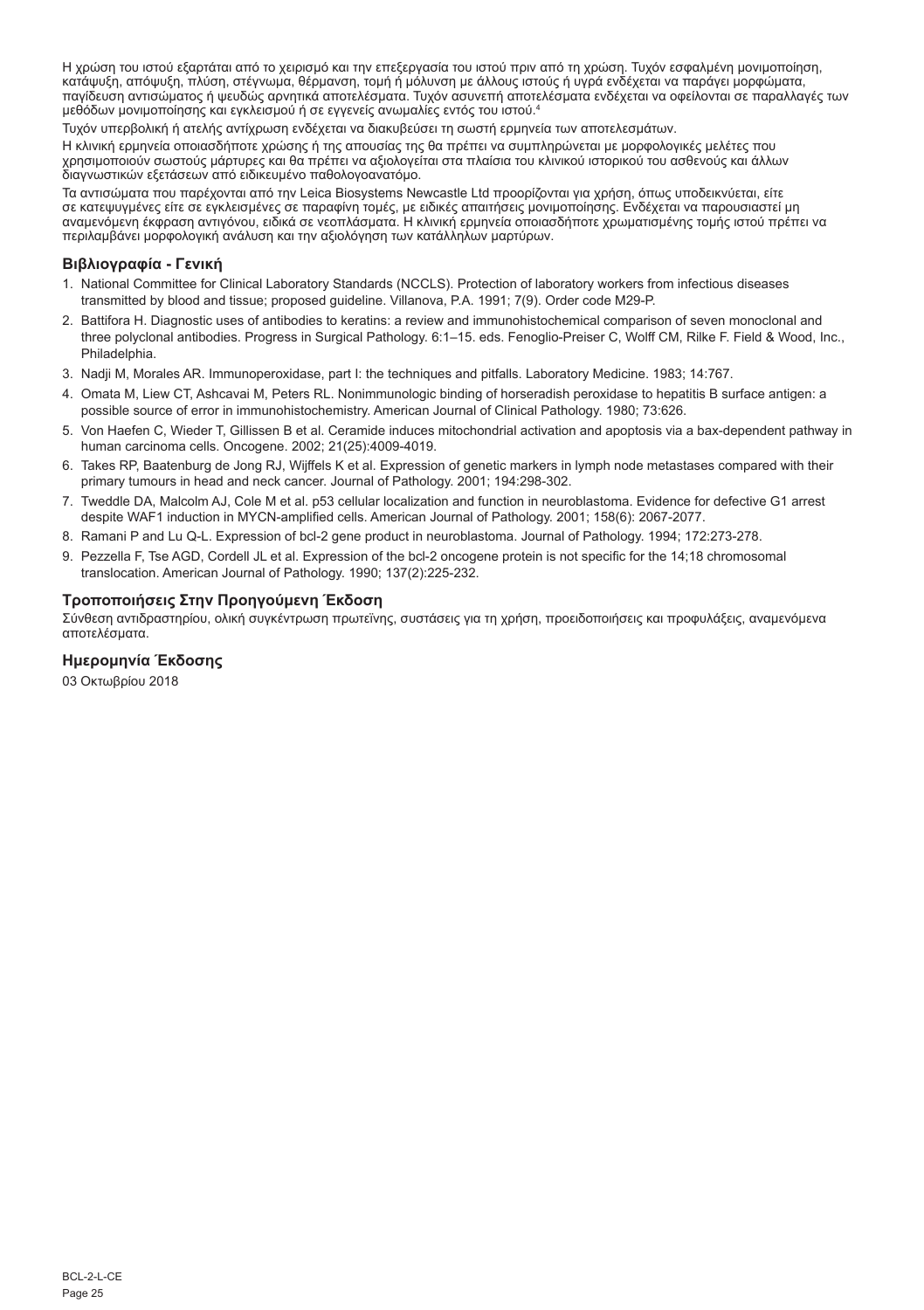Η χρώση του ιστού εξαρτάται από το χειρισμό και την επεξεργασία του ιστού πριν από τη χρώση. Τυχόν εσφαλμένη μονιμοποίηση, κατάψυξη, απόψυξη, πλύση, στέγνωμα, θέρμανση, τομή ή μόλυνση με άλλους ιστούς ή υγρά ενδέχεται να παράγει μορφώματα, παγίδευση αντισώματος ή ψευδώς αρνητικά αποτελέσματα. Τυχόν ασυνεπή αποτελέσματα ενδέχεται να οφείλονται σε παραλλαγές των μεθόδων μονιμοποίησης και εγκλεισμού ή σε εγγενείς ανωμαλίες εντός του ιστού.4

Τυχόν υπερβολική ή ατελής αντίχρωση ενδέχεται να διακυβεύσει τη σωστή ερμηνεία των αποτελεσμάτων.

Η κλινική ερμηνεία οποιασδήποτε χρώσης ή της απουσίας της θα πρέπει να συμπληρώνεται με μορφολογικές μελέτες που χρησιμοποιούν σωστούς μάρτυρες και θα πρέπει να αξιολογείται στα πλαίσια του κλινικού ιστορικού του ασθενούς και άλλων διαγνωστικών εξετάσεων από ειδικευμένο παθολογοανατόμο.

Τα αντισώματα που παρέχονται από την Leica Biosystems Newcastle Ltd προορίζονται για χρήση, όπως υποδεικνύεται, είτε<br>σε κατεψυγμένες είτε σε εγκλεισμένες σε παραφίνη τομές, με ειδικές απαιτήσεις μονιμοποίησης. Ενδέχεται ν αναμενόμενη έκφραση αντιγόνου, ειδικά σε νεοπλάσματα. Η κλινική ερμηνεία οποιασδήποτε χρωματισμένης τομής ιστού πρέπει να περιλαμβάνει μορφολογική ανάλυση και την αξιολόγηση των κατάλληλων μαρτύρων.

## **Βιβλιογραφία - Γενική**

- 1. National Committee for Clinical Laboratory Standards (NCCLS). Protection of laboratory workers from infectious diseases transmitted by blood and tissue; proposed guideline. Villanova, P.A. 1991; 7(9). Order code M29-P.
- 2. Battifora H. Diagnostic uses of antibodies to keratins: a review and immunohistochemical comparison of seven monoclonal and three polyclonal antibodies. Progress in Surgical Pathology. 6:1–15. eds. Fenoglio-Preiser C, Wolff CM, Rilke F. Field & Wood, Inc., Philadelphia.
- 3. Nadji M, Morales AR. Immunoperoxidase, part I: the techniques and pitfalls. Laboratory Medicine. 1983; 14:767.
- 4. Omata M, Liew CT, Ashcavai M, Peters RL. Nonimmunologic binding of horseradish peroxidase to hepatitis B surface antigen: a possible source of error in immunohistochemistry. American Journal of Clinical Pathology. 1980; 73:626.
- 5. Von Haefen C, Wieder T, Gillissen B et al. Ceramide induces mitochondrial activation and apoptosis via a bax-dependent pathway in human carcinoma cells. Oncogene. 2002; 21(25):4009-4019.
- 6. Takes RP, Baatenburg de Jong RJ, Wijffels K et al. Expression of genetic markers in lymph node metastases compared with their primary tumours in head and neck cancer. Journal of Pathology. 2001; 194:298-302.
- 7. Tweddle DA, Malcolm AJ, Cole M et al. p53 cellular localization and function in neuroblastoma. Evidence for defective G1 arrest despite WAF1 induction in MYCN-amplified cells. American Journal of Pathology. 2001; 158(6): 2067-2077.
- 8. Ramani P and Lu Q-L. Expression of bcl-2 gene product in neuroblastoma. Journal of Pathology. 1994; 172:273-278.
- 9. Pezzella F, Tse AGD, Cordell JL et al. Expression of the bcl-2 oncogene protein is not specific for the 14;18 chromosomal translocation. American Journal of Pathology. 1990; 137(2):225-232.

## **Τροποποιήσεις Στην Προηγούμενη Έκδοση**

Σύνθεση αντιδραστηρίου, ολική συγκέντρωση πρωτεϊνης, συστάσεις για τη χρήση, προειδοποιήσεις και προφυλάξεις, αναμενόμενα αποτελέσματα.

#### **Ημερομηνία Έκδοσης**

03 Οκτωβρίου 2018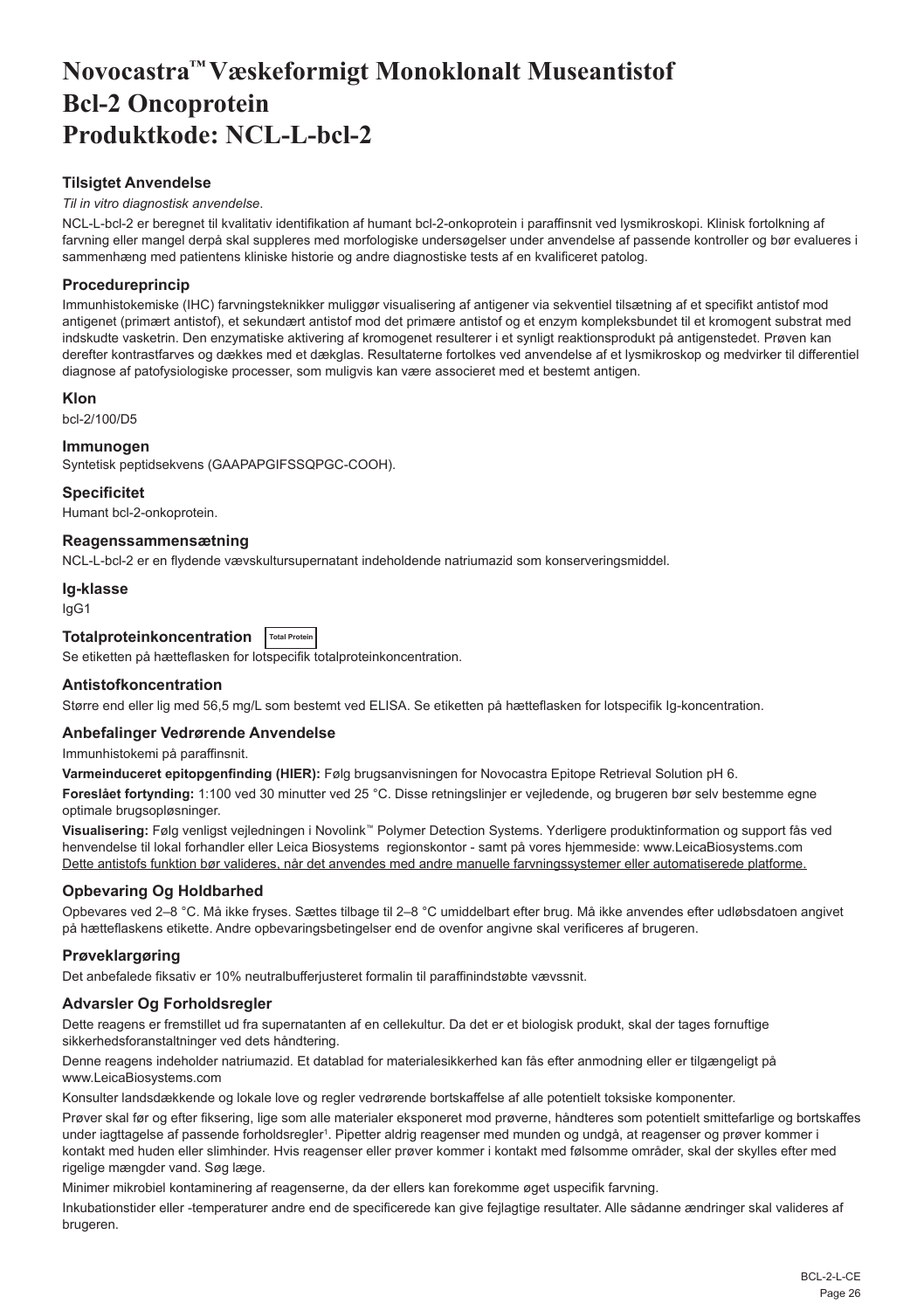# <span id="page-26-0"></span>**Novocastra™ Væskeformigt Monoklonalt Museantistof Bcl-2 Oncoprotein Produktkode: NCL-L-bcl-2**

## **Tilsigtet Anvendelse**

#### *Til in vitro diagnostisk anvendelse*.

NCL-L-bcl-2 er beregnet til kvalitativ identifikation af humant bcl-2-onkoprotein i paraffinsnit ved lysmikroskopi. Klinisk fortolkning af farvning eller mangel derpå skal suppleres med morfologiske undersøgelser under anvendelse af passende kontroller og bør evalueres i sammenhæng med patientens kliniske historie og andre diagnostiske tests af en kvalificeret patolog.

## **Procedureprincip**

Immunhistokemiske (IHC) farvningsteknikker muliggør visualisering af antigener via sekventiel tilsætning af et specifikt antistof mod antigenet (primært antistof), et sekundært antistof mod det primære antistof og et enzym kompleksbundet til et kromogent substrat med indskudte vasketrin. Den enzymatiske aktivering af kromogenet resulterer i et synligt reaktionsprodukt på antigenstedet. Prøven kan derefter kontrastfarves og dækkes med et dækglas. Resultaterne fortolkes ved anvendelse af et lysmikroskop og medvirker til differentiel diagnose af patofysiologiske processer, som muligvis kan være associeret med et bestemt antigen.

## **Klon**

bcl-2/100/D5

## **Immunogen**

Syntetisk peptidsekvens (GAAPAPGIFSSQPGC-COOH).

#### **Specificitet**

Humant bcl-2-onkoprotein.

#### **Reagenssammensætning**

NCL-L-bcl-2 er en flydende vævskultursupernatant indeholdende natriumazid som konserveringsmiddel.

#### **Ig-klasse**

IgG1

## **Totalproteinkoncentration Total Protein**

Se etiketten på hætteflasken for lotspecifik totalproteinkoncentration.

## **Antistofkoncentration**

Større end eller lig med 56,5 mg/L som bestemt ved ELISA. Se etiketten på hætteflasken for lotspecifik Ig-koncentration.

## **Anbefalinger Vedrørende Anvendelse**

Immunhistokemi på paraffinsnit.

**Varmeinduceret epitopgenfinding (HIER):** Følg brugsanvisningen for Novocastra Epitope Retrieval Solution pH 6.

**Foreslået fortynding:** 1:100 ved 30 minutter ved 25 °C. Disse retningslinjer er vejledende, og brugeren bør selv bestemme egne optimale brugsopløsninger.

**Visualisering:** Følg venligst vejledningen i Novolink™ Polymer Detection Systems. Yderligere produktinformation og support fås ved henvendelse til lokal forhandler eller Leica Biosystems regionskontor - samt på vores hjemmeside: www.LeicaBiosystems.com Dette antistofs funktion bør valideres, når det anvendes med andre manuelle farvningssystemer eller automatiserede platforme.

## **Opbevaring Og Holdbarhed**

Opbevares ved 2–8 °C. Må ikke fryses. Sættes tilbage til 2–8 °C umiddelbart efter brug. Må ikke anvendes efter udløbsdatoen angivet på hætteflaskens etikette. Andre opbevaringsbetingelser end de ovenfor angivne skal verificeres af brugeren.

## **Prøveklargøring**

Det anbefalede fiksativ er 10% neutralbufferjusteret formalin til paraffinindstøbte vævssnit.

## **Advarsler Og Forholdsregler**

Dette reagens er fremstillet ud fra supernatanten af en cellekultur. Da det er et biologisk produkt, skal der tages fornuftige sikkerhedsforanstaltninger ved dets håndtering.

Denne reagens indeholder natriumazid. Et datablad for materialesikkerhed kan fås efter anmodning eller er tilgængeligt på www.LeicaBiosystems.com

Konsulter landsdækkende og lokale love og regler vedrørende bortskaffelse af alle potentielt toksiske komponenter.

Prøver skal før og efter fiksering, lige som alle materialer eksponeret mod prøverne, håndteres som potentielt smittefarlige og bortskaffes under iagttagelse af passende forholdsregler<sup>ı</sup>. Pipetter aldrig reagenser med munden og undgå, at reagenser og prøver kommer i kontakt med huden eller slimhinder. Hvis reagenser eller prøver kommer i kontakt med følsomme områder, skal der skylles efter med rigelige mængder vand. Søg læge.

Minimer mikrobiel kontaminering af reagenserne, da der ellers kan forekomme øget uspecifik farvning.

Inkubationstider eller -temperaturer andre end de specificerede kan give fejlagtige resultater. Alle sådanne ændringer skal valideres af brugeren.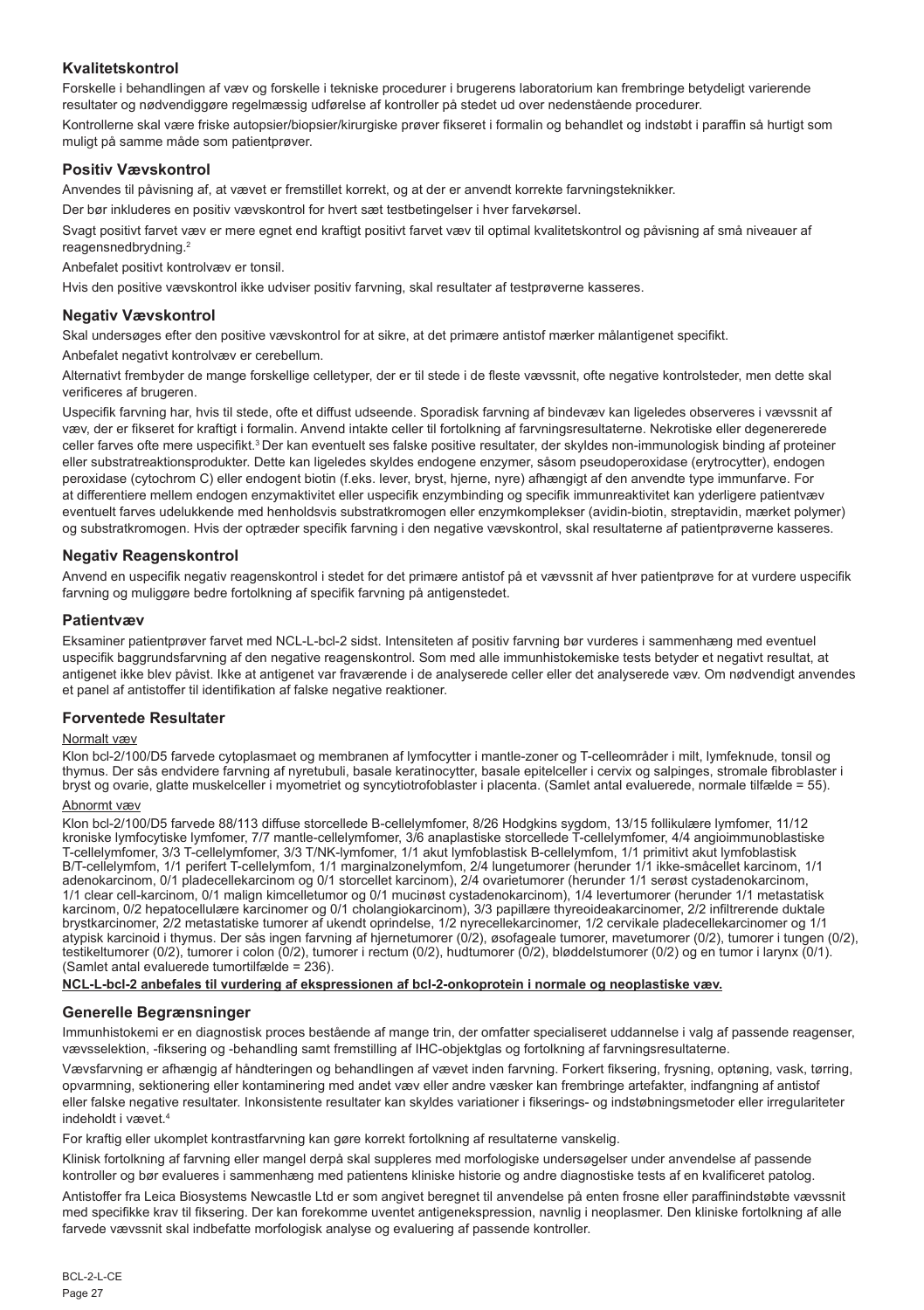## **Kvalitetskontrol**

Forskelle i behandlingen af væv og forskelle i tekniske procedurer i brugerens laboratorium kan frembringe betydeligt varierende resultater og nødvendiggøre regelmæssig udførelse af kontroller på stedet ud over nedenstående procedurer. Kontrollerne skal være friske autopsier/biopsier/kirurgiske prøver fikseret i formalin og behandlet og indstøbt i paraffin så hurtigt som muligt på samme måde som patientprøver.

## **Positiv Vævskontrol**

Anvendes til påvisning af, at vævet er fremstillet korrekt, og at der er anvendt korrekte farvningsteknikker.

Der bør inkluderes en positiv vævskontrol for hvert sæt testbetingelser i hver farvekørsel.

Svagt positivt farvet væv er mere egnet end kraftigt positivt farvet væv til optimal kvalitetskontrol og påvisning af små niveauer af reagensnedbrydning.<sup>2</sup>

Anbefalet positivt kontrolvæv er tonsil.

Hvis den positive vævskontrol ikke udviser positiv farvning, skal resultater af testprøverne kasseres.

## **Negativ Vævskontrol**

Skal undersøges efter den positive vævskontrol for at sikre, at det primære antistof mærker målantigenet specifikt.

Anbefalet negativt kontrolvæv er cerebellum.

Alternativt frembyder de mange forskellige celletyper, der er til stede i de fleste vævssnit, ofte negative kontrolsteder, men dette skal verificeres af brugeren.

Uspecifik farvning har, hvis til stede, ofte et diffust udseende. Sporadisk farvning af bindevæv kan ligeledes observeres i vævssnit af væv, der er fikseret for kraftigt i formalin. Anvend intakte celler til fortolkning af farvningsresultaterne. Nekrotiske eller degenererede celler farves ofte mere uspecifikt.<sup>3</sup> Der kan eventuelt ses falske positive resultater, der skyldes non-immunologisk binding af proteiner eller substratreaktionsprodukter. Dette kan ligeledes skyldes endogene enzymer, såsom pseudoperoxidase (erytrocytter), endogen peroxidase (cytochrom C) eller endogent biotin (f.eks. lever, bryst, hjerne, nyre) afhængigt af den anvendte type immunfarve. For at differentiere mellem endogen enzymaktivitet eller uspecifik enzymbinding og specifik immunreaktivitet kan yderligere patientvæv eventuelt farves udelukkende med henholdsvis substratkromogen eller enzymkomplekser (avidin-biotin, streptavidin, mærket polymer) og substratkromogen. Hvis der optræder specifik farvning i den negative vævskontrol, skal resultaterne af patientprøverne kasseres.

## **Negativ Reagenskontrol**

Anvend en uspecifik negativ reagenskontrol i stedet for det primære antistof på et vævssnit af hver patientprøve for at vurdere uspecifik farvning og muliggøre bedre fortolkning af specifik farvning på antigenstedet.

## **Patientvæv**

Eksaminer patientprøver farvet med NCL-L-bcl-2 sidst. Intensiteten af positiv farvning bør vurderes i sammenhæng med eventuel uspecifik baggrundsfarvning af den negative reagenskontrol. Som med alle immunhistokemiske tests betyder et negativt resultat, at antigenet ikke blev påvist. Ikke at antigenet var fraværende i de analyserede celler eller det analyserede væv. Om nødvendigt anvendes et panel af antistoffer til identifikation af falske negative reaktioner.

## **Forventede Resultater**

#### Normalt væv

Klon bcl-2/100/D5 farvede cytoplasmaet og membranen af lymfocytter i mantle-zoner og T-celleområder i milt, lymfeknude, tonsil og thymus. Der sås endvidere farvning af nyretubuli, basale keratinocytter, basale epitelceller i cervix og salpinges, stromale fibroblaster i bryst og ovarie, glatte muskelceller i myometriet og syncytiotrofoblaster i placenta. (Samlet antal evaluerede, normale tilfælde = 55).

#### Abnormt væv

Klon bcl-2/100/D5 farvede 88/113 diffuse storcellede B-cellelymfomer, 8/26 Hodgkins sygdom, 13/15 follikulære lymfomer, 11/12 kroniske lymfocytiske lymfomer, 7/7 mantle-cellelymfomer, 3/6 anaplastiske storcellede T-cellelymfomer, 4/4 angioimmunoblastiske T-cellelymfomer, 3/3 T-cellelymfomer, 3/3 T/NK-lymfomer, 1/1 akut lymfoblastisk B-cellelymfom, 1/1 primitivt akut lymfoblastisk B/T-cellelymfom, 1/1 perifert T-cellelymfom, 1/1 marginalzonelymfom, 2/4 lungetumorer (herunder 1/1 ikke-småcellet karcinom, 1/1 adenokarcinom, 0/1 pladecellekarcinom og 0/1 storcellet karcinom), 2/4 ovarietumorer (herunder 1/1 serøst cystadenokarcinom, 1/1 clear cell-karcinom, 0/1 malign kimcelletumor og 0/1 mucinøst cystadenokarcinom), 1/4 levertumorer (herunder 1/1 metastatisk karcinom, 0/2 hepatocellulære karcinomer og 0/1 cholangiokarcinom), 3/3 papillære thyreoideakarcinomer, 2/2 infiltrerende duktale brystkarcinomer, 2/2 metastatiske tumorer af ukendt oprindelse, 1/2 nyrecellekarcinomer, 1/2 cervikale pladecellekarcinomer og 1/1 atypisk karcinoid i thymus. Der sås ingen farvning af hjernetumorer (0/2), øsofageale tumorer, mavetumorer (0/2), tumorer i tungen (0/2), testikeltumorer (0/2), tumorer i colon (0/2), tumorer i rectum (0/2), hudtumorer (0/2), bløddelstumorer (0/2) og en tumor i larynx (0/1). (Samlet antal evaluerede tumortilfælde = 236).

**NCL-L-bcl-2 anbefales til vurdering af ekspressionen af bcl-2-onkoprotein i normale og neoplastiske væv.**

## **Generelle Begrænsninger**

Immunhistokemi er en diagnostisk proces bestående af mange trin, der omfatter specialiseret uddannelse i valg af passende reagenser, vævsselektion, -fiksering og -behandling samt fremstilling af IHC-objektglas og fortolkning af farvningsresultaterne.

Vævsfarvning er afhængig af håndteringen og behandlingen af vævet inden farvning. Forkert fiksering, frysning, optøning, vask, tørring, opvarmning, sektionering eller kontaminering med andet væv eller andre væsker kan frembringe artefakter, indfangning af antistof eller falske negative resultater. Inkonsistente resultater kan skyldes variationer i fikserings- og indstøbningsmetoder eller irregulariteter indeholdt i vævet.4

For kraftig eller ukomplet kontrastfarvning kan gøre korrekt fortolkning af resultaterne vanskelig.

Klinisk fortolkning af farvning eller mangel derpå skal suppleres med morfologiske undersøgelser under anvendelse af passende kontroller og bør evalueres i sammenhæng med patientens kliniske historie og andre diagnostiske tests af en kvalificeret patolog.

Antistoffer fra Leica Biosystems Newcastle Ltd er som angivet beregnet til anvendelse på enten frosne eller paraffinindstøbte vævssnit med specifikke krav til fiksering. Der kan forekomme uventet antigenekspression, navnlig i neoplasmer. Den kliniske fortolkning af alle farvede vævssnit skal indbefatte morfologisk analyse og evaluering af passende kontroller.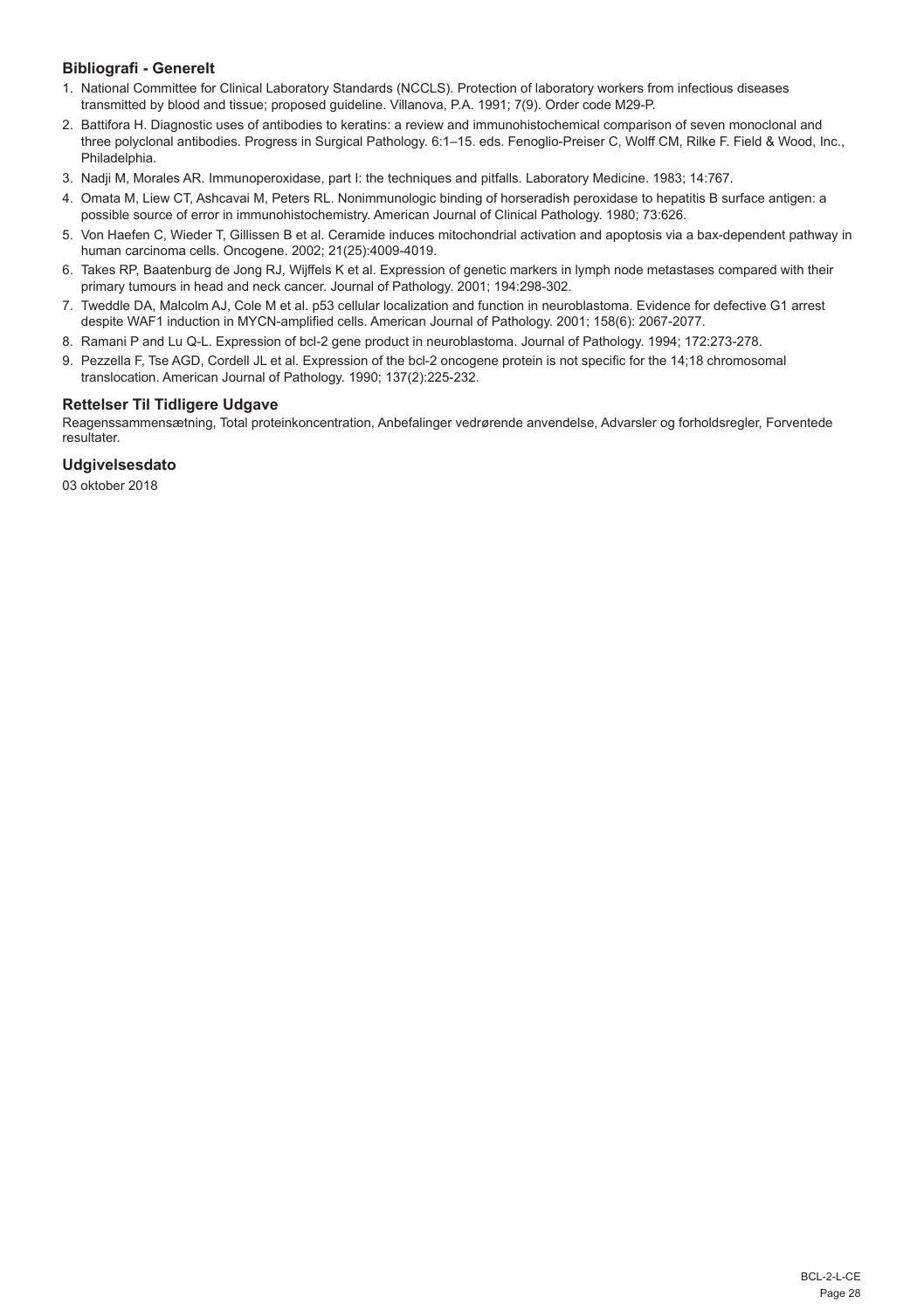## **Bibliografi - Generelt**

- 1. National Committee for Clinical Laboratory Standards (NCCLS). Protection of laboratory workers from infectious diseases transmitted by blood and tissue; proposed guideline. Villanova, P.A. 1991; 7(9). Order code M29-P.
- 2. Battifora H. Diagnostic uses of antibodies to keratins: a review and immunohistochemical comparison of seven monoclonal and three polyclonal antibodies. Progress in Surgical Pathology. 6:1–15. eds. Fenoglio-Preiser C, Wolff CM, Rilke F. Field & Wood, Inc., Philadelphia.
- 3. Nadji M, Morales AR. Immunoperoxidase, part I: the techniques and pitfalls. Laboratory Medicine. 1983; 14:767.
- 4. Omata M, Liew CT, Ashcavai M, Peters RL. Nonimmunologic binding of horseradish peroxidase to hepatitis B surface antigen: a possible source of error in immunohistochemistry. American Journal of Clinical Pathology. 1980; 73:626.
- 5. Von Haefen C, Wieder T, Gillissen B et al. Ceramide induces mitochondrial activation and apoptosis via a bax-dependent pathway in human carcinoma cells. Oncogene. 2002; 21(25):4009-4019.
- 6. Takes RP, Baatenburg de Jong RJ, Wijffels K et al. Expression of genetic markers in lymph node metastases compared with their primary tumours in head and neck cancer. Journal of Pathology. 2001; 194:298-302.
- 7. Tweddle DA, Malcolm AJ, Cole M et al. p53 cellular localization and function in neuroblastoma. Evidence for defective G1 arrest despite WAF1 induction in MYCN-amplified cells. American Journal of Pathology. 2001; 158(6): 2067-2077.
- 8. Ramani P and Lu Q-L. Expression of bcl-2 gene product in neuroblastoma. Journal of Pathology. 1994; 172:273-278.
- 9. Pezzella F, Tse AGD, Cordell JL et al. Expression of the bcl-2 oncogene protein is not specific for the 14;18 chromosomal translocation. American Journal of Pathology. 1990; 137(2):225-232.

#### **Rettelser Til Tidligere Udgave**

Reagenssammensætning, Total proteinkoncentration, Anbefalinger vedrørende anvendelse, Advarsler og forholdsregler, Forventede resultater.

## **Udgivelsesdato**

03 oktober 2018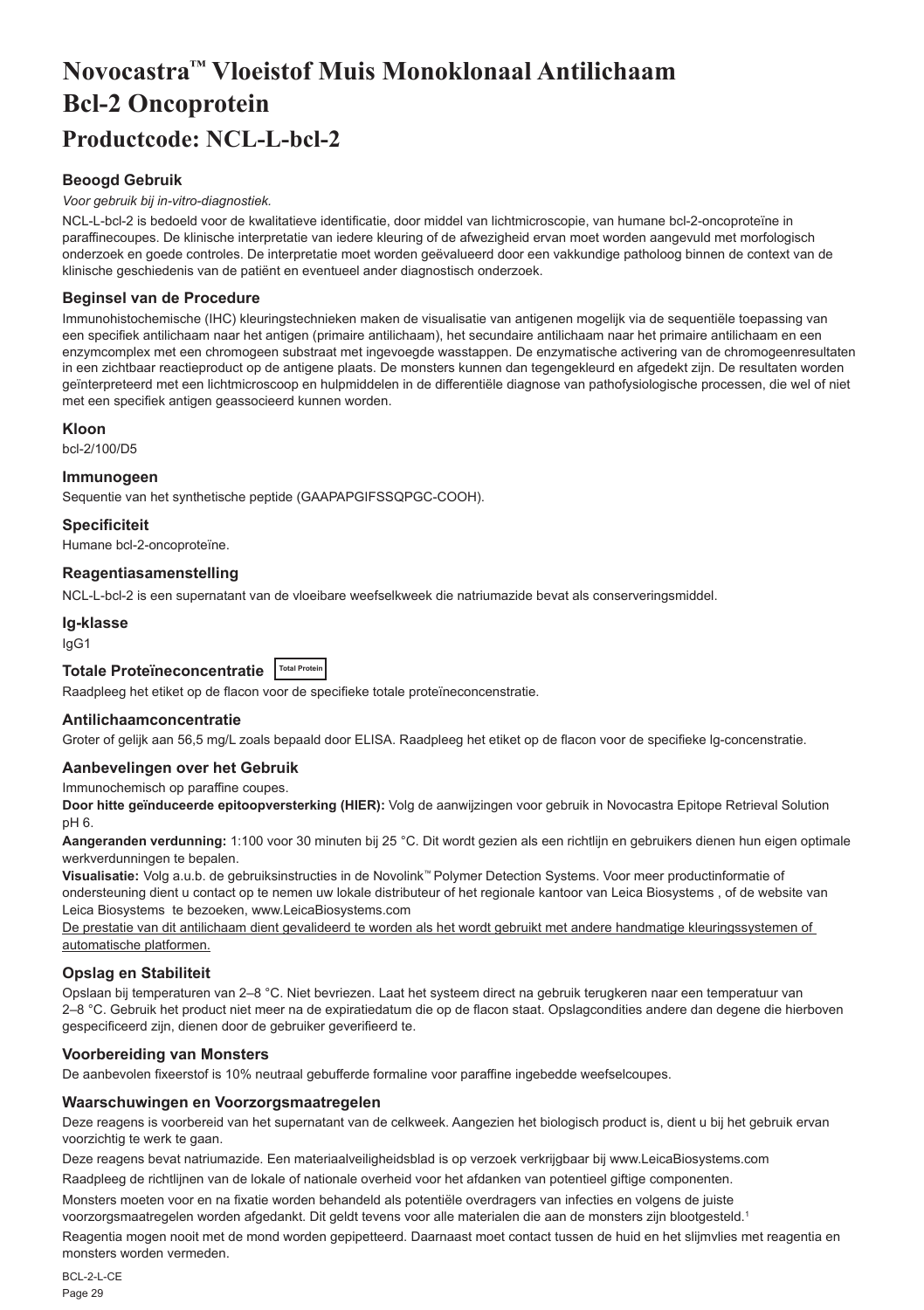# <span id="page-29-0"></span>**Novocastra™ Vloeistof Muis Monoklonaal Antilichaam Bcl-2 Oncoprotein Productcode: NCL-L-bcl-2**

## **Beoogd Gebruik**

#### *Voor gebruik bij in-vitro-diagnostiek.*

NCL-L-bcl-2 is bedoeld voor de kwalitatieve identificatie, door middel van lichtmicroscopie, van humane bcl-2-oncoproteïne in paraffinecoupes. De klinische interpretatie van iedere kleuring of de afwezigheid ervan moet worden aangevuld met morfologisch onderzoek en goede controles. De interpretatie moet worden geëvalueerd door een vakkundige patholoog binnen de context van de klinische geschiedenis van de patiënt en eventueel ander diagnostisch onderzoek.

#### **Beginsel van de Procedure**

Immunohistochemische (IHC) kleuringstechnieken maken de visualisatie van antigenen mogelijk via de sequentiële toepassing van een specifiek antilichaam naar het antigen (primaire antilichaam), het secundaire antilichaam naar het primaire antilichaam en een enzymcomplex met een chromogeen substraat met ingevoegde wasstappen. De enzymatische activering van de chromogeenresultaten in een zichtbaar reactieproduct op de antigene plaats. De monsters kunnen dan tegengekleurd en afgedekt zijn. De resultaten worden geïnterpreteerd met een lichtmicroscoop en hulpmiddelen in de differentiële diagnose van pathofysiologische processen, die wel of niet met een specifiek antigen geassocieerd kunnen worden.

#### **Kloon**

bcl-2/100/D5

#### **Immunogeen**

Sequentie van het synthetische peptide (GAAPAPGIFSSQPGC-COOH).

#### **Specificiteit**

Humane bcl-2-oncoproteïne.

#### **Reagentiasamenstelling**

NCL-L-bcl-2 is een supernatant van de vloeibare weefselkweek die natriumazide bevat als conserveringsmiddel.

## **Ig-klasse**

IgG1

## **Totale Proteïneconcentratie Total Protein**

Raadpleeg het etiket op de flacon voor de specifieke totale proteïneconcenstratie.

## **Antilichaamconcentratie**

Groter of gelijk aan 56,5 mg/L zoals bepaald door ELISA. Raadpleeg het etiket op de flacon voor de specifieke lg-concenstratie.

#### **Aanbevelingen over het Gebruik**

Immunochemisch op paraffine coupes.

**Door hitte geïnduceerde epitoopversterking (HIER):** Volg de aanwijzingen voor gebruik in Novocastra Epitope Retrieval Solution pH 6.

**Aangeranden verdunning:** 1:100 voor 30 minuten bij 25 °C. Dit wordt gezien als een richtlijn en gebruikers dienen hun eigen optimale werkverdunningen te bepalen.

**Visualisatie:** Volg a.u.b. de gebruiksinstructies in de Novolink™ Polymer Detection Systems. Voor meer productinformatie of ondersteuning dient u contact op te nemen uw lokale distributeur of het regionale kantoor van Leica Biosystems , of de website van Leica Biosystems te bezoeken, www.LeicaBiosystems.com

De prestatie van dit antilichaam dient gevalideerd te worden als het wordt gebruikt met andere handmatige kleuringssystemen of automatische platformen.

## **Opslag en Stabiliteit**

Opslaan bij temperaturen van 2–8 °C. Niet bevriezen. Laat het systeem direct na gebruik terugkeren naar een temperatuur van 2–8 °C. Gebruik het product niet meer na de expiratiedatum die op de flacon staat. Opslagcondities andere dan degene die hierboven gespecificeerd zijn, dienen door de gebruiker geverifieerd te.

## **Voorbereiding van Monsters**

De aanbevolen fixeerstof is 10% neutraal gebufferde formaline voor paraffine ingebedde weefselcoupes.

#### **Waarschuwingen en Voorzorgsmaatregelen**

Deze reagens is voorbereid van het supernatant van de celkweek. Aangezien het biologisch product is, dient u bij het gebruik ervan voorzichtig te werk te gaan.

Deze reagens bevat natriumazide. Een materiaalveiligheidsblad is op verzoek verkrijgbaar bij www.LeicaBiosystems.com

Raadpleeg de richtlijnen van de lokale of nationale overheid voor het afdanken van potentieel giftige componenten.

Monsters moeten voor en na fixatie worden behandeld als potentiële overdragers van infecties en volgens de juiste voorzorgsmaatregelen worden afgedankt. Dit geldt tevens voor alle materialen die aan de monsters zijn blootgesteld.<sup>1</sup>

Reagentia mogen nooit met de mond worden gepipetteerd. Daarnaast moet contact tussen de huid en het slijmvlies met reagentia en monsters worden vermeden.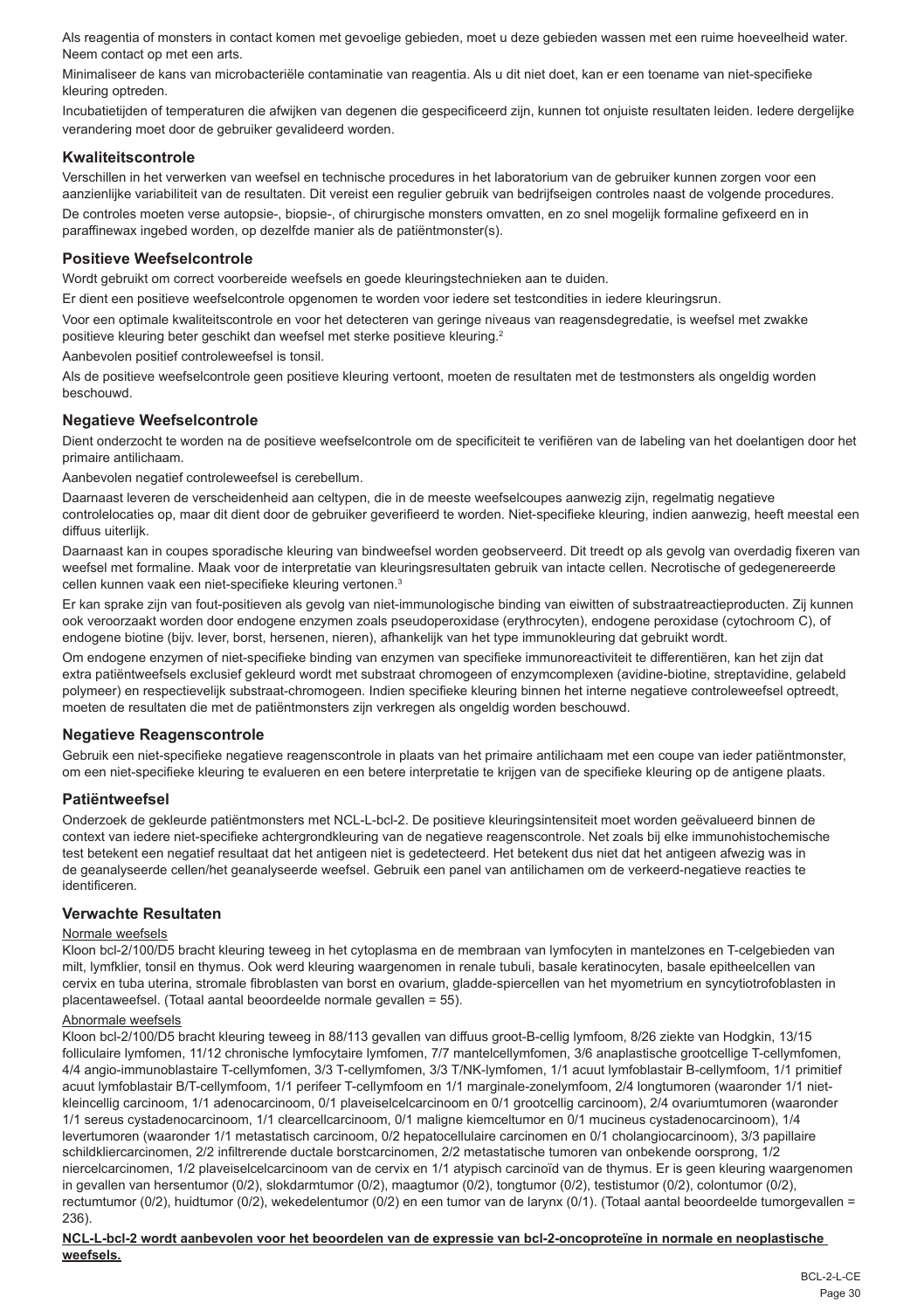Als reagentia of monsters in contact komen met gevoelige gebieden, moet u deze gebieden wassen met een ruime hoeveelheid water. Neem contact op met een arts.

Minimaliseer de kans van microbacteriële contaminatie van reagentia. Als u dit niet doet, kan er een toename van niet-specifieke kleuring optreden.

Incubatietijden of temperaturen die afwijken van degenen die gespecificeerd zijn, kunnen tot onjuiste resultaten leiden. Iedere dergelijke verandering moet door de gebruiker gevalideerd worden.

#### **Kwaliteitscontrole**

Verschillen in het verwerken van weefsel en technische procedures in het laboratorium van de gebruiker kunnen zorgen voor een aanzienlijke variabiliteit van de resultaten. Dit vereist een regulier gebruik van bedrijfseigen controles naast de volgende procedures.

De controles moeten verse autopsie-, biopsie-, of chirurgische monsters omvatten, en zo snel mogelijk formaline gefixeerd en in paraffinewax ingebed worden, op dezelfde manier als de patiëntmonster(s).

#### **Positieve Weefselcontrole**

Wordt gebruikt om correct voorbereide weefsels en goede kleuringstechnieken aan te duiden.

Er dient een positieve weefselcontrole opgenomen te worden voor iedere set testcondities in iedere kleuringsrun.

Voor een optimale kwaliteitscontrole en voor het detecteren van geringe niveaus van reagensdegredatie, is weefsel met zwakke positieve kleuring beter geschikt dan weefsel met sterke positieve kleuring.<sup>2</sup>

Aanbevolen positief controleweefsel is tonsil.

Als de positieve weefselcontrole geen positieve kleuring vertoont, moeten de resultaten met de testmonsters als ongeldig worden beschouwd.

#### **Negatieve Weefselcontrole**

Dient onderzocht te worden na de positieve weefselcontrole om de specificiteit te verifiëren van de labeling van het doelantigen door het primaire antilichaam.

Aanbevolen negatief controleweefsel is cerebellum.

Daarnaast leveren de verscheidenheid aan celtypen, die in de meeste weefselcoupes aanwezig zijn, regelmatig negatieve controlelocaties op, maar dit dient door de gebruiker geverifieerd te worden. Niet-specifieke kleuring, indien aanwezig, heeft meestal een diffuus uiterlijk.

Daarnaast kan in coupes sporadische kleuring van bindweefsel worden geobserveerd. Dit treedt op als gevolg van overdadig fixeren van weefsel met formaline. Maak voor de interpretatie van kleuringsresultaten gebruik van intacte cellen. Necrotische of gedegenereerde cellen kunnen vaak een niet-specifieke kleuring vertonen.<sup>3</sup>

Er kan sprake zijn van fout-positieven als gevolg van niet-immunologische binding van eiwitten of substraatreactieproducten. Zij kunnen ook veroorzaakt worden door endogene enzymen zoals pseudoperoxidase (erythrocyten), endogene peroxidase (cytochroom C), of endogene biotine (bijv. lever, borst, hersenen, nieren), afhankelijk van het type immunokleuring dat gebruikt wordt.

Om endogene enzymen of niet-specifieke binding van enzymen van specifieke immunoreactiviteit te differentiëren, kan het zijn dat extra patiëntweefsels exclusief gekleurd wordt met substraat chromogeen of enzymcomplexen (avidine-biotine, streptavidine, gelabeld polymeer) en respectievelijk substraat-chromogeen. Indien specifieke kleuring binnen het interne negatieve controleweefsel optreedt, moeten de resultaten die met de patiëntmonsters zijn verkregen als ongeldig worden beschouwd.

#### **Negatieve Reagenscontrole**

Gebruik een niet-specifieke negatieve reagenscontrole in plaats van het primaire antilichaam met een coupe van ieder patiëntmonster, om een niet-specifieke kleuring te evalueren en een betere interpretatie te krijgen van de specifieke kleuring op de antigene plaats.

#### **Patiëntweefsel**

Onderzoek de gekleurde patiëntmonsters met NCL-L-bcl-2. De positieve kleuringsintensiteit moet worden geëvalueerd binnen de context van iedere niet-specifieke achtergrondkleuring van de negatieve reagenscontrole. Net zoals bij elke immunohistochemische test betekent een negatief resultaat dat het antigeen niet is gedetecteerd. Het betekent dus niet dat het antigeen afwezig was in de geanalyseerde cellen/het geanalyseerde weefsel. Gebruik een panel van antilichamen om de verkeerd-negatieve reacties te identificeren.

## **Verwachte Resultaten**

#### Normale weefsels

Kloon bcl-2/100/D5 bracht kleuring teweeg in het cytoplasma en de membraan van lymfocyten in mantelzones en T-celgebieden van milt, lymfklier, tonsil en thymus. Ook werd kleuring waargenomen in renale tubuli, basale keratinocyten, basale epitheelcellen van cervix en tuba uterina, stromale fibroblasten van borst en ovarium, gladde-spiercellen van het myometrium en syncytiotrofoblasten in placentaweefsel. (Totaal aantal beoordeelde normale gevallen = 55).

#### Abnormale weefsels

Kloon bcl-2/100/D5 bracht kleuring teweeg in 88/113 gevallen van diffuus groot-B-cellig lymfoom, 8/26 ziekte van Hodgkin, 13/15 folliculaire lymfomen, 11/12 chronische lymfocytaire lymfomen, 7/7 mantelcellymfomen, 3/6 anaplastische grootcellige T-cellymfomen, 4/4 angio-immunoblastaire T-cellymfomen, 3/3 T-cellymfomen, 3/3 T/NK-lymfomen, 1/1 acuut lymfoblastair B-cellymfoom, 1/1 primitief acuut lymfoblastair B/T-cellymfoom, 1/1 perifeer T-cellymfoom en 1/1 marginale-zonelymfoom, 2/4 longtumoren (waaronder 1/1 nietkleincellig carcinoom, 1/1 adenocarcinoom, 0/1 plaveiselcelcarcinoom en 0/1 grootcellig carcinoom), 2/4 ovariumtumoren (waaronder 1/1 sereus cystadenocarcinoom, 1/1 clearcellcarcinoom, 0/1 maligne kiemceltumor en 0/1 mucineus cystadenocarcinoom), 1/4 levertumoren (waaronder 1/1 metastatisch carcinoom, 0/2 hepatocellulaire carcinomen en 0/1 cholangiocarcinoom), 3/3 papillaire schildkliercarcinomen, 2/2 infiltrerende ductale borstcarcinomen, 2/2 metastatische tumoren van onbekende oorsprong, 1/2 niercelcarcinomen, 1/2 plaveiselcelcarcinoom van de cervix en 1/1 atypisch carcinoïd van de thymus. Er is geen kleuring waargenomen in gevallen van hersentumor (0/2), slokdarmtumor (0/2), maagtumor (0/2), tongtumor (0/2), testistumor (0/2), colontumor (0/2), rectumtumor (0/2), huidtumor (0/2), wekedelentumor (0/2) en een tumor van de larynx (0/1). (Totaal aantal beoordeelde tumorgevallen = 236).

#### **NCL-L-bcl-2 wordt aanbevolen voor het beoordelen van de expressie van bcl-2-oncoproteïne in normale en neoplastische weefsels.**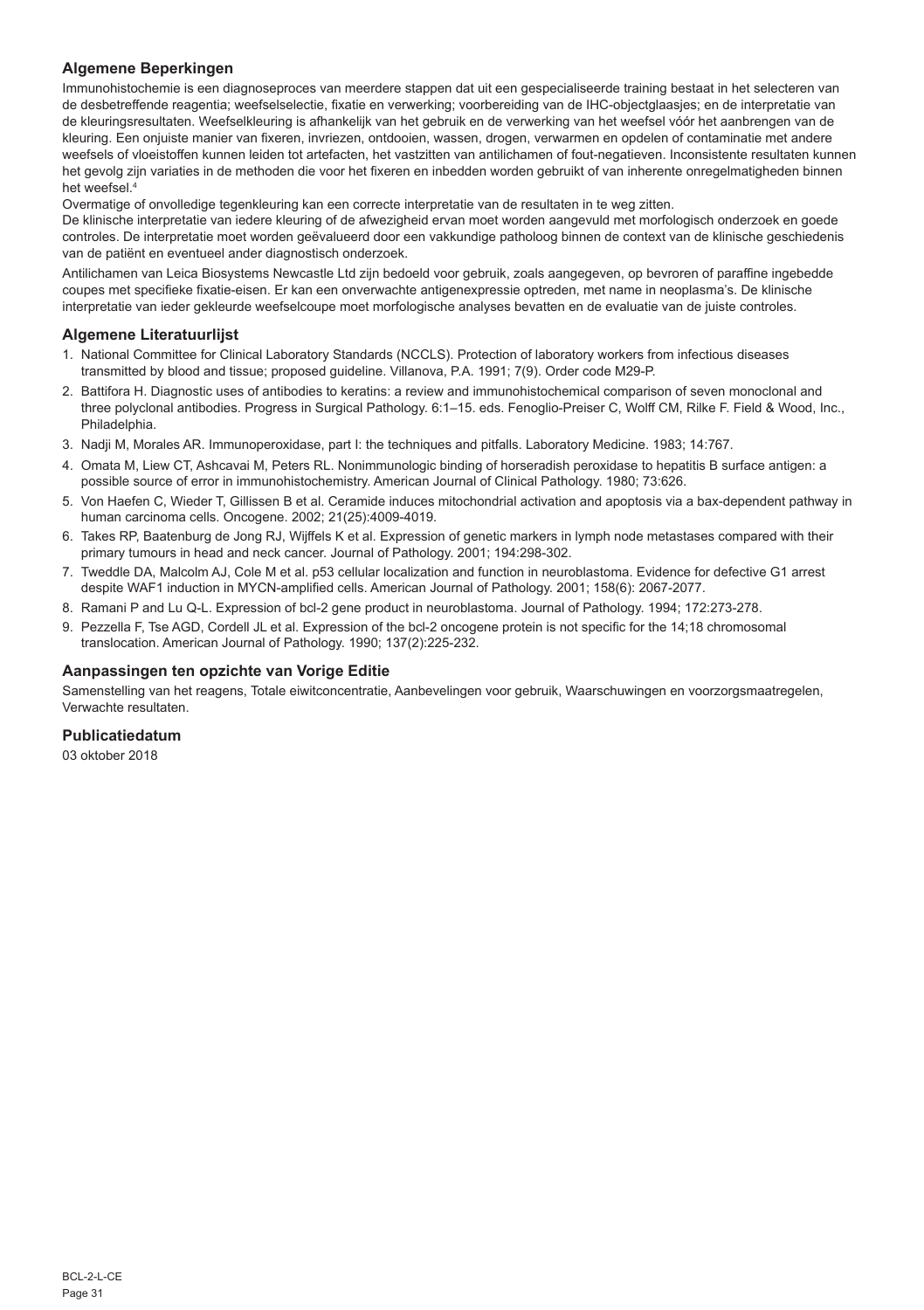## **Algemene Beperkingen**

Immunohistochemie is een diagnoseproces van meerdere stappen dat uit een gespecialiseerde training bestaat in het selecteren van de desbetreffende reagentia; weefselselectie, fixatie en verwerking; voorbereiding van de IHC-objectglaasjes; en de interpretatie van de kleuringsresultaten. Weefselkleuring is afhankelijk van het gebruik en de verwerking van het weefsel vóór het aanbrengen van de kleuring. Een onjuiste manier van fixeren, invriezen, ontdooien, wassen, drogen, verwarmen en opdelen of contaminatie met andere weefsels of vloeistoffen kunnen leiden tot artefacten, het vastzitten van antilichamen of fout-negatieven. Inconsistente resultaten kunnen het gevolg zijn variaties in de methoden die voor het fixeren en inbedden worden gebruikt of van inherente onregelmatigheden binnen het weefsel.4

Overmatige of onvolledige tegenkleuring kan een correcte interpretatie van de resultaten in te weg zitten.

De klinische interpretatie van iedere kleuring of de afwezigheid ervan moet worden aangevuld met morfologisch onderzoek en goede controles. De interpretatie moet worden geëvalueerd door een vakkundige patholoog binnen de context van de klinische geschiedenis van de patiënt en eventueel ander diagnostisch onderzoek.

Antilichamen van Leica Biosystems Newcastle Ltd zijn bedoeld voor gebruik, zoals aangegeven, op bevroren of paraffine ingebedde coupes met specifieke fixatie-eisen. Er kan een onverwachte antigenexpressie optreden, met name in neoplasma's. De klinische interpretatie van ieder gekleurde weefselcoupe moet morfologische analyses bevatten en de evaluatie van de juiste controles.

## **Algemene Literatuurlijst**

- 1. National Committee for Clinical Laboratory Standards (NCCLS). Protection of laboratory workers from infectious diseases transmitted by blood and tissue; proposed guideline. Villanova, P.A. 1991; 7(9). Order code M29-P.
- 2. Battifora H. Diagnostic uses of antibodies to keratins: a review and immunohistochemical comparison of seven monoclonal and three polyclonal antibodies. Progress in Surgical Pathology. 6:1–15. eds. Fenoglio-Preiser C, Wolff CM, Rilke F. Field & Wood, Inc., Philadelphia
- 3. Nadji M, Morales AR. Immunoperoxidase, part I: the techniques and pitfalls. Laboratory Medicine. 1983; 14:767.
- 4. Omata M, Liew CT, Ashcavai M, Peters RL. Nonimmunologic binding of horseradish peroxidase to hepatitis B surface antigen: a possible source of error in immunohistochemistry. American Journal of Clinical Pathology. 1980; 73:626.
- 5. Von Haefen C, Wieder T, Gillissen B et al. Ceramide induces mitochondrial activation and apoptosis via a bax-dependent pathway in human carcinoma cells. Oncogene. 2002; 21(25):4009-4019.
- 6. Takes RP, Baatenburg de Jong RJ, Wijffels K et al. Expression of genetic markers in lymph node metastases compared with their primary tumours in head and neck cancer. Journal of Pathology. 2001; 194:298-302.
- 7. Tweddle DA, Malcolm AJ, Cole M et al. p53 cellular localization and function in neuroblastoma. Evidence for defective G1 arrest despite WAF1 induction in MYCN-amplified cells. American Journal of Pathology. 2001; 158(6): 2067-2077.
- 8. Ramani P and Lu Q-L. Expression of bcl-2 gene product in neuroblastoma. Journal of Pathology. 1994; 172:273-278.
- 9. Pezzella F, Tse AGD, Cordell JL et al. Expression of the bcl-2 oncogene protein is not specific for the 14;18 chromosomal translocation. American Journal of Pathology. 1990; 137(2):225-232.

## **Aanpassingen ten opzichte van Vorige Editie**

Samenstelling van het reagens, Totale eiwitconcentratie, Aanbevelingen voor gebruik, Waarschuwingen en voorzorgsmaatregelen, Verwachte resultaten.

#### **Publicatiedatum**

03 oktober 2018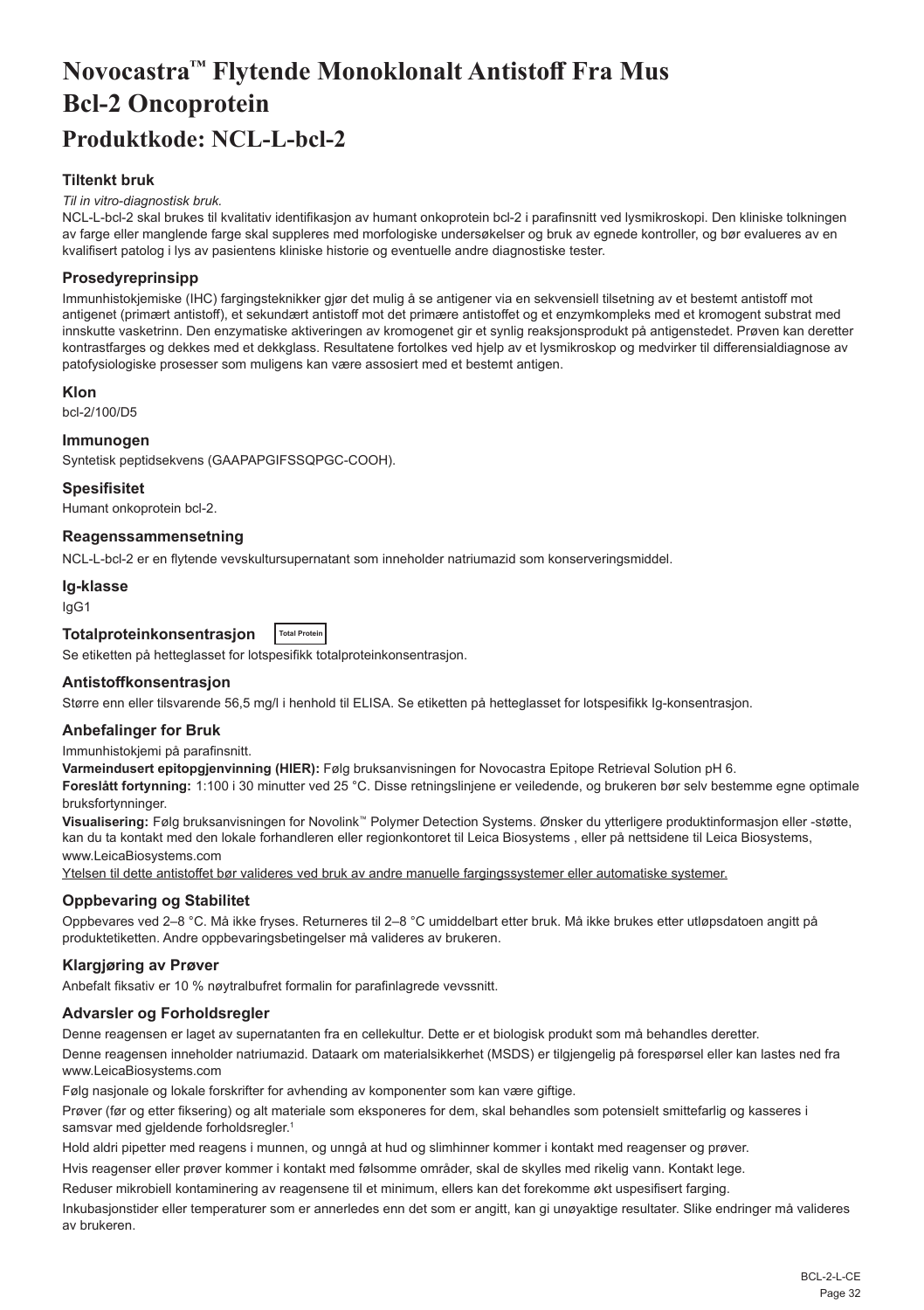# <span id="page-32-0"></span>**Novocastra™ Flytende Monoklonalt Antistoff Fra Mus Bcl-2 Oncoprotein Produktkode: NCL-L-bcl-2**

## **Tiltenkt bruk**

#### *Til in vitro-diagnostisk bruk.*

NCL-L-bcl-2 skal brukes til kvalitativ identifikasjon av humant onkoprotein bcl-2 i parafinsnitt ved lysmikroskopi. Den kliniske tolkningen av farge eller manglende farge skal suppleres med morfologiske undersøkelser og bruk av egnede kontroller, og bør evalueres av en kvalifisert patolog i lys av pasientens kliniske historie og eventuelle andre diagnostiske tester.

## **Prosedyreprinsipp**

Immunhistokjemiske (IHC) fargingsteknikker gjør det mulig å se antigener via en sekvensiell tilsetning av et bestemt antistoff mot antigenet (primært antistoff), et sekundært antistoff mot det primære antistoffet og et enzymkompleks med et kromogent substrat med innskutte vasketrinn. Den enzymatiske aktiveringen av kromogenet gir et synlig reaksjonsprodukt på antigenstedet. Prøven kan deretter kontrastfarges og dekkes med et dekkglass. Resultatene fortolkes ved hjelp av et lysmikroskop og medvirker til differensialdiagnose av patofysiologiske prosesser som muligens kan være assosiert med et bestemt antigen.

#### **Klon**

bcl-2/100/D5

#### **Immunogen**

Syntetisk peptidsekvens (GAAPAPGIFSSQPGC-COOH).

#### **Spesifisitet**

Humant onkoprotein bcl-2.

## **Reagenssammensetning**

NCL-L-bcl-2 er en flytende vevskultursupernatant som inneholder natriumazid som konserveringsmiddel.

#### **Ig-klasse**

IgG1

#### **Totalproteinkonsentrasjon Total Protein**

Se etiketten på hetteglasset for lotspesifikk totalproteinkonsentrasjon.

#### **Antistoffkonsentrasjon**

Større enn eller tilsvarende 56,5 mg/l i henhold til ELISA. Se etiketten på hetteglasset for lotspesifikk Ig-konsentrasjon.

#### **Anbefalinger for Bruk**

Immunhistokjemi på parafinsnitt.

**Varmeindusert epitopgjenvinning (HIER):** Følg bruksanvisningen for Novocastra Epitope Retrieval Solution pH 6.

**Foreslått fortynning:** 1:100 i 30 minutter ved 25 °C. Disse retningslinjene er veiledende, og brukeren bør selv bestemme egne optimale bruksfortynninger.

**Visualisering:** Følg bruksanvisningen for Novolink™ Polymer Detection Systems. Ønsker du ytterligere produktinformasjon eller -støtte, kan du ta kontakt med den lokale forhandleren eller regionkontoret til Leica Biosystems , eller på nettsidene til Leica Biosystems, www.LeicaBiosystems.com

Ytelsen til dette antistoffet bør valideres ved bruk av andre manuelle fargingssystemer eller automatiske systemer.

## **Oppbevaring og Stabilitet**

Oppbevares ved 2–8 °C. Må ikke fryses. Returneres til 2–8 °C umiddelbart etter bruk. Må ikke brukes etter utløpsdatoen angitt på produktetiketten. Andre oppbevaringsbetingelser må valideres av brukeren.

#### **Klargjøring av Prøver**

Anbefalt fiksativ er 10 % nøytralbufret formalin for parafinlagrede vevssnitt.

## **Advarsler og Forholdsregler**

Denne reagensen er laget av supernatanten fra en cellekultur. Dette er et biologisk produkt som må behandles deretter. Denne reagensen inneholder natriumazid. Dataark om materialsikkerhet (MSDS) er tilgjengelig på forespørsel eller kan lastes ned fra www.LeicaBiosystems.com

Følg nasjonale og lokale forskrifter for avhending av komponenter som kan være giftige.

Prøver (før og etter fiksering) og alt materiale som eksponeres for dem, skal behandles som potensielt smittefarlig og kasseres i samsvar med gjeldende forholdsregler.<sup>1</sup>

Hold aldri pipetter med reagens i munnen, og unngå at hud og slimhinner kommer i kontakt med reagenser og prøver.

Hvis reagenser eller prøver kommer i kontakt med følsomme områder, skal de skylles med rikelig vann. Kontakt lege.

Reduser mikrobiell kontaminering av reagensene til et minimum, ellers kan det forekomme økt uspesifisert farging.

Inkubasjonstider eller temperaturer som er annerledes enn det som er angitt, kan gi unøyaktige resultater. Slike endringer må valideres av brukeren.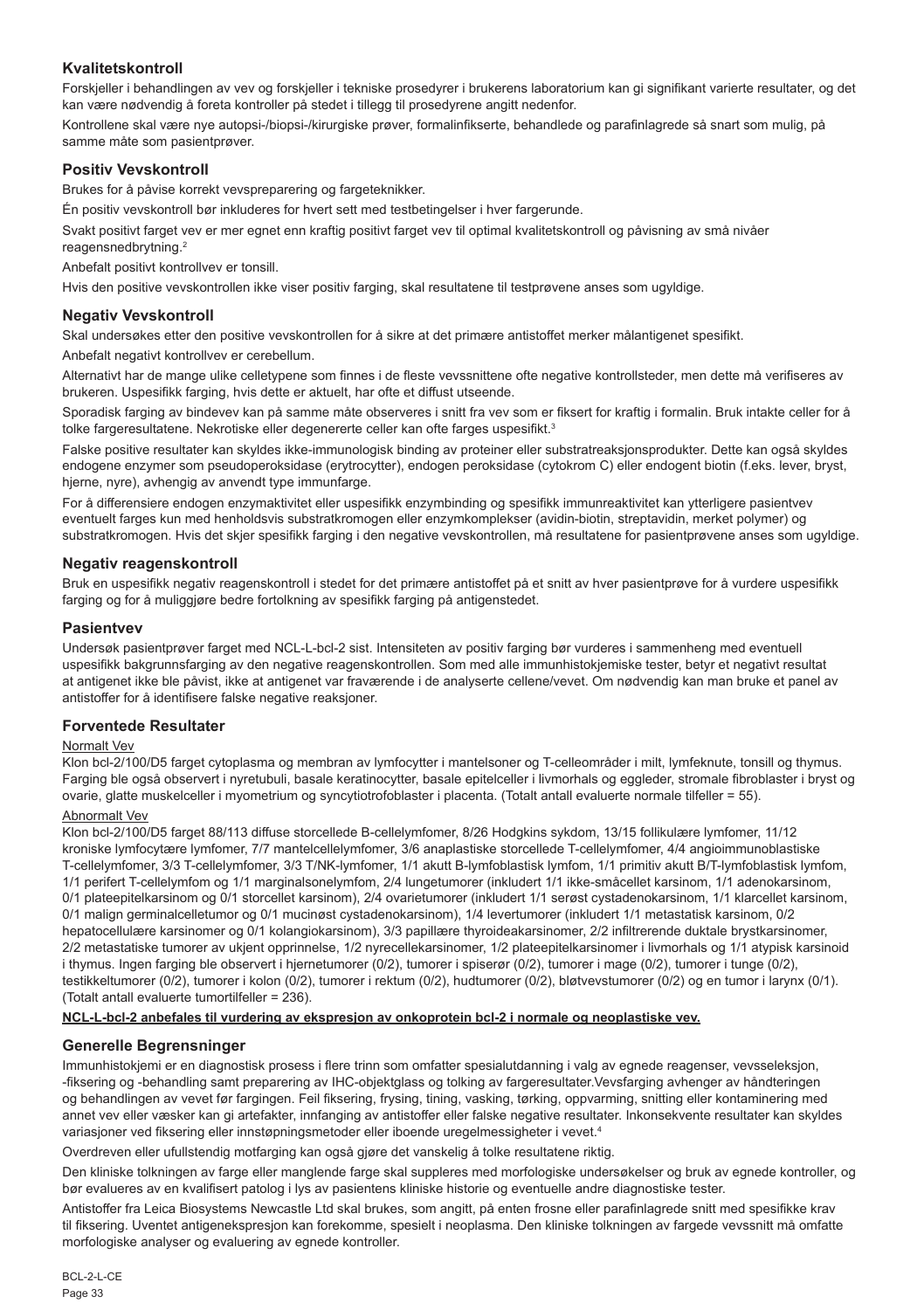## **Kvalitetskontroll**

Forskjeller i behandlingen av vev og forskjeller i tekniske prosedyrer i brukerens laboratorium kan gi signifikant varierte resultater, og det kan være nødvendig å foreta kontroller på stedet i tillegg til prosedyrene angitt nedenfor.

Kontrollene skal være nye autopsi-/biopsi-/kirurgiske prøver, formalinfikserte, behandlede og parafinlagrede så snart som mulig, på samme måte som pasientprøver.

## **Positiv Vevskontroll**

Brukes for å påvise korrekt vevspreparering og fargeteknikker.

Én positiv vevskontroll bør inkluderes for hvert sett med testbetingelser i hver fargerunde.

Svakt positivt farget vev er mer egnet enn kraftig positivt farget vev til optimal kvalitetskontroll og påvisning av små nivåer reagensnedbrytning.<sup>2</sup>

Anbefalt positivt kontrollvev er tonsill.

Hvis den positive vevskontrollen ikke viser positiv farging, skal resultatene til testprøvene anses som ugyldige.

## **Negativ Vevskontroll**

Skal undersøkes etter den positive vevskontrollen for å sikre at det primære antistoffet merker målantigenet spesifikt.

Anbefalt negativt kontrollvev er cerebellum.

Alternativt har de mange ulike celletypene som finnes i de fleste vevssnittene ofte negative kontrollsteder, men dette må verifiseres av brukeren. Uspesifikk farging, hvis dette er aktuelt, har ofte et diffust utseende.

Sporadisk farging av bindevev kan på samme måte observeres i snitt fra vev som er fiksert for kraftig i formalin. Bruk intakte celler for å tolke fargeresultatene. Nekrotiske eller degenererte celler kan ofte farges uspesifikt.<sup>3</sup>

Falske positive resultater kan skyldes ikke-immunologisk binding av proteiner eller substratreaksjonsprodukter. Dette kan også skyldes endogene enzymer som pseudoperoksidase (erytrocytter), endogen peroksidase (cytokrom C) eller endogent biotin (f.eks. lever, bryst, hjerne, nyre), avhengig av anvendt type immunfarge.

For å differensiere endogen enzymaktivitet eller uspesifikk enzymbinding og spesifikk immunreaktivitet kan ytterligere pasientvev eventuelt farges kun med henholdsvis substratkromogen eller enzymkomplekser (avidin-biotin, streptavidin, merket polymer) og substratkromogen. Hvis det skjer spesifikk farging i den negative vevskontrollen, må resultatene for pasientprøvene anses som ugyldige.

## **Negativ reagenskontroll**

Bruk en uspesifikk negativ reagenskontroll i stedet for det primære antistoffet på et snitt av hver pasientprøve for å vurdere uspesifikk farging og for å muliggjøre bedre fortolkning av spesifikk farging på antigenstedet.

## **Pasientvev**

Undersøk pasientprøver farget med NCL-L-bcl-2 sist. Intensiteten av positiv farging bør vurderes i sammenheng med eventuell uspesifikk bakgrunnsfarging av den negative reagenskontrollen. Som med alle immunhistokjemiske tester, betyr et negativt resultat at antigenet ikke ble påvist, ikke at antigenet var fraværende i de analyserte cellene/vevet. Om nødvendig kan man bruke et panel av antistoffer for å identifisere falske negative reaksjoner.

## **Forventede Resultater**

## Normalt Vev

Klon bcl-2/100/D5 farget cytoplasma og membran av lymfocytter i mantelsoner og T-celleområder i milt, lymfeknute, tonsill og thymus. Farging ble også observert i nyretubuli, basale keratinocytter, basale epitelceller i livmorhals og eggleder, stromale fibroblaster i bryst og ovarie, glatte muskelceller i myometrium og syncytiotrofoblaster i placenta. (Totalt antall evaluerte normale tilfeller = 55).

## Abnormalt Vev

Klon bcl-2/100/D5 farget 88/113 diffuse storcellede B-cellelymfomer, 8/26 Hodgkins sykdom, 13/15 follikulære lymfomer, 11/12 kroniske lymfocytære lymfomer, 7/7 mantelcellelymfomer, 3/6 anaplastiske storcellede T-cellelymfomer, 4/4 angioimmunoblastiske T-cellelymfomer, 3/3 T-cellelymfomer, 3/3 T/NK-lymfomer, 1/1 akutt B-lymfoblastisk lymfom, 1/1 primitiv akutt B/T-lymfoblastisk lymfom, 1/1 perifert T-cellelymfom og 1/1 marginalsonelymfom, 2/4 lungetumorer (inkludert 1/1 ikke-småcellet karsinom, 1/1 adenokarsinom, 0/1 plateepitelkarsinom og 0/1 storcellet karsinom), 2/4 ovarietumorer (inkludert 1/1 serøst cystadenokarsinom, 1/1 klarcellet karsinom, 0/1 malign germinalcelletumor og 0/1 mucinøst cystadenokarsinom), 1/4 levertumorer (inkludert 1/1 metastatisk karsinom, 0/2 hepatocellulære karsinomer og 0/1 kolangiokarsinom), 3/3 papillære thyroideakarsinomer, 2/2 infiltrerende duktale brystkarsinomer, 2/2 metastatiske tumorer av ukjent opprinnelse, 1/2 nyrecellekarsinomer, 1/2 plateepitelkarsinomer i livmorhals og 1/1 atypisk karsinoid i thymus. Ingen farging ble observert i hjernetumorer (0/2), tumorer i spiserør (0/2), tumorer i mage (0/2), tumorer i tunge (0/2), testikkeltumorer (0/2), tumorer i kolon (0/2), tumorer i rektum (0/2), hudtumorer (0/2), bløtvevstumorer (0/2) og en tumor i larynx (0/1). (Totalt antall evaluerte tumortilfeller = 236).

#### **NCL-L-bcl-2 anbefales til vurdering av ekspresjon av onkoprotein bcl-2 i normale og neoplastiske vev.**

## **Generelle Begrensninger**

Immunhistokjemi er en diagnostisk prosess i flere trinn som omfatter spesialutdanning i valg av egnede reagenser, vevsseleksjon, -fiksering og -behandling samt preparering av IHC-objektglass og tolking av fargeresultater.Vevsfarging avhenger av håndteringen og behandlingen av vevet før fargingen. Feil fiksering, frysing, tining, vasking, tørking, oppvarming, snitting eller kontaminering med annet vev eller væsker kan gi artefakter, innfanging av antistoffer eller falske negative resultater. Inkonsekvente resultater kan skyldes variasjoner ved fiksering eller innstøpningsmetoder eller iboende uregelmessigheter i vevet.4

Overdreven eller ufullstendig motfarging kan også gjøre det vanskelig å tolke resultatene riktig.

Den kliniske tolkningen av farge eller manglende farge skal suppleres med morfologiske undersøkelser og bruk av egnede kontroller, og bør evalueres av en kvalifisert patolog i lys av pasientens kliniske historie og eventuelle andre diagnostiske tester.

Antistoffer fra Leica Biosystems Newcastle Ltd skal brukes, som angitt, på enten frosne eller parafinlagrede snitt med spesifikke krav til fiksering. Uventet antigenekspresjon kan forekomme, spesielt i neoplasma. Den kliniske tolkningen av fargede vevssnitt må omfatte morfologiske analyser og evaluering av egnede kontroller.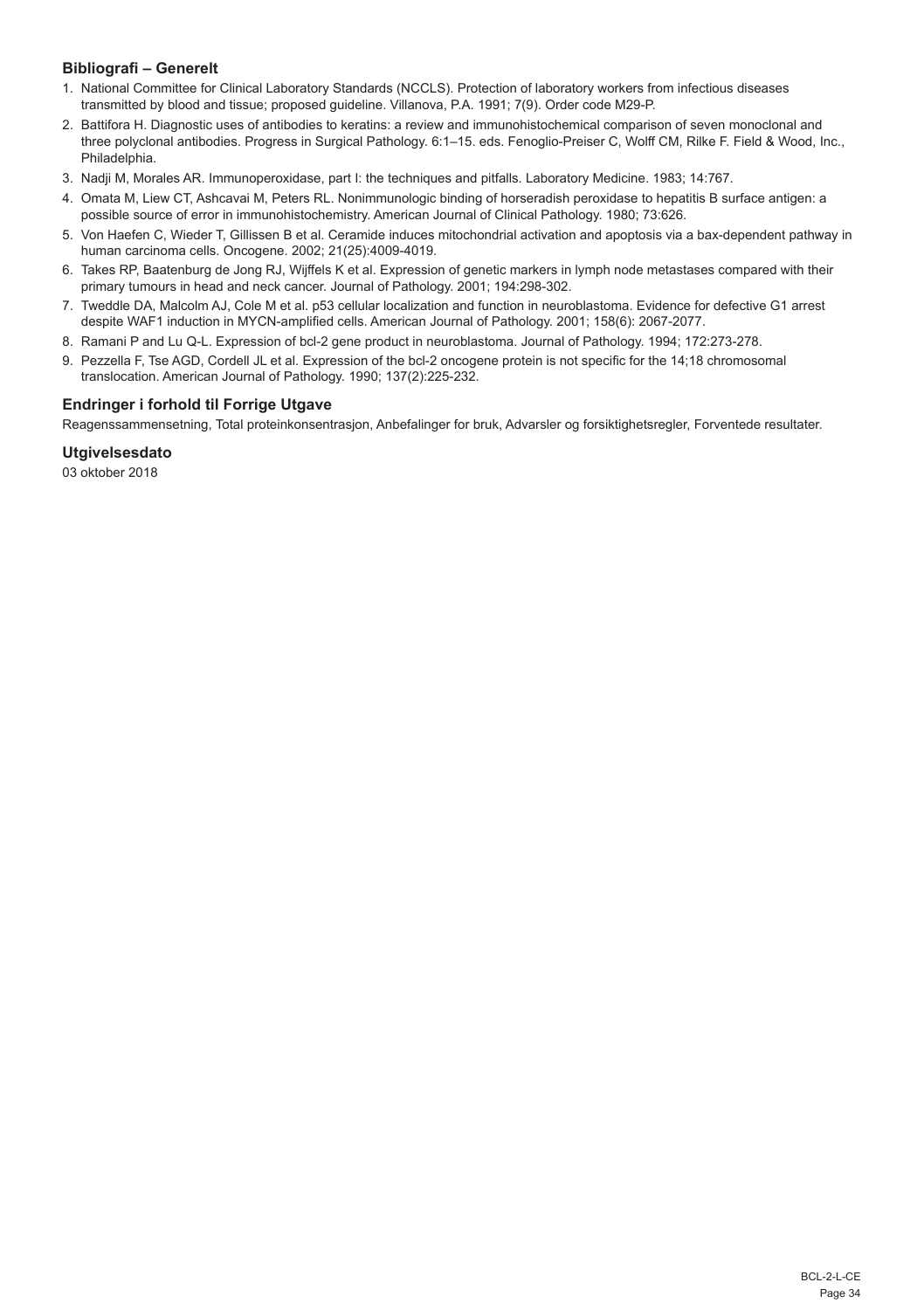## **Bibliografi – Generelt**

- 1. National Committee for Clinical Laboratory Standards (NCCLS). Protection of laboratory workers from infectious diseases transmitted by blood and tissue; proposed guideline. Villanova, P.A. 1991; 7(9). Order code M29-P.
- 2. Battifora H. Diagnostic uses of antibodies to keratins: a review and immunohistochemical comparison of seven monoclonal and three polyclonal antibodies. Progress in Surgical Pathology. 6:1–15. eds. Fenoglio-Preiser C, Wolff CM, Rilke F. Field & Wood, Inc., Philadelphia.
- 3. Nadji M, Morales AR. Immunoperoxidase, part I: the techniques and pitfalls. Laboratory Medicine. 1983; 14:767.
- 4. Omata M, Liew CT, Ashcavai M, Peters RL. Nonimmunologic binding of horseradish peroxidase to hepatitis B surface antigen: a possible source of error in immunohistochemistry. American Journal of Clinical Pathology. 1980; 73:626.
- 5. Von Haefen C, Wieder T, Gillissen B et al. Ceramide induces mitochondrial activation and apoptosis via a bax-dependent pathway in human carcinoma cells. Oncogene. 2002; 21(25):4009-4019.
- 6. Takes RP, Baatenburg de Jong RJ, Wijffels K et al. Expression of genetic markers in lymph node metastases compared with their primary tumours in head and neck cancer. Journal of Pathology. 2001; 194:298-302.
- 7. Tweddle DA, Malcolm AJ, Cole M et al. p53 cellular localization and function in neuroblastoma. Evidence for defective G1 arrest despite WAF1 induction in MYCN-amplified cells. American Journal of Pathology. 2001; 158(6): 2067-2077.
- 8. Ramani P and Lu Q-L. Expression of bcl-2 gene product in neuroblastoma. Journal of Pathology. 1994; 172:273-278.
- 9. Pezzella F, Tse AGD, Cordell JL et al. Expression of the bcl-2 oncogene protein is not specific for the 14;18 chromosomal translocation. American Journal of Pathology. 1990; 137(2):225-232.

## **Endringer i forhold til Forrige Utgave**

Reagenssammensetning, Total proteinkonsentrasjon, Anbefalinger for bruk, Advarsler og forsiktighetsregler, Forventede resultater.

#### **Utgivelsesdato**

03 oktober 2018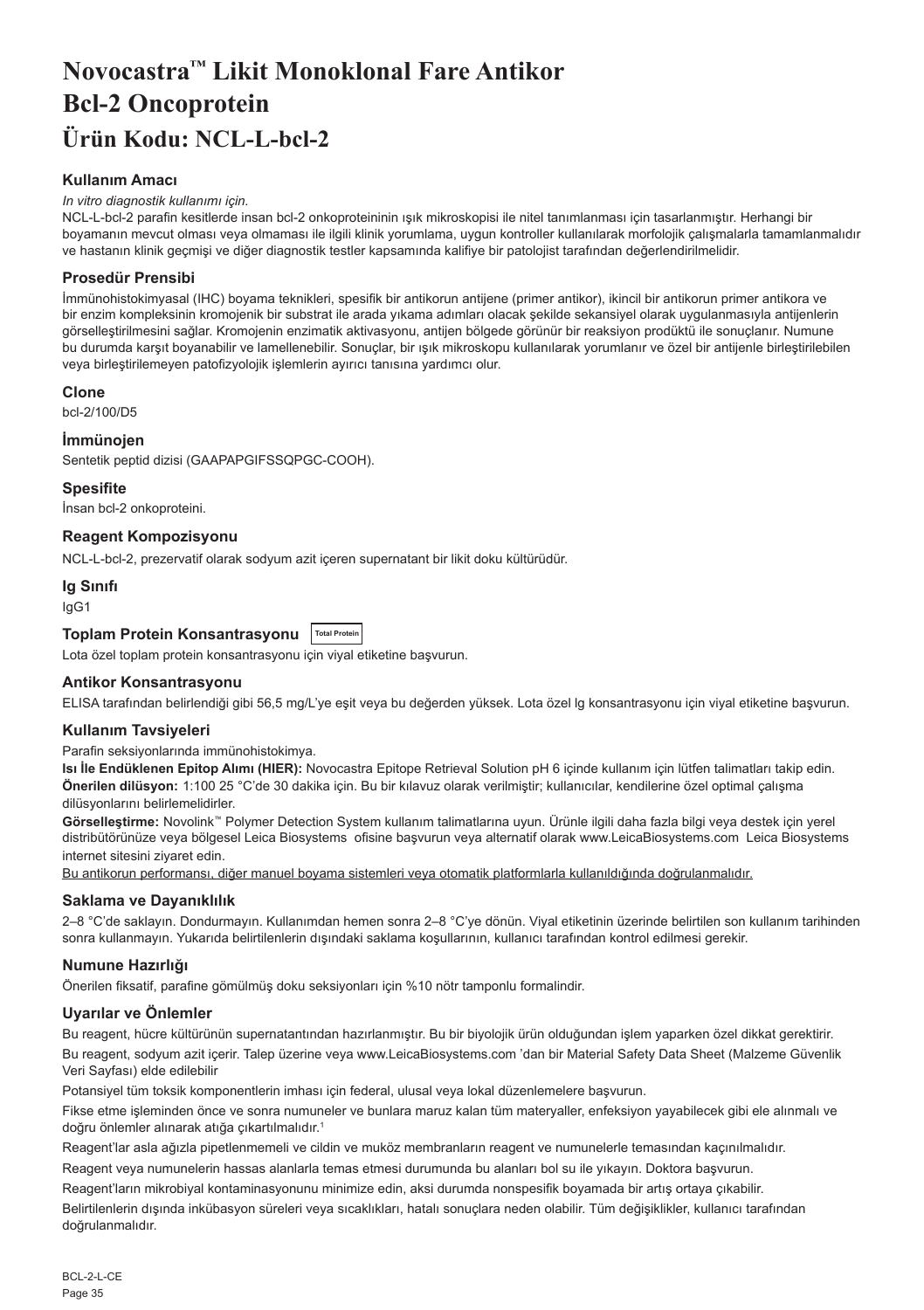# <span id="page-35-0"></span>**Novocastra™ Likit Monoklonal Fare Antikor Bcl-2 Oncoprotein Ürün Kodu: NCL-L-bcl-2**

## **Kullanım Amacı**

#### *In vitro diagnostik kullanımı için.*

NCL-L-bcl-2 parafin kesitlerde insan bcl-2 onkoproteininin ışık mikroskopisi ile nitel tanımlanması için tasarlanmıştır. Herhangi bir boyamanın mevcut olması veya olmaması ile ilgili klinik yorumlama, uygun kontroller kullanılarak morfolojik çalışmalarla tamamlanmalıdır ve hastanın klinik geçmişi ve diğer diagnostik testler kapsamında kalifiye bir patolojist tarafından değerlendirilmelidir.

#### **Prosedür Prensibi**

İmmünohistokimyasal (IHC) boyama teknikleri, spesifik bir antikorun antijene (primer antikor), ikincil bir antikorun primer antikora ve bir enzim kompleksinin kromojenik bir substrat ile arada yıkama adımları olacak şekilde sekansiyel olarak uygulanmasıyla antijenlerin görselleştirilmesini sağlar. Kromojenin enzimatik aktivasyonu, antijen bölgede görünür bir reaksiyon prodüktü ile sonuçlanır. Numune bu durumda karşıt boyanabilir ve lamellenebilir. Sonuçlar, bir ışık mikroskopu kullanılarak yorumlanır ve özel bir antijenle birleştirilebilen veya birleştirilemeyen patofizyolojik işlemlerin ayırıcı tanısına yardımcı olur.

#### **Clone**

bcl-2/100/D5

#### **İmmünojen**

Sentetik peptid dizisi (GAAPAPGIFSSQPGC-COOH).

#### **Spesifite**

İnsan bcl-2 onkoproteini.

## **Reagent Kompozisyonu**

NCL-L-bcl-2, prezervatif olarak sodyum azit içeren supernatant bir likit doku kültürüdür.

#### **Ig Sınıfı**

IgG1

## **Toplam Protein Konsantrasyonu Total Protein**

Lota özel toplam protein konsantrasyonu için viyal etiketine başvurun.

#### **Antikor Konsantrasyonu**

ELISA tarafından belirlendiği gibi 56,5 mg/L'ye eşit veya bu değerden yüksek. Lota özel lg konsantrasyonu için viyal etiketine başvurun.

#### **Kullanım Tavsiyeleri**

Parafin seksiyonlarında immünohistokimya.

**Isı İle Endüklenen Epitop Alımı (HIER):** Novocastra Epitope Retrieval Solution pH 6 içinde kullanım için lütfen talimatları takip edin. **Önerilen dilüsyon:** 1:100 25 °C'de 30 dakika için. Bu bir kılavuz olarak verilmiştir; kullanıcılar, kendilerine özel optimal çalışma dilüsyonlarını belirlemelidirler.

**Görselleştirme:** Novolink™ Polymer Detection System kullanım talimatlarına uyun. Ürünle ilgili daha fazla bilgi veya destek için yerel distribütörünüze veya bölgesel Leica Biosystems ofisine başvurun veya alternatif olarak www.LeicaBiosystems.com Leica Biosystems internet sitesini ziyaret edin.

Bu antikorun performansı, diğer manuel boyama sistemleri veya otomatik platformlarla kullanıldığında doğrulanmalıdır.

## **Saklama ve Dayanıklılık**

2–8 °C'de saklayın. Dondurmayın. Kullanımdan hemen sonra 2–8 °C'ye dönün. Viyal etiketinin üzerinde belirtilen son kullanım tarihinden sonra kullanmayın. Yukarıda belirtilenlerin dışındaki saklama koşullarının, kullanıcı tarafından kontrol edilmesi gerekir.

## **Numune Hazırlığı**

Önerilen fiksatif, parafine gömülmüş doku seksiyonları için %10 nötr tamponlu formalindir.

## **Uyarılar ve Önlemler**

Bu reagent, hücre kültürünün supernatantından hazırlanmıştır. Bu bir biyolojik ürün olduğundan işlem yaparken özel dikkat gerektirir. Bu reagent, sodyum azit içerir. Talep üzerine veya www.LeicaBiosystems.com 'dan bir Material Safety Data Sheet (Malzeme Güvenlik Veri Sayfası) elde edilebilir

Potansiyel tüm toksik komponentlerin imhası için federal, ulusal veya lokal düzenlemelere başvurun.

Fikse etme işleminden önce ve sonra numuneler ve bunlara maruz kalan tüm materyaller, enfeksiyon yayabilecek gibi ele alınmalı ve doğru önlemler alınarak atığa çıkartılmalıdır.<sup>1</sup>

Reagent'lar asla ağızla pipetlenmemeli ve cildin ve muköz membranların reagent ve numunelerle temasından kaçınılmalıdır.

Reagent veya numunelerin hassas alanlarla temas etmesi durumunda bu alanları bol su ile yıkayın. Doktora başvurun. Reagent'ların mikrobiyal kontaminasyonunu minimize edin, aksi durumda nonspesifik boyamada bir artış ortaya çıkabilir.

Belirtilenlerin dışında inkübasyon süreleri veya sıcaklıkları, hatalı sonuçlara neden olabilir. Tüm değişiklikler, kullanıcı tarafından doğrulanmalıdır.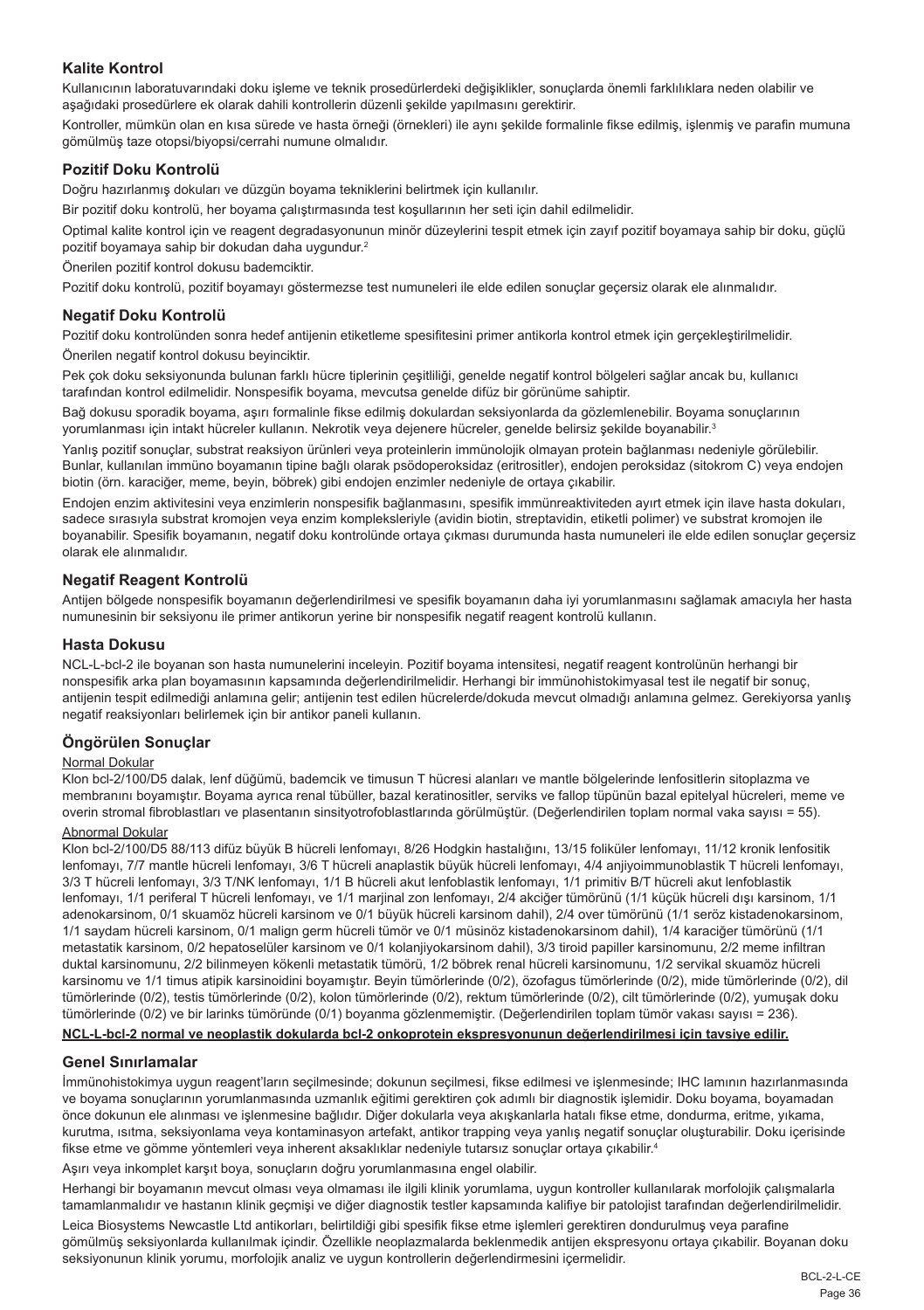## **Kalite Kontrol**

Kullanıcının laboratuvarındaki doku işleme ve teknik prosedürlerdeki değişiklikler, sonuçlarda önemli farklılıklara neden olabilir ve aşağıdaki prosedürlere ek olarak dahili kontrollerin düzenli şekilde yapılmasını gerektirir.

Kontroller, mümkün olan en kısa sürede ve hasta örneği (örnekleri) ile aynı şekilde formalinle fikse edilmiş, işlenmiş ve parafin mumuna gömülmüş taze otopsi/biyopsi/cerrahi numune olmalıdır.

#### **Pozitif Doku Kontrolü**

Doğru hazırlanmış dokuları ve düzgün boyama tekniklerini belirtmek için kullanılır.

Bir pozitif doku kontrolü, her boyama çalıştırmasında test koşullarının her seti için dahil edilmelidir.

Optimal kalite kontrol için ve reagent degradasyonunun minör düzeylerini tespit etmek için zayıf pozitif boyamaya sahip bir doku, güçlü pozitif boyamaya sahip bir dokudan daha uygundur.<sup>2</sup>

Önerilen pozitif kontrol dokusu bademciktir.

Pozitif doku kontrolü, pozitif boyamayı göstermezse test numuneleri ile elde edilen sonuçlar geçersiz olarak ele alınmalıdır.

#### **Negatif Doku Kontrolü**

Pozitif doku kontrolünden sonra hedef antijenin etiketleme spesifitesini primer antikorla kontrol etmek için gerçekleştirilmelidir. Önerilen negatif kontrol dokusu beyinciktir.

Pek çok doku seksiyonunda bulunan farklı hücre tiplerinin çeşitliliği, genelde negatif kontrol bölgeleri sağlar ancak bu, kullanıcı tarafından kontrol edilmelidir. Nonspesifik boyama, mevcutsa genelde difüz bir görünüme sahiptir.

Bağ dokusu sporadik boyama, aşırı formalinle fikse edilmiş dokulardan seksiyonlarda da gözlemlenebilir. Boyama sonuçlarının yorumlanması için intakt hücreler kullanın. Nekrotik veya dejenere hücreler, genelde belirsiz şekilde boyanabilir.<sup>3</sup>

Yanlış pozitif sonuçlar, substrat reaksiyon ürünleri veya proteinlerin immünolojik olmayan protein bağlanması nedeniyle görülebilir. Bunlar, kullanılan immüno boyamanın tipine bağlı olarak psödoperoksidaz (eritrositler), endojen peroksidaz (sitokrom C) veya endojen biotin (örn. karaciğer, meme, beyin, böbrek) gibi endojen enzimler nedeniyle de ortaya çıkabilir.

Endojen enzim aktivitesini veya enzimlerin nonspesifik bağlanmasını, spesifik immünreaktiviteden ayırt etmek için ilave hasta dokuları, sadece sırasıyla substrat kromojen veya enzim kompleksleriyle (avidin biotin, streptavidin, etiketli polimer) ve substrat kromojen ile boyanabilir. Spesifik boyamanın, negatif doku kontrolünde ortaya çıkması durumunda hasta numuneleri ile elde edilen sonuçlar geçersiz olarak ele alınmalıdır.

## **Negatif Reagent Kontrolü**

Antijen bölgede nonspesifik boyamanın değerlendirilmesi ve spesifik boyamanın daha iyi yorumlanmasını sağlamak amacıyla her hasta numunesinin bir seksiyonu ile primer antikorun yerine bir nonspesifik negatif reagent kontrolü kullanın.

#### **Hasta Dokusu**

NCL-L-bcl-2 ile boyanan son hasta numunelerini inceleyin. Pozitif boyama intensitesi, negatif reagent kontrolünün herhangi bir nonspesifik arka plan boyamasının kapsamında değerlendirilmelidir. Herhangi bir immünohistokimyasal test ile negatif bir sonuç, antijenin tespit edilmediği anlamına gelir; antijenin test edilen hücrelerde/dokuda mevcut olmadığı anlamına gelmez. Gerekiyorsa yanlış negatif reaksiyonları belirlemek için bir antikor paneli kullanın.

## **Öngörülen Sonuçlar**

#### Normal Dokular

Klon bcl-2/100/D5 dalak, lenf düğümü, bademcik ve timusun T hücresi alanları ve mantle bölgelerinde lenfositlerin sitoplazma ve membranını boyamıştır. Boyama ayrıca renal tübüller, bazal keratinositler, serviks ve fallop tüpünün bazal epitelyal hücreleri, meme ve overin stromal fibroblastları ve plasentanın sinsityotrofoblastlarında görülmüştür. (Değerlendirilen toplam normal vaka sayısı = 55).

## Abnormal Dokular

Klon bcl-2/100/D5 88/113 difüz büyük B hücreli lenfomayı, 8/26 Hodgkin hastalığını, 13/15 foliküler lenfomayı, 11/12 kronik lenfositik lenfomayı, 7/7 mantle hücreli lenfomayı, 3/6 T hücreli anaplastik büyük hücreli lenfomayı, 4/4 anjiyoimmunoblastik T hücreli lenfomayı, 3/3 T hücreli lenfomayı, 3/3 T/NK lenfomayı, 1/1 B hücreli akut lenfoblastik lenfomayı, 1/1 primitiv B/T hücreli akut lenfoblastik lenfomayı, 1/1 periferal T hücreli lenfomayı, ve 1/1 marjinal zon lenfomayı, 2/4 akciğer tümörünü (1/1 küçük hücreli dışı karsinom, 1/1 adenokarsinom, 0/1 skuamöz hücreli karsinom ve 0/1 büyük hücreli karsinom dahil), 2/4 over tümörünü (1/1 seröz kistadenokarsinom, 1/1 saydam hücreli karsinom, 0/1 malign germ hücreli tümör ve 0/1 müsinöz kistadenokarsinom dahil), 1/4 karaciğer tümörünü (1/1 metastatik karsinom, 0/2 hepatoselüler karsinom ve 0/1 kolanjiyokarsinom dahil), 3/3 tiroid papiller karsinomunu, 2/2 meme infiltran duktal karsinomunu, 2/2 bilinmeyen kökenli metastatik tümörü, 1/2 böbrek renal hücreli karsinomunu, 1/2 servikal skuamöz hücreli karsinomu ve 1/1 timus atipik karsinoidini boyamıştır. Beyin tümörlerinde (0/2), özofagus tümörlerinde (0/2), mide tümörlerinde (0/2), dil tümörlerinde (0/2), testis tümörlerinde (0/2), kolon tümörlerinde (0/2), rektum tümörlerinde (0/2), cilt tümörlerinde (0/2), yumuşak doku tümörlerinde (0/2) ve bir larinks tümöründe (0/1) boyanma gözlenmemiştir. (Değerlendirilen toplam tümör vakası sayısı = 236).

#### **NCL-L-bcl-2 normal ve neoplastik dokularda bcl-2 onkoprotein ekspresyonunun değerlendirilmesi için tavsiye edilir.**

## **Genel Sınırlamalar**

İmmünohistokimya uygun reagent'ların seçilmesinde; dokunun seçilmesi, fikse edilmesi ve işlenmesinde; IHC lamının hazırlanmasında ve boyama sonuçlarının yorumlanmasında uzmanlık eğitimi gerektiren çok adımlı bir diagnostik işlemidir. Doku boyama, boyamadan önce dokunun ele alınması ve işlenmesine bağlıdır. Diğer dokularla veya akışkanlarla hatalı fikse etme, dondurma, eritme, yıkama, kurutma, ısıtma, seksiyonlama veya kontaminasyon artefakt, antikor trapping veya yanlış negatif sonuçlar oluşturabilir. Doku içerisinde fikse etme ve gömme yöntemleri veya inherent aksaklıklar nedeniyle tutarsız sonuçlar ortaya çıkabilir. 4

Aşırı veya inkomplet karşıt boya, sonuçların doğru yorumlanmasına engel olabilir.

Herhangi bir boyamanın mevcut olması veya olmaması ile ilgili klinik yorumlama, uygun kontroller kullanılarak morfolojik çalışmalarla tamamlanmalıdır ve hastanın klinik geçmişi ve diğer diagnostik testler kapsamında kalifiye bir patolojist tarafından değerlendirilmelidir.

Leica Biosystems Newcastle Ltd antikorları, belirtildiği gibi spesifik fikse etme işlemleri gerektiren dondurulmuş veya parafine gömülmüş seksiyonlarda kullanılmak içindir. Özellikle neoplazmalarda beklenmedik antijen ekspresyonu ortaya çıkabilir. Boyanan doku seksiyonunun klinik yorumu, morfolojik analiz ve uygun kontrollerin değerlendirmesini içermelidir.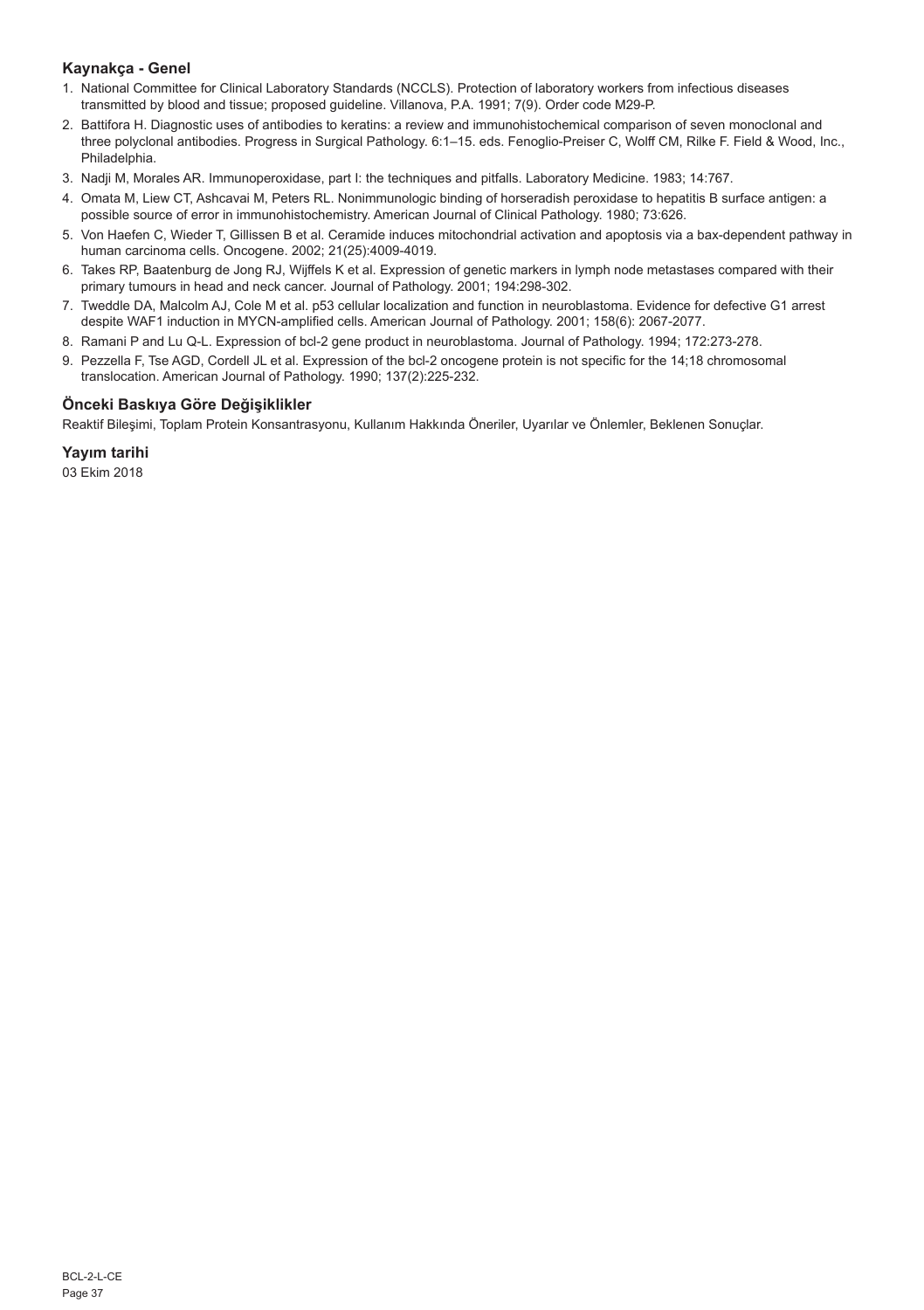## **Kaynakça - Genel**

- 1. National Committee for Clinical Laboratory Standards (NCCLS). Protection of laboratory workers from infectious diseases transmitted by blood and tissue; proposed guideline. Villanova, P.A. 1991; 7(9). Order code M29-P.
- 2. Battifora H. Diagnostic uses of antibodies to keratins: a review and immunohistochemical comparison of seven monoclonal and three polyclonal antibodies. Progress in Surgical Pathology. 6:1–15. eds. Fenoglio-Preiser C, Wolff CM, Rilke F. Field & Wood, Inc., Philadelphia.
- 3. Nadji M, Morales AR. Immunoperoxidase, part I: the techniques and pitfalls. Laboratory Medicine. 1983; 14:767.
- 4. Omata M, Liew CT, Ashcavai M, Peters RL. Nonimmunologic binding of horseradish peroxidase to hepatitis B surface antigen: a possible source of error in immunohistochemistry. American Journal of Clinical Pathology. 1980; 73:626.
- 5. Von Haefen C, Wieder T, Gillissen B et al. Ceramide induces mitochondrial activation and apoptosis via a bax-dependent pathway in human carcinoma cells. Oncogene. 2002; 21(25):4009-4019.
- 6. Takes RP, Baatenburg de Jong RJ, Wijffels K et al. Expression of genetic markers in lymph node metastases compared with their primary tumours in head and neck cancer. Journal of Pathology. 2001; 194:298-302.
- 7. Tweddle DA, Malcolm AJ, Cole M et al. p53 cellular localization and function in neuroblastoma. Evidence for defective G1 arrest despite WAF1 induction in MYCN-amplified cells. American Journal of Pathology. 2001; 158(6): 2067-2077.
- 8. Ramani P and Lu Q-L. Expression of bcl-2 gene product in neuroblastoma. Journal of Pathology. 1994; 172:273-278.
- 9. Pezzella F, Tse AGD, Cordell JL et al. Expression of the bcl-2 oncogene protein is not specific for the 14;18 chromosomal translocation. American Journal of Pathology. 1990; 137(2):225-232.

## **Önceki Baskıya Göre Değişiklikler**

Reaktif Bileşimi, Toplam Protein Konsantrasyonu, Kullanım Hakkında Öneriler, Uyarılar ve Önlemler, Beklenen Sonuçlar.

## **Yayım tarihi**

03 Ekim 2018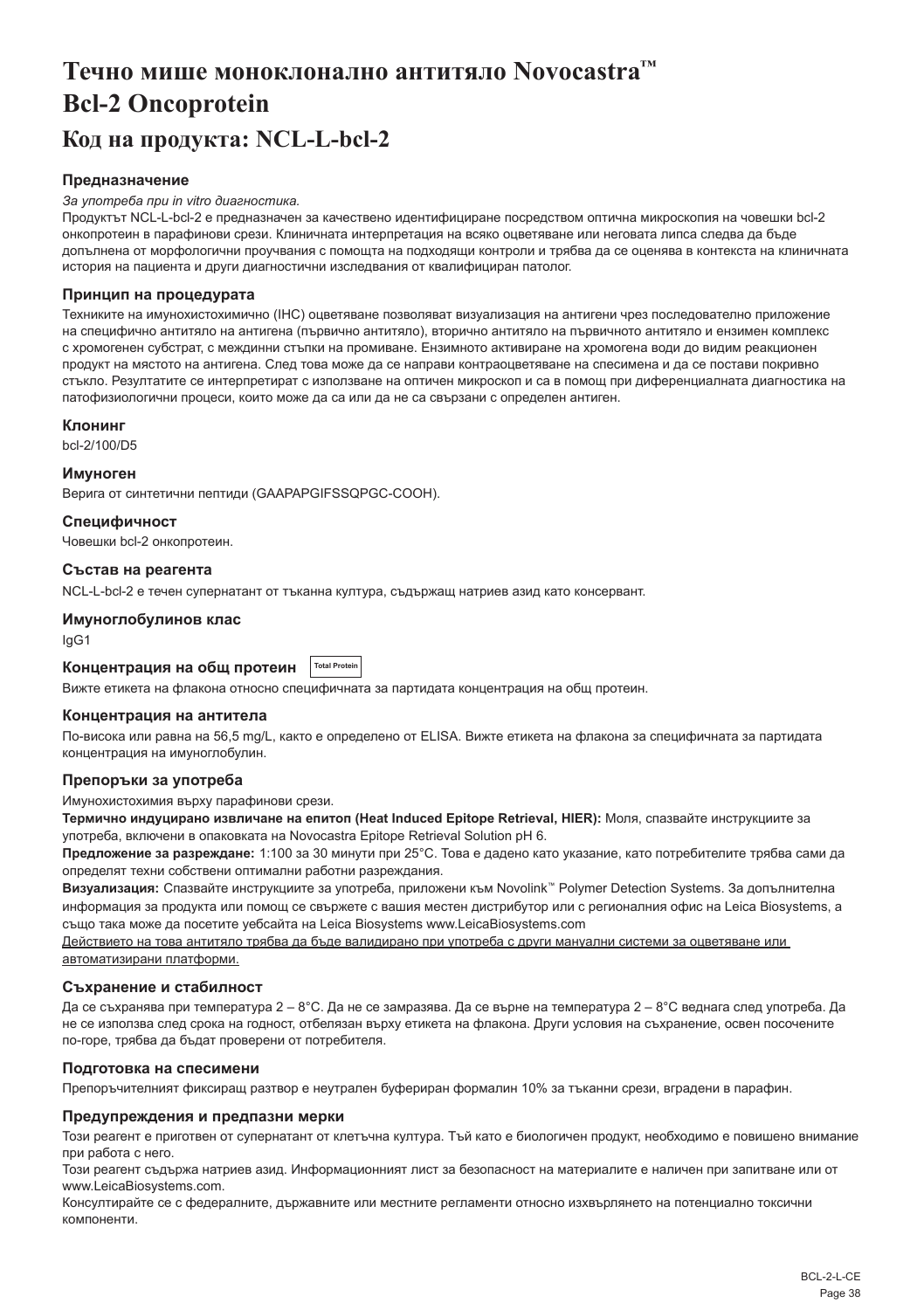# <span id="page-38-0"></span>**Течно мише моноклонално антитяло Novocastra™ Bcl-2 Oncoprotein Код на продукта: NCL-L-bcl-2**

#### **Предназначение**

#### *За употреба при in vitro диагностика.*

Продуктът NCL-L-bcl-2 е предназначен за качествено идентифициране посредством оптична микроскопия на човешки bcl-2 онкопротеин в парафинови срези. Клиничната интерпретация на всяко оцветяване или неговата липса следва да бъде допълнена от морфологични проучвания с помощта на подходящи контроли и трябва да се оценява в контекста на клиничната история на пациента и други диагностични изследвания от квалифициран патолог.

#### **Принцип на процедурата**

Техниките на имунохистохимично (IHC) оцветяване позволяват визуализация на антигени чрез последователно приложение на специфично антитяло на антигена (първично антитяло), вторично антитяло на първичното антитяло и ензимен комплекс с хромогенен субстрат, с междинни стъпки на промиване. Ензимното активиране на хромогена води до видим реакционен продукт на мястото на антигена. След това може да се направи контраоцветяване на спесимена и да се постави покривно стъкло. Резултатите се интерпретират с използване на оптичен микроскоп и са в помощ при диференциалната диагностика на патофизиологични процеси, които може да са или да не са свързани с определен антиген.

#### **Клонинг**

bcl-2/100/D5

#### **Имуноген**

Верига от синтетични пептиди (GAAPAPGIFSSQPGC-COOH).

#### **Специфичност**

Човешки bcl-2 онкопротеин.

#### **Състав на реагента**

NCL-L-bcl-2 е течен супернатант от тъканна култура, съдържащ натриев азид като консервант.

#### **Имуноглобулинов клас**

IgG1

#### **Концентрация на общ протеин Total Protei**

Вижте етикета на флакона относно специфичната за партидата концентрация на общ протеин.

#### **Концентрация на антитела**

По-висока или равна на 56,5 mg/L, както е определено от ELISA. Вижте етикета на флакона за специфичната за партидата концентрация на имуноглобулин.

## **Препоръки за употреба**

Имунохистохимия върху парафинови срези.

**Термично индуцирано извличане на епитоп (Heat Induced Epitope Retrieval, HIER):** Моля, спазвайте инструкциите за употреба, включени в опаковката на Novocastra Epitope Retrieval Solution pH 6.

**Предложение за разреждане:** 1:100 за 30 минути при 25°C. Това е дадено като указание, като потребителите трябва сами да определят техни собствени оптимални работни разреждания.

**Визуализация:** Спазвайте инструкциите за употреба, приложени към Novolink™ Polymer Detection Systems. За допълнителна информация за продукта или помощ се свържете с вашия местен дистрибутор или с регионалния офис на Leica Biosystems, а също така може да посетите уебсайта на Leica Biosystems www.LeicaBiosystems.com

Действието на това антитяло трябва да бъде валидирано при употреба с други мануални системи за оцветяване или автоматизирани платформи.

#### **Съхранение и стабилност**

Да се съхранява при температура 2 – 8°C. Да не се замразява. Да се върне на температура 2 – 8°C веднага след употреба. Да не се използва след срока на годност, отбелязан върху етикета на флакона. Други условия на съхранение, освен посочените по-горе, трябва да бъдат проверени от потребителя.

#### **Подготовка на спесимени**

Препоръчителният фиксиращ разтвор е неутрален буфериран формалин 10% за тъканни срези, вградени в парафин.

#### **Предупреждения и предпазни мерки**

Този реагент е приготвен от супернатант от клетъчна култура. Тъй като е биологичен продукт, необходимо е повишено внимание при работа с него.

Този реагент съдържа натриев азид. Информационният лист за безопасност на материалите е наличен при запитване или от www.LeicaBiosystems.com.

Консултирайте се с федералните, държавните или местните регламенти относно изхвърлянето на потенциално токсични компоненти.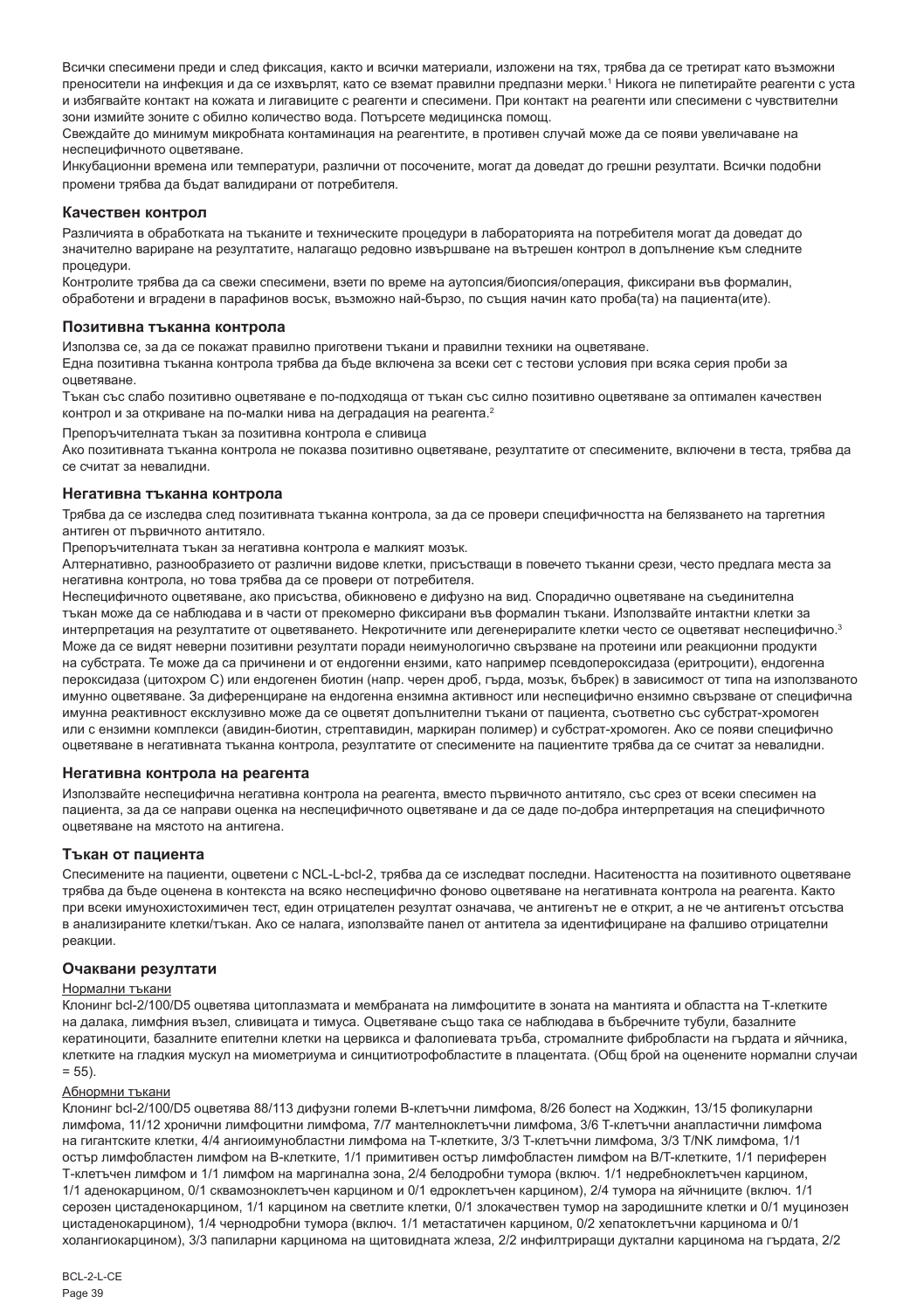Всички спесимени преди и след фиксация, както и всички материали, изложени на тях, трябва да се третират като възможни преносители на инфекция и да се изхвърлят, като се вземат правилни предпазни мерки.' Никога не пипетирайте реагенти с уста и избягвайте контакт на кожата и лигавиците с реагенти и спесимени. При контакт на реагенти или спесимени с чувствителни зони измийте зоните с обилно количество вода. Потърсете медицинска помощ.

Свеждайте до минимум микробната контаминация на реагентите, в противен случай може да се появи увеличаване на неспецифичното оцветяване.

Инкубационни времена или температури, различни от посочените, могат да доведат до грешни резултати. Всички подобни промени трябва да бъдат валидирани от потребителя.

#### **Качествен контрол**

Различията в обработката на тъканите и техническите процедури в лабораторията на потребителя могат да доведат до значително вариране на резултатите, налагащо редовно извършване на вътрешен контрол в допълнение към следните процедури.

Контролите трябва да са свежи спесимени, взети по време на аутопсия/биопсия/операция, фиксирани във формалин, обработени и вградени в парафинов восък, възможно най-бързо, по същия начин като проба(та) на пациента(ите).

#### **Позитивна тъканна контрола**

Използва се, за да се покажат правилно приготвени тъкани и правилни техники на оцветяване.

Една позитивна тъканна контрола трябва да бъде включена за всеки сет с тестови условия при всяка серия проби за оцветяване.

Тъкан със слабо позитивно оцветяване е по-подходяща от тъкан със силно позитивно оцветяване за оптимален качествен контрол и за откриване на по-малки нива на деградация на реагента.<sup>2</sup>

Препоръчителната тъкан за позитивна контрола е сливица

Ако позитивната тъканна контрола не показва позитивно оцветяване, резултатите от спесимените, включени в теста, трябва да се считат за невалидни.

#### **Негативна тъканна контрола**

Трябва да се изследва след позитивната тъканна контрола, за да се провери специфичността на белязването на таргетния антиген от първичното антитяло.

Препоръчителната тъкан за негативна контрола е малкият мозък.

Алтернативно, разнообразието от различни видове клетки, присъстващи в повечето тъканни срези, често предлага места за негативна контрола, но това трябва да се провери от потребителя.

Неспецифичното оцветяване, ако присъства, обикновено е дифузно на вид. Спорадично оцветяване на съединителна тъкан може да се наблюдава и в части от прекомерно фиксирани във формалин тъкани. Използвайте интактни клетки за интерпретация на резултатите от оцветяването. Некротичните или дегенериралите клетки често се оцветяват неспецифично.<sup>3</sup> Може да се видят неверни позитивни резултати поради неимунологично свързване на протеини или реакционни продукти на субстрата. Те може да са причинени и от ендогенни ензими, като например псевдопероксидаза (еритроцити), ендогенна пероксидаза (цитохром C) или ендогенен биотин (напр. черен дроб, гърда, мозък, бъбрек) в зависимост от типа на използваното имунно оцветяване. За диференциране на ендогенна ензимна активност или неспецифично ензимно свързване от специфична имунна реактивност ексклузивно може да се оцветят допълнителни тъкани от пациента, съответно със субстрат-хромоген или с ензимни комплекси (авидин-биотин, стрептавидин, маркиран полимер) и субстрат-хромоген. Ако се появи специфично оцветяване в негативната тъканна контрола, резултатите от спесимените на пациентите трябва да се считат за невалидни.

#### **Негативна контрола на реагента**

Използвайте неспецифична негативна контрола на реагента, вместо първичното антитяло, със срез от всеки спесимен на пациента, за да се направи оценка на неспецифичното оцветяване и да се даде по-добра интерпретация на специфичното оцветяване на мястото на антигена.

#### **Тъкан от пациента**

Спесимените на пациенти, оцветени с NCL-L-bcl-2, трябва да се изследват последни. Наситеността на позитивното оцветяване трябва да бъде оценена в контекста на всяко неспецифично фоново оцветяване на негативната контрола на реагента. Както при всеки имунохистохимичен тест, един отрицателен резултат означава, че антигенът не е открит, а не че антигенът отсъства в анализираните клетки/тъкан. Ако се налага, използвайте панел от антитела за идентифициране на фалшиво отрицателни реакции.

#### **Очаквани резултати**

#### Нормални тъкани

Клонинг bcl-2/100/D5 оцветява цитоплазмата и мембраната на лимфоцитите в зоната на мантията и областта на Т-клетките на далака, лимфния възел, сливицата и тимуса. Оцветяване също така се наблюдава в бъбречните тубули, базалните кератиноцити, базалните епителни клетки на цервикса и фалопиевата тръба, стромалните фибробласти на гърдата и яйчника, клетките на гладкия мускул на миометриума и синцитиотрофобластите в плацентата. (Общ брой на оценените нормални случаи  $= 55$ ).

#### Абнормни тъкани

Клонинг bcl-2/100/D5 оцветява 88/113 дифузни големи В-клетъчни лимфома, 8/26 болест на Ходжкин, 13/15 фоликуларни лимфома, 11/12 хронични лимфоцитни лимфома, 7/7 мантелноклетъчни лимфома, 3/6 T-клетъчни анапластични лимфома на гигантските клетки, 4/4 ангиоимунобластни лимфома на T-клетките, 3/3 T-клетъчни лимфома, 3/3 T/NK лимфома, 1/1 остър лимфобластен лимфом на B-клетките, 1/1 примитивен остър лимфобластен лимфом на B/T-клетките, 1/1 периферен Т-клетъчен лимфом и 1/1 лимфом на маргинална зона, 2/4 белодробни тумора (включ. 1/1 недребноклетъчен карцином, 1/1 аденокарцином, 0/1 сквамозноклетъчен карцином и 0/1 едроклетъчен карцином), 2/4 тумора на яйчниците (включ. 1/1 серозен цистаденокарцином, 1/1 карцином на светлите клетки, 0/1 злокачествен тумор на зародишните клетки и 0/1 муцинозен цистаденокарцином), 1/4 чернодробни тумора (включ. 1/1 метастатичен карцином, 0/2 хепатоклетъчни карцинома и 0/1 холангиокарцином), 3/3 папиларни карцинома на щитовидната жлеза, 2/2 инфилтриращи дуктални карцинома на гърдата, 2/2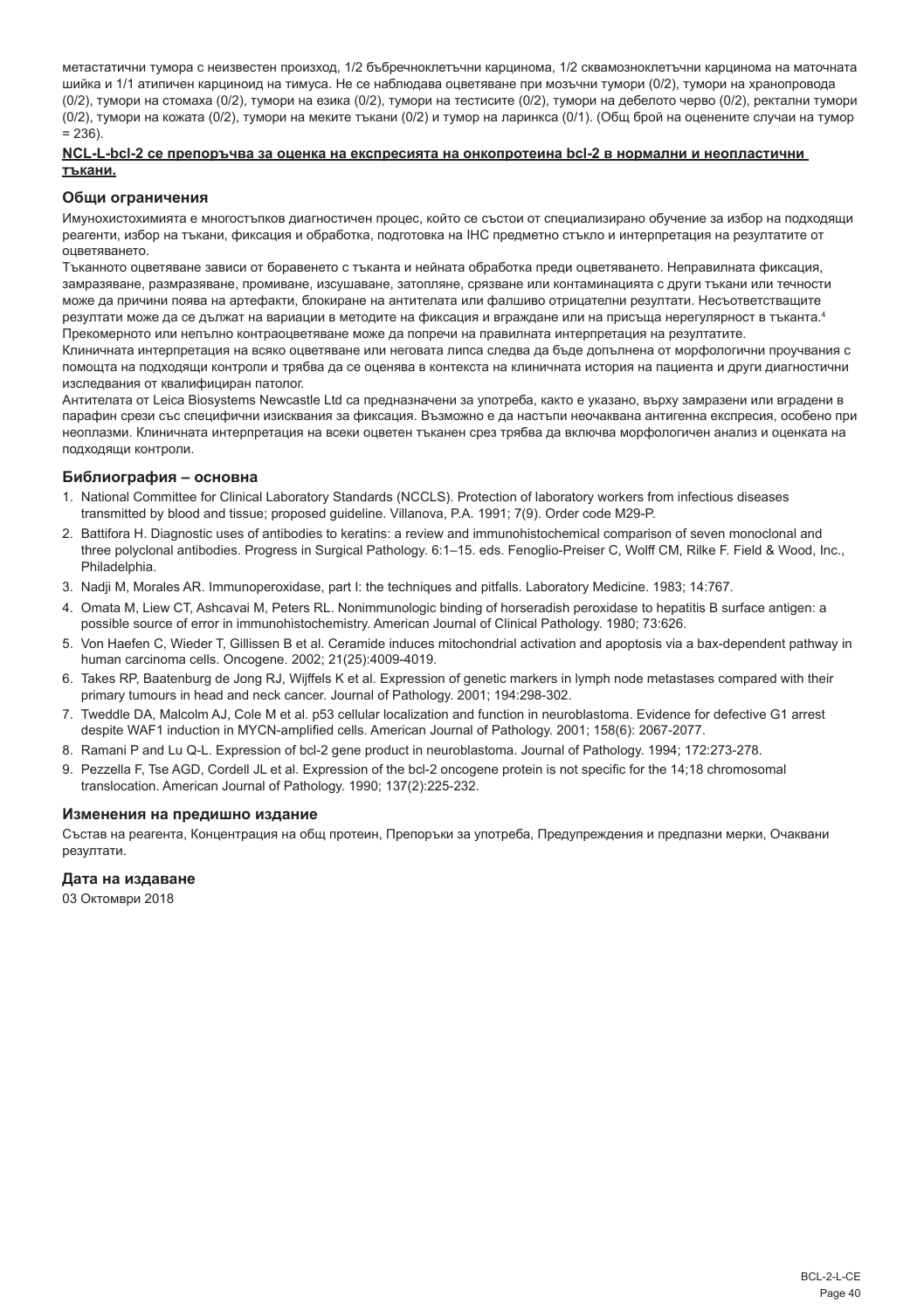метастатични тумора с неизвестен произход, 1/2 бъбречноклетъчни карцинома, 1/2 сквамозноклетъчни карцинома на маточната шийка и 1/1 атипичен карциноид на тимуса. Не се наблюдава оцветяване при мозъчни тумори (0/2), тумори на хранопровода (0/2), тумори на стомаха (0/2), тумори на езика (0/2), тумори на тестисите (0/2), тумори на дебелото черво (0/2), ректални тумори (0/2), тумори на кожата (0/2), тумори на меките тъкани (0/2) и тумор на ларинкса (0/1). (Общ брой на оценените случаи на тумор  $= 236$ ).

#### **NCL-L-bcl-2 се препоръчва за оценка на експресията на онкопротеина bcl-2 в нормални и неопластични тъкани.**

#### **Общи ограничения**

Имунохистохимията е многостъпков диагностичен процес, който се състои от специализирано обучение за избор на подходящи реагенти, избор на тъкани, фиксация и обработка, подготовка на IHC предметно стъкло и интерпретация на резултатите от оцветяването.

Тъканното оцветяване зависи от боравенето с тъканта и нейната обработка преди оцветяването. Неправилната фиксация, замразяване, размразяване, промиване, изсушаване, затопляне, срязване или контаминацията с други тъкани или течности може да причини поява на артефакти, блокиране на антителата или фалшиво отрицателни резултати. Несъответстващите резултати може да се дължат на вариации в методите на фиксация и вграждане или на присъща нерегулярност в тъканта.4 Прекомерното или непълно контраоцветяване може да попречи на правилната интерпретация на резултатите.

Клиничната интерпретация на всяко оцветяване или неговата липса следва да бъде допълнена от морфологични проучвания с помощта на подходящи контроли и трябва да се оценява в контекста на клиничната история на пациента и други диагностични изследвания от квалифициран патолог.

Антителата от Leica Biosystems Newcastle Ltd са предназначени за употреба, както е указано, върху замразени или вградени в парафин срези със специфични изисквания за фиксация. Възможно е да настъпи неочаквана антигенна експресия, особено при неоплазми. Клиничната интерпретация на всеки оцветен тъканен срез трябва да включва морфологичен анализ и оценката на подходящи контроли.

## **Библиография – основна**

- 1. National Committee for Clinical Laboratory Standards (NCCLS). Protection of laboratory workers from infectious diseases transmitted by blood and tissue; proposed guideline. Villanova, P.A. 1991; 7(9). Order code M29-P.
- 2. Battifora H. Diagnostic uses of antibodies to keratins: a review and immunohistochemical comparison of seven monoclonal and three polyclonal antibodies. Progress in Surgical Pathology. 6:1–15. eds. Fenoglio-Preiser C, Wolff CM, Rilke F. Field & Wood, Inc., Philadelphia.
- 3. Nadji M, Morales AR. Immunoperoxidase, part I: the techniques and pitfalls. Laboratory Medicine. 1983; 14:767.
- 4. Omata M, Liew CT, Ashcavai M, Peters RL. Nonimmunologic binding of horseradish peroxidase to hepatitis B surface antigen: a possible source of error in immunohistochemistry. American Journal of Clinical Pathology. 1980; 73:626.
- 5. Von Haefen C, Wieder T, Gillissen B et al. Ceramide induces mitochondrial activation and apoptosis via a bax-dependent pathway in human carcinoma cells. Oncogene. 2002; 21(25):4009-4019.
- 6. Takes RP, Baatenburg de Jong RJ, Wijffels K et al. Expression of genetic markers in lymph node metastases compared with their primary tumours in head and neck cancer. Journal of Pathology. 2001; 194:298-302.
- 7. Tweddle DA, Malcolm AJ, Cole M et al. p53 cellular localization and function in neuroblastoma. Evidence for defective G1 arrest despite WAF1 induction in MYCN-amplified cells. American Journal of Pathology. 2001; 158(6): 2067-2077.
- 8. Ramani P and Lu Q-L. Expression of bcl-2 gene product in neuroblastoma. Journal of Pathology. 1994; 172:273-278.
- 9. Pezzella F, Tse AGD, Cordell JL et al. Expression of the bcl-2 oncogene protein is not specific for the 14:18 chromosomal translocation. American Journal of Pathology. 1990; 137(2):225-232.

#### **Изменения на предишно издание**

Състав на реагента, Концентрация на общ протеин, Препоръки за употреба, Предупреждения и предпазни мерки, Очаквани резултати.

## **Дата на издаване**

03 Октомври 2018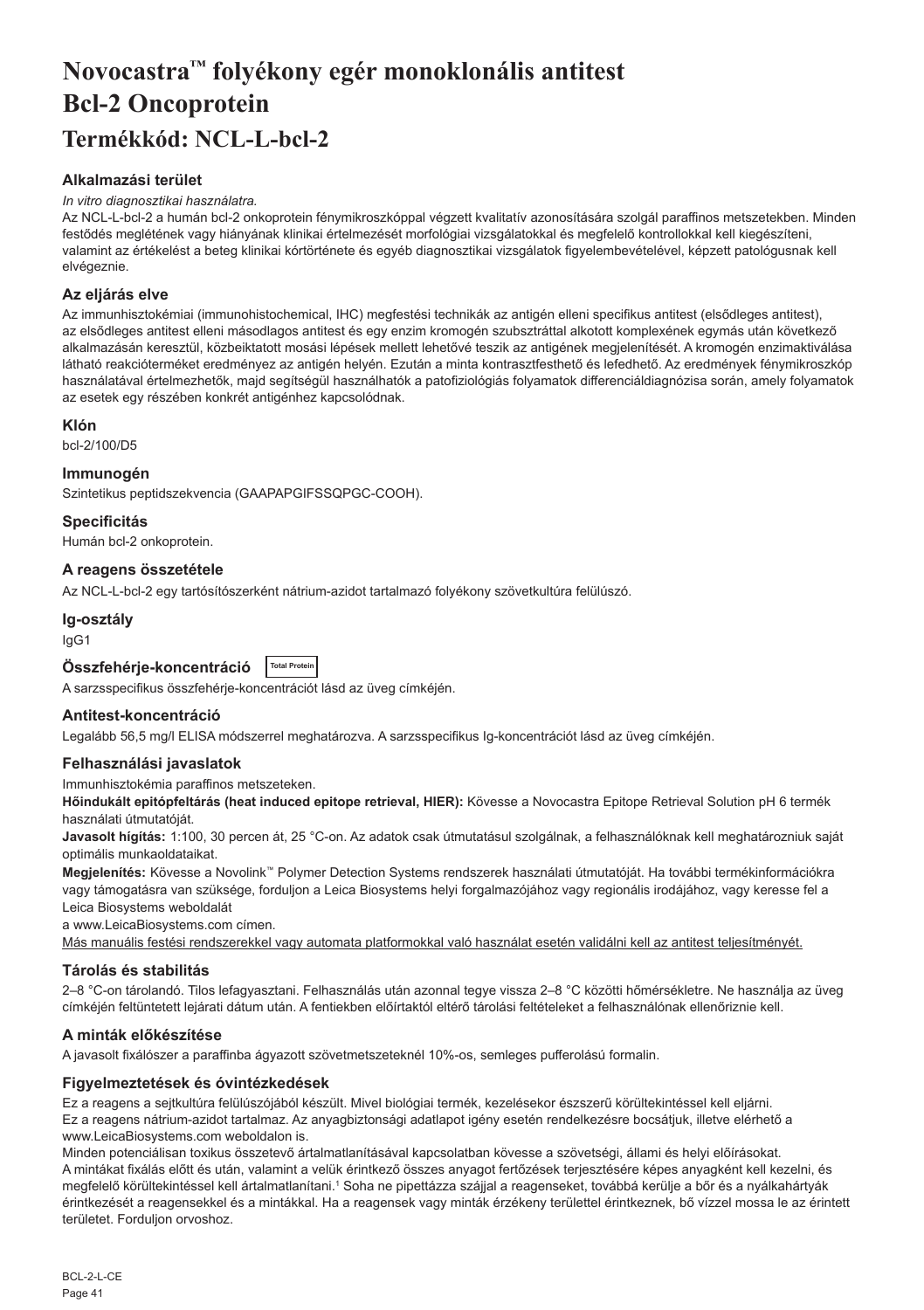# <span id="page-41-0"></span>**Novocastra™ folyékony egér monoklonális antitest Bcl-2 Oncoprotein Termékkód: NCL-L-bcl-2**

## **Alkalmazási terület**

#### *In vitro diagnosztikai használatra.*

Az NCL-L-bcl-2 a humán bcl-2 onkoprotein fénymikroszkóppal végzett kvalitatív azonosítására szolgál paraffinos metszetekben. Minden festődés meglétének vagy hiányának klinikai értelmezését morfológiai vizsgálatokkal és megfelelő kontrollokkal kell kiegészíteni, valamint az értékelést a beteg klinikai kórtörténete és egyéb diagnosztikai vizsgálatok figyelembevételével, képzett patológusnak kell elvégeznie.

## **Az eljárás elve**

Az immunhisztokémiai (immunohistochemical, IHC) megfestési technikák az antigén elleni specifikus antitest (elsődleges antitest), az elsődleges antitest elleni másodlagos antitest és egy enzim kromogén szubsztráttal alkotott komplexének egymás után következő alkalmazásán keresztül, közbeiktatott mosási lépések mellett lehetővé teszik az antigének megjelenítését. A kromogén enzimaktiválása látható reakcióterméket eredményez az antigén helyén. Ezután a minta kontrasztfesthető és lefedhető. Az eredmények fénymikroszkóp használatával értelmezhetők, majd segítségül használhatók a patofiziológiás folyamatok differenciáldiagnózisa során, amely folyamatok az esetek egy részében konkrét antigénhez kapcsolódnak.

## **Klón**

bcl-2/100/D5

## **Immunogén**

Szintetikus peptidszekvencia (GAAPAPGIFSSQPGC-COOH).

**Specificitás**

Humán bcl-2 onkoprotein.

## **A reagens összetétele**

Az NCL-L-bcl-2 egy tartósítószerként nátrium-azidot tartalmazó folyékony szövetkultúra felülúszó.

#### **Ig-osztály**

IgG1

| Összfehérje-koncentráció | <b>Total Protein</b> |
|--------------------------|----------------------|
|                          |                      |

A sarzsspecifikus összfehérje-koncentrációt lásd az üveg címkéjén.

## **Antitest-koncentráció**

Legalább 56,5 mg/l ELISA módszerrel meghatározva. A sarzsspecifikus Ig-koncentrációt lásd az üveg címkéjén.

## **Felhasználási javaslatok**

Immunhisztokémia paraffinos metszeteken.

**Hőindukált epitópfeltárás (heat induced epitope retrieval, HIER):** Kövesse a Novocastra Epitope Retrieval Solution pH 6 termék használati útmutatóját.

**Javasolt hígítás:** 1:100, 30 percen át, 25 °C-on. Az adatok csak útmutatásul szolgálnak, a felhasználóknak kell meghatározniuk saját optimális munkaoldataikat.

**Megjelenítés:** Kövesse a Novolink™ Polymer Detection Systems rendszerek használati útmutatóját. Ha további termékinformációkra vagy támogatásra van szüksége, forduljon a Leica Biosystems helyi forgalmazójához vagy regionális irodájához, vagy keresse fel a

Leica Biosystems weboldalát a www.LeicaBiosystems.com címen.

Más manuális festési rendszerekkel vagy automata platformokkal való használat esetén validálni kell az antitest teljesítményét.

## **Tárolás és stabilitás**

2–8 °C-on tárolandó. Tilos lefagyasztani. Felhasználás után azonnal tegye vissza 2–8 °C közötti hőmérsékletre. Ne használja az üveg címkéjén feltüntetett lejárati dátum után. A fentiekben előírtaktól eltérő tárolási feltételeket a felhasználónak ellenőriznie kell.

## **A minták előkészítése**

A javasolt fixálószer a paraffinba ágyazott szövetmetszeteknél 10%-os, semleges pufferolású formalin.

## **Figyelmeztetések és óvintézkedések**

Ez a reagens a sejtkultúra felülúszójából készült. Mivel biológiai termék, kezelésekor észszerű körültekintéssel kell eljárni. Ez a reagens nátrium-azidot tartalmaz. Az anyagbiztonsági adatlapot igény esetén rendelkezésre bocsátjuk, illetve elérhető a www.LeicaBiosystems.com weboldalon is.

Minden potenciálisan toxikus összetevő ártalmatlanításával kapcsolatban kövesse a szövetségi, állami és helyi előírásokat. A mintákat fixálás előtt és után, valamint a velük érintkező összes anyagot fertőzések terjesztésére képes anyagként kell kezelni, és megfelelő körültekintéssel kell ártalmatlanítani.1 Soha ne pipettázza szájjal a reagenseket, továbbá kerülje a bőr és a nyálkahártyák érintkezését a reagensekkel és a mintákkal. Ha a reagensek vagy minták érzékeny területtel érintkeznek, bő vízzel mossa le az érintett területet. Forduljon orvoshoz.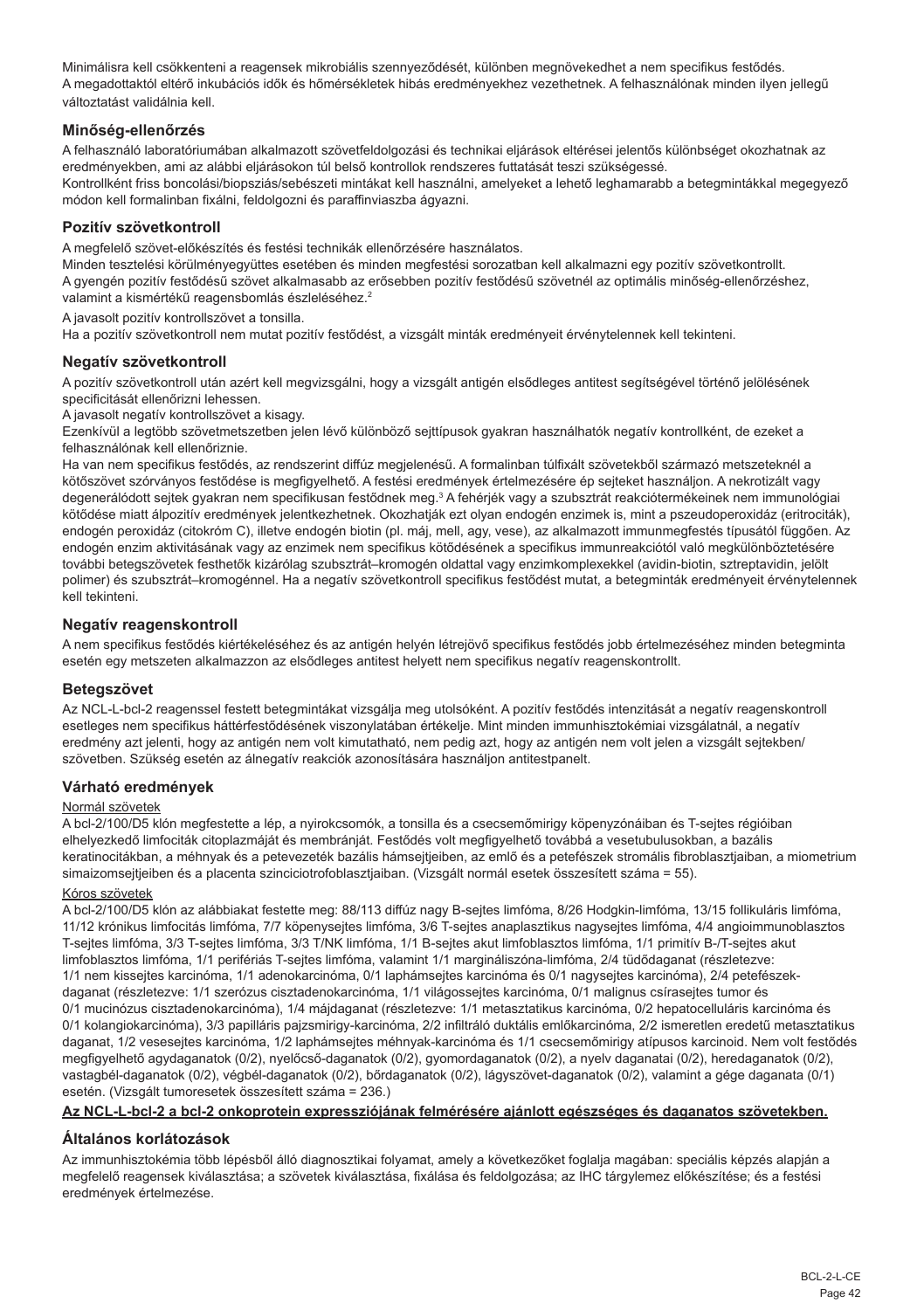Minimálisra kell csökkenteni a reagensek mikrobiális szennyeződését, különben megnövekedhet a nem specifikus festődés. A megadottaktól eltérő inkubációs idők és hőmérsékletek hibás eredményekhez vezethetnek. A felhasználónak minden ilyen jellegű változtatást validálnia kell.

#### **Minőség-ellenőrzés**

A felhasználó laboratóriumában alkalmazott szövetfeldolgozási és technikai eljárások eltérései jelentős különbséget okozhatnak az eredményekben, ami az alábbi eljárásokon túl belső kontrollok rendszeres futtatását teszi szükségessé. Kontrollként friss boncolási/biopsziás/sebészeti mintákat kell használni, amelyeket a lehető leghamarabb a betegmintákkal megegyező módon kell formalinban fixálni, feldolgozni és paraffinviaszba ágyazni.

## **Pozitív szövetkontroll**

A megfelelő szövet-előkészítés és festési technikák ellenőrzésére használatos.

Minden tesztelési körülményegyüttes esetében és minden megfestési sorozatban kell alkalmazni egy pozitív szövetkontrollt. A gyengén pozitív festődésű szövet alkalmasabb az erősebben pozitív festődésű szövetnél az optimális minőség-ellenőrzéshez, valamint a kismértékű reagensbomlás észleléséhez.<sup>2</sup>

A javasolt pozitív kontrollszövet a tonsilla.

Ha a pozitív szövetkontroll nem mutat pozitív festődést, a vizsgált minták eredményeit érvénytelennek kell tekinteni.

#### **Negatív szövetkontroll**

A pozitív szövetkontroll után azért kell megvizsgálni, hogy a vizsgált antigén elsődleges antitest segítségével történő jelölésének specificitását ellenőrizni lehessen.

A javasolt negatív kontrollszövet a kisagy.

Ezenkívül a legtöbb szövetmetszetben jelen lévő különböző sejttípusok gyakran használhatók negatív kontrollként, de ezeket a felhasználónak kell ellenőriznie.

Ha van nem specifikus festődés, az rendszerint diffúz megjelenésű. A formalinban túlfixált szövetekből származó metszeteknél a kötőszövet szórványos festődése is megfigyelhető. A festési eredmények értelmezésére ép sejteket használjon. A nekrotizált vagy degenerálódott sejtek gyakran nem specifikusan festődnek meg.<sup>3</sup> A fehérjék vagy a szubsztrát reakciótermékeinek nem immunológiai kötődése miatt álpozitív eredmények jelentkezhetnek. Okozhatják ezt olyan endogén enzimek is, mint a pszeudoperoxidáz (eritrociták), endogén peroxidáz (citokróm C), illetve endogén biotin (pl. máj, mell, agy, vese), az alkalmazott immunmegfestés típusától függően. Az endogén enzim aktivitásának vagy az enzimek nem specifikus kötődésének a specifikus immunreakciótól való megkülönböztetésére további betegszövetek festhetők kizárólag szubsztrát–kromogén oldattal vagy enzimkomplexekkel (avidin-biotin, sztreptavidin, jelölt polimer) és szubsztrát–kromogénnel. Ha a negatív szövetkontroll specifikus festődést mutat, a betegminták eredményeit érvénytelennek kell tekinteni.

#### **Negatív reagenskontroll**

A nem specifikus festődés kiértékeléséhez és az antigén helyén létrejövő specifikus festődés jobb értelmezéséhez minden betegminta esetén egy metszeten alkalmazzon az elsődleges antitest helyett nem specifikus negatív reagenskontrollt.

#### **Betegszövet**

Az NCL-L-bcl-2 reagenssel festett betegmintákat vizsgálja meg utolsóként. A pozitív festődés intenzitását a negatív reagenskontroll esetleges nem specifikus háttérfestődésének viszonylatában értékelje. Mint minden immunhisztokémiai vizsgálatnál, a negatív eredmény azt ielenti, hogy az antigén nem volt kimutatható, nem pedig azt, hogy az antigén nem volt jelen a vizsgált sejtekben/ szövetben. Szükség esetén az álnegatív reakciók azonosítására használjon antitestpanelt.

#### **Várható eredmények**

#### Normál szövetek

A bcl-2/100/D5 klón megfestette a lép, a nyirokcsomók, a tonsilla és a csecsemőmirigy köpenyzónáiban és T-sejtes régióiban elhelyezkedő limfociták citoplazmáját és membránját. Festődés volt megfigyelhető továbbá a vesetubulusokban, a bazális keratinocitákban, a méhnyak és a petevezeték bazális hámseitieiben, az emlő és a petefészek stromális fibroblasztiaiban, a miometrium simaizomsejtjeiben és a placenta szinciciotrofoblasztjaiban. (Vizsgált normál esetek összesített száma = 55).

## Kóros szövetek

A bcl-2/100/D5 klón az alábbiakat festette meg: 88/113 diffúz nagy B-sejtes limfóma, 8/26 Hodgkin-limfóma, 13/15 follikuláris limfóma, 11/12 krónikus limfocitás limfóma, 7/7 köpenysejtes limfóma, 3/6 T-sejtes anaplasztikus nagysejtes limfóma, 4/4 angioimmunoblasztos T-sejtes limfóma, 3/3 T-sejtes limfóma, 3/3 T/NK limfóma, 1/1 B-sejtes akut limfoblasztos limfóma, 1/1 primitív B-/T-sejtes akut limfoblasztos limfóma, 1/1 perifériás T-sejtes limfóma, valamint 1/1 margináliszóna-limfóma, 2/4 tüdődaganat (részletezve: 1/1 nem kissejtes karcinóma, 1/1 adenokarcinóma, 0/1 laphámsejtes karcinóma és 0/1 nagysejtes karcinóma), 2/4 petefészekdaganat (részletezve: 1/1 szerózus cisztadenokarcinóma, 1/1 világossejtes karcinóma, 0/1 malignus csírasejtes tumor és 0/1 mucinózus cisztadenokarcinóma), 1/4 májdaganat (részletezve: 1/1 metasztatikus karcinóma, 0/2 hepatocelluláris karcinóma és 0/1 kolangiokarcinóma), 3/3 papilláris pajzsmirigy-karcinóma, 2/2 infiltráló duktális emlőkarcinóma, 2/2 ismeretlen eredetű metasztatikus daganat, 1/2 vesesejtes karcinóma, 1/2 laphámsejtes méhnyak-karcinóma és 1/1 csecsemőmirigy atípusos karcinoid. Nem volt festődés megfigyelhető agydaganatok (0/2), nyelőcső-daganatok (0/2), gyomordaganatok (0/2), a nyelv daganatai (0/2), heredaganatok (0/2), vastagbél-daganatok (0/2), végbél-daganatok (0/2), bőrdaganatok (0/2), lágyszövet-daganatok (0/2), valamint a gége daganata (0/1) esetén. (Vizsgált tumoresetek összesített száma = 236.)

## **Az NCL-L-bcl-2 a bcl-2 onkoprotein expressziójának felmérésére ajánlott egészséges és daganatos szövetekben.**

## **Általános korlátozások**

Az immunhisztokémia több lépésből álló diagnosztikai folyamat, amely a következőket foglalja magában: speciális képzés alapján a megfelelő reagensek kiválasztása; a szövetek kiválasztása, fixálása és feldolgozása; az IHC tárgylemez előkészítése; és a festési eredmények értelmezése.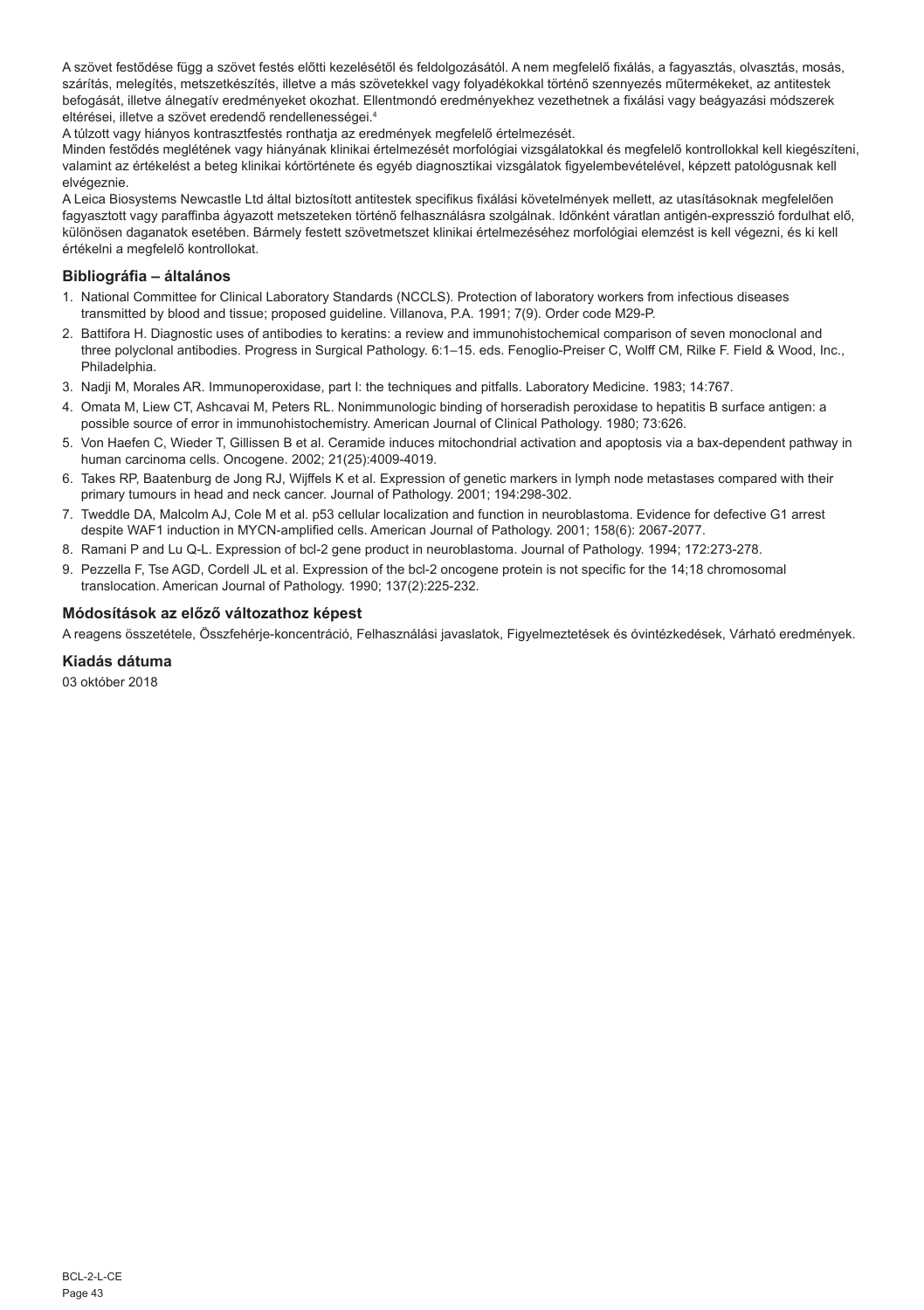A szövet festődése függ a szövet festés előtti kezelésétől és feldolgozásától. A nem megfelelő fixálás, a fagyasztás, olvasztás, mosás, szárítás, melegítés, metszetkészítés, illetve a más szövetekkel vagy folyadékokkal történő szennyezés műtermékeket, az antitestek befogását, illetve álnegatív eredményeket okozhat. Ellentmondó eredményekhez vezethetnek a fixálási vagy beágyazási módszerek eltérései, illetve a szövet eredendő rendellenességei.4

A túlzott vagy hiányos kontrasztfestés ronthatja az eredmények megfelelő értelmezését.

Minden festődés meglétének vagy hiányának klinikai értelmezését morfológiai vizsgálatokkal és megfelelő kontrollokkal kell kiegészíteni, valamint az értékelést a beteg klinikai kórtörténete és egyéb diagnosztikai vizsgálatok figyelembevételével, képzett patológusnak kell elvégeznie.

A Leica Biosystems Newcastle Ltd által biztosított antitestek specifikus fixálási követelmények mellett, az utasításoknak megfelelően fagyasztott vagy paraffinba ágyazott metszeteken történő felhasználásra szolgálnak. Időnként váratlan antigén-expresszió fordulhat elő, különösen daganatok esetében. Bármely festett szövetmetszet klinikai értelmezéséhez morfológiai elemzést is kell végezni, és ki kell értékelni a megfelelő kontrollokat.

#### **Bibliográfia – általános**

- 1. National Committee for Clinical Laboratory Standards (NCCLS). Protection of laboratory workers from infectious diseases transmitted by blood and tissue; proposed guideline. Villanova, P.A. 1991; 7(9). Order code M29-P.
- 2. Battifora H. Diagnostic uses of antibodies to keratins: a review and immunohistochemical comparison of seven monoclonal and three polyclonal antibodies. Progress in Surgical Pathology. 6:1–15. eds. Fenoglio-Preiser C, Wolff CM, Rilke F. Field & Wood, Inc., Philadelphia.
- 3. Nadji M, Morales AR. Immunoperoxidase, part I: the techniques and pitfalls. Laboratory Medicine. 1983; 14:767.
- 4. Omata M, Liew CT, Ashcavai M, Peters RL. Nonimmunologic binding of horseradish peroxidase to hepatitis B surface antigen: a possible source of error in immunohistochemistry. American Journal of Clinical Pathology. 1980; 73:626.
- 5. Von Haefen C, Wieder T, Gillissen B et al. Ceramide induces mitochondrial activation and apoptosis via a bax-dependent pathway in human carcinoma cells. Oncogene. 2002; 21(25):4009-4019.
- 6. Takes RP, Baatenburg de Jong RJ, Wijffels K et al. Expression of genetic markers in lymph node metastases compared with their primary tumours in head and neck cancer. Journal of Pathology. 2001; 194:298-302.
- 7. Tweddle DA, Malcolm AJ, Cole M et al. p53 cellular localization and function in neuroblastoma. Evidence for defective G1 arrest despite WAF1 induction in MYCN-amplified cells. American Journal of Pathology. 2001; 158(6): 2067-2077.
- 8. Ramani P and Lu Q-L. Expression of bcl-2 gene product in neuroblastoma. Journal of Pathology. 1994; 172:273-278.
- 9. Pezzella F, Tse AGD, Cordell JL et al. Expression of the bcl-2 oncogene protein is not specific for the 14;18 chromosomal translocation. American Journal of Pathology. 1990; 137(2):225-232.

#### **Módosítások az előző változathoz képest**

A reagens összetétele, Összfehérje-koncentráció, Felhasználási javaslatok, Figyelmeztetések és óvintézkedések, Várható eredmények.

## **Kiadás dátuma**

03 október 2018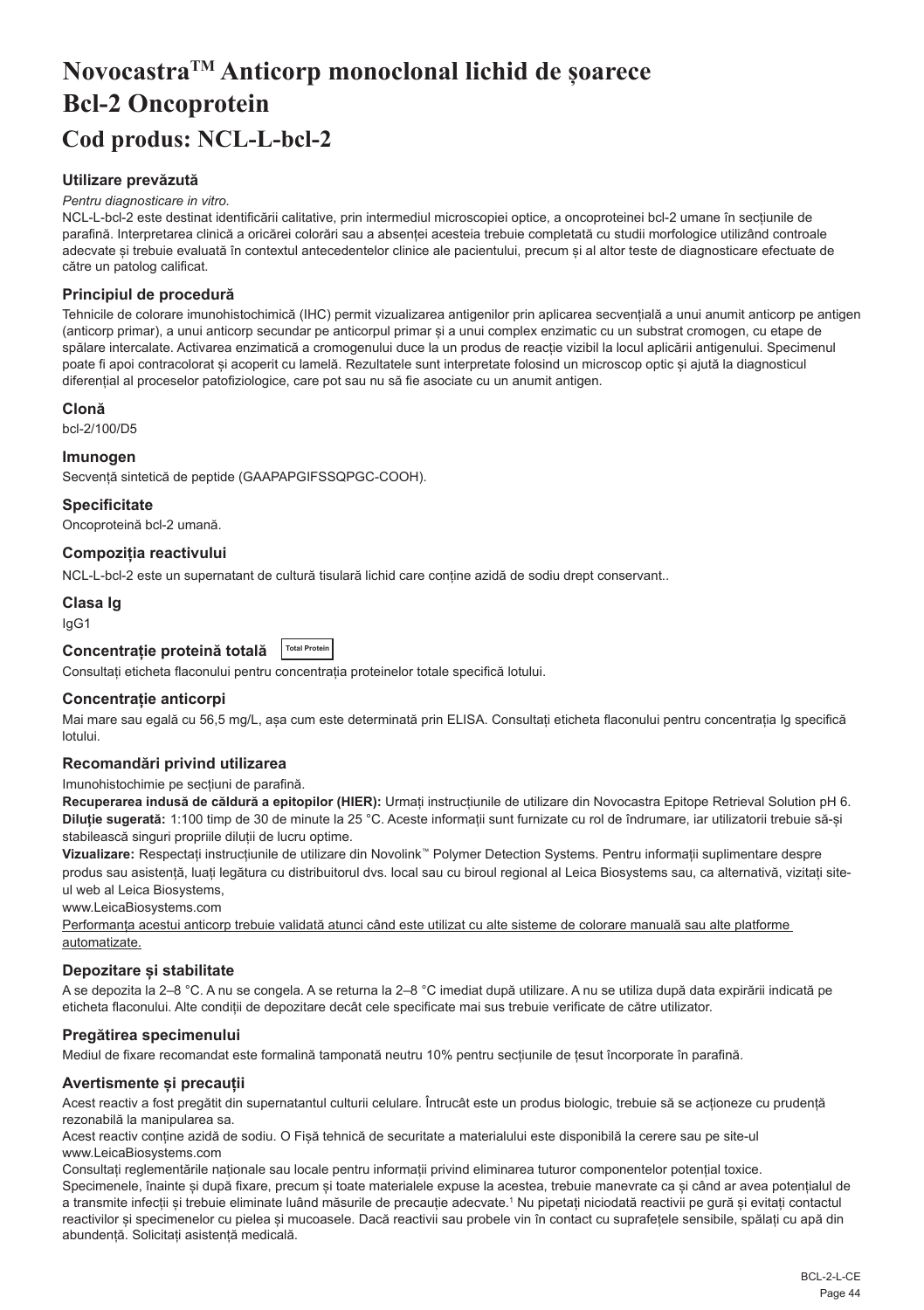# <span id="page-44-0"></span>**NovocastraTM Anticorp monoclonal lichid de șoarece Bcl-2 Oncoprotein Cod produs: NCL-L-bcl-2**

## **Utilizare prevăzută**

#### *Pentru diagnosticare in vitro.*

NCL-L-bcl-2 este destinat identificării calitative, prin intermediul microscopiei optice, a oncoproteinei bcl-2 umane în secțiunile de parafină. Interpretarea clinică a oricărei colorări sau a absenței acesteia trebuie completată cu studii morfologice utilizând controale adecvate și trebuie evaluată în contextul antecedentelor clinice ale pacientului, precum și al altor teste de diagnosticare efectuate de către un patolog calificat.

#### **Principiul de procedură**

Tehnicile de colorare imunohistochimică (IHC) permit vizualizarea antigenilor prin aplicarea secvențială a unui anumit anticorp pe antigen (anticorp primar), a unui anticorp secundar pe anticorpul primar și a unui complex enzimatic cu un substrat cromogen, cu etape de spălare intercalate. Activarea enzimatică a cromogenului duce la un produs de reacție vizibil la locul aplicării antigenului. Specimenul poate fi apoi contracolorat și acoperit cu lamelă. Rezultatele sunt interpretate folosind un microscop optic și ajută la diagnosticul diferențial al proceselor patofiziologice, care pot sau nu să fie asociate cu un anumit antigen.

#### **Clonă**

bcl-2/100/D5

#### **Imunogen**

Secvență sintetică de peptide (GAAPAPGIFSSQPGC-COOH).

**Specificitate**

Oncoproteină bcl-2 umană.

#### **Compoziția reactivului**

NCL-L-bcl-2 este un supernatant de cultură tisulară lichid care conține azidă de sodiu drept conservant..

#### **Clasa Ig**

IgG1

## **Concentrație proteină totală Total Protein**

Consultați eticheta flaconului pentru concentrația proteinelor totale specifică lotului.

#### **Concentrație anticorpi**

Mai mare sau egală cu 56,5 mg/L, asa cum este determinată prin ELISA. Consultati eticheta flaconului pentru concentratia Ig specifică lotului.

#### **Recomandări privind utilizarea**

#### Imunohistochimie pe secțiuni de parafină.

**Recuperarea indusă de căldură a epitopilor (HIER):** Urmați instrucțiunile de utilizare din Novocastra Epitope Retrieval Solution pH 6. **Diluție sugerată:** 1:100 timp de 30 de minute la 25 °C. Aceste informații sunt furnizate cu rol de îndrumare, iar utilizatorii trebuie să-și stabilească singuri propriile diluții de lucru optime.

**Vizualizare:** Respectați instrucțiunile de utilizare din Novolink™ Polymer Detection Systems. Pentru informații suplimentare despre produs sau asistență, luați legătura cu distribuitorul dvs. local sau cu biroul regional al Leica Biosystems sau, ca alternativă, vizitați siteul web al Leica Biosystems,

www.LeicaBiosystems.com

Performanța acestui anticorp trebuie validată atunci când este utilizat cu alte sisteme de colorare manuală sau alte platforme automatizate.

## **Depozitare și stabilitate**

A se depozita la 2–8 °C. A nu se congela. A se returna la 2–8 °C imediat după utilizare. A nu se utiliza după data expirării indicată pe eticheta flaconului. Alte condiții de depozitare decât cele specificate mai sus trebuie verificate de către utilizator.

## **Pregătirea specimenului**

Mediul de fixare recomandat este formalină tamponată neutru 10% pentru secțiunile de țesut încorporate în parafină.

## **Avertismente și precauții**

Acest reactiv a fost pregătit din supernatantul culturii celulare. Întrucât este un produs biologic, trebuie să se acționeze cu prudență rezonabilă la manipularea sa.

Acest reactiv conține azidă de sodiu. O Fișă tehnică de securitate a materialului este disponibilă la cerere sau pe site-ul www.LeicaBiosystems.com

Consultați reglementările naționale sau locale pentru informații privind eliminarea tuturor componentelor potențial toxice. Specimenele, înainte și după fixare, precum și toate materialele expuse la acestea, trebuie manevrate ca și când ar avea potențialul de a transmite infecții și trebuie eliminate luând măsurile de precauție adecvate.1 Nu pipetați niciodată reactivii pe gură și evitați contactul reactivilor și specimenelor cu pielea și mucoasele. Dacă reactivii sau probele vin în contact cu suprafețele sensibile, spălați cu apă din abundență. Solicitați asistență medicală.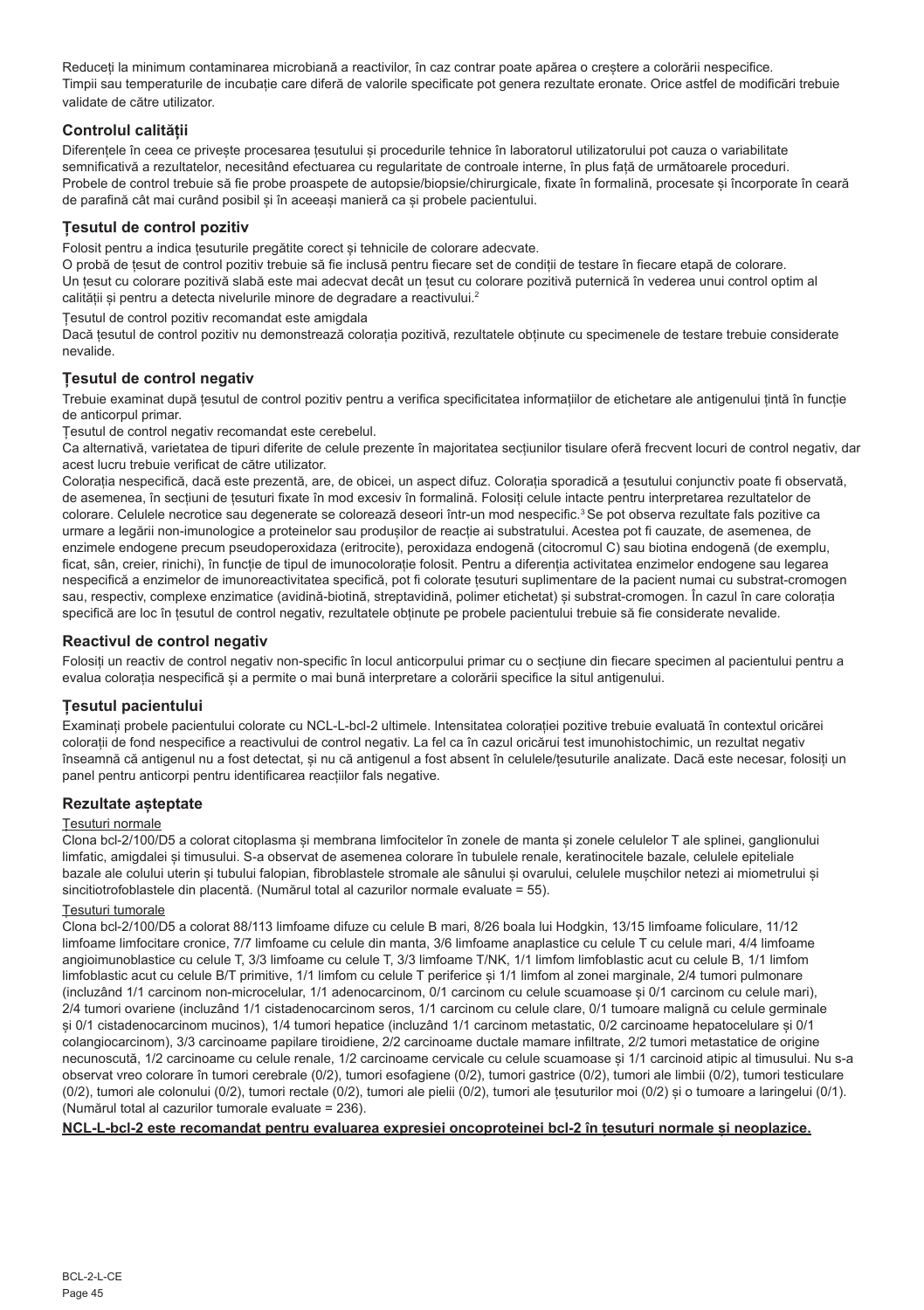Reduceți la minimum contaminarea microbiană a reactivilor, în caz contrar poate apărea o creștere a colorării nespecifice. Timpii sau temperaturile de incubație care diferă de valorile specificate pot genera rezultate eronate. Orice astfel de modificări trebuie validate de către utilizator.

## **Controlul calității**

Diferentele în ceea ce priveste procesarea tesutului si procedurile tehnice în laboratorul utilizatorului pot cauza o variabilitate semnificativă a rezultatelor, necesitând efectuarea cu regularitate de controale interne, în plus față de următoarele proceduri. Probele de control trebuie să fie probe proaspete de autopsie/biopsie/chirurgicale, fixate în formalină, procesate și încorporate în ceară de parafină cât mai curând posibil și în aceeași manieră ca și probele pacientului.

## **Țesutul de control pozitiv**

Folosit pentru a indica țesuturile pregătite corect și tehnicile de colorare adecvate.

O probă de țesut de control pozitiv trebuie să fie inclusă pentru fiecare set de condiții de testare în fiecare etapă de colorare. Un țesut cu colorare pozitivă slabă este mai adecvat decât un țesut cu colorare pozitivă puternică în vederea unui control optim al calității și pentru a detecta nivelurile minore de degradare a reactivului.<sup>2</sup>

Țesutul de control pozitiv recomandat este amigdala

Dacă țesutul de control pozitiv nu demonstrează colorația pozitivă, rezultatele obținute cu specimenele de testare trebuie considerate nevalide.

## **Țesutul de control negativ**

Trebuie examinat după țesutul de control pozitiv pentru a verifica specificitatea informațiilor de etichetare ale antigenului țintă în funcție de anticorpul primar.

Țesutul de control negativ recomandat este cerebelul.

Ca alternativă, varietatea de tipuri diferite de celule prezente în majoritatea secțiunilor tisulare oferă frecvent locuri de control negativ, dar acest lucru trebuie verificat de către utilizator.

Colorația nespecifică, dacă este prezentă, are, de obicei, un aspect difuz. Colorația sporadică a țesutului conjunctiv poate fi observată, de asemenea, în secțiuni de țesuturi fixate în mod excesiv în formalină. Folosiți celule intacte pentru interpretarea rezultatelor de colorare. Celulele necrotice sau degenerate se colorează deseori într-un mod nespecific.<sup>3</sup> Se pot observa rezultate fals pozitive ca urmare a legării non-imunologice a proteinelor sau produșilor de reacție ai substratului. Acestea pot fi cauzate, de asemenea, de enzimele endogene precum pseudoperoxidaza (eritrocite), peroxidaza endogenă (citocromul C) sau biotina endogenă (de exemplu, ficat, sân, creier, rinichi), în funcție de tipul de imunocolorație folosit. Pentru a diferenția activitatea enzimelor endogene sau legarea nespecifică a enzimelor de imunoreactivitatea specifică, pot fi colorate țesuturi suplimentare de la pacient numai cu substrat-cromogen sau, respectiv, complexe enzimatice (avidină-biotină, streptavidină, polimer etichetat) și substrat-cromogen. În cazul în care colorația specifică are loc în țesutul de control negativ, rezultatele obținute pe probele pacientului trebuie să fie considerate nevalide.

## **Reactivul de control negativ**

Folosiți un reactiv de control negativ non-specific în locul anticorpului primar cu o secțiune din fiecare specimen al pacientului pentru a evalua colorația nespecifică și a permite o mai bună interpretare a colorării specifice la situl antigenului.

## **Țesutul pacientului**

Examinați probele pacientului colorate cu NCL-L-bcl-2 ultimele. Intensitatea colorației pozitive trebuie evaluată în contextul oricărei colorații de fond nespecifice a reactivului de control negativ. La fel ca în cazul oricărui test imunohistochimic, un rezultat negativ înseamnă că antigenul nu a fost detectat, și nu că antigenul a fost absent în celulele/țesuturile analizate. Dacă este necesar, folosiți un panel pentru anticorpi pentru identificarea reacțiilor fals negative.

## **Rezultate așteptate**

## Țesuturi normale

Clona bcl-2/100/D5 a colorat citoplasma și membrana limfocitelor în zonele de manta și zonele celulelor T ale splinei, ganglionului limfatic, amigdalei și timusului. S-a observat de asemenea colorare în tubulele renale, keratinocitele bazale, celulele epiteliale bazale ale colului uterin și tubului falopian, fibroblastele stromale ale sânului și ovarului, celulele mușchilor netezi ai miometrului și sincitiotrofoblastele din placentă. (Numărul total al cazurilor normale evaluate = 55).

#### Țesuturi tumorale

Clona bcl-2/100/D5 a colorat 88/113 limfoame difuze cu celule B mari, 8/26 boala lui Hodgkin, 13/15 limfoame foliculare, 11/12 limfoame limfocitare cronice, 7/7 limfoame cu celule din manta, 3/6 limfoame anaplastice cu celule T cu celule mari, 4/4 limfoame angioimunoblastice cu celule T, 3/3 limfoame cu celule T, 3/3 limfoame T/NK, 1/1 limfom limfoblastic acut cu celule B, 1/1 limfom limfoblastic acut cu celule B/T primitive, 1/1 limfom cu celule T periferice și 1/1 limfom al zonei marginale, 2/4 tumori pulmonare (incluzând 1/1 carcinom non-microcelular, 1/1 adenocarcinom, 0/1 carcinom cu celule scuamoase și 0/1 carcinom cu celule mari), 2/4 tumori ovariene (incluzând 1/1 cistadenocarcinom seros, 1/1 carcinom cu celule clare, 0/1 tumoare malignă cu celule germinale și 0/1 cistadenocarcinom mucinos), 1/4 tumori hepatice (incluzând 1/1 carcinom metastatic, 0/2 carcinoame hepatocelulare și 0/1 colangiocarcinom), 3/3 carcinoame papilare tiroidiene, 2/2 carcinoame ductale mamare infiltrate, 2/2 tumori metastatice de origine necunoscută, 1/2 carcinoame cu celule renale, 1/2 carcinoame cervicale cu celule scuamoase și 1/1 carcinoid atipic al timusului. Nu s-a observat vreo colorare în tumori cerebrale (0/2), tumori esofagiene (0/2), tumori gastrice (0/2), tumori ale limbii (0/2), tumori testiculare (0/2), tumori ale colonului (0/2), tumori rectale (0/2), tumori ale pielii (0/2), tumori ale țesuturilor moi (0/2) și o tumoare a laringelui (0/1). (Numărul total al cazurilor tumorale evaluate = 236).

#### **NCL-L-bcl-2 este recomandat pentru evaluarea expresiei oncoproteinei bcl-2 în țesuturi normale și neoplazice.**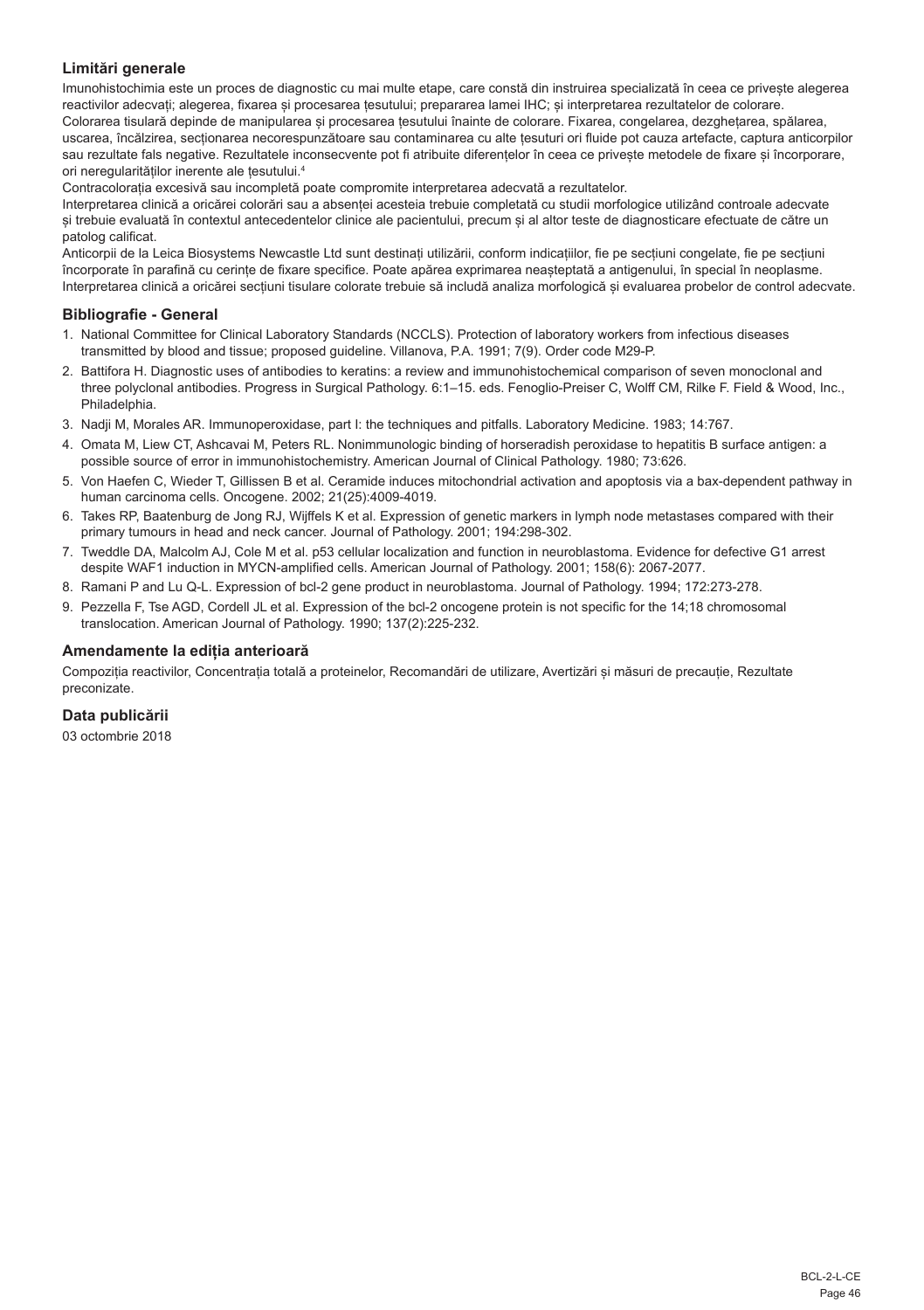## **Limitări generale**

Imunohistochimia este un proces de diagnostic cu mai multe etape, care constă din instruirea specializată în ceea ce privește alegerea reactivilor adecvați; alegerea, fixarea și procesarea țesutului; prepararea lamei IHC; și interpretarea rezultatelor de colorare. Colorarea tisulară depinde de manipularea și procesarea țesutului înainte de colorare. Fixarea, congelarea, dezghețarea, spălarea, uscarea, încălzirea, secționarea necorespunzătoare sau contaminarea cu alte țesuturi ori fluide pot cauza artefacte, captura anticorpilor sau rezultate fals negative. Rezultatele inconsecvente pot fi atribuite diferențelor în ceea ce privește metodele de fixare și încorporare, ori neregularităților inerente ale țesutului.4

Contracolorația excesivă sau incompletă poate compromite interpretarea adecvată a rezultatelor.

Interpretarea clinică a oricărei colorări sau a absenței acesteia trebuie completată cu studii morfologice utilizând controale adecvate și trebuie evaluată în contextul antecedentelor clinice ale pacientului, precum și al altor teste de diagnosticare efectuate de către un patolog calificat.

Anticorpii de la Leica Biosystems Newcastle Ltd sunt destinați utilizării, conform indicațiilor, fie pe secțiuni congelate, fie pe secțiuni încorporate în parafină cu cerințe de fixare specifice. Poate apărea exprimarea neașteptată a antigenului, în special în neoplasme. Interpretarea clinică a oricărei secțiuni tisulare colorate trebuie să includă analiza morfologică și evaluarea probelor de control adecvate.

## **Bibliografie - General**

- 1. National Committee for Clinical Laboratory Standards (NCCLS). Protection of laboratory workers from infectious diseases transmitted by blood and tissue; proposed guideline. Villanova, P.A. 1991; 7(9). Order code M29-P.
- 2. Battifora H. Diagnostic uses of antibodies to keratins: a review and immunohistochemical comparison of seven monoclonal and three polyclonal antibodies. Progress in Surgical Pathology. 6:1–15. eds. Fenoglio-Preiser C, Wolff CM, Rilke F. Field & Wood, Inc., Philadelphia.
- 3. Nadji M, Morales AR. Immunoperoxidase, part I: the techniques and pitfalls. Laboratory Medicine. 1983; 14:767.
- 4. Omata M, Liew CT, Ashcavai M, Peters RL. Nonimmunologic binding of horseradish peroxidase to hepatitis B surface antigen: a possible source of error in immunohistochemistry. American Journal of Clinical Pathology. 1980; 73:626.
- 5. Von Haefen C, Wieder T, Gillissen B et al. Ceramide induces mitochondrial activation and apoptosis via a bax-dependent pathway in human carcinoma cells. Oncogene. 2002; 21(25):4009-4019.
- 6. Takes RP, Baatenburg de Jong RJ, Wijffels K et al. Expression of genetic markers in lymph node metastases compared with their primary tumours in head and neck cancer. Journal of Pathology. 2001; 194:298-302.
- 7. Tweddle DA, Malcolm AJ, Cole M et al. p53 cellular localization and function in neuroblastoma. Evidence for defective G1 arrest despite WAF1 induction in MYCN-amplified cells. American Journal of Pathology. 2001; 158(6): 2067-2077.
- 8. Ramani P and Lu Q-L. Expression of bcl-2 gene product in neuroblastoma. Journal of Pathology. 1994; 172:273-278.
- 9. Pezzella F, Tse AGD, Cordell JL et al. Expression of the bcl-2 oncogene protein is not specific for the 14;18 chromosomal translocation. American Journal of Pathology. 1990; 137(2):225-232.

#### **Amendamente la ediția anterioară**

Compoziția reactivilor, Concentrația totală a proteinelor, Recomandări de utilizare, Avertizări și măsuri de precauție, Rezultate preconizate.

## **Data publicării**

03 octombrie 2018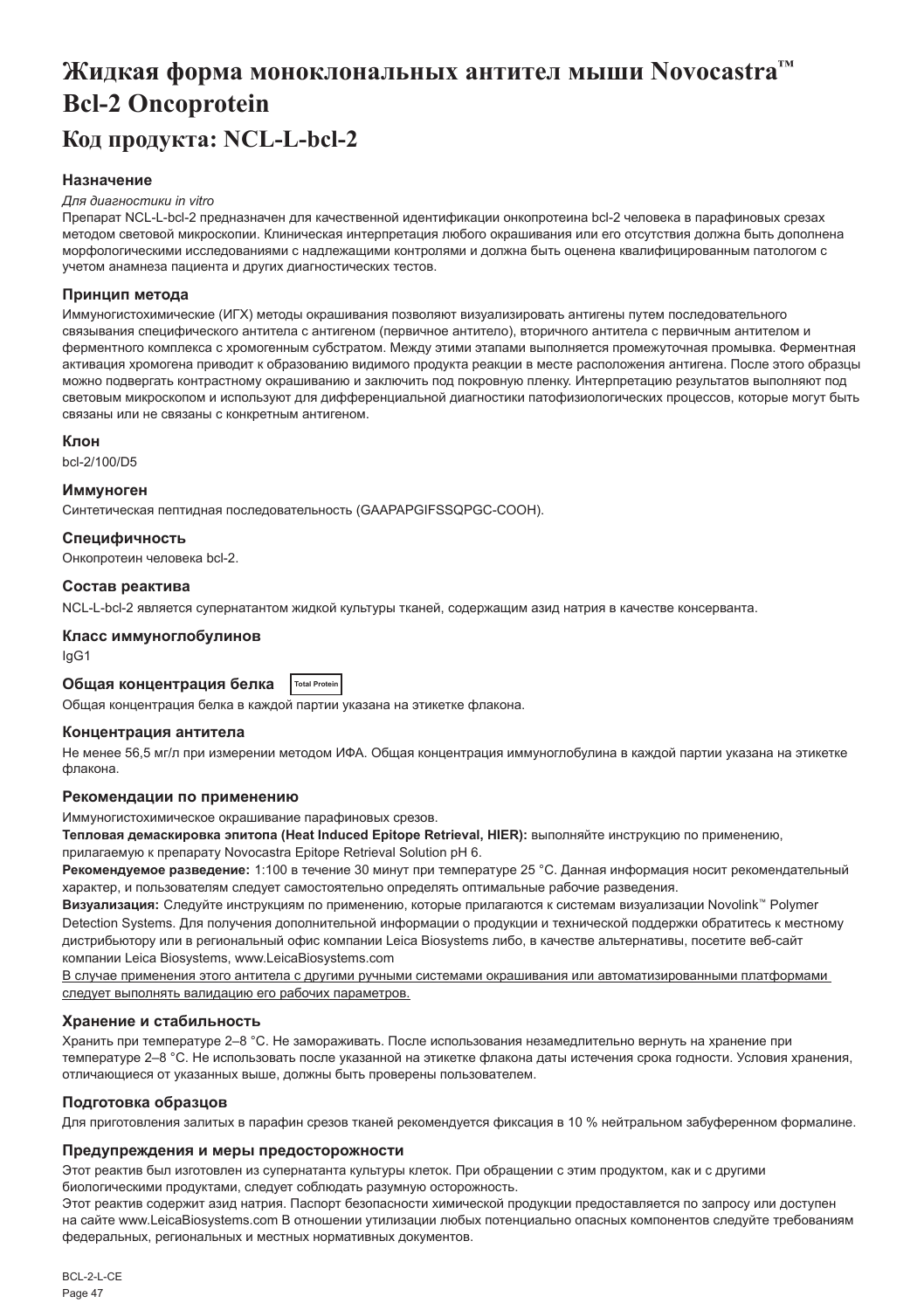# <span id="page-47-0"></span>**Жидкая форма моноклональных антител мыши Novocastra™ Bcl-2 Oncoprotein Код продукта: NCL-L-bcl-2**

## **Назначение**

#### *Для диагностики in vitro*

Препарат NCL-L-bcl-2 предназначен для качественной идентификации онкопротеина bcl-2 человека в парафиновых срезах методом световой микроскопии. Клиническая интерпретация любого окрашивания или его отсутствия должна быть дополнена морфологическими исследованиями с надлежащими контролями и должна быть оценена квалифицированным патологом с учетом анамнеза пациента и других диагностических тестов.

#### **Принцип метода**

Иммуногистохимические (ИГХ) методы окрашивания позволяют визуализировать антигены путем последовательного связывания специфического антитела с антигеном (первичное антитело), вторичного антитела с первичным антителом и ферментного комплекса с хромогенным субстратом. Между этими этапами выполняется промежуточная промывка. Ферментная активация хромогена приводит к образованию видимого продукта реакции в месте расположения антигена. После этого образцы можно подвергать контрастному окрашиванию и заключить под покровную пленку. Интерпретацию результатов выполняют под световым микроскопом и используют для дифференциальной диагностики патофизиологических процессов, которые могут быть связаны или не связаны с конкретным антигеном.

#### **Клон**

bcl-2/100/D5

#### **Иммуноген**

Синтетическая пептидная последовательность (GAAPAPGIFSSQPGC-COOH).

#### **Специфичность**

Онкопротеин человека bcl-2.

#### **Состав реактива**

NCL-L-bcl-2 является супернатантом жидкой культуры тканей, содержащим азид натрия в качестве консерванта.

## **Класс иммуноглобулинов**

IgG1

## **Общая концентрация белка Total Protein**

Общая концентрация белка в каждой партии указана на этикетке флакона.

#### **Концентрация антитела**

Не менее 56,5 мг/л при измерении методом ИФА. Общая концентрация иммуноглобулина в каждой партии указана на этикетке флакона.

#### **Рекомендации по применению**

Иммуногистохимическое окрашивание парафиновых срезов.

**Тепловая демаскировка эпитопа (Heat Induced Epitope Retrieval, HIER):** выполняйте инструкцию по применению, прилагаемую к препарату Novocastra Epitope Retrieval Solution pH 6.

**Рекомендуемое разведение:** 1:100 в течение 30 минут при температуре 25 °C. Данная информация носит рекомендательный характер, и пользователям следует самостоятельно определять оптимальные рабочие разведения.

**Визуализация:** Следуйте инструкциям по применению, которые прилагаются к системам визуализации Novolink™ Polymer Detection Systems. Для получения дополнительной информации о продукции и технической поддержки обратитесь к местному дистрибьютору или в региональный офис компании Leica Biosystems либо, в качестве альтернативы, посетите веб-сайт компании Leica Biosystems, www.LeicaBiosystems.com

В случае применения этого антитела с другими ручными системами окрашивания или автоматизированными платформами следует выполнять валидацию его рабочих параметров.

## **Хранение и стабильность**

Хранить при температуре 2–8 °C. Не замораживать. После использования незамедлительно вернуть на хранение при температуре 2–8 °C. Не использовать после указанной на этикетке флакона даты истечения срока годности. Условия хранения, отличающиеся от указанных выше, должны быть проверены пользователем.

## **Подготовка образцов**

Для приготовления залитых в парафин срезов тканей рекомендуется фиксация в 10 % нейтральном забуференном формалине.

#### **Предупреждения и меры предосторожности**

Этот реактив был изготовлен из супернатанта культуры клеток. При обращении с этим продуктом, как и с другими биологическими продуктами, следует соблюдать разумную осторожность.

Этот реактив содержит азид натрия. Паспорт безопасности химической продукции предоставляется по запросу или доступен на сайте www.LeicaBiosystems.com В отношении утилизации любых потенциально опасных компонентов следуйте требованиям федеральных, региональных и местных нормативных документов.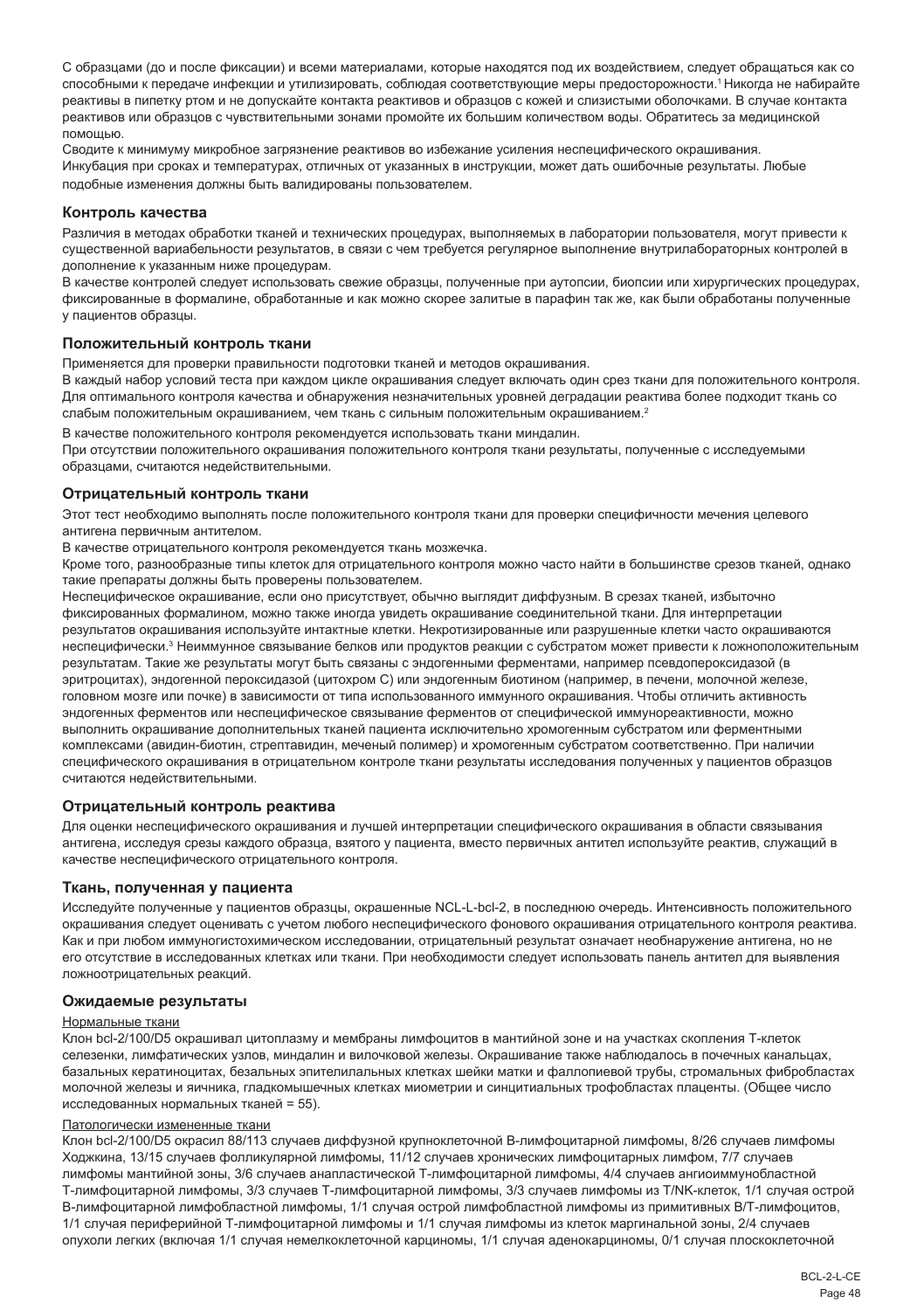С образцами (до и после фиксации) и всеми материалами, которые находятся под их воздействием, следует обращаться как со способными к передаче инфекции и утилизировать, соблюдая соответствующие меры предосторожности.<sup>1</sup>Никогда не набирайте реактивы в пипетку ртом и не допускайте контакта реактивов и образцов с кожей и слизистыми оболочками. В случае контакта реактивов или образцов с чувствительными зонами промойте их большим количеством воды. Обратитесь за медицинской помощью.

Сводите к минимуму микробное загрязнение реактивов во избежание усиления неспецифического окрашивания. Инкубация при сроках и температурах, отличных от указанных в инструкции, может дать ошибочные результаты. Любые подобные изменения должны быть валидированы пользователем.

#### **Контроль качества**

Различия в методах обработки тканей и технических процедурах, выполняемых в лаборатории пользователя, могут привести к существенной вариабельности результатов, в связи с чем требуется регулярное выполнение внутрилабораторных контролей в дополнение к указанным ниже процедурам.

В качестве контролей следует использовать свежие образцы, полученные при аутопсии, биопсии или хирургических процедурах, фиксированные в формалине, обработанные и как можно скорее залитые в парафин так же, как были обработаны полученные у пациентов образцы.

#### **Положительный контроль ткани**

Применяется для проверки правильности подготовки тканей и методов окрашивания.

В каждый набор условий теста при каждом цикле окрашивания следует включать один срез ткани для положительного контроля. Для оптимального контроля качества и обнаружения незначительных уровней деградации реактива более подходит ткань со слабым положительным окрашиванием, чем ткань с сильным положительным окрашиванием.<sup>2</sup>

В качестве положительного контроля рекомендуется использовать ткани миндалин.

При отсутствии положительного окрашивания положительного контроля ткани результаты, полученные с исследуемыми образцами, считаются недействительными.

#### **Отрицательный контроль ткани**

Этот тест необходимо выполнять после положительного контроля ткани для проверки специфичности мечения целевого антигена первичным антителом.

В качестве отрицательного контроля рекомендуется ткань мозжечка.

Кроме того, разнообразные типы клеток для отрицательного контроля можно часто найти в большинстве срезов тканей, однако такие препараты должны быть проверены пользователем.

Неспецифическое окрашивание, если оно присутствует, обычно выглядит диффузным. В срезах тканей, избыточно фиксированных формалином, можно также иногда увидеть окрашивание соединительной ткани. Для интерпретации результатов окрашивания используйте интактные клетки. Некротизированные или разрушенные клетки часто окрашиваются неспецифически.<sup>з</sup> Неиммунное связывание белков или продуктов реакции с субстратом может привести к ложноположительным результатам. Такие же результаты могут быть связаны с эндогенными ферментами, например псевдопероксидазой (в эритроцитах), эндогенной пероксидазой (цитохром C) или эндогенным биотином (например, в печени, молочной железе, головном мозге или почке) в зависимости от типа использованного иммунного окрашивания. Чтобы отличить активность эндогенных ферментов или неспецифическое связывание ферментов от специфической иммунореактивности, можно выполнить окрашивание дополнительных тканей пациента исключительно хромогенным субстратом или ферментными комплексами (авидин-биотин, стрептавидин, меченый полимер) и хромогенным субстратом соответственно. При наличии специфического окрашивания в отрицательном контроле ткани результаты исследования полученных у пациентов образцов считаются недействительными.

#### **Отрицательный контроль реактива**

Для оценки неспецифического окрашивания и лучшей интерпретации специфического окрашивания в области связывания антигена, исследуя срезы каждого образца, взятого у пациента, вместо первичных антител используйте реактив, служащий в качестве неспецифического отрицательного контроля.

## **Ткань, полученная у пациента**

Исследуйте полученные у пациентов образцы, окрашенные NCL-L-bcl-2, в последнюю очередь. Интенсивность положительного окрашивания следует оценивать с учетом любого неспецифического фонового окрашивания отрицательного контроля реактива. Как и при любом иммуногистохимическом исследовании, отрицательный результат означает необнаружение антигена, но не его отсутствие в исследованных клетках или ткани. При необходимости следует использовать панель антител для выявления ложноотрицательных реакций.

#### **Ожидаемые результаты**

#### Нормальные ткани

Клон bcl-2/100/D5 окрашивал цитоплазму и мембраны лимфоцитов в мантийной зоне и на участках скопления Т-клеток селезенки, лимфатических узлов, миндалин и вилочковой железы. Окрашивание также наблюдалось в почечных канальцах, базальных кератиноцитах, безальных эпителилальных клетках шейки матки и фаллопиевой трубы, стромальных фибробластах молочной железы и яичника, гладкомышечных клетках миометрии и синцитиальных трофобластах плаценты. (Общее число исследованных нормальных тканей = 55).

#### Патологически измененные ткани

Клон bcl-2/100/D5 окрасил 88/113 случаев диффузной крупноклеточной В-лимфоцитарной лимфомы, 8/26 случаев лимфомы Ходжкина, 13/15 случаев фолликулярной лимфомы, 11/12 случаев хронических лимфоцитарных лимфом, 7/7 случаев лимфомы мантийной зоны, 3/6 случаев анапластической Т-лимфоцитарной лимфомы, 4/4 случаев ангиоиммунобластной Т-лимфоцитарной лимфомы, 3/3 случаев Т-лимфоцитарной лимфомы, 3/3 случаев лимфомы из Т/NK-клеток, 1/1 случая острой В-лимфоцитарной лимфобластной лимфомы, 1/1 случая острой лимфобластной лимфомы из примитивных В/Т-лимфоцитов, 1/1 случая периферийной Т-лимфоцитарной лимфомы и 1/1 случая лимфомы из клеток маргинальной зоны, 2/4 случаев опухоли легких (включая 1/1 случая немелкоклеточной карциномы, 1/1 случая аденокарциномы, 0/1 случая плоскоклеточной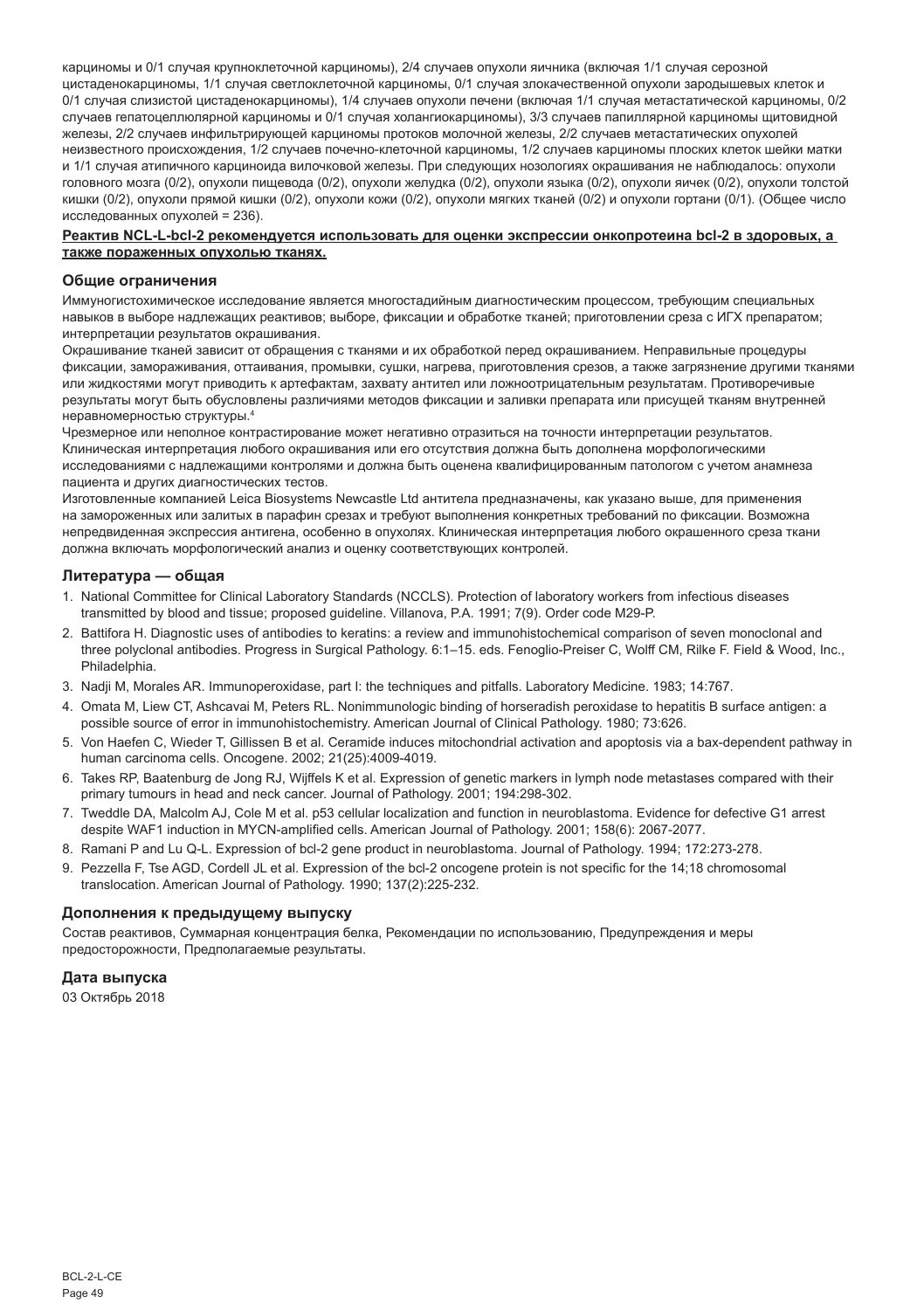карциномы и 0/1 случая крупноклеточной карциномы), 2/4 случаев опухоли яичника (включая 1/1 случая серозной цистаденокарциномы, 1/1 случая светлоклеточной карциномы, 0/1 случая злокачественной опухоли зародышевых клеток и 0/1 случая слизистой цистаденокарциномы), 1/4 случаев опухоли печени (включая 1/1 случая метастатической карциномы, 0/2 случаев гепатоцеллюлярной карциномы и 0/1 случая холангиокарциномы), 3/3 случаев папиллярной карциномы щитовидной железы, 2/2 случаев инфильтрирующей карциномы протоков молочной железы, 2/2 случаев метастатических опухолей неизвестного происхождения, 1/2 случаев почечно-клеточной карциномы, 1/2 случаев карциномы плоских клеток шейки матки и 1/1 случая атипичного карциноида вилочковой железы. При следующих нозологиях окрашивания не наблюдалось: опухоли головного мозга (0/2), опухоли пищевода (0/2), опухоли желудка (0/2), опухоли языка (0/2), опухоли яичек (0/2), опухоли толстой кишки (0/2), опухоли прямой кишки (0/2), опухоли кожи (0/2), опухоли мягких тканей (0/2) и опухоли гортани (0/1). (Общее число исследованных опухолей = 236).

#### **Реактив NCL-L-bcl-2 рекомендуется использовать для оценки экспрессии онкопротеина bcl-2 в здоровых, а также пораженных опухолью тканях.**

#### **Общие ограничения**

Иммуногистохимическое исследование является многостадийным диагностическим процессом, требующим специальных навыков в выборе надлежащих реактивов; выборе, фиксации и обработке тканей; приготовлении среза с ИГХ препаратом; интерпретации результатов окрашивания.

Окрашивание тканей зависит от обращения с тканями и их обработкой перед окрашиванием. Неправильные процедуры фиксации, замораживания, оттаивания, промывки, сушки, нагрева, приготовления срезов, а также загрязнение другими тканями или жидкостями могут приводить к артефактам, захвату антител или ложноотрицательным результатам. Противоречивые результаты могут быть обусловлены различиями методов фиксации и заливки препарата или присущей тканям внутренней неравномерностью структуры.4

Чрезмерное или неполное контрастирование может негативно отразиться на точности интерпретации результатов. Клиническая интерпретация любого окрашивания или его отсутствия должна быть дополнена морфологическими исследованиями с надлежащими контролями и должна быть оценена квалифицированным патологом с учетом анамнеза пациента и других диагностических тестов.

Изготовленные компанией Leica Biosystems Newcastle Ltd антитела предназначены, как указано выше, для применения на замороженных или залитых в парафин срезах и требуют выполнения конкретных требований по фиксации. Возможна непредвиденная экспрессия антигена, особенно в опухолях. Клиническая интерпретация любого окрашенного среза ткани должна включать морфологический анализ и оценку соответствующих контролей.

#### **Литература — общая**

- 1. National Committee for Clinical Laboratory Standards (NCCLS). Protection of laboratory workers from infectious diseases transmitted by blood and tissue; proposed guideline. Villanova, P.A. 1991; 7(9). Order code M29-P.
- 2. Battifora H. Diagnostic uses of antibodies to keratins: a review and immunohistochemical comparison of seven monoclonal and three polyclonal antibodies. Progress in Surgical Pathology. 6:1–15. eds. Fenoglio-Preiser C, Wolff CM, Rilke F. Field & Wood, Inc., Philadelphia.
- 3. Nadji M, Morales AR. Immunoperoxidase, part I: the techniques and pitfalls. Laboratory Medicine. 1983; 14:767.
- 4. Omata M, Liew CT, Ashcavai M, Peters RL. Nonimmunologic binding of horseradish peroxidase to hepatitis B surface antigen: a possible source of error in immunohistochemistry. American Journal of Clinical Pathology. 1980; 73:626.
- 5. Von Haefen C, Wieder T, Gillissen B et al. Ceramide induces mitochondrial activation and apoptosis via a bax-dependent pathway in human carcinoma cells. Oncogene. 2002; 21(25):4009-4019.
- 6. Takes RP, Baatenburg de Jong RJ, Wijffels K et al. Expression of genetic markers in lymph node metastases compared with their primary tumours in head and neck cancer. Journal of Pathology. 2001; 194:298-302.
- 7. Tweddle DA, Malcolm AJ, Cole M et al. p53 cellular localization and function in neuroblastoma. Evidence for defective G1 arrest despite WAF1 induction in MYCN-amplified cells. American Journal of Pathology. 2001; 158(6): 2067-2077.
- 8. Ramani P and Lu Q-L. Expression of bcl-2 gene product in neuroblastoma. Journal of Pathology. 1994; 172:273-278.
- 9. Pezzella F, Tse AGD, Cordell JL et al. Expression of the bcl-2 oncogene protein is not specific for the 14;18 chromosomal translocation. American Journal of Pathology. 1990; 137(2):225-232.

## **Дополнения к предыдущему выпуску**

Состав реактивов, Суммарная концентрация белка, Рекомендации по использованию, Предупреждения и меры предосторожности, Предполагаемые результаты.

## **Дата выпуска**

03 Октябрь 2018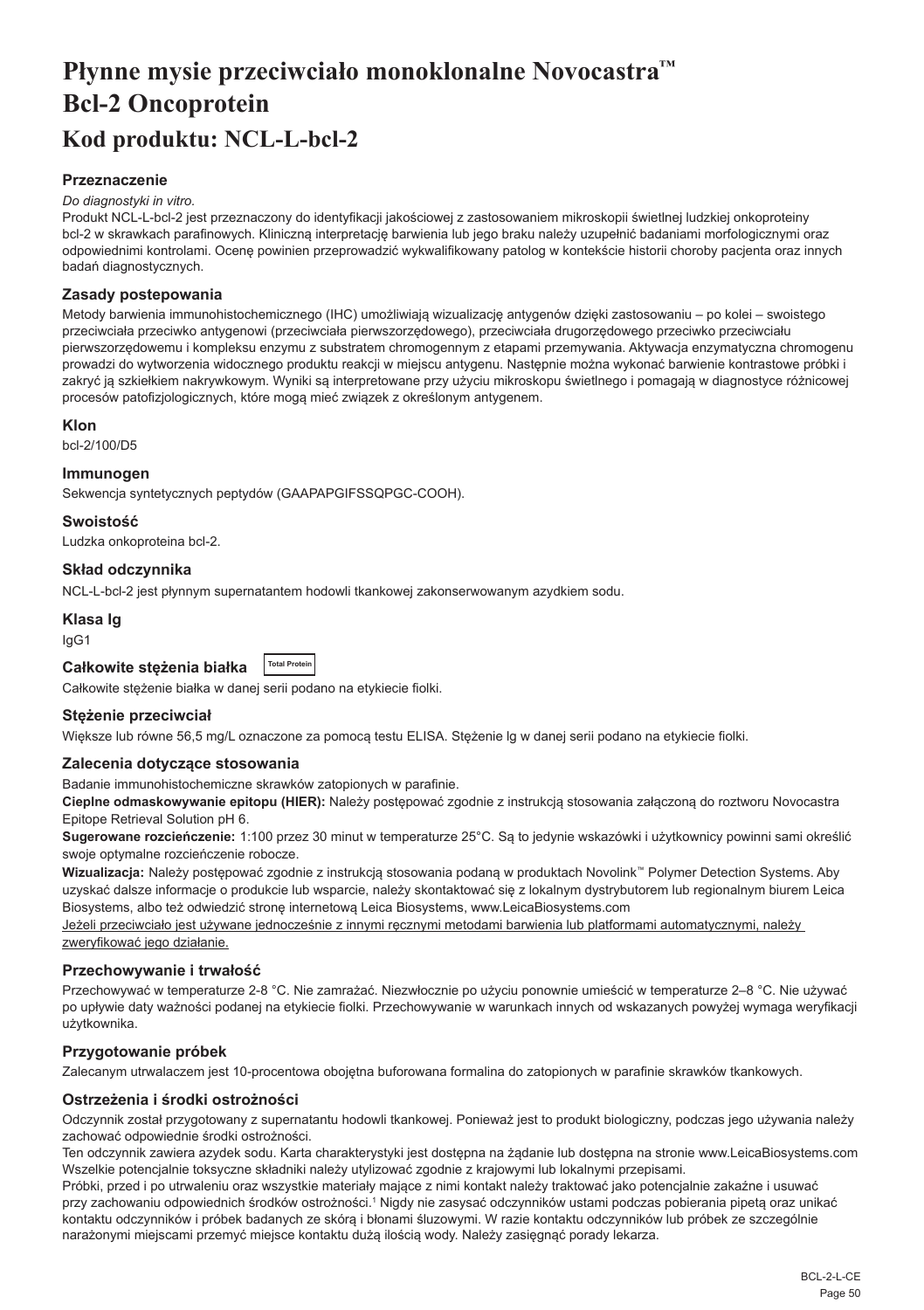# <span id="page-50-0"></span>**Płynne mysie przeciwciało monoklonalne Novocastra™ Bcl-2 Oncoprotein Kod produktu: NCL-L-bcl-2**

## **Przeznaczenie**

#### *Do diagnostyki in vitro.*

Produkt NCL-L-bcl-2 jest przeznaczony do identyfikacji jakościowej z zastosowaniem mikroskopii świetlnej ludzkiej onkoproteiny bcl-2 w skrawkach parafinowych. Kliniczną interpretację barwienia lub jego braku należy uzupełnić badaniami morfologicznymi oraz odpowiednimi kontrolami. Ocenę powinien przeprowadzić wykwalifikowany patolog w kontekście historii choroby pacjenta oraz innych badań diagnostycznych.

#### **Zasady postepowania**

Metody barwienia immunohistochemicznego (IHC) umożliwiają wizualizację antygenów dzięki zastosowaniu – po kolei – swoistego przeciwciała przeciwko antygenowi (przeciwciała pierwszorzędowego), przeciwciała drugorzędowego przeciwko przeciwciału pierwszorzędowemu i kompleksu enzymu z substratem chromogennym z etapami przemywania. Aktywacja enzymatyczna chromogenu prowadzi do wytworzenia widocznego produktu reakcji w miejscu antygenu. Następnie można wykonać barwienie kontrastowe próbki i zakryć ją szkiełkiem nakrywkowym. Wyniki są interpretowane przy użyciu mikroskopu świetlnego i pomagają w diagnostyce różnicowej procesów patofizjologicznych, które mogą mieć związek z określonym antygenem.

#### **Klon**

bcl-2/100/D5

#### **Immunogen**

Sekwencja syntetycznych peptydów (GAAPAPGIFSSQPGC-COOH).

**Swoistość**

Ludzka onkoproteina bcl-2.

## **Skład odczynnika**

NCL-L-bcl-2 jest płynnym supernatantem hodowli tkankowej zakonserwowanym azydkiem sodu.

#### **Klasa Ig**

IgG1

| Całkowite stężenia białka |  | Total Protein |
|---------------------------|--|---------------|
|                           |  |               |

Całkowite stężenie białka w danej serii podano na etykiecie fiolki.

#### **Stężenie przeciwciał**

Większe lub równe 56,5 mg/L oznaczone za pomocą testu ELISA. Stężenie lg w danej serii podano na etykiecie fiolki.

#### **Zalecenia dotyczące stosowania**

Badanie immunohistochemiczne skrawków zatopionych w parafinie.

**Cieplne odmaskowywanie epitopu (HIER):** Należy postępować zgodnie z instrukcją stosowania załączoną do roztworu Novocastra Epitope Retrieval Solution pH 6.

**Sugerowane rozcieńczenie:** 1:100 przez 30 minut w temperaturze 25°C. Są to jedynie wskazówki i użytkownicy powinni sami określić swoje optymalne rozcieńczenie robocze.

**Wizualizacja:** Należy postępować zgodnie z instrukcją stosowania podaną w produktach Novolink™ Polymer Detection Systems. Aby uzyskać dalsze informacje o produkcie lub wsparcie, należy skontaktować się z lokalnym dystrybutorem lub regionalnym biurem Leica Biosystems, albo też odwiedzić stronę internetową Leica Biosystems, www.LeicaBiosystems.com

Jeżeli przeciwciało jest używane jednocześnie z innymi ręcznymi metodami barwienia lub platformami automatycznymi, należy zweryfikować jego działanie.

#### **Przechowywanie i trwałość**

Przechowywać w temperaturze 2-8 °C. Nie zamrażać. Niezwłocznie po użyciu ponownie umieścić w temperaturze 2–8 °C. Nie używać po upływie daty ważności podanej na etykiecie fiolki. Przechowywanie w warunkach innych od wskazanych powyżej wymaga weryfikacji użytkownika.

## **Przygotowanie próbek**

Zalecanym utrwalaczem jest 10-procentowa obojętna buforowana formalina do zatopionych w parafinie skrawków tkankowych.

## **Ostrzeżenia i środki ostrożności**

Odczynnik został przygotowany z supernatantu hodowli tkankowej. Ponieważ jest to produkt biologiczny, podczas jego używania należy zachować odpowiednie środki ostrożności.

Ten odczynnik zawiera azydek sodu. Karta charakterystyki jest dostępna na żądanie lub dostępna na stronie www.LeicaBiosystems.com Wszelkie potencjalnie toksyczne składniki należy utylizować zgodnie z krajowymi lub lokalnymi przepisami.

Próbki, przed i po utrwaleniu oraz wszystkie materiały mające z nimi kontakt należy traktować jako potencjalnie zakaźne i usuwać przy zachowaniu odpowiednich środków ostrożności.1 Nigdy nie zasysać odczynników ustami podczas pobierania pipetą oraz unikać kontaktu odczynników i próbek badanych ze skórą i błonami śluzowymi. W razie kontaktu odczynników lub próbek ze szczególnie narażonymi miejscami przemyć miejsce kontaktu dużą ilością wody. Należy zasięgnąć porady lekarza.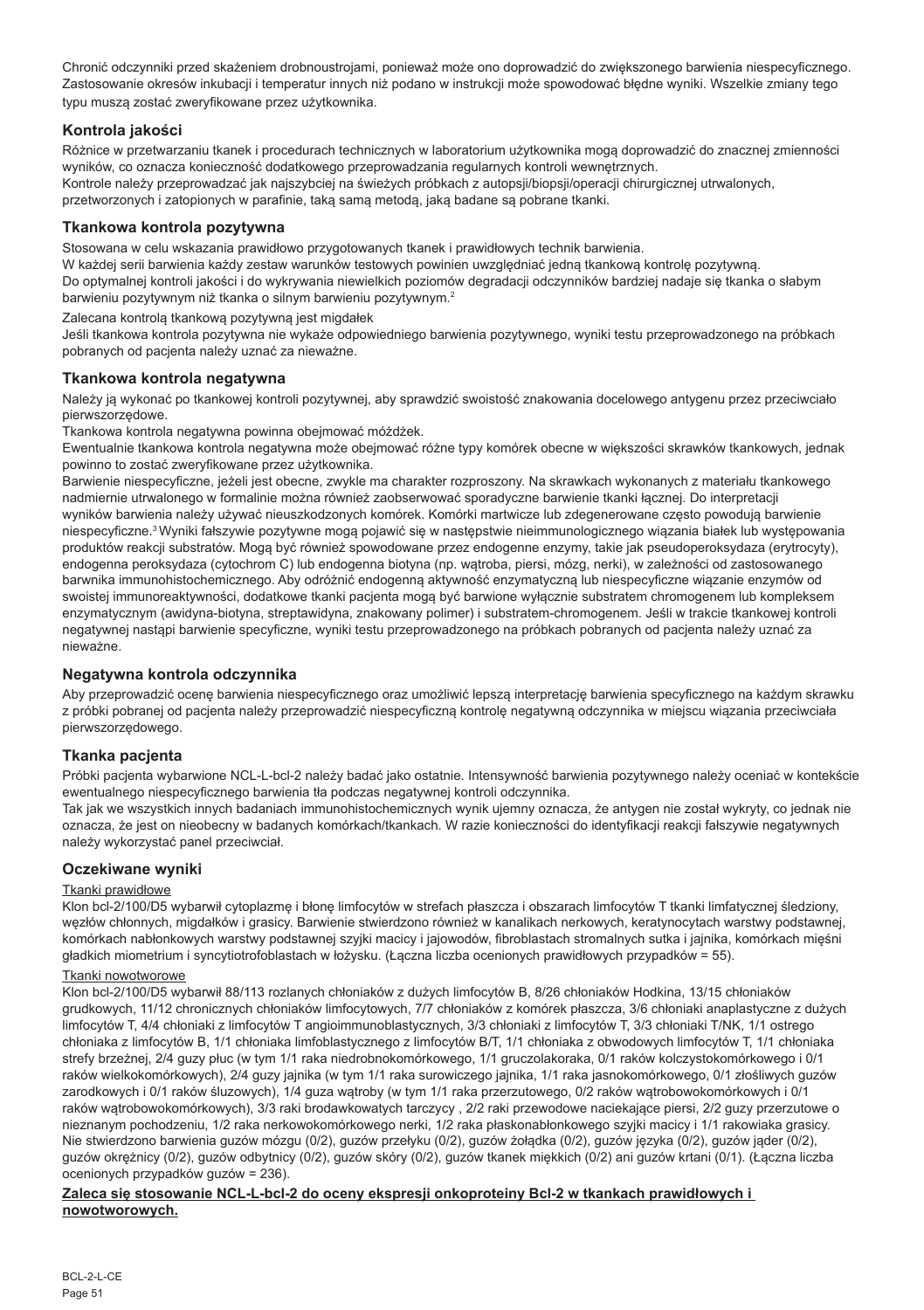Chronić odczynniki przed skażeniem drobnoustrojami, ponieważ może ono doprowadzić do zwiększonego barwienia niespecyficznego. Zastosowanie okresów inkubacji i temperatur innych niż podano w instrukcji może spowodować błędne wyniki. Wszelkie zmiany tego typu muszą zostać zweryfikowane przez użytkownika.

## **Kontrola jakości**

Różnice w przetwarzaniu tkanek i procedurach technicznych w laboratorium użytkownika mogą doprowadzić do znacznej zmienności wyników, co oznacza konieczność dodatkowego przeprowadzania regularnych kontroli wewnętrznych. Kontrole należy przeprowadzać jak najszybciej na świeżych próbkach z autopsji/biopsji/operacji chirurgicznej utrwalonych, przetworzonych i zatopionych w parafinie, taką samą metodą, jaką badane są pobrane tkanki.

## **Tkankowa kontrola pozytywna**

Stosowana w celu wskazania prawidłowo przygotowanych tkanek i prawidłowych technik barwienia.

W każdej serii barwienia każdy zestaw warunków testowych powinien uwzględniać jedną tkankową kontrolę pozytywną. Do optymalnej kontroli jakości i do wykrywania niewielkich poziomów degradacji odczynników bardziej nadaje się tkanka o słabym barwieniu pozytywnym niż tkanka o silnym barwieniu pozytywnym.<sup>2</sup>

Zalecana kontrolą tkankową pozytywną jest migdałek

Jeśli tkankowa kontrola pozytywna nie wykaże odpowiedniego barwienia pozytywnego, wyniki testu przeprowadzonego na próbkach pobranych od pacjenta należy uznać za nieważne.

## **Tkankowa kontrola negatywna**

Należy ją wykonać po tkankowej kontroli pozytywnej, aby sprawdzić swoistość znakowania docelowego antygenu przez przeciwciało pierwszorzędowe.

Tkankowa kontrola negatywna powinna obejmować móżdżek.

Ewentualnie tkankowa kontrola negatywna może obejmować różne typy komórek obecne w większości skrawków tkankowych, jednak powinno to zostać zweryfikowane przez użytkownika.

Barwienie niespecyficzne, jeżeli jest obecne, zwykle ma charakter rozproszony. Na skrawkach wykonanych z materiału tkankowego nadmiernie utrwalonego w formalinie można również zaobserwować sporadyczne barwienie tkanki łącznej. Do interpretacji wyników barwienia należy używać nieuszkodzonych komórek. Komórki martwicze lub zdegenerowane często powodują barwienie niespecyficzne.<sup>3</sup>Wyniki fałszywie pozytywne mogą pojawić się w następstwie nieimmunologicznego wiązania białek lub występowania produktów reakcji substratów. Mogą być również spowodowane przez endogenne enzymy, takie jak pseudoperoksydaza (erytrocyty), endogenna peroksydaza (cytochrom C) lub endogenna biotyna (np. wątroba, piersi, mózg, nerki), w zależności od zastosowanego barwnika immunohistochemicznego. Aby odróżnić endogenną aktywność enzymatyczną lub niespecyficzne wiązanie enzymów od swoistej immunoreaktywności, dodatkowe tkanki pacjenta mogą być barwione wyłącznie substratem chromogenem lub kompleksem enzymatycznym (awidyna-biotyna, streptawidyna, znakowany polimer) i substratem-chromogenem. Jeśli w trakcie tkankowej kontroli negatywnej nastąpi barwienie specyficzne, wyniki testu przeprowadzonego na próbkach pobranych od pacjenta należy uznać za nieważne.

## **Negatywna kontrola odczynnika**

Aby przeprowadzić ocenę barwienia niespecyficznego oraz umożliwić lepszą interpretację barwienia specyficznego na każdym skrawku z próbki pobranej od pacjenta należy przeprowadzić niespecyficzną kontrolę negatywną odczynnika w miejscu wiązania przeciwciała pierwszorzędowego.

## **Tkanka pacjenta**

Próbki pacjenta wybarwione NCL-L-bcl-2 należy badać jako ostatnie. Intensywność barwienia pozytywnego należy oceniać w kontekście ewentualnego niespecyficznego barwienia tła podczas negatywnej kontroli odczynnika.

Tak jak we wszystkich innych badaniach immunohistochemicznych wynik ujemny oznacza, że antygen nie został wykryty, co jednak nie oznacza, że jest on nieobecny w badanych komórkach/tkankach. W razie konieczności do identyfikacji reakcji fałszywie negatywnych należy wykorzystać panel przeciwciał.

## **Oczekiwane wyniki**

## Tkanki prawidłowe

Klon bcl-2/100/D5 wybarwił cytoplazmę i błonę limfocytów w strefach płaszcza i obszarach limfocytów T tkanki limfatycznej śledziony, węzłów chłonnych, migdałków i grasicy. Barwienie stwierdzono również w kanalikach nerkowych, keratynocytach warstwy podstawnej, komórkach nabłonkowych warstwy podstawnej szyjki macicy i jajowodów, fibroblastach stromalnych sutka i jajnika, komórkach mięśni gładkich miometrium i syncytiotrofoblastach w łożysku. (Łączna liczba ocenionych prawidłowych przypadków = 55).

## Tkanki nowotworowe

Klon bcl-2/100/D5 wybarwił 88/113 rozlanych chłoniaków z dużych limfocytów B, 8/26 chłoniaków Hodkina, 13/15 chłoniaków grudkowych, 11/12 chronicznych chłoniaków limfocytowych, 7/7 chłoniaków z komórek płaszcza, 3/6 chłoniaki anaplastyczne z dużych limfocytów T, 4/4 chłoniaki z limfocytów T angioimmunoblastycznych, 3/3 chłoniaki z limfocytów T, 3/3 chłoniaki T/NK, 1/1 ostrego chłoniaka z limfocytów B, 1/1 chłoniaka limfoblastycznego z limfocytów B/T, 1/1 chłoniaka z obwodowych limfocytów T, 1/1 chłoniaka strefy brzeżnej, 2/4 guzy płuc (w tym 1/1 raka niedrobnokomórkowego, 1/1 gruczolakoraka, 0/1 raków kolczystokomórkowego i 0/1 raków wielkokomórkowych), 2/4 guzy jajnika (w tym 1/1 raka surowiczego jajnika, 1/1 raka jasnokomórkowego, 0/1 złośliwych guzów zarodkowych i 0/1 raków śluzowych), 1/4 guza wątroby (w tym 1/1 raka przerzutowego, 0/2 raków wątrobowokomórkowych i 0/1 raków wątrobowokomórkowych), 3/3 raki brodawkowatych tarczycy , 2/2 raki przewodowe naciekające piersi, 2/2 guzy przerzutowe o nieznanym pochodzeniu, 1/2 raka nerkowokomórkowego nerki, 1/2 raka płaskonabłonkowego szyjki macicy i 1/1 rakowiaka grasicy. Nie stwierdzono barwienia guzów mózgu (0/2), guzów przełyku (0/2), guzów żołądka (0/2), guzów języka (0/2), guzów jąder (0/2), guzów okrężnicy (0/2), guzów odbytnicy (0/2), guzów skóry (0/2), guzów tkanek miękkich (0/2) ani guzów krtani (0/1). (Łączna liczba ocenionych przypadków guzów = 236).

#### **Zaleca się stosowanie NCL-L-bcl-2 do oceny ekspresji onkoproteiny Bcl-2 w tkankach prawidłowych i nowotworowych.**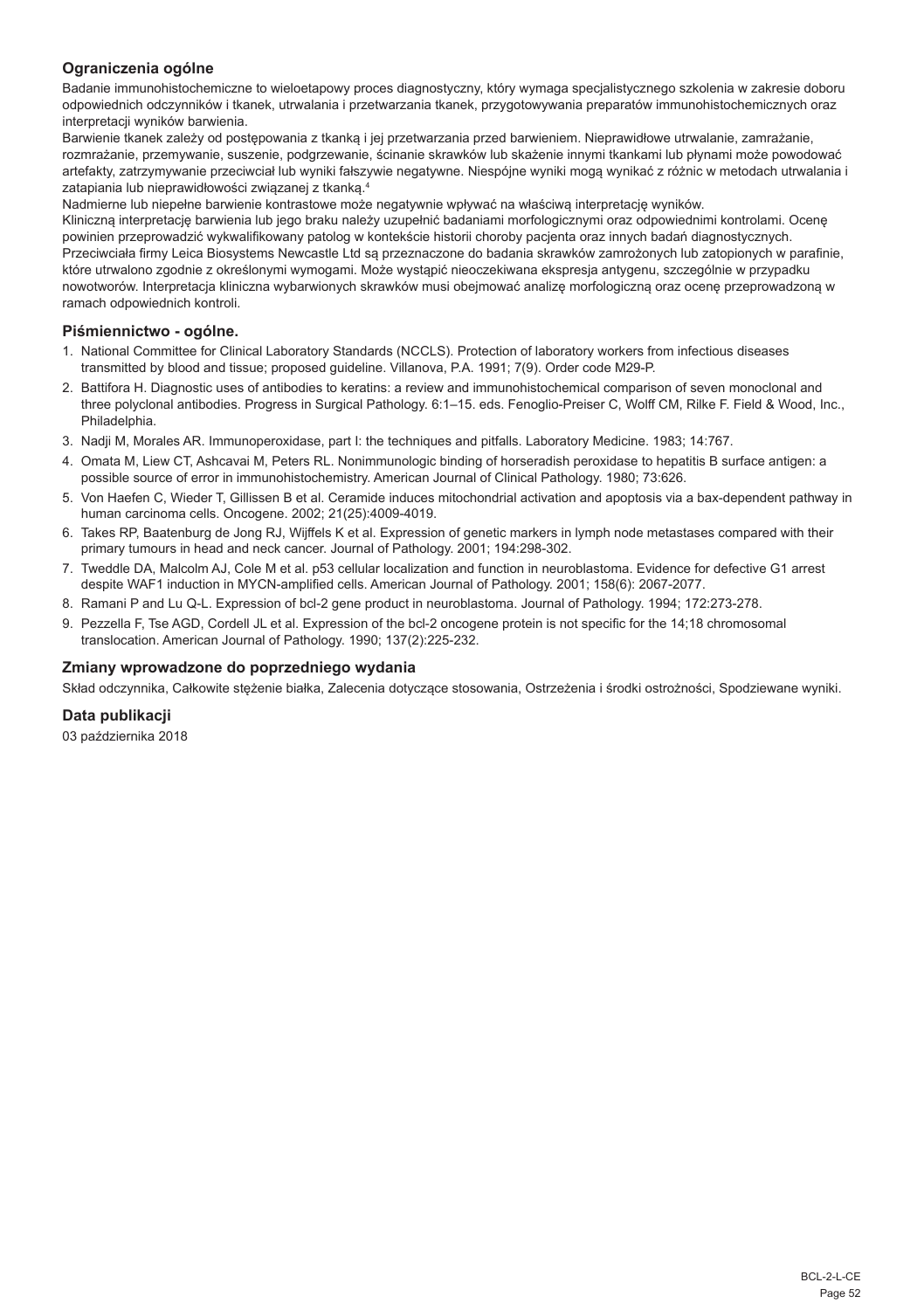## **Ograniczenia ogólne**

Badanie immunohistochemiczne to wieloetapowy proces diagnostyczny, który wymaga specjalistycznego szkolenia w zakresie doboru odpowiednich odczynników i tkanek, utrwalania i przetwarzania tkanek, przygotowywania preparatów immunohistochemicznych oraz interpretacji wyników barwienia.

Barwienie tkanek zależy od postępowania z tkanką i jej przetwarzania przed barwieniem. Nieprawidłowe utrwalanie, zamrażanie, rozmrażanie, przemywanie, suszenie, podgrzewanie, ścinanie skrawków lub skażenie innymi tkankami lub płynami może powodować artefakty, zatrzymywanie przeciwciał lub wyniki fałszywie negatywne. Niespójne wyniki mogą wynikać z różnic w metodach utrwalania i zatapiania lub nieprawidłowości związanej z tkanką.<sup>4</sup>

Nadmierne lub niepełne barwienie kontrastowe może negatywnie wpływać na właściwą interpretację wyników.

Kliniczną interpretację barwienia lub jego braku należy uzupełnić badaniami morfologicznymi oraz odpowiednimi kontrolami. Ocenę powinien przeprowadzić wykwalifikowany patolog w kontekście historii choroby pacjenta oraz innych badań diagnostycznych. Przeciwciała firmy Leica Biosystems Newcastle Ltd są przeznaczone do badania skrawków zamrożonych lub zatopionych w parafinie, które utrwalono zgodnie z określonymi wymogami. Może wystąpić nieoczekiwana ekspresja antygenu, szczególnie w przypadku nowotworów. Interpretacja kliniczna wybarwionych skrawków musi obejmować analizę morfologiczną oraz ocenę przeprowadzoną w ramach odpowiednich kontroli.

## **Piśmiennictwo - ogólne.**

- 1. National Committee for Clinical Laboratory Standards (NCCLS). Protection of laboratory workers from infectious diseases transmitted by blood and tissue; proposed guideline. Villanova, P.A. 1991; 7(9). Order code M29-P.
- 2. Battifora H. Diagnostic uses of antibodies to keratins: a review and immunohistochemical comparison of seven monoclonal and three polyclonal antibodies. Progress in Surgical Pathology. 6:1–15. eds. Fenoglio-Preiser C, Wolff CM, Rilke F. Field & Wood, Inc., Philadelphia.
- 3. Nadji M, Morales AR. Immunoperoxidase, part I: the techniques and pitfalls. Laboratory Medicine. 1983; 14:767.
- 4. Omata M, Liew CT, Ashcavai M, Peters RL. Nonimmunologic binding of horseradish peroxidase to hepatitis B surface antigen: a possible source of error in immunohistochemistry. American Journal of Clinical Pathology. 1980; 73:626.
- 5. Von Haefen C, Wieder T, Gillissen B et al. Ceramide induces mitochondrial activation and apoptosis via a bax-dependent pathway in human carcinoma cells. Oncogene. 2002; 21(25):4009-4019.
- 6. Takes RP, Baatenburg de Jong RJ, Wijffels K et al. Expression of genetic markers in lymph node metastases compared with their primary tumours in head and neck cancer. Journal of Pathology. 2001; 194:298-302.
- 7. Tweddle DA, Malcolm AJ, Cole M et al. p53 cellular localization and function in neuroblastoma. Evidence for defective G1 arrest despite WAF1 induction in MYCN-amplified cells. American Journal of Pathology. 2001; 158(6): 2067-2077.
- 8. Ramani P and Lu Q-L. Expression of bcl-2 gene product in neuroblastoma. Journal of Pathology. 1994; 172:273-278.
- 9. Pezzella F, Tse AGD, Cordell JL et al. Expression of the bcl-2 oncogene protein is not specific for the 14;18 chromosomal translocation. American Journal of Pathology. 1990; 137(2):225-232.

## **Zmiany wprowadzone do poprzedniego wydania**

Skład odczynnika, Całkowite stężenie białka, Zalecenia dotyczące stosowania, Ostrzeżenia i środki ostrożności, Spodziewane wyniki.

## **Data publikacji**

03 października 2018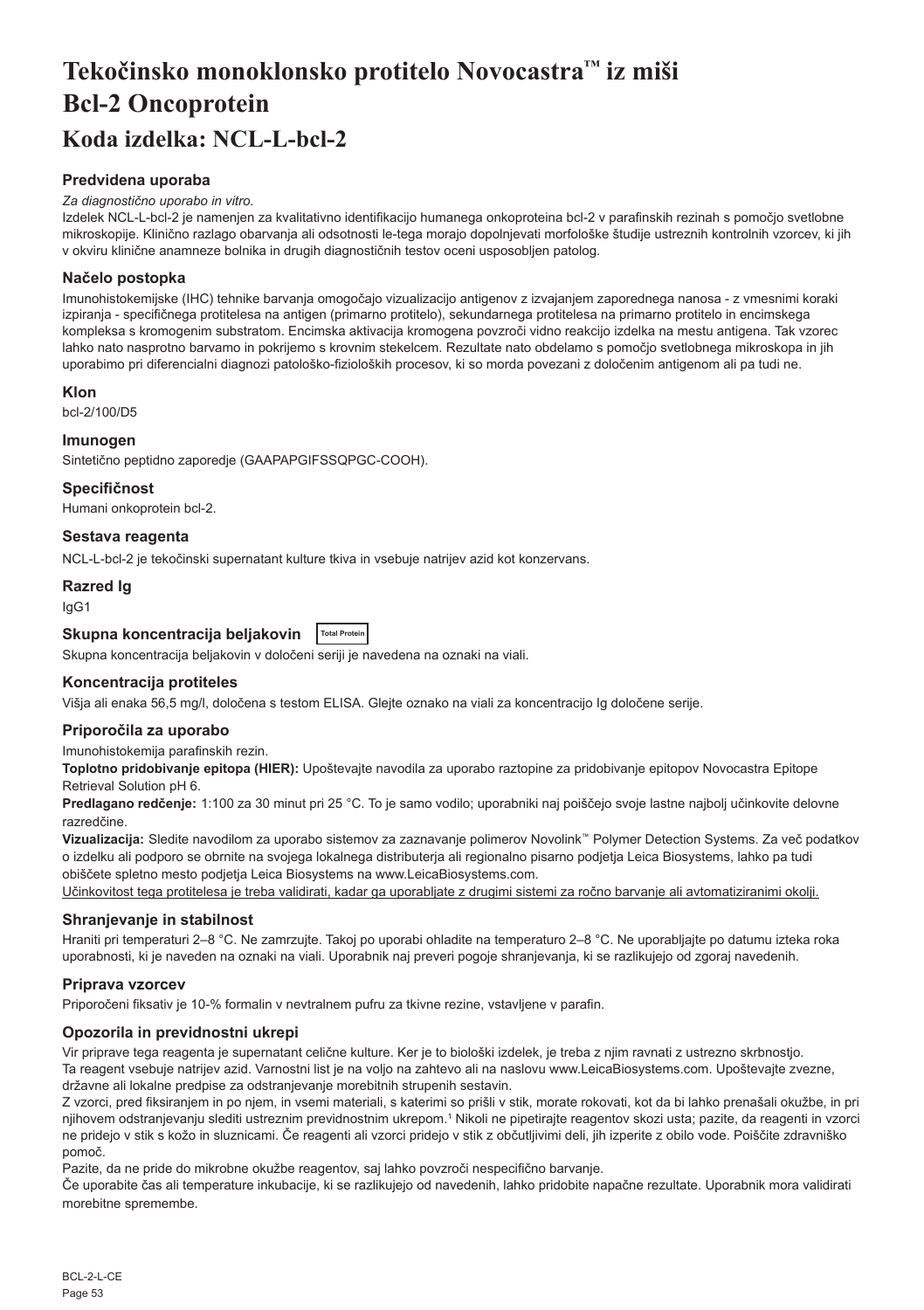# <span id="page-53-0"></span>**Tekočinsko monoklonsko protitelo Novocastra™ iz miši Bcl-2 Oncoprotein Koda izdelka: NCL-L-bcl-2**

## **Predvidena uporaba**

#### *Za diagnostično uporabo in vitro.*

Izdelek NCL-L-bcl-2 je namenjen za kvalitativno identifikacijo humanega onkoproteina bcl-2 v parafinskih rezinah s pomočjo svetlobne mikroskopije. Klinično razlago obarvanja ali odsotnosti le-tega morajo dopolnjevati morfološke študije ustreznih kontrolnih vzorcev, ki jih v okviru klinične anamneze bolnika in drugih diagnostičnih testov oceni usposobljen patolog.

## **Načelo postopka**

Imunohistokemijske (IHC) tehnike barvanja omogočajo vizualizacijo antigenov z izvajanjem zaporednega nanosa - z vmesnimi koraki izpiranja - specifičnega protitelesa na antigen (primarno protitelo), sekundarnega protitelesa na primarno protitelo in encimskega kompleksa s kromogenim substratom. Encimska aktivacija kromogena povzroči vidno reakcijo izdelka na mestu antigena. Tak vzorec lahko nato nasprotno barvamo in pokrijemo s krovnim stekelcem. Rezultate nato obdelamo s pomočjo svetlobnega mikroskopa in jih uporabimo pri diferencialni diagnozi patološko-fizioloških procesov, ki so morda povezani z določenim antigenom ali pa tudi ne.

#### **Klon**

bcl-2/100/D5

## **Imunogen**

Sintetično peptidno zaporedje (GAAPAPGIFSSQPGC-COOH).

#### **Specifičnost**

Humani onkoprotein bcl-2.

## **Sestava reagenta**

NCL-L-bcl-2 je tekočinski supernatant kulture tkiva in vsebuje natrijev azid kot konzervans.

## **Razred Ig**

IgG1

## **Skupna koncentracija beljakovin Total Protein**

Skupna koncentracija beljakovin v določeni seriji je navedena na oznaki na viali.

## **Koncentracija protiteles**

Višja ali enaka 56,5 mg/l, določena s testom ELISA. Glejte oznako na viali za koncentracijo Ig določene serije.

#### **Priporočila za uporabo**

Imunohistokemija parafinskih rezin.

**Toplotno pridobivanje epitopa (HIER):** Upoštevajte navodila za uporabo raztopine za pridobivanje epitopov Novocastra Epitope Retrieval Solution pH 6.

**Predlagano redčenje:** 1:100 za 30 minut pri 25 °C. To je samo vodilo; uporabniki naj poiščejo svoje lastne najbolj učinkovite delovne razredčine.

**Vizualizacija:** Sledite navodilom za uporabo sistemov za zaznavanje polimerov Novolink™ Polymer Detection Systems. Za več podatkov o izdelku ali podporo se obrnite na svojega lokalnega distributerja ali regionalno pisarno podjetja Leica Biosystems, lahko pa tudi obiščete spletno mesto podjetja Leica Biosystems na www.LeicaBiosystems.com.

Učinkovitost tega protitelesa je treba validirati, kadar ga uporabljate z drugimi sistemi za ročno barvanje ali avtomatiziranimi okolji.

## **Shranjevanje in stabilnost**

Hraniti pri temperaturi 2–8 °C. Ne zamrzujte. Takoj po uporabi ohladite na temperaturo 2–8 °C. Ne uporabljajte po datumu izteka roka uporabnosti, ki je naveden na oznaki na viali. Uporabnik naj preveri pogoje shranjevanja, ki se razlikujejo od zgoraj navedenih.

## **Priprava vzorcev**

Priporočeni fiksativ je 10-% formalin v nevtralnem pufru za tkivne rezine, vstavljene v parafin.

#### **Opozorila in previdnostni ukrepi**

Vir priprave tega reagenta je supernatant celične kulture. Ker je to biološki izdelek, je treba z njim ravnati z ustrezno skrbnostjo. Ta reagent vsebuje natrijev azid. Varnostni list je na voljo na zahtevo ali na naslovu www.LeicaBiosystems.com. Upoštevajte zvezne, državne ali lokalne predpise za odstranjevanje morebitnih strupenih sestavin.

Z vzorci, pred fiksiranjem in po njem, in vsemi materiali, s katerimi so prišli v stik, morate rokovati, kot da bi lahko prenašali okužbe, in pri njihovem odstranjevanju slediti ustreznim previdnostnim ukrepom.<sup>1</sup> Nikoli ne pipetirajte reagentov skozi usta; pazite, da reagenti in vzorci ne pridejo v stik s kožo in sluznicami. Če reagenti ali vzorci pridejo v stik z občutljivimi deli, jih izperite z obilo vode. Poiščite zdravniško pomoč.

Pazite, da ne pride do mikrobne okužbe reagentov, saj lahko povzroči nespecifično barvanje.

Če uporabite čas ali temperature inkubacije, ki se razlikujejo od navedenih, lahko pridobite napačne rezultate. Uporabnik mora validirati morebitne spremembe.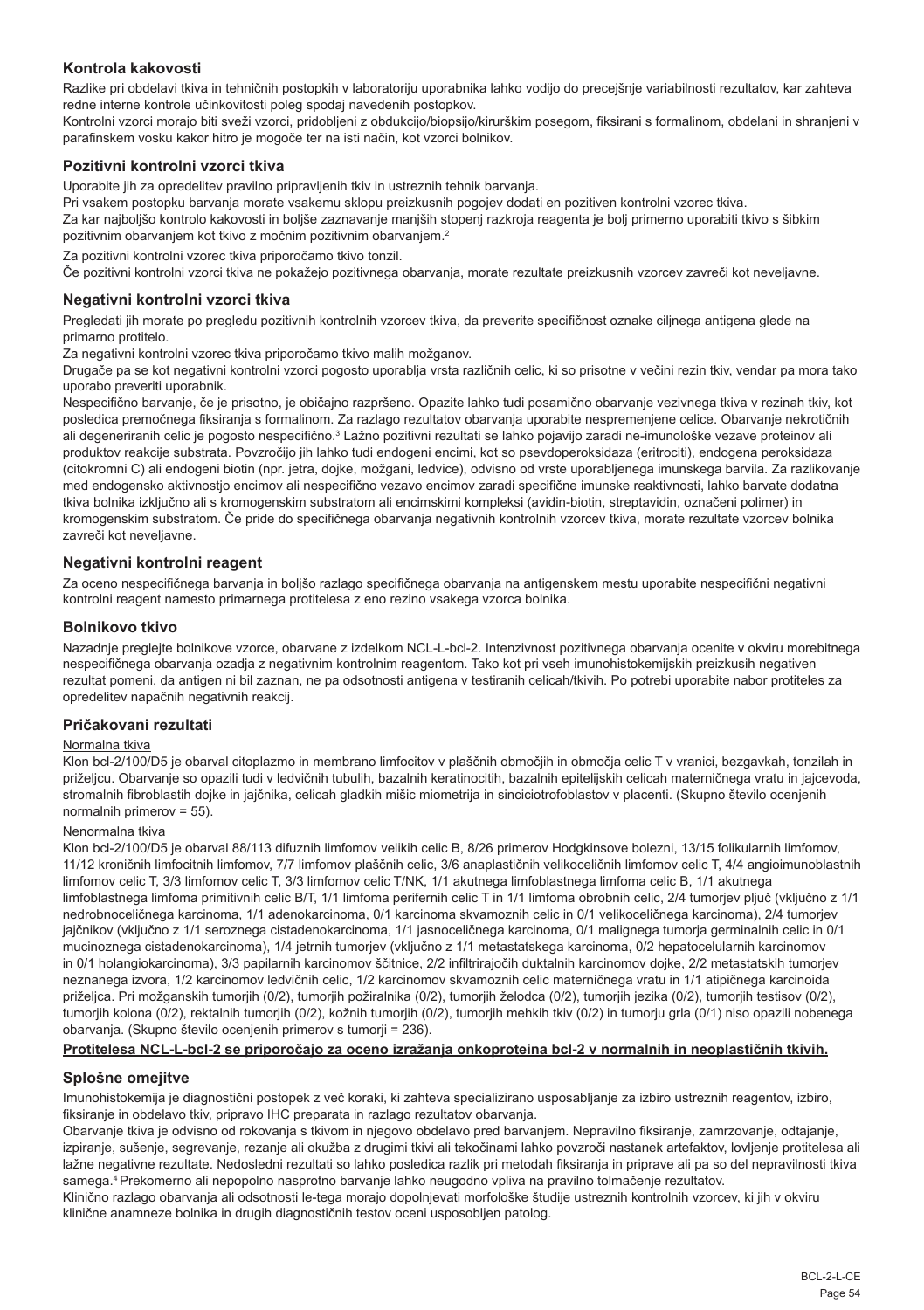## **Kontrola kakovosti**

Razlike pri obdelavi tkiva in tehničnih postopkih v laboratoriju uporabnika lahko vodijo do precejšnje variabilnosti rezultatov, kar zahteva redne interne kontrole učinkovitosti poleg spodaj navedenih postopkov.

Kontrolni vzorci morajo biti sveži vzorci, pridobljeni z obdukcijo/biopsijo/kirurškim posegom, fiksirani s formalinom, obdelani in shranjeni v parafinskem vosku kakor hitro je mogoče ter na isti način, kot vzorci bolnikov.

#### **Pozitivni kontrolni vzorci tkiva**

Uporabite jih za opredelitev pravilno pripravljenih tkiv in ustreznih tehnik barvanja.

Pri vsakem postopku barvanja morate vsakemu sklopu preizkusnih pogojev dodati en pozitiven kontrolni vzorec tkiva.

Za kar najboljšo kontrolo kakovosti in boljše zaznavanje manjših stopenj razkroja reagenta je bolj primerno uporabiti tkivo s šibkim pozitivnim obarvanjem kot tkivo z močnim pozitivnim obarvanjem.<sup>2</sup>

Za pozitivni kontrolni vzorec tkiva priporočamo tkivo tonzil.

Če pozitivni kontrolni vzorci tkiva ne pokažejo pozitivnega obarvanja, morate rezultate preizkusnih vzorcev zavreči kot neveljavne.

#### **Negativni kontrolni vzorci tkiva**

Pregledati jih morate po pregledu pozitivnih kontrolnih vzorcev tkiva, da preverite specifičnost oznake ciljnega antigena glede na primarno protitelo.

Za negativni kontrolni vzorec tkiva priporočamo tkivo malih možganov.

Drugače pa se kot negativni kontrolni vzorci pogosto uporablja vrsta različnih celic, ki so prisotne v večini rezin tkiv, vendar pa mora tako uporabo preveriti uporabnik.

Nespecifično barvanje, če je prisotno, je običajno razpršeno. Opazite lahko tudi posamično obarvanje vezivnega tkiva v rezinah tkiv, kot posledica premočnega fiksiranja s formalinom. Za razlago rezultatov obarvanja uporabite nespremenjene celice. Obarvanje nekrotičnih ali degeneriranih celic je pogosto nespecifično.<sup>3</sup> Lažno pozitivni rezultati se lahko pojavijo zaradi ne-imunološke vezave proteinov ali produktov reakcije substrata. Povzročijo jih lahko tudi endogeni encimi, kot so psevdoperoksidaza (eritrociti), endogena peroksidaza (citokromni C) ali endogeni biotin (npr. jetra, dojke, možgani, ledvice), odvisno od vrste uporabljenega imunskega barvila. Za razlikovanje med endogensko aktivnostjo encimov ali nespecifično vezavo encimov zaradi specifične imunske reaktivnosti, lahko barvate dodatna tkiva bolnika izključno ali s kromogenskim substratom ali encimskimi kompleksi (avidin-biotin, streptavidin, označeni polimer) in kromogenskim substratom. Če pride do specifičnega obarvanja negativnih kontrolnih vzorcev tkiva, morate rezultate vzorcev bolnika zavreči kot neveljavne.

## **Negativni kontrolni reagent**

Za oceno nespecifičnega barvanja in boljšo razlago specifičnega obarvanja na antigenskem mestu uporabite nespecifični negativni kontrolni reagent namesto primarnega protitelesa z eno rezino vsakega vzorca bolnika.

#### **Bolnikovo tkivo**

Nazadnje preglejte bolnikove vzorce, obarvane z izdelkom NCL-L-bcl-2. Intenzivnost pozitivnega obarvanja ocenite v okviru morebitnega nespecifičnega obarvanja ozadja z negativnim kontrolnim reagentom. Tako kot pri vseh imunohistokemijskih preizkusih negativen rezultat pomeni, da antigen ni bil zaznan, ne pa odsotnosti antigena v testiranih celicah/tkivih. Po potrebi uporabite nabor protiteles za opredelitev napačnih negativnih reakcij.

#### **Pričakovani rezultati**

#### Normalna tkiva

Klon bcl-2/100/D5 je obarval citoplazmo in membrano limfocitov v plaščnih območjih in območja celic T v vranici, bezgavkah, tonzilah in priželjcu. Obarvanje so opazili tudi v ledvičnih tubulih, bazalnih keratinocitih, bazalnih epitelijskih celicah materničnega vratu in jajcevoda, stromalnih fibroblastih dojke in jajčnika, celicah gladkih mišic miometrija in sinciciotrofoblastov v placenti. (Skupno število ocenjenih normalnih primerov = 55).

## Nenormalna tkiva

Klon bcl-2/100/D5 je obarval 88/113 difuznih limfomov velikih celic B, 8/26 primerov Hodgkinsove bolezni, 13/15 folikularnih limfomov, 11/12 kroničnih limfocitnih limfomov, 7/7 limfomov plaščnih celic, 3/6 anaplastičnih velikoceličnih limfomov celic T, 4/4 angioimunoblastnih limfomov celic T, 3/3 limfomov celic T, 3/3 limfomov celic T/NK, 1/1 akutnega limfoblastnega limfoma celic B, 1/1 akutnega limfoblastnega limfoma primitivnih celic B/T, 1/1 limfoma perifernih celic T in 1/1 limfoma obrobnih celic, 2/4 tumorjev pljuč (vključno z 1/1 nedrobnoceličnega karcinoma, 1/1 adenokarcinoma, 0/1 karcinoma skvamoznih celic in 0/1 velikoceličnega karcinoma), 2/4 tumorjev jajčnikov (vključno z 1/1 seroznega cistadenokarcinoma, 1/1 jasnoceličnega karcinoma, 0/1 malignega tumorja germinalnih celic in 0/1 mucinoznega cistadenokarcinoma), 1/4 jetrnih tumorjev (vključno z 1/1 metastatskega karcinoma, 0/2 hepatocelularnih karcinomov in 0/1 holangiokarcinoma), 3/3 papilarnih karcinomov ščitnice, 2/2 infiltrirajočih duktalnih karcinomov dojke, 2/2 metastatskih tumorjev neznanega izvora, 1/2 karcinomov ledvičnih celic, 1/2 karcinomov skvamoznih celic materničnega vratu in 1/1 atipičnega karcinoida priželjca. Pri možganskih tumorjih (0/2), tumorjih požiralnika (0/2), tumorjih želodca (0/2), tumorjih jezika (0/2), tumorjih testisov (0/2), tumorjih kolona (0/2), rektalnih tumorjih (0/2), kožnih tumorjih (0/2), tumorjih mehkih tkiv (0/2) in tumorju grla (0/1) niso opazili nobenega obarvanja. (Skupno število ocenjenih primerov s tumorji = 236).

## **Protitelesa NCL-L-bcl-2 se priporočajo za oceno izražanja onkoproteina bcl-2 v normalnih in neoplastičnih tkivih.**

## **Splošne omejitve**

Imunohistokemija je diagnostični postopek z več koraki, ki zahteva specializirano usposabljanje za izbiro ustreznih reagentov, izbiro, fiksiranje in obdelavo tkiv, pripravo IHC preparata in razlago rezultatov obarvanja.

Obarvanje tkiva je odvisno od rokovanja s tkivom in njegovo obdelavo pred barvanjem. Nepravilno fiksiranje, zamrzovanje, odtajanje, izpiranje, sušenje, segrevanje, rezanje ali okužba z drugimi tkivi ali tekočinami lahko povzroči nastanek artefaktov, lovljenje protitelesa ali lažne negativne rezultate. Nedosledni rezultati so lahko posledica razlik pri metodah fiksiranja in priprave ali pa so del nepravilnosti tkiva samega.4 Prekomerno ali nepopolno nasprotno barvanje lahko neugodno vpliva na pravilno tolmačenje rezultatov.

Klinično razlago obarvanja ali odsotnosti le-tega morajo dopolnjevati morfološke študije ustreznih kontrolnih vzorcev, ki jih v okviru klinične anamneze bolnika in drugih diagnostičnih testov oceni usposobljen patolog.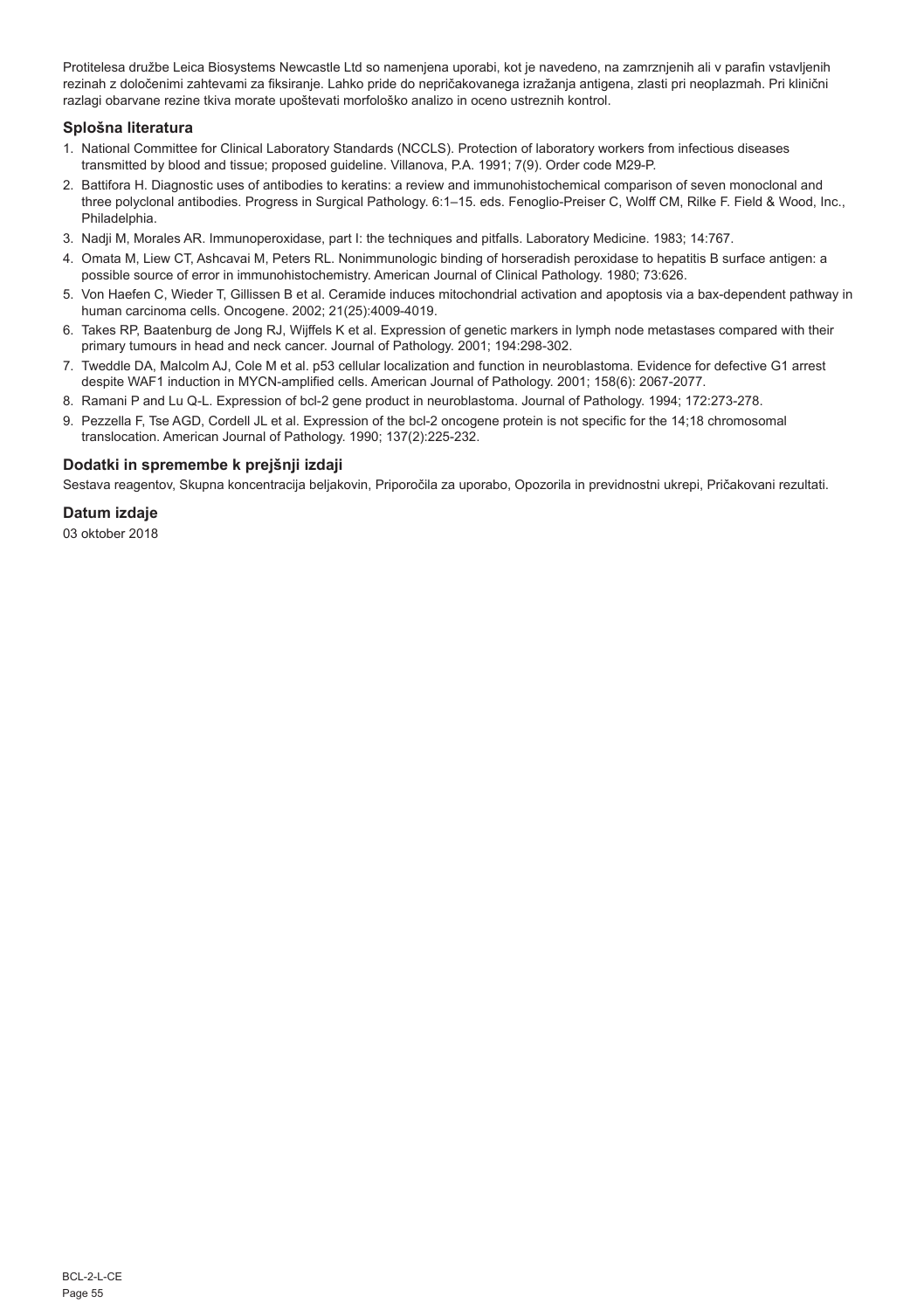Protitelesa družbe Leica Biosystems Newcastle Ltd so namenjena uporabi, kot je navedeno, na zamrznjenih ali v parafin vstavljenih rezinah z določenimi zahtevami za fiksiranje. Lahko pride do nepričakovanega izražanja antigena, zlasti pri neoplazmah. Pri klinični razlagi obarvane rezine tkiva morate upoštevati morfološko analizo in oceno ustreznih kontrol.

## **Splošna literatura**

- 1. National Committee for Clinical Laboratory Standards (NCCLS). Protection of laboratory workers from infectious diseases transmitted by blood and tissue; proposed guideline. Villanova, P.A. 1991; 7(9). Order code M29-P.
- 2. Battifora H. Diagnostic uses of antibodies to keratins: a review and immunohistochemical comparison of seven monoclonal and three polyclonal antibodies. Progress in Surgical Pathology. 6:1–15. eds. Fenoglio-Preiser C, Wolff CM, Rilke F. Field & Wood, Inc., Philadelphia.
- 3. Nadji M, Morales AR. Immunoperoxidase, part I: the techniques and pitfalls. Laboratory Medicine. 1983; 14:767.
- 4. Omata M, Liew CT, Ashcavai M, Peters RL. Nonimmunologic binding of horseradish peroxidase to hepatitis B surface antigen: a possible source of error in immunohistochemistry. American Journal of Clinical Pathology. 1980; 73:626.
- 5. Von Haefen C, Wieder T, Gillissen B et al. Ceramide induces mitochondrial activation and apoptosis via a bax-dependent pathway in human carcinoma cells. Oncogene. 2002; 21(25):4009-4019.
- 6. Takes RP, Baatenburg de Jong RJ, Wijffels K et al. Expression of genetic markers in lymph node metastases compared with their primary tumours in head and neck cancer. Journal of Pathology. 2001; 194:298-302.
- 7. Tweddle DA, Malcolm AJ, Cole M et al. p53 cellular localization and function in neuroblastoma. Evidence for defective G1 arrest despite WAF1 induction in MYCN-amplified cells. American Journal of Pathology. 2001; 158(6): 2067-2077.
- 8. Ramani P and Lu Q-L. Expression of bcl-2 gene product in neuroblastoma. Journal of Pathology. 1994; 172:273-278.
- 9. Pezzella F, Tse AGD, Cordell JL et al. Expression of the bcl-2 oncogene protein is not specific for the 14;18 chromosomal translocation. American Journal of Pathology. 1990; 137(2):225-232.

## **Dodatki in spremembe k prejšnji izdaji**

Sestava reagentov, Skupna koncentracija beljakovin, Priporočila za uporabo, Opozorila in previdnostni ukrepi, Pričakovani rezultati.

#### **Datum izdaje**

03 oktober 2018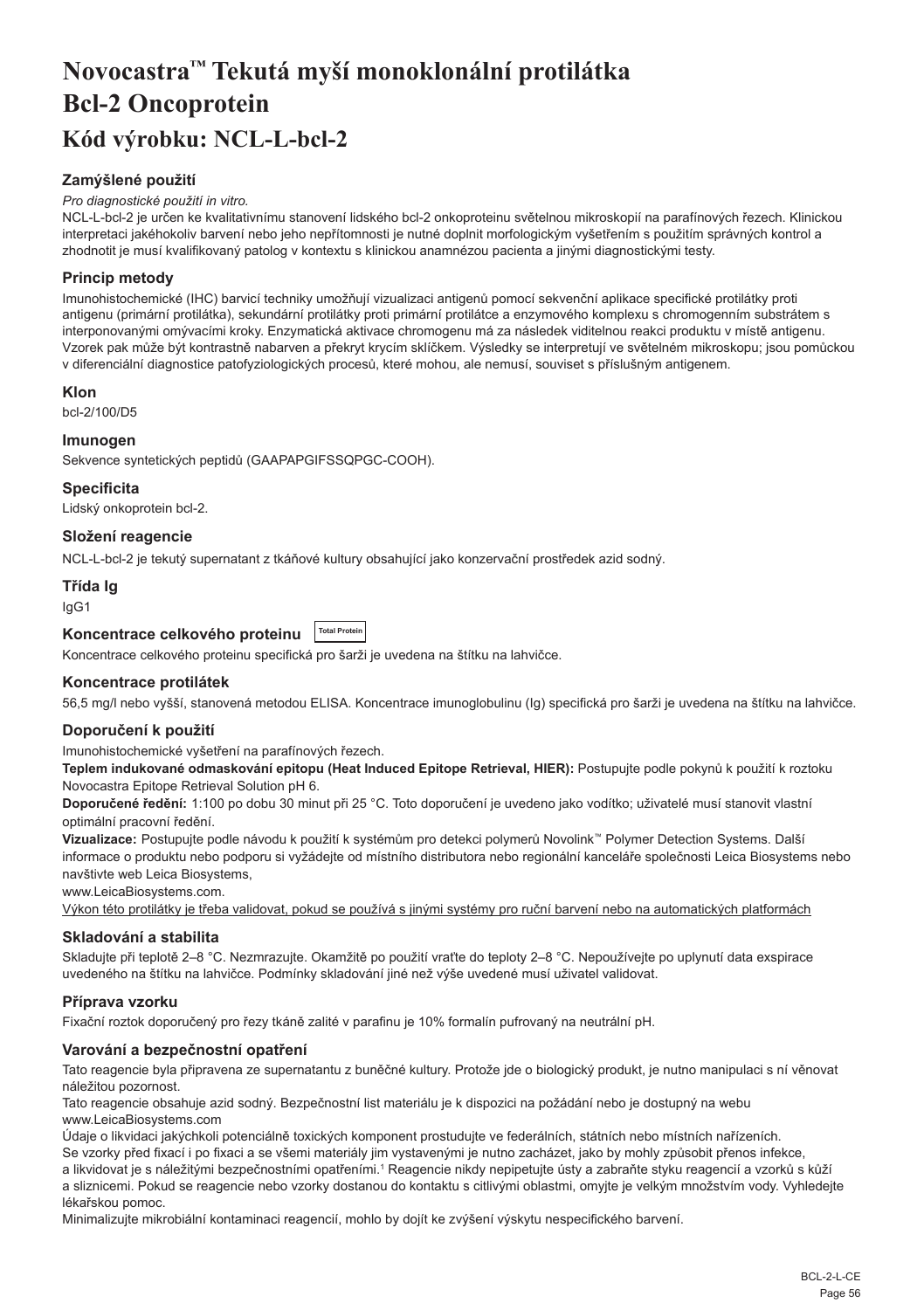# <span id="page-56-0"></span>**Novocastra™ Tekutá myší monoklonální protilátka Bcl-2 Oncoprotein Kód výrobku: NCL-L-bcl-2**

## **Zamýšlené použití**

#### *Pro diagnostické použití in vitro.*

NCL-L-bcl-2 je určen ke kvalitativnímu stanovení lidského bcl-2 onkoproteinu světelnou mikroskopií na parafínových řezech. Klinickou interpretaci jakéhokoliv barvení nebo jeho nepřítomnosti je nutné doplnit morfologickým vyšetřením s použitím správných kontrol a zhodnotit je musí kvalifikovaný patolog v kontextu s klinickou anamnézou pacienta a jinými diagnostickými testy.

## **Princip metody**

Imunohistochemické (IHC) barvicí techniky umožňují vizualizaci antigenů pomocí sekvenční aplikace specifické protilátky proti antigenu (primární protilátka), sekundární protilátky proti primární protilátce a enzymového komplexu s chromogenním substrátem s interponovanými omývacími kroky. Enzymatická aktivace chromogenu má za následek viditelnou reakci produktu v místě antigenu. Vzorek pak může být kontrastně nabarven a překryt krycím sklíčkem. Výsledky se interpretují ve světelném mikroskopu; jsou pomůckou v diferenciální diagnostice patofyziologických procesů, které mohou, ale nemusí, souviset s příslušným antigenem.

## **Klon**

bcl-2/100/D5

## **Imunogen**

Sekvence syntetických peptidů (GAAPAPGIFSSQPGC-COOH).

#### **Specificita**

Lidský onkoprotein bcl-2.

## **Složení reagencie**

NCL-L-bcl-2 je tekutý supernatant z tkáňové kultury obsahující jako konzervační prostředek azid sodný.

## **Třída Ig**

IgG1

## **Koncentrace celkového proteinu Total Protein**

Koncentrace celkového proteinu specifická pro šarži je uvedena na štítku na lahvičce.

## **Koncentrace protilátek**

56,5 mg/l nebo vyšší, stanovená metodou ELISA. Koncentrace imunoglobulinu (Ig) specifická pro šarži je uvedena na štítku na lahvičce.

## **Doporučení k použití**

Imunohistochemické vyšetření na parafínových řezech.

**Teplem indukované odmaskování epitopu (Heat Induced Epitope Retrieval, HIER):** Postupujte podle pokynů k použití k roztoku Novocastra Epitope Retrieval Solution pH 6.

**Doporučené ředění:** 1:100 po dobu 30 minut při 25 °C. Toto doporučení je uvedeno jako vodítko; uživatelé musí stanovit vlastní optimální pracovní ředění.

**Vizualizace:** Postupujte podle návodu k použití k systémům pro detekci polymerů Novolink™ Polymer Detection Systems. Další informace o produktu nebo podporu si vyžádejte od místního distributora nebo regionální kanceláře společnosti Leica Biosystems nebo navštivte web Leica Biosystems,

www.LeicaBiosystems.com

Výkon této protilátky je třeba validovat, pokud se používá s jinými systémy pro ruční barvení nebo na automatických platformách

## **Skladování a stabilita**

Skladujte při teplotě 2–8 °C. Nezmrazujte. Okamžitě po použití vraťte do teploty 2–8 °C. Nepoužívejte po uplynutí data exspirace uvedeného na štítku na lahvičce. Podmínky skladování jiné než výše uvedené musí uživatel validovat.

## **Příprava vzorku**

Fixační roztok doporučený pro řezy tkáně zalité v parafinu je 10% formalín pufrovaný na neutrální pH.

## **Varování a bezpečnostní opatření**

Tato reagencie byla připravena ze supernatantu z buněčné kultury. Protože jde o biologický produkt, je nutno manipulaci s ní věnovat náležitou pozornost.

Tato reagencie obsahuje azid sodný. Bezpečnostní list materiálu je k dispozici na požádání nebo je dostupný na webu www.LeicaBiosystems.com

Údaje o likvidaci jakýchkoli potenciálně toxických komponent prostudujte ve federálních, státních nebo místních nařízeních.

Se vzorky před fixací i po fixaci a se všemi materiály jim vystavenými je nutno zacházet, jako by mohly způsobit přenos infekce,

a likvidovat je s náležitými bezpečnostními opatřeními.1 Reagencie nikdy nepipetujte ústy a zabraňte styku reagencií a vzorků s kůží a sliznicemi. Pokud se reagencie nebo vzorky dostanou do kontaktu s citlivými oblastmi, omyjte je velkým množstvím vody. Vyhledejte lékařskou pomoc.

Minimalizujte mikrobiální kontaminaci reagencií, mohlo by dojít ke zvýšení výskytu nespecifického barvení.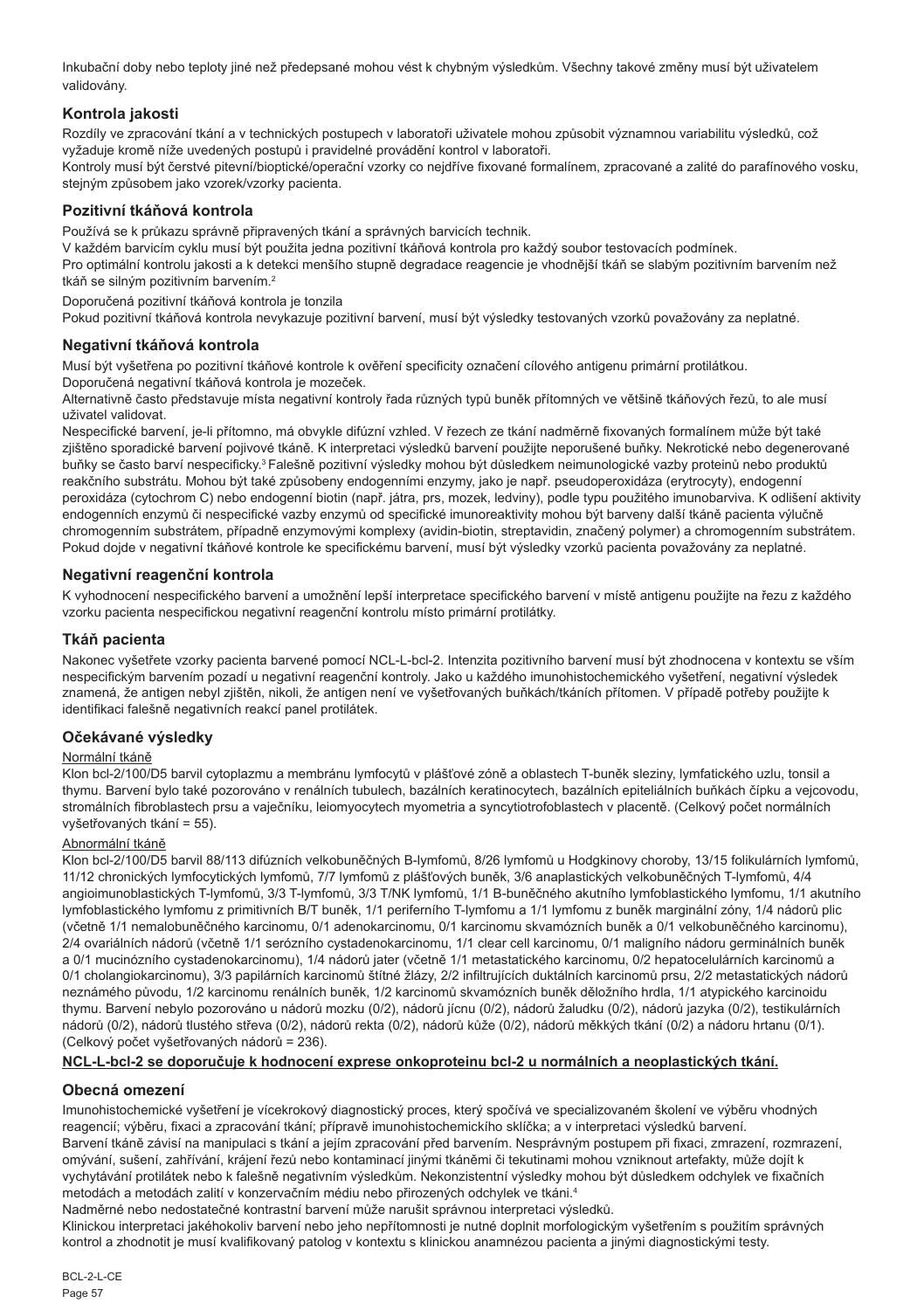Inkubační doby nebo teploty jiné než předepsané mohou vést k chybným výsledkům. Všechny takové změny musí být uživatelem validovány.

## **Kontrola jakosti**

Rozdíly ve zpracování tkání a v technických postupech v laboratoři uživatele mohou způsobit významnou variabilitu výsledků, což vyžaduje kromě níže uvedených postupů i pravidelné provádění kontrol v laboratoři.

Kontroly musí být čerstvé pitevní/bioptické/operační vzorky co nejdříve fixované formalínem, zpracované a zalité do parafínového vosku, stejným způsobem jako vzorek/vzorky pacienta.

## **Pozitivní tkáňová kontrola**

Používá se k průkazu správně připravených tkání a správných barvicích technik.

V každém barvicím cyklu musí být použita jedna pozitivní tkáňová kontrola pro každý soubor testovacích podmínek. Pro optimální kontrolu jakosti a k detekci menšího stupně degradace reagencie je vhodnější tkáň se slabým pozitivním barvením než tkáň se silným pozitivním barvením.<sup>2</sup>

Doporučená pozitivní tkáňová kontrola je tonzila

Pokud pozitivní tkáňová kontrola nevykazuje pozitivní barvení, musí být výsledky testovaných vzorků považovány za neplatné.

## **Negativní tkáňová kontrola**

Musí být vyšetřena po pozitivní tkáňové kontrole k ověření specificity označení cílového antigenu primární protilátkou.

Doporučená negativní tkáňová kontrola je mozeček.

Alternativně často představuje místa negativní kontroly řada různých typů buněk přítomných ve většině tkáňových řezů, to ale musí uživatel validovat.

Nespecifické barvení, je-li přítomno, má obvykle difúzní vzhled. V řezech ze tkání nadměrně fixovaných formalínem může být také zjištěno sporadické barvení pojivové tkáně. K interpretaci výsledků barvení použijte neporušené buňky. Nekrotické nebo degenerované buňky se často barví nespecificky.<sup>3</sup>Falešně pozitivní výsledky mohou být důsledkem neimunologické vazby proteinů nebo produktů reakčního substrátu. Mohou být také způsobeny endogenními enzymy, jako je např. pseudoperoxidáza (erytrocyty), endogenní peroxidáza (cytochrom C) nebo endogenní biotin (např. játra, prs, mozek, ledviny), podle typu použitého imunobarviva. K odlišení aktivity endogenních enzymů či nespecifické vazby enzymů od specifické imunoreaktivity mohou být barveny další tkáně pacienta výlučně chromogenním substrátem, případně enzymovými komplexy (avidin-biotin, streptavidin, značený polymer) a chromogenním substrátem. Pokud dojde v negativní tkáňové kontrole ke specifickému barvení, musí být výsledky vzorků pacienta považovány za neplatné.

## **Negativní reagenční kontrola**

K vyhodnocení nespecifického barvení a umožnění lepší interpretace specifického barvení v místě antigenu použijte na řezu z každého vzorku pacienta nespecifickou negativní reagenční kontrolu místo primární protilátky.

## **Tkáň pacienta**

Nakonec vyšetřete vzorky pacienta barvené pomocí NCL-L-bcl-2. Intenzita pozitivního barvení musí být zhodnocena v kontextu se vším nespecifickým barvením pozadí u negativní reagenční kontroly. Jako u každého imunohistochemického vyšetření, negativní výsledek znamená, že antigen nebyl zjištěn, nikoli, že antigen není ve vyšetřovaných buňkách/tkáních přítomen. V případě potřeby použijte k identifikaci falešně negativních reakcí panel protilátek.

## **Očekávané výsledky**

## Normální tkáně

Klon bcl-2/100/D5 barvil cytoplazmu a membránu lymfocytů v plášťové zóně a oblastech T-buněk sleziny, lymfatického uzlu, tonsil a thymu. Barvení bylo také pozorováno v renálních tubulech, bazálních keratinocytech, bazálních epiteliálních buňkách čípku a vejcovodu, stromálních fibroblastech prsu a vaječníku, leiomyocytech myometria a syncytiotrofoblastech v placentě. (Celkový počet normálních vyšetřovaných tkání = 55).

## Abnormální tkáně

Klon bcl-2/100/D5 barvil 88/113 difúzních velkobuněčných B-lymfomů, 8/26 lymfomů u Hodgkinovy choroby, 13/15 folikulárních lymfomů, 11/12 chronických lymfocytických lymfomů, 7/7 lymfomů z plášťových buněk, 3/6 anaplastických velkobuněčných T-lymfomů, 4/4 angioimunoblastických T-lymfomů, 3/3 T-lymfomů, 3/3 T/NK lymfomů, 1/1 B-buněčného akutního lymfoblastického lymfomu, 1/1 akutního lymfoblastického lymfomu z primitivních B/T buněk, 1/1 periferního T-lymfomu a 1/1 lymfomu z buněk marginální zóny, 1/4 nádorů plic (včetně 1/1 nemalobuněčného karcinomu, 0/1 adenokarcinomu, 0/1 karcinomu skvamózních buněk a 0/1 velkobuněčného karcinomu), 2/4 ovariálních nádorů (včetně 1/1 serózního cystadenokarcinomu, 1/1 clear cell karcinomu, 0/1 maligního nádoru germinálních buněk a 0/1 mucinózního cystadenokarcinomu), 1/4 nádorů jater (včetně 1/1 metastatického karcinomu, 0/2 hepatocelulárních karcinomů a 0/1 cholangiokarcinomu), 3/3 papilárních karcinomů štítné žlázy, 2/2 infiltrujících duktálních karcinomů prsu, 2/2 metastatických nádorů neznámého původu, 1/2 karcinomu renálních buněk, 1/2 karcinomů skvamózních buněk děložního hrdla, 1/1 atypického karcinoidu thymu. Barvení nebylo pozorováno u nádorů mozku (0/2), nádorů jícnu (0/2), nádorů žaludku (0/2), nádorů jazyka (0/2), testikulárních nádorů (0/2), nádorů tlustého střeva (0/2), nádorů rekta (0/2), nádorů kůže (0/2), nádorů měkkých tkání (0/2) a nádoru hrtanu (0/1). (Celkový počet vyšetřovaných nádorů = 236).

## **NCL-L-bcl-2 se doporučuje k hodnocení exprese onkoproteinu bcl-2 u normálních a neoplastických tkání.**

## **Obecná omezení**

Imunohistochemické vyšetření je vícekrokový diagnostický proces, který spočívá ve specializovaném školení ve výběru vhodných reagencií; výběru, fixaci a zpracování tkání; přípravě imunohistochemickího sklíčka; a v interpretaci výsledků barvení. Barvení tkáně závisí na manipulaci s tkání a jejím zpracování před barvením. Nesprávným postupem při fixaci, zmrazení, rozmrazení, omývání, sušení, zahřívání, krájení řezů nebo kontaminací jinými tkáněmi či tekutinami mohou vzniknout artefakty, může dojít k vychytávání protilátek nebo k falešně negativním výsledkům. Nekonzistentní výsledky mohou být důsledkem odchylek ve fixačních metodách a metodách zalití v konzervačním médiu nebo přirozených odchylek ve tkáni.4

Nadměrné nebo nedostatečné kontrastní barvení může narušit správnou interpretaci výsledků.

Klinickou interpretaci jakéhokoliv barvení nebo jeho nepřítomnosti je nutné doplnit morfologickým vyšetřením s použitím správných kontrol a zhodnotit je musí kvalifikovaný patolog v kontextu s klinickou anamnézou pacienta a jinými diagnostickými testy.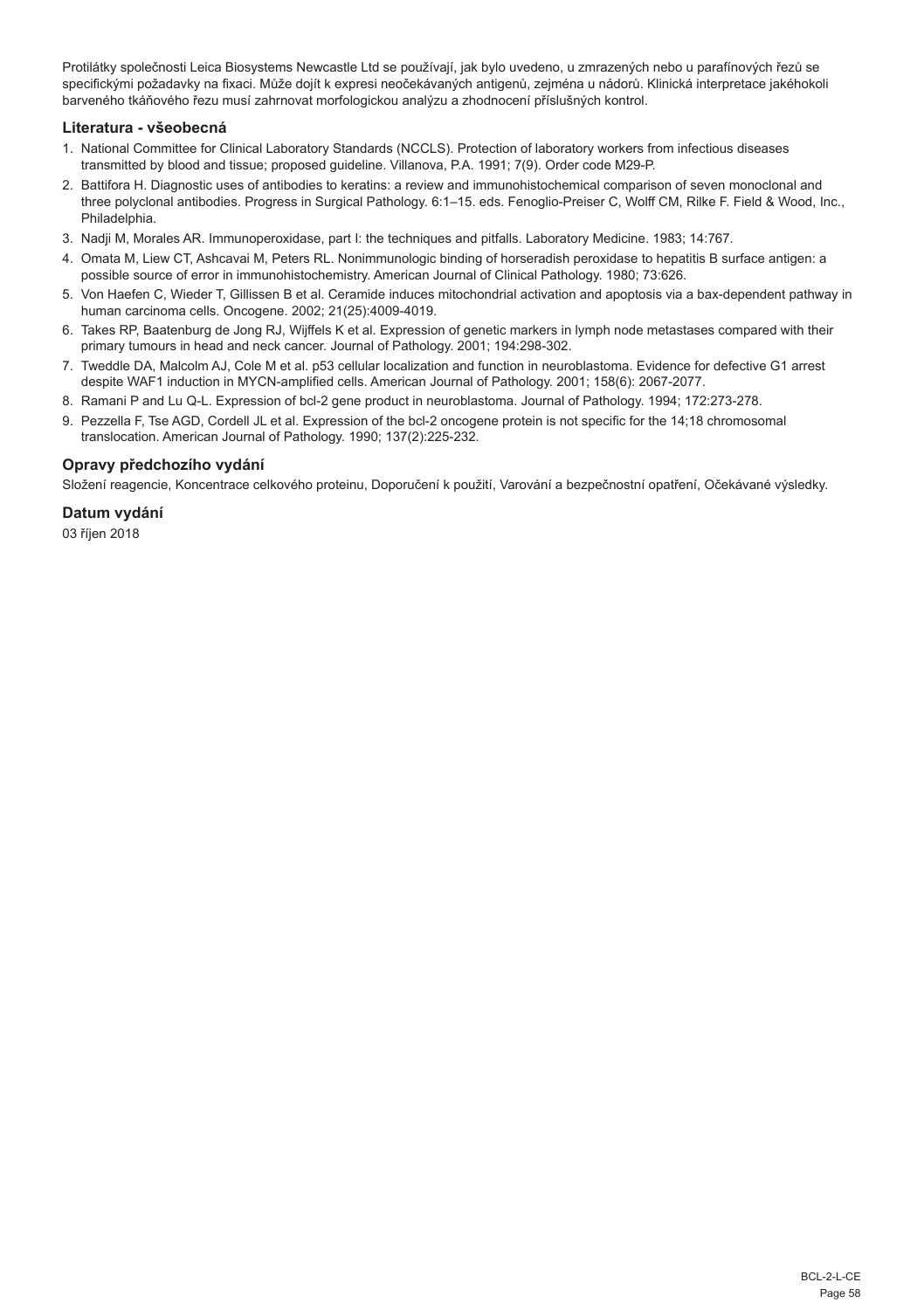Protilátky společnosti Leica Biosystems Newcastle Ltd se používají, jak bylo uvedeno, u zmrazených nebo u parafínových řezů se specifickými požadavky na fixaci. Může dojít k expresi neočekávaných antigenů, zejména u nádorů. Klinická interpretace jakéhokoli barveného tkáňového řezu musí zahrnovat morfologickou analýzu a zhodnocení příslušných kontrol.

## **Literatura - všeobecná**

- 1. National Committee for Clinical Laboratory Standards (NCCLS). Protection of laboratory workers from infectious diseases transmitted by blood and tissue; proposed guideline. Villanova, P.A. 1991; 7(9). Order code M29-P.
- 2. Battifora H. Diagnostic uses of antibodies to keratins: a review and immunohistochemical comparison of seven monoclonal and three polyclonal antibodies. Progress in Surgical Pathology. 6:1–15. eds. Fenoglio-Preiser C, Wolff CM, Rilke F. Field & Wood, Inc., Philadelphia.
- 3. Nadji M, Morales AR. Immunoperoxidase, part I: the techniques and pitfalls. Laboratory Medicine. 1983; 14:767.
- 4. Omata M, Liew CT, Ashcavai M, Peters RL. Nonimmunologic binding of horseradish peroxidase to hepatitis B surface antigen: a possible source of error in immunohistochemistry. American Journal of Clinical Pathology. 1980; 73:626.
- 5. Von Haefen C, Wieder T, Gillissen B et al. Ceramide induces mitochondrial activation and apoptosis via a bax-dependent pathway in human carcinoma cells. Oncogene. 2002; 21(25):4009-4019.
- 6. Takes RP, Baatenburg de Jong RJ, Wijffels K et al. Expression of genetic markers in lymph node metastases compared with their primary tumours in head and neck cancer. Journal of Pathology. 2001; 194:298-302.
- 7. Tweddle DA, Malcolm AJ, Cole M et al. p53 cellular localization and function in neuroblastoma. Evidence for defective G1 arrest despite WAF1 induction in MYCN-amplified cells. American Journal of Pathology. 2001; 158(6): 2067-2077.
- 8. Ramani P and Lu Q-L. Expression of bcl-2 gene product in neuroblastoma. Journal of Pathology. 1994; 172:273-278.
- 9. Pezzella F, Tse AGD, Cordell JL et al. Expression of the bcl-2 oncogene protein is not specific for the 14;18 chromosomal translocation. American Journal of Pathology. 1990; 137(2):225-232.

## **Opravy předchozího vydání**

Složení reagencie, Koncentrace celkového proteinu, Doporučení k použití, Varování a bezpečnostní opatření, Očekávané výsledky.

#### **Datum vydání**

03 říjen 2018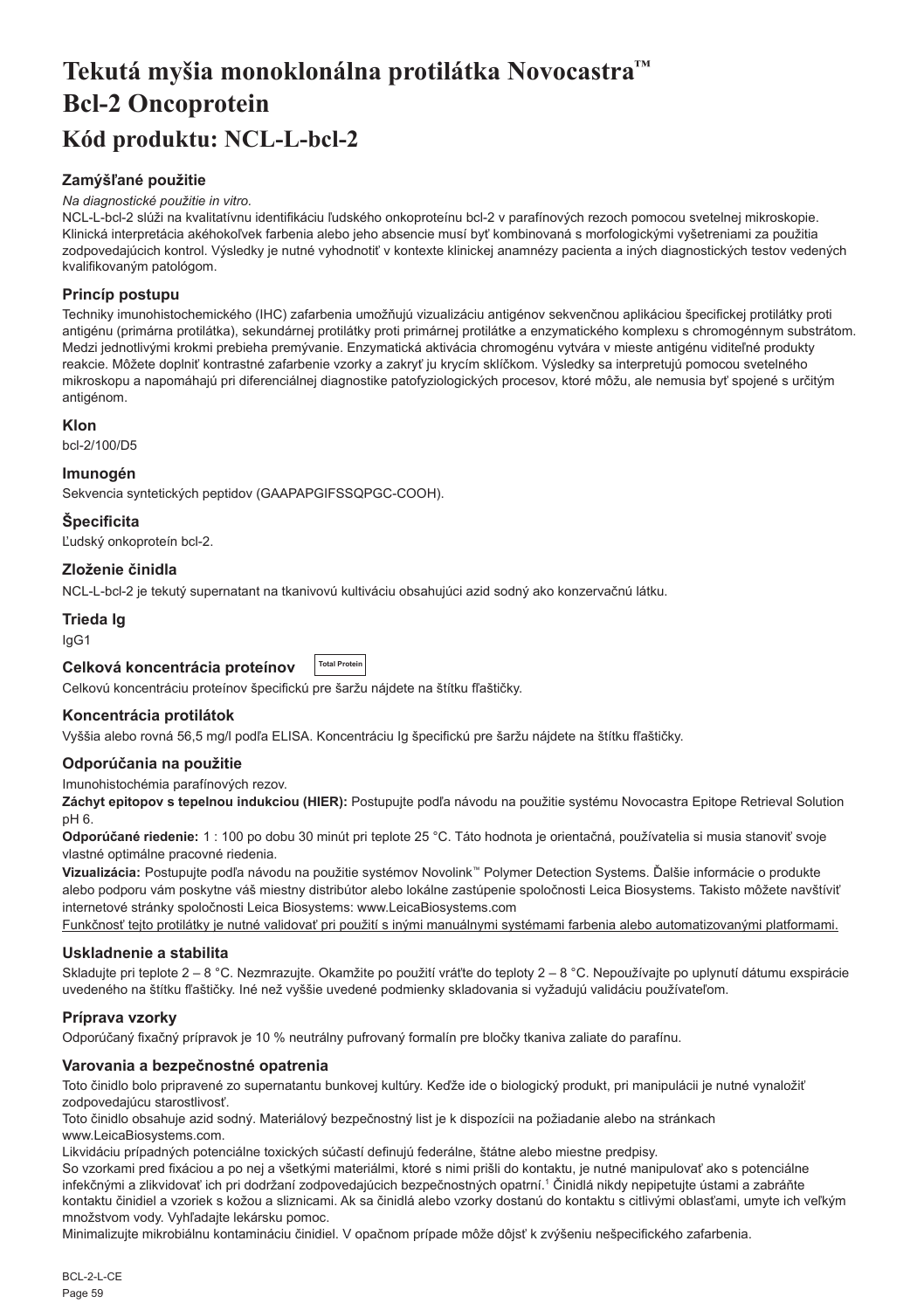# <span id="page-59-0"></span>**Tekutá myšia monoklonálna protilátka Novocastra™ Bcl-2 Oncoprotein Kód produktu: NCL-L-bcl-2**

## **Zamýšľané použitie**

#### *Na diagnostické použitie in vitro.*

NCL-L-bcl-2 slúži na kvalitatívnu identifikáciu ľudského onkoproteínu bcl-2 v parafínových rezoch pomocou svetelnej mikroskopie. Klinická interpretácia akéhokoľvek farbenia alebo jeho absencie musí byť kombinovaná s morfologickými vyšetreniami za použitia zodpovedajúcich kontrol. Výsledky je nutné vyhodnotiť v kontexte klinickej anamnézy pacienta a iných diagnostických testov vedených kvalifikovaným patológom.

## **Princíp postupu**

Techniky imunohistochemického (IHC) zafarbenia umožňujú vizualizáciu antigénov sekvenčnou aplikáciou špecifickej protilátky proti antigénu (primárna protilátka), sekundárnej protilátky proti primárnej protilátke a enzymatického komplexu s chromogénnym substrátom. Medzi jednotlivými krokmi prebieha premývanie. Enzymatická aktivácia chromogénu vytvára v mieste antigénu viditeľné produkty reakcie. Môžete doplniť kontrastné zafarbenie vzorky a zakryť ju krycím sklíčkom. Výsledky sa interpretujú pomocou svetelného mikroskopu a napomáhajú pri diferenciálnej diagnostike patofyziologických procesov, ktoré môžu, ale nemusia byť spojené s určitým antigénom.

## **Klon**

bcl-2/100/D5

## **Imunogén**

Sekvencia syntetických peptidov (GAAPAPGIFSSQPGC-COOH).

## **Špecificita**

Ľudský onkoproteín bcl-2.

## **Zloženie činidla**

NCL-L-bcl-2 je tekutý supernatant na tkanivovú kultiváciu obsahujúci azid sodný ako konzervačnú látku.

## **Trieda Ig**

IgG1

#### **Celková koncentrácia proteínov Total Protein**

Celkovú koncentráciu proteínov špecifickú pre šaržu nájdete na štítku fľaštičky.

## **Koncentrácia protilátok**

Vyššia alebo rovná 56,5 mg/l podľa ELISA. Koncentráciu Ig špecifickú pre šaržu nájdete na štítku fľaštičky.

## **Odporúčania na použitie**

Imunohistochémia parafínových rezov.

**Záchyt epitopov s tepelnou indukciou (HIER):** Postupujte podľa návodu na použitie systému Novocastra Epitope Retrieval Solution pH 6.

**Odporúčané riedenie:** 1 : 100 po dobu 30 minút pri teplote 25 °C. Táto hodnota je orientačná, používatelia si musia stanoviť svoje vlastné optimálne pracovné riedenia.

**Vizualizácia:** Postupujte podľa návodu na použitie systémov Novolink™ Polymer Detection Systems. Ďalšie informácie o produkte alebo podporu vám poskytne váš miestny distribútor alebo lokálne zastúpenie spoločnosti Leica Biosystems. Takisto môžete navštíviť internetové stránky spoločnosti Leica Biosystems: www.LeicaBiosystems.com

Funkčnosť tejto protilátky je nutné validovať pri použití s inými manuálnymi systémami farbenia alebo automatizovanými platformami.

## **Uskladnenie a stabilita**

Skladujte pri teplote 2 – 8 °C. Nezmrazujte. Okamžite po použití vráťte do teploty 2 – 8 °C. Nepoužívajte po uplynutí dátumu exspirácie uvedeného na štítku fľaštičky. Iné než vyššie uvedené podmienky skladovania si vyžadujú validáciu používateľom.

## **Príprava vzorky**

Odporúčaný fixačný prípravok je 10 % neutrálny pufrovaný formalín pre bločky tkaniva zaliate do parafínu.

## **Varovania a bezpečnostné opatrenia**

Toto činidlo bolo pripravené zo supernatantu bunkovej kultúry. Keďže ide o biologický produkt, pri manipulácii je nutné vynaložiť zodpovedajúcu starostlivosť.

Toto činidlo obsahuje azid sodný. Materiálový bezpečnostný list je k dispozícii na požiadanie alebo na stránkach www.LeicaBiosystems.com.

Likvidáciu prípadných potenciálne toxických súčastí definujú federálne, štátne alebo miestne predpisy.

So vzorkami pred fixáciou a po nej a všetkými materiálmi, ktoré s nimi prišli do kontaktu, je nutné manipulovať ako s potenciálne infekčnými a zlikvidovať ich pri dodržaní zodpovedajúcich bezpečnostných opatrní.<sup>1</sup> Činidlá nikdy nepipetujte ústami a zabráňte kontaktu činidiel a vzoriek s kožou a sliznicami. Ak sa činidlá alebo vzorky dostanú do kontaktu s citlivými oblasťami, umyte ich veľkým množstvom vody. Vyhľadajte lekársku pomoc.

Minimalizujte mikrobiálnu kontamináciu činidiel. V opačnom prípade môže dôjsť k zvýšeniu nešpecifického zafarbenia.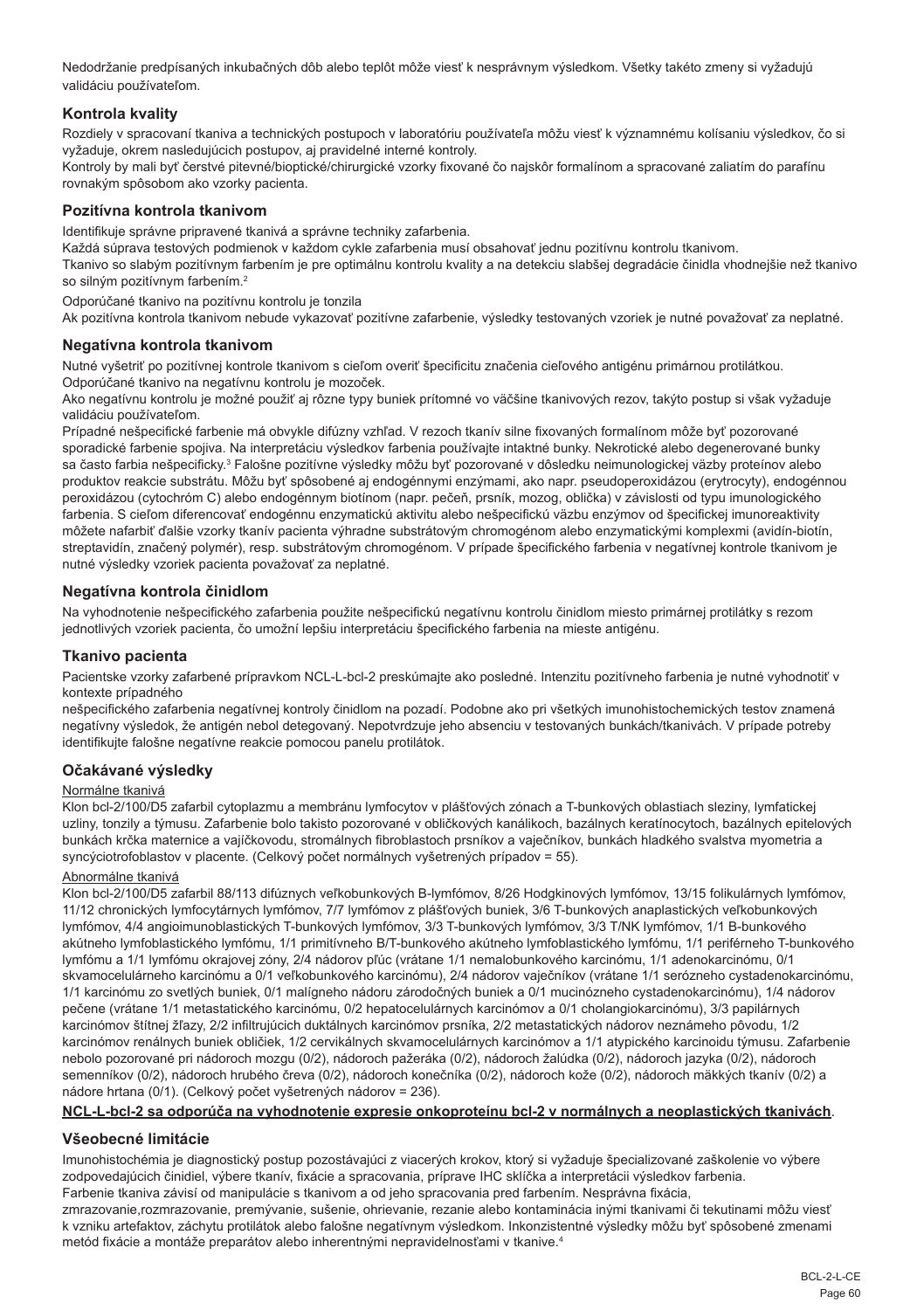Nedodržanie predpísaných inkubačných dôb alebo teplôt môže viesť k nesprávnym výsledkom. Všetky takéto zmeny si vyžadujú validáciu používateľom.

## **Kontrola kvality**

Rozdiely v spracovaní tkaniva a technických postupoch v laboratóriu používateľa môžu viesť k významnému kolísaniu výsledkov, čo si vyžaduje, okrem nasledujúcich postupov, aj pravidelné interné kontroly.

Kontroly by mali byť čerstvé pitevné/bioptické/chirurgické vzorky fixované čo najskôr formalínom a spracované zaliatím do parafínu rovnakým spôsobom ako vzorky pacienta.

## **Pozitívna kontrola tkanivom**

Identifikuje správne pripravené tkanivá a správne techniky zafarbenia.

Každá súprava testových podmienok v každom cykle zafarbenia musí obsahovať jednu pozitívnu kontrolu tkanivom.

Tkanivo so slabým pozitívnym farbením je pre optimálnu kontrolu kvality a na detekciu slabšej degradácie činidla vhodnejšie než tkanivo so silným pozitívnym farbením.<sup>2</sup>

Odporúčané tkanivo na pozitívnu kontrolu je tonzila

Ak pozitívna kontrola tkanivom nebude vykazovať pozitívne zafarbenie, výsledky testovaných vzoriek je nutné považovať za neplatné.

#### **Negatívna kontrola tkanivom**

Nutné vyšetriť po pozitívnej kontrole tkanivom s cieľom overiť špecificitu značenia cieľového antigénu primárnou protilátkou. Odporúčané tkanivo na negatívnu kontrolu je mozoček.

Ako negatívnu kontrolu je možné použiť aj rôzne typy buniek prítomné vo väčšine tkanivových rezov, takýto postup si však vyžaduje validáciu používateľom.

Prípadné nešpecifické farbenie má obvykle difúzny vzhľad. V rezoch tkanív silne fixovaných formalínom môže byť pozorované sporadické farbenie spojiva. Na interpretáciu výsledkov farbenia používajte intaktné bunky. Nekrotické alebo degenerované bunky sa často farbia nešpecificky.<sup>3</sup> Falošne pozitívne výsledky môžu byť pozorované v dôsledku neimunologickej väzby proteínov alebo produktov reakcie substrátu. Môžu byť spôsobené aj endogénnymi enzýmami, ako napr. pseudoperoxidázou (erytrocyty), endogénnou peroxidázou (cytochróm C) alebo endogénnym biotínom (napr. pečeň, prsník, mozog, oblička) v závislosti od typu imunologického farbenia. S cieľom diferencovať endogénnu enzymatickú aktivitu alebo nešpecifickú väzbu enzýmov od špecifickej imunoreaktivity môžete nafarbiť ďalšie vzorky tkanív pacienta výhradne substrátovým chromogénom alebo enzymatickými komplexmi (avidín-biotín, streptavidín, značený polymér), resp. substrátovým chromogénom. V prípade špecifického farbenia v negatívnej kontrole tkanivom je nutné výsledky vzoriek pacienta považovať za neplatné.

#### **Negatívna kontrola činidlom**

Na vyhodnotenie nešpecifického zafarbenia použite nešpecifickú negatívnu kontrolu činidlom miesto primárnej protilátky s rezom jednotlivých vzoriek pacienta, čo umožní lepšiu interpretáciu špecifického farbenia na mieste antigénu.

#### **Tkanivo pacienta**

Pacientske vzorky zafarbené prípravkom NCL-L-bcl-2 preskúmajte ako posledné. Intenzitu pozitívneho farbenia je nutné vyhodnotiť v kontexte prípadného

nešpecifického zafarbenia negatívnej kontroly činidlom na pozadí. Podobne ako pri všetkých imunohistochemických testov znamená negatívny výsledok, že antigén nebol detegovaný. Nepotvrdzuje jeho absenciu v testovaných bunkách/tkanivách. V prípade potreby identifikujte falošne negatívne reakcie pomocou panelu protilátok.

#### **Očakávané výsledky**

#### Normálne tkanivá

Klon bcl-2/100/D5 zafarbil cytoplazmu a membránu lymfocytov v plášťových zónach a T-bunkových oblastiach sleziny, lymfatickej uzliny, tonzily a týmusu. Zafarbenie bolo takisto pozorované v obličkových kanálikoch, bazálnych keratínocytoch, bazálnych epitelových bunkách krčka maternice a vajíčkovodu, stromálnych fibroblastoch prsníkov a vaječníkov, bunkách hladkého svalstva myometria a syncýciotrofoblastov v placente. (Celkový počet normálnych vyšetrených prípadov = 55).

#### Abnormálne tkanivá

Klon bcl-2/100/D5 zafarbil 88/113 difúznych veľkobunkových B-lymfómov, 8/26 Hodgkinových lymfómov, 13/15 folikulárnych lymfómov, 11/12 chronických lymfocytárnych lymfómov, 7/7 lymfómov z plášťových buniek, 3/6 T-bunkových anaplastických veľkobunkových lymfómov, 4/4 angioimunoblastických T-bunkových lymfómov, 3/3 T-bunkových lymfómov, 3/3 T/NK lymfómov, 1/1 B-bunkového akútneho lymfoblastického lymfómu, 1/1 primitívneho B/T-bunkového akútneho lymfoblastického lymfómu, 1/1 periférneho T-bunkového lymfómu a 1/1 lymfómu okrajovej zóny, 2/4 nádorov pľúc (vrátane 1/1 nemalobunkového karcinómu, 1/1 adenokarcinómu, 0/1 skvamocelulárneho karcinómu a 0/1 veľkobunkového karcinómu), 2/4 nádorov vaječníkov (vrátane 1/1 serózneho cystadenokarcinómu, 1/1 karcinómu zo svetlých buniek, 0/1 malígneho nádoru zárodočných buniek a 0/1 mucinózneho cystadenokarcinómu), 1/4 nádorov pečene (vrátane 1/1 metastatického karcinómu, 0/2 hepatocelulárnych karcinómov a 0/1 cholangiokarcinómu), 3/3 papilárnych karcinómov štítnej žľazy, 2/2 infiltrujúcich duktálnych karcinómov prsníka, 2/2 metastatických nádorov neznámeho pôvodu, 1/2 karcinómov renálnych buniek obličiek, 1/2 cervikálnych skvamocelulárnych karcinómov a 1/1 atypického karcinoidu týmusu. Zafarbenie nebolo pozorované pri nádoroch mozgu (0/2), nádoroch pažeráka (0/2), nádoroch žalúdka (0/2), nádoroch jazyka (0/2), nádoroch semenníkov (0/2), nádoroch hrubého čreva (0/2), nádoroch konečníka (0/2), nádoroch kože (0/2), nádoroch mäkkých tkanív (0/2) a nádore hrtana (0/1). (Celkový počet vyšetrených nádorov = 236).

## **NCL-L-bcl-2 sa odporúča na vyhodnotenie expresie onkoproteínu bcl-2 v normálnych a neoplastických tkanivách**.

## **Všeobecné limitácie**

Imunohistochémia je diagnostický postup pozostávajúci z viacerých krokov, ktorý si vyžaduje špecializované zaškolenie vo výbere zodpovedajúcich činidiel, výbere tkanív, fixácie a spracovania, príprave IHC sklíčka a interpretácii výsledkov farbenia. Farbenie tkaniva závisí od manipulácie s tkanivom a od jeho spracovania pred farbením. Nesprávna fixácia,

zmrazovanie,rozmrazovanie, premývanie, sušenie, ohrievanie, rezanie alebo kontaminácia inými tkanivami či tekutinami môžu viesť k vzniku artefaktov, záchytu protilátok alebo falošne negatívnym výsledkom. Inkonzistentné výsledky môžu byť spôsobené zmenami metód fixácie a montáže preparátov alebo inherentnými nepravidelnosťami v tkanive.4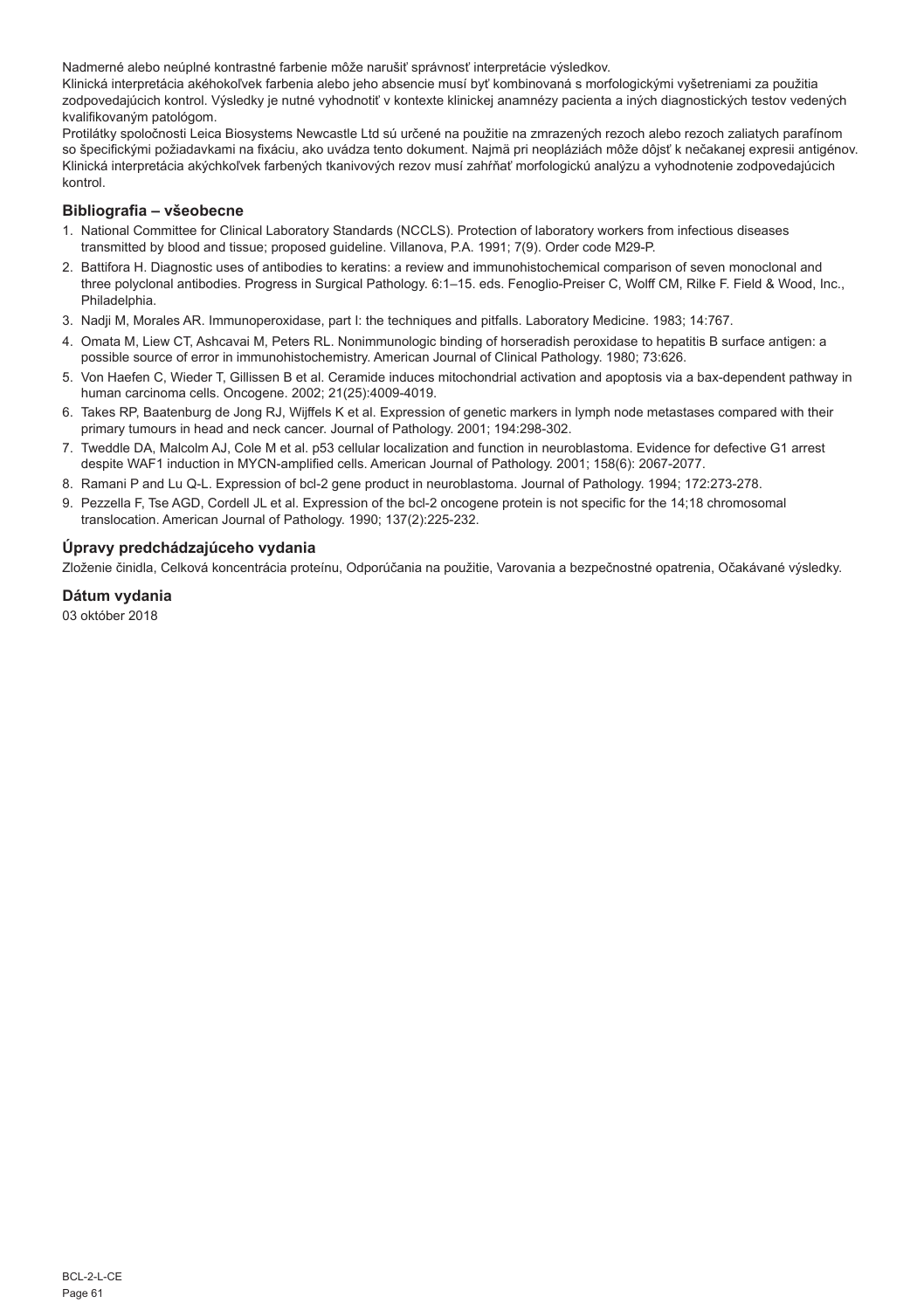Nadmerné alebo neúplné kontrastné farbenie môže narušiť správnosť interpretácie výsledkov.

Klinická interpretácia akéhokoľvek farbenia alebo jeho absencie musí byť kombinovaná s morfologickými vyšetreniami za použitia zodpovedajúcich kontrol. Výsledky je nutné vyhodnotiť v kontexte klinickej anamnézy pacienta a iných diagnostických testov vedených kvalifikovaným patológom.

Protilátky spoločnosti Leica Biosystems Newcastle Ltd sú určené na použitie na zmrazených rezoch alebo rezoch zaliatych parafínom so špecifickými požiadavkami na fixáciu, ako uvádza tento dokument. Najmä pri neopláziách môže dôjsť k nečakanej expresii antigénov. Klinická interpretácia akýchkoľvek farbených tkanivových rezov musí zahŕňať morfologickú analýzu a vyhodnotenie zodpovedajúcich kontrol.

## **Bibliografia – všeobecne**

- 1. National Committee for Clinical Laboratory Standards (NCCLS). Protection of laboratory workers from infectious diseases transmitted by blood and tissue; proposed guideline. Villanova, P.A. 1991; 7(9). Order code M29-P.
- 2. Battifora H. Diagnostic uses of antibodies to keratins: a review and immunohistochemical comparison of seven monoclonal and three polyclonal antibodies. Progress in Surgical Pathology. 6:1–15. eds. Fenoglio-Preiser C, Wolff CM, Rilke F. Field & Wood, Inc., Philadelphia.
- 3. Nadji M, Morales AR. Immunoperoxidase, part I: the techniques and pitfalls. Laboratory Medicine. 1983; 14:767.
- 4. Omata M, Liew CT, Ashcavai M, Peters RL. Nonimmunologic binding of horseradish peroxidase to hepatitis B surface antigen: a possible source of error in immunohistochemistry. American Journal of Clinical Pathology. 1980; 73:626.
- 5. Von Haefen C, Wieder T, Gillissen B et al. Ceramide induces mitochondrial activation and apoptosis via a bax-dependent pathway in human carcinoma cells. Oncogene. 2002; 21(25):4009-4019.
- 6. Takes RP, Baatenburg de Jong RJ, Wijffels K et al. Expression of genetic markers in lymph node metastases compared with their primary tumours in head and neck cancer. Journal of Pathology. 2001; 194:298-302.
- 7. Tweddle DA, Malcolm AJ, Cole M et al. p53 cellular localization and function in neuroblastoma. Evidence for defective G1 arrest despite WAF1 induction in MYCN-amplified cells. American Journal of Pathology. 2001; 158(6): 2067-2077.
- 8. Ramani P and Lu Q-L. Expression of bcl-2 gene product in neuroblastoma. Journal of Pathology. 1994; 172:273-278.
- 9. Pezzella F, Tse AGD, Cordell JL et al. Expression of the bcl-2 oncogene protein is not specific for the 14;18 chromosomal translocation. American Journal of Pathology. 1990; 137(2):225-232.

## **Úpravy predchádzajúceho vydania**

Zloženie činidla, Celková koncentrácia proteínu, Odporúčania na použitie, Varovania a bezpečnostné opatrenia, Očakávané výsledky.

## **Dátum vydania**

03 október 2018